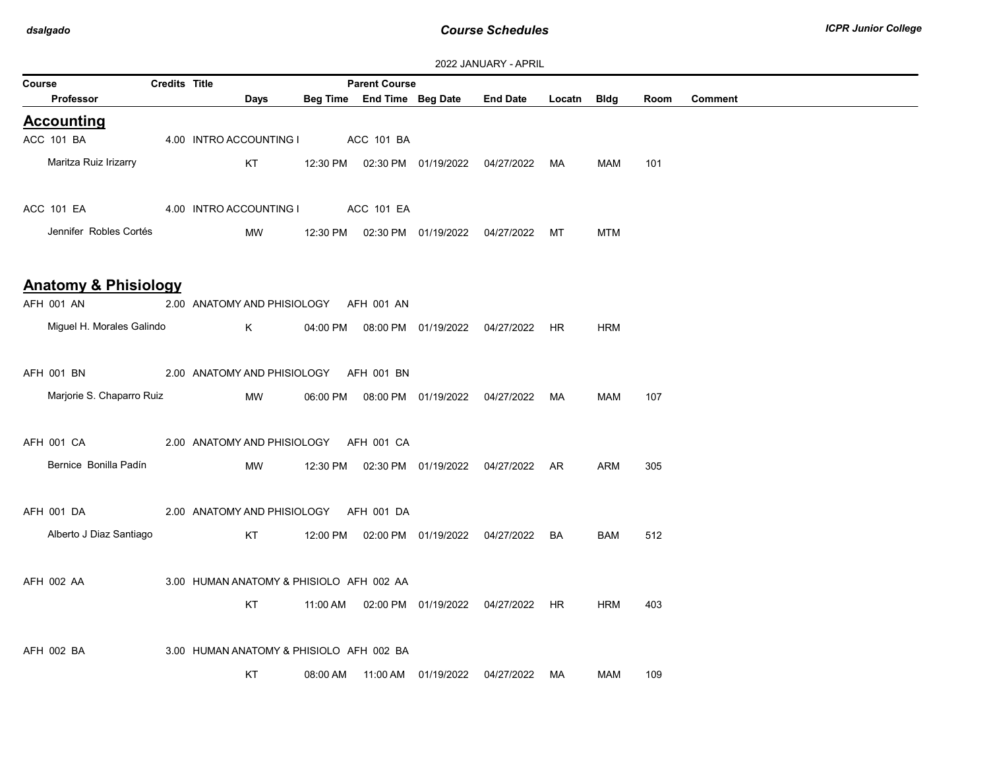|        | <b><i>LULL JAINUAINI - AFINIL</i></b> |                      |  |                                          |          |                            |                                  |                                                |             |            |      |                |
|--------|---------------------------------------|----------------------|--|------------------------------------------|----------|----------------------------|----------------------------------|------------------------------------------------|-------------|------------|------|----------------|
| Course |                                       | <b>Credits Title</b> |  |                                          |          | <b>Parent Course</b>       |                                  |                                                |             |            |      |                |
|        | Professor                             |                      |  | Days                                     |          | Beg Time End Time Beg Date |                                  | <b>End Date</b>                                | Locatn Bldg |            | Room | <b>Comment</b> |
|        | <b>Accounting</b>                     |                      |  |                                          |          |                            |                                  |                                                |             |            |      |                |
|        | ACC 101 BA                            |                      |  | 4.00 INTRO ACCOUNTING I                  |          | ACC 101 BA                 |                                  |                                                |             |            |      |                |
|        | Maritza Ruiz Irizarry                 |                      |  | KT                                       |          |                            |                                  | 12:30 PM  02:30 PM  01/19/2022  04/27/2022  MA |             | MAM        | 101  |                |
|        |                                       |                      |  |                                          |          |                            |                                  |                                                |             |            |      |                |
|        | ACC 101 EA                            |                      |  | 4.00 INTRO ACCOUNTING I                  |          | ACC 101 EA                 |                                  |                                                |             |            |      |                |
|        | Jennifer Robles Cortés                |                      |  | MW                                       | 12:30 PM |                            | 02:30 PM  01/19/2022  04/27/2022 |                                                | MT          | <b>MTM</b> |      |                |
|        |                                       |                      |  |                                          |          |                            |                                  |                                                |             |            |      |                |
|        | <b>Anatomy &amp; Phisiology</b>       |                      |  |                                          |          |                            |                                  |                                                |             |            |      |                |
|        | AFH 001 AN                            |                      |  | 2.00 ANATOMY AND PHISIOLOGY AFH 001 AN   |          |                            |                                  |                                                |             |            |      |                |
|        | Miguel H. Morales Galindo             |                      |  | K                                        | 04:00 PM |                            |                                  | 08:00 PM 01/19/2022 04/27/2022 HR              |             | <b>HRM</b> |      |                |
|        |                                       |                      |  |                                          |          |                            |                                  |                                                |             |            |      |                |
|        | AFH 001 BN                            |                      |  | 2.00 ANATOMY AND PHISIOLOGY AFH 001 BN   |          |                            |                                  |                                                |             |            |      |                |
|        | Marjorie S. Chaparro Ruiz             |                      |  | MW                                       | 06:00 PM |                            |                                  | 08:00 PM 01/19/2022 04/27/2022 MA              |             | MAM        | 107  |                |
|        |                                       |                      |  |                                          |          |                            |                                  |                                                |             |            |      |                |
|        | AFH 001 CA                            |                      |  | 2.00 ANATOMY AND PHISIOLOGY AFH 001 CA   |          |                            |                                  |                                                |             |            |      |                |
|        | Bernice Bonilla Padín                 |                      |  | MW                                       |          |                            |                                  | 12:30 PM  02:30 PM  01/19/2022  04/27/2022  AR |             | ARM        | 305  |                |
|        |                                       |                      |  |                                          |          |                            |                                  |                                                |             |            |      |                |
|        | AFH 001 DA                            |                      |  | 2.00 ANATOMY AND PHISIOLOGY AFH 001 DA   |          |                            |                                  |                                                |             |            |      |                |
|        | Alberto J Diaz Santiago               |                      |  | KT                                       | 12:00 PM |                            | 02:00 PM 01/19/2022              | 04/27/2022                                     | BA          | <b>BAM</b> | 512  |                |
|        |                                       |                      |  |                                          |          |                            |                                  |                                                |             |            |      |                |
|        | AFH 002 AA                            |                      |  | 3.00 HUMAN ANATOMY & PHISIOLO AFH 002 AA |          |                            |                                  |                                                |             |            |      |                |
|        |                                       |                      |  |                                          |          |                            |                                  |                                                |             |            |      |                |
|        |                                       |                      |  | KT                                       | 11:00 AM |                            |                                  | 02:00 PM  01/19/2022  04/27/2022  HR           |             | <b>HRM</b> | 403  |                |
|        |                                       |                      |  |                                          |          |                            |                                  |                                                |             |            |      |                |
|        | AFH 002 BA                            |                      |  | 3.00 HUMAN ANATOMY & PHISIOLO AFH 002 BA |          |                            |                                  |                                                |             |            |      |                |
|        |                                       |                      |  | KT                                       |          |                            | 08:00 AM  11:00 AM  01/19/2022   | 04/27/2022                                     | MA          | MAM        | 109  |                |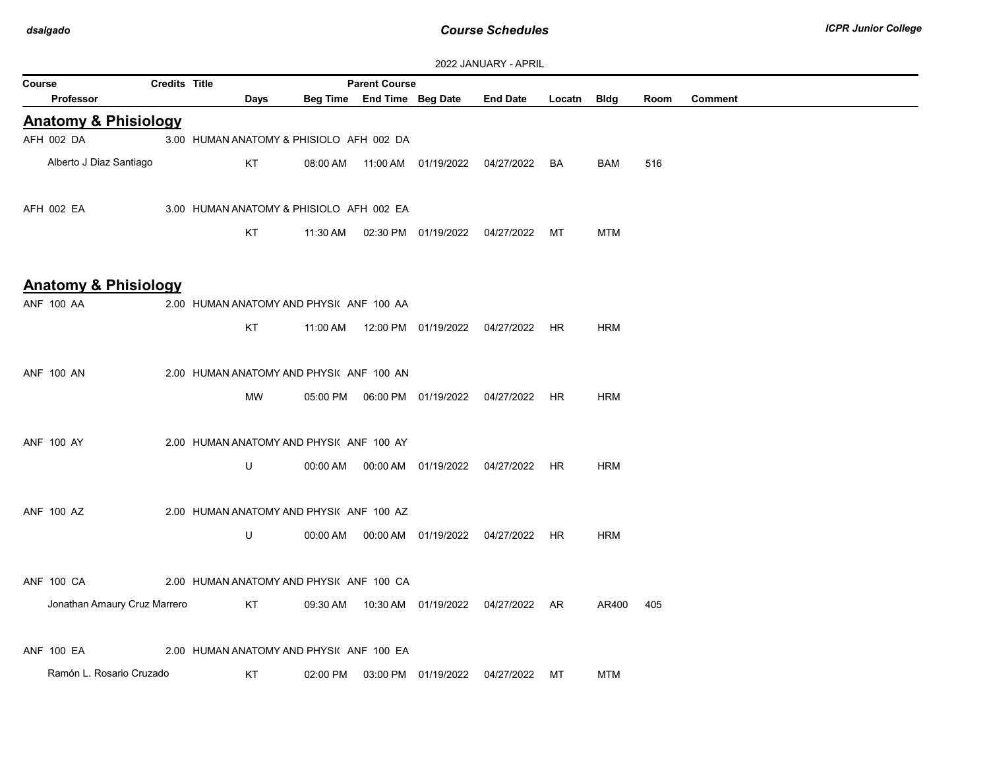| ZUZZ JANUARY - APRIL            |               |                                          |          |                            |                                  |                 |           |             |      |                |
|---------------------------------|---------------|------------------------------------------|----------|----------------------------|----------------------------------|-----------------|-----------|-------------|------|----------------|
| Course                          | Credits Title |                                          |          | <b>Parent Course</b>       |                                  |                 |           |             |      |                |
| <b>Professor</b>                |               | Days                                     |          | Beg Time End Time Beg Date |                                  | <b>End Date</b> | Locatn    | <b>Bldg</b> | Room | <b>Comment</b> |
| <b>Anatomy &amp; Phisiology</b> |               |                                          |          |                            |                                  |                 |           |             |      |                |
| AFH 002 DA                      |               | 3.00 HUMAN ANATOMY & PHISIOLO AFH 002 DA |          |                            |                                  |                 |           |             |      |                |
| Alberto J Diaz Santiago         |               | KT                                       | 08:00 AM |                            |                                  |                 | BA        | BAM         | 516  |                |
|                                 |               |                                          |          |                            |                                  |                 |           |             |      |                |
| AFH 002 EA                      |               | 3.00 HUMAN ANATOMY & PHISIOLO AFH 002 EA |          |                            |                                  |                 |           |             |      |                |
|                                 |               | KT                                       | 11:30 AM |                            | 02:30 PM 01/19/2022              | 04/27/2022      | MT        | <b>MTM</b>  |      |                |
|                                 |               |                                          |          |                            |                                  |                 |           |             |      |                |
| <b>Anatomy &amp; Phisiology</b> |               |                                          |          |                            |                                  |                 |           |             |      |                |
| <b>ANF 100 AA</b>               |               | 2.00 HUMAN ANATOMY AND PHYSI( ANF 100 AA |          |                            |                                  |                 |           |             |      |                |
|                                 |               | KT                                       | 11:00 AM |                            | 12:00 PM  01/19/2022  04/27/2022 |                 | HR        | <b>HRM</b>  |      |                |
|                                 |               |                                          |          |                            |                                  |                 |           |             |      |                |
| <b>ANF 100 AN</b>               |               | 2.00 HUMAN ANATOMY AND PHYSI( ANF 100 AN |          |                            |                                  |                 |           |             |      |                |
|                                 |               | <b>MW</b>                                | 05:00 PM |                            | 06:00 PM  01/19/2022             | 04/27/2022      | <b>HR</b> | <b>HRM</b>  |      |                |
|                                 |               |                                          |          |                            |                                  |                 |           |             |      |                |
| <b>ANF 100 AY</b>               |               | 2.00 HUMAN ANATOMY AND PHYSI( ANF 100 AY |          |                            |                                  |                 |           |             |      |                |
|                                 |               | U                                        | 00:00 AM |                            | 00:00 AM 01/19/2022              | 04/27/2022      | HR        | <b>HRM</b>  |      |                |
|                                 |               |                                          |          |                            |                                  |                 |           |             |      |                |
| <b>ANF 100 AZ</b>               |               | 2.00 HUMAN ANATOMY AND PHYSI( ANF 100 AZ |          |                            |                                  |                 |           |             |      |                |
|                                 |               | U                                        | 00:00 AM |                            | 00:00 AM  01/19/2022             | 04/27/2022      | HR        | <b>HRM</b>  |      |                |
|                                 |               |                                          |          |                            |                                  |                 |           |             |      |                |
| ANF 100 CA                      |               | 2.00 HUMAN ANATOMY AND PHYSI( ANF 100 CA |          |                            |                                  |                 |           |             |      |                |
| Jonathan Amaury Cruz Marrero    |               | <b>KT</b>                                | 09:30 AM |                            |                                  | 04/27/2022 AR   |           | AR400       | 405  |                |
|                                 |               |                                          |          |                            |                                  |                 |           |             |      |                |
| <b>ANF 100 EA</b>               |               | 2.00 HUMAN ANATOMY AND PHYSI( ANF 100 EA |          |                            |                                  |                 |           |             |      |                |
| Ramón L. Rosario Cruzado        |               | KT                                       | 02:00 PM |                            | 03:00 PM 01/19/2022              | 04/27/2022      | МT        | <b>MTM</b>  |      |                |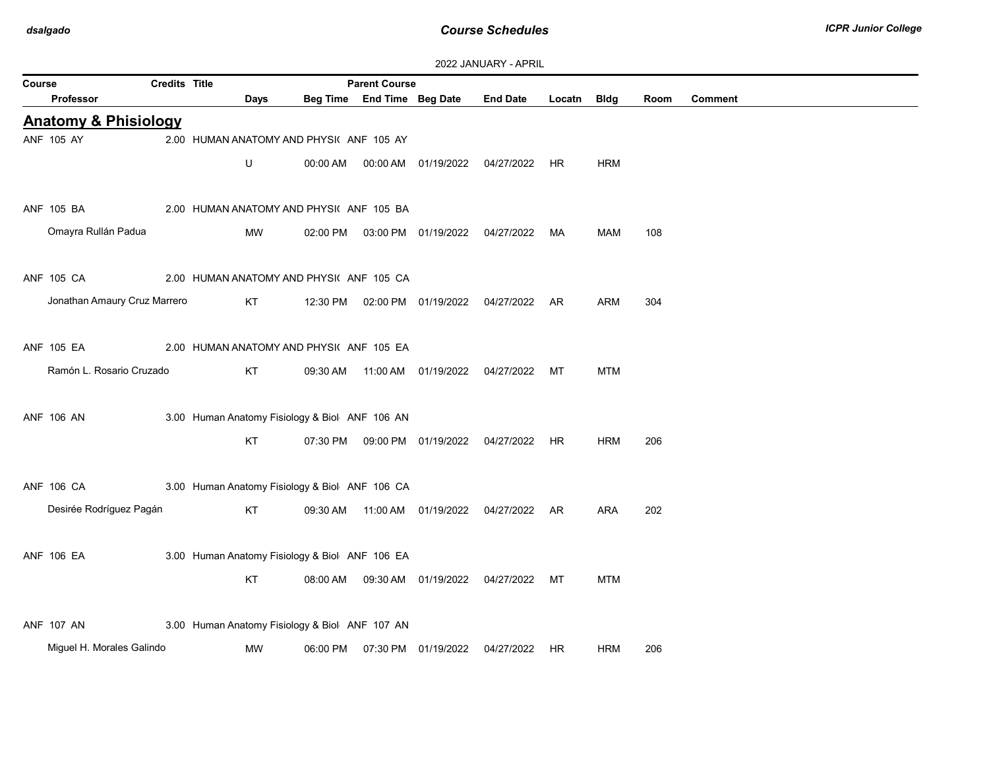| 2022 JANUARY - APRIL |  |  |  |  |
|----------------------|--|--|--|--|
|----------------------|--|--|--|--|

| Course |                                 | <b>Credits Title</b> |                                                |          | <b>Parent Course</b>       |                                  |                                                |             |            |      |                |
|--------|---------------------------------|----------------------|------------------------------------------------|----------|----------------------------|----------------------------------|------------------------------------------------|-------------|------------|------|----------------|
|        | <b>Professor</b>                |                      | Days                                           |          | Beg Time End Time Beg Date |                                  | <b>End Date</b>                                | Locatn Bldg |            | Room | <b>Comment</b> |
|        | <b>Anatomy &amp; Phisiology</b> |                      |                                                |          |                            |                                  |                                                |             |            |      |                |
|        | ANF 105 AY                      |                      | 2.00 HUMAN ANATOMY AND PHYSIC ANF 105 AY       |          |                            |                                  |                                                |             |            |      |                |
|        |                                 |                      | U                                              | 00:00 AM |                            |                                  | 00:00 AM  01/19/2022  04/27/2022  HR           |             | <b>HRM</b> |      |                |
|        |                                 |                      |                                                |          |                            |                                  |                                                |             |            |      |                |
|        | ANF 105 BA                      |                      | 2.00 HUMAN ANATOMY AND PHYSI( ANF 105 BA       |          |                            |                                  |                                                |             |            |      |                |
|        | Omayra Rullán Padua             |                      | MW                                             | 02:00 PM |                            | 03:00 PM  01/19/2022  04/27/2022 |                                                | MA          | MAM        | 108  |                |
|        |                                 |                      |                                                |          |                            |                                  |                                                |             |            |      |                |
|        | ANF 105 CA                      |                      | 2.00 HUMAN ANATOMY AND PHYSI( ANF 105 CA       |          |                            |                                  |                                                |             |            |      |                |
|        | Jonathan Amaury Cruz Marrero    |                      | KT                                             |          |                            |                                  | 12:30 PM  02:00 PM  01/19/2022  04/27/2022  AR |             | ARM        | 304  |                |
|        |                                 |                      |                                                |          |                            |                                  |                                                |             |            |      |                |
|        | ANF 105 EA                      |                      | 2.00 HUMAN ANATOMY AND PHYSI( ANF 105 EA       |          |                            |                                  |                                                |             |            |      |                |
|        | Ramón L. Rosario Cruzado        |                      | KT                                             | 09:30 AM |                            |                                  | 11:00 AM  01/19/2022  04/27/2022               | MT          | <b>MTM</b> |      |                |
|        |                                 |                      |                                                |          |                            |                                  |                                                |             |            |      |                |
|        | <b>ANF 106 AN</b>               |                      | 3.00 Human Anatomy Fisiology & Biol ANF 106 AN |          |                            |                                  |                                                |             |            |      |                |
|        |                                 |                      | KT                                             |          |                            |                                  | 07:30 PM  09:00 PM  01/19/2022  04/27/2022  HR |             | <b>HRM</b> | 206  |                |
|        |                                 |                      |                                                |          |                            |                                  |                                                |             |            |      |                |
|        | ANF 106 CA                      |                      | 3.00 Human Anatomy Fisiology & Biol ANF 106 CA |          |                            |                                  |                                                |             |            |      |                |
|        | Desirée Rodríguez Pagán         |                      | KT                                             | 09:30 AM |                            |                                  |                                                |             | ARA        | 202  |                |
|        |                                 |                      |                                                |          |                            |                                  |                                                |             |            |      |                |
|        | <b>ANF 106 EA</b>               |                      | 3.00 Human Anatomy Fisiology & Biol ANF 106 EA |          |                            |                                  |                                                |             |            |      |                |
|        |                                 |                      | KT                                             | 08:00 AM |                            | 09:30 AM  01/19/2022  04/27/2022 |                                                | МT          | <b>MTM</b> |      |                |
|        |                                 |                      |                                                |          |                            |                                  |                                                |             |            |      |                |
|        | <b>ANF 107 AN</b>               |                      |                                                |          |                            |                                  |                                                |             |            |      |                |
|        |                                 |                      | 3.00 Human Anatomy Fisiology & Biol ANF 107 AN |          |                            |                                  |                                                |             |            |      |                |
|        | Miguel H. Morales Galindo       |                      | MW                                             | 06:00 PM |                            | 07:30 PM 01/19/2022              | 04/27/2022                                     | HR.         | <b>HRM</b> | 206  |                |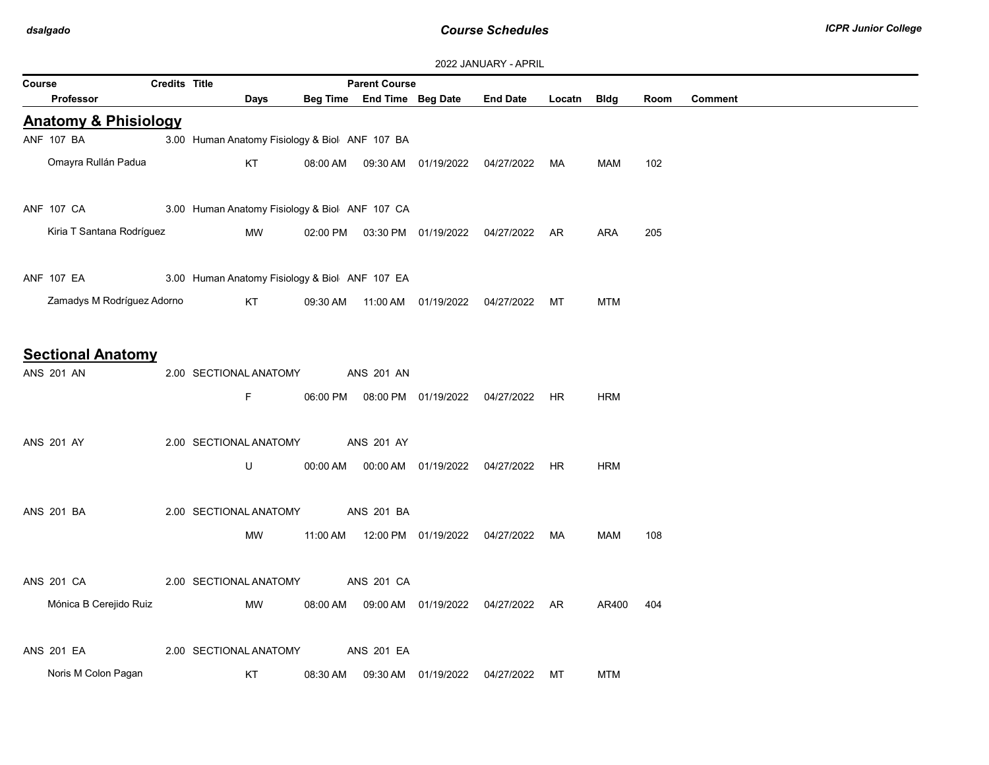| Course |                                               | <b>Credits Title</b> |                                                |          | <b>Parent Course</b>       |                                  | <b><i>LULL JAINUAINI - AFINIL</i></b>          |        |            |      |                |
|--------|-----------------------------------------------|----------------------|------------------------------------------------|----------|----------------------------|----------------------------------|------------------------------------------------|--------|------------|------|----------------|
|        | Professor                                     |                      | Days                                           |          | Beg Time End Time Beg Date |                                  | <b>End Date</b>                                | Locatn | Bldg       | Room | <b>Comment</b> |
|        | <b>Anatomy &amp; Phisiology</b>               |                      |                                                |          |                            |                                  |                                                |        |            |      |                |
|        | ANF 107 BA                                    |                      | 3.00 Human Anatomy Fisiology & Biol ANF 107 BA |          |                            |                                  |                                                |        |            |      |                |
|        | Omayra Rullán Padua                           |                      | KT                                             |          |                            |                                  | 08:00 AM  09:30 AM  01/19/2022  04/27/2022  MA |        | MAM        | 102  |                |
|        | ANF 107 CA                                    |                      | 3.00 Human Anatomy Fisiology & Biol ANF 107 CA |          |                            |                                  |                                                |        |            |      |                |
|        | Kiria T Santana Rodríguez                     |                      | MW                                             |          |                            |                                  | 02:00 PM  03:30 PM  01/19/2022  04/27/2022  AR |        | <b>ARA</b> | 205  |                |
|        | <b>ANF 107 EA</b>                             |                      | 3.00 Human Anatomy Fisiology & Biol ANF 107 EA |          |                            |                                  |                                                |        |            |      |                |
|        | Zamadys M Rodríguez Adorno                    |                      | KT                                             | 09:30 AM |                            | 11:00 AM  01/19/2022  04/27/2022 |                                                | MT     | <b>MTM</b> |      |                |
|        | <b>Sectional Anatomy</b><br><b>ANS 201 AN</b> |                      | 2.00 SECTIONAL ANATOMY<br>F.                   |          | <b>ANS 201 AN</b>          |                                  | 06:00 PM  08:00 PM  01/19/2022  04/27/2022  HR |        | <b>HRM</b> |      |                |
|        | <b>ANS 201 AY</b>                             |                      | 2.00 SECTIONAL ANATOMY<br>U                    | 00:00 AM | <b>ANS 201 AY</b>          | 00:00 AM 01/19/2022              | 04/27/2022                                     | HR     | <b>HRM</b> |      |                |
|        | <b>ANS 201 BA</b>                             |                      | 2.00 SECTIONAL ANATOMY                         |          | <b>ANS 201 BA</b>          |                                  |                                                |        |            |      |                |
|        |                                               |                      | МW                                             | 11:00 AM |                            | 12:00 PM 01/19/2022              | 04/27/2022                                     | MA     | MAM        | 108  |                |
|        | <b>ANS 201 CA</b>                             |                      | 2.00 SECTIONAL ANATOMY                         |          | <b>ANS 201 CA</b>          |                                  |                                                |        |            |      |                |
|        | Mónica B Cerejido Ruiz                        |                      | MW                                             | 08:00 AM |                            |                                  | 09:00 AM  01/19/2022  04/27/2022  AR           |        | AR400      | 404  |                |
|        | <b>ANS 201 EA</b>                             |                      | 2.00 SECTIONAL ANATOMY                         |          | <b>ANS 201 EA</b>          |                                  |                                                |        |            |      |                |
|        | Noris M Colon Pagan                           |                      | KT                                             | 08:30 AM |                            | 09:30 AM 01/19/2022              | 04/27/2022                                     | МT     | <b>MTM</b> |      |                |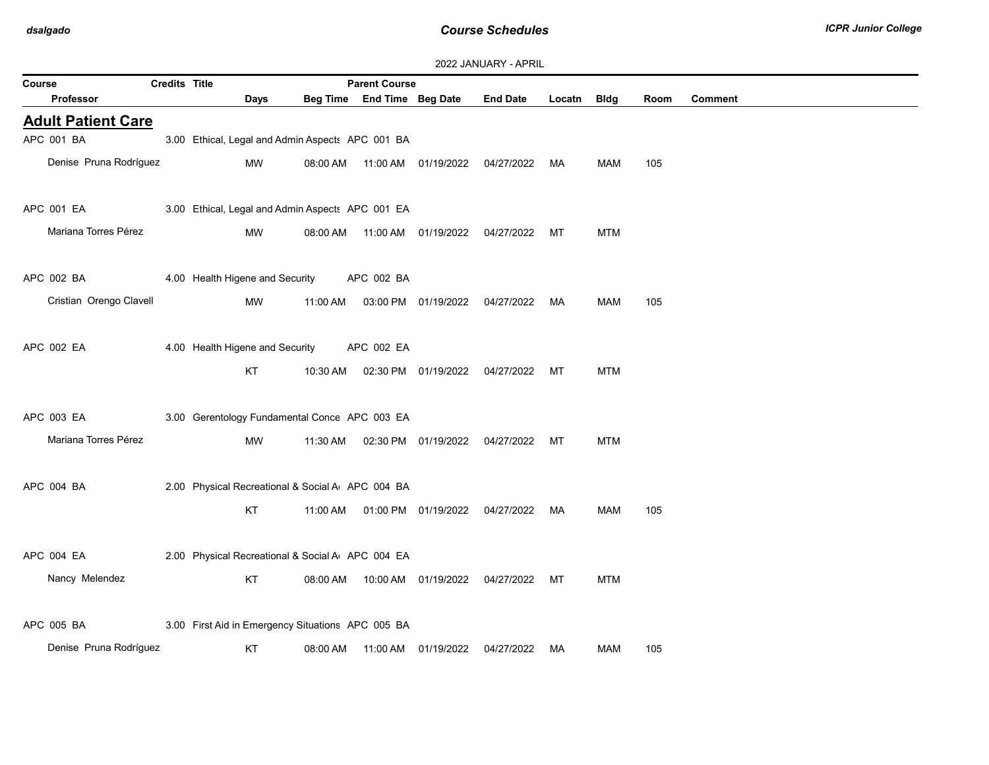| 2022 JANUARY - APRIL |  |
|----------------------|--|
|----------------------|--|

| Course                    | <b>Credits Title</b> |                                                   |          | <b>Parent Course</b>       |                                |                 |        |             |      |                |
|---------------------------|----------------------|---------------------------------------------------|----------|----------------------------|--------------------------------|-----------------|--------|-------------|------|----------------|
| Professor                 |                      | <b>Days</b>                                       |          | Beg Time End Time Beg Date |                                | <b>End Date</b> | Locatn | <b>Bldg</b> | Room | <b>Comment</b> |
| <b>Adult Patient Care</b> |                      |                                                   |          |                            |                                |                 |        |             |      |                |
| APC 001 BA                |                      | 3.00 Ethical, Legal and Admin Aspects APC 001 BA  |          |                            |                                |                 |        |             |      |                |
| Denise Pruna Rodríguez    |                      | MW                                                | 08:00 AM |                            | 11:00 AM  01/19/2022           | 04/27/2022      | MA     | MAM         | 105  |                |
| APC 001 EA                |                      | 3.00 Ethical, Legal and Admin Aspects APC 001 EA  |          |                            |                                |                 |        |             |      |                |
| Mariana Torres Pérez      |                      | MW                                                | 08:00 AM |                            | 11:00 AM  01/19/2022           | 04/27/2022      | МT     | <b>MTM</b>  |      |                |
| APC 002 BA                |                      | 4.00 Health Higene and Security                   |          | APC 002 BA                 |                                |                 |        |             |      |                |
| Cristian Orengo Clavell   |                      | MW                                                | 11:00 AM |                            | 03:00 PM 01/19/2022 04/27/2022 |                 | MA     | MAM         | 105  |                |
| APC 002 EA                |                      | 4.00 Health Higene and Security                   |          | APC 002 EA                 |                                |                 |        |             |      |                |
|                           |                      | KT                                                | 10:30 AM |                            | 02:30 PM 01/19/2022            | 04/27/2022      | МT     | <b>MTM</b>  |      |                |
| APC 003 EA                |                      | 3.00 Gerentology Fundamental Conce APC 003 EA     |          |                            |                                |                 |        |             |      |                |
| Mariana Torres Pérez      |                      | MW                                                | 11:30 AM |                            | 02:30 PM 01/19/2022            | 04/27/2022      | МT     | <b>MTM</b>  |      |                |
| APC 004 BA                |                      | 2.00 Physical Recreational & Social A APC 004 BA  |          |                            |                                |                 |        |             |      |                |
|                           |                      | KT                                                | 11:00 AM |                            | 01:00 PM 01/19/2022            | 04/27/2022      | MA     | <b>MAM</b>  | 105  |                |
| APC 004 EA                |                      | 2.00 Physical Recreational & Social A APC 004 EA  |          |                            |                                |                 |        |             |      |                |
| Nancy Melendez            |                      | KT                                                | 08:00 AM |                            | 10:00 AM  01/19/2022           | 04/27/2022      | МT     | <b>MTM</b>  |      |                |
| APC 005 BA                |                      | 3.00 First Aid in Emergency Situations APC 005 BA |          |                            |                                |                 |        |             |      |                |
| Denise Pruna Rodríguez    |                      | KT                                                | 08:00 AM |                            | 11:00 AM 01/19/2022            | 04/27/2022      | МA     | <b>MAM</b>  | 105  |                |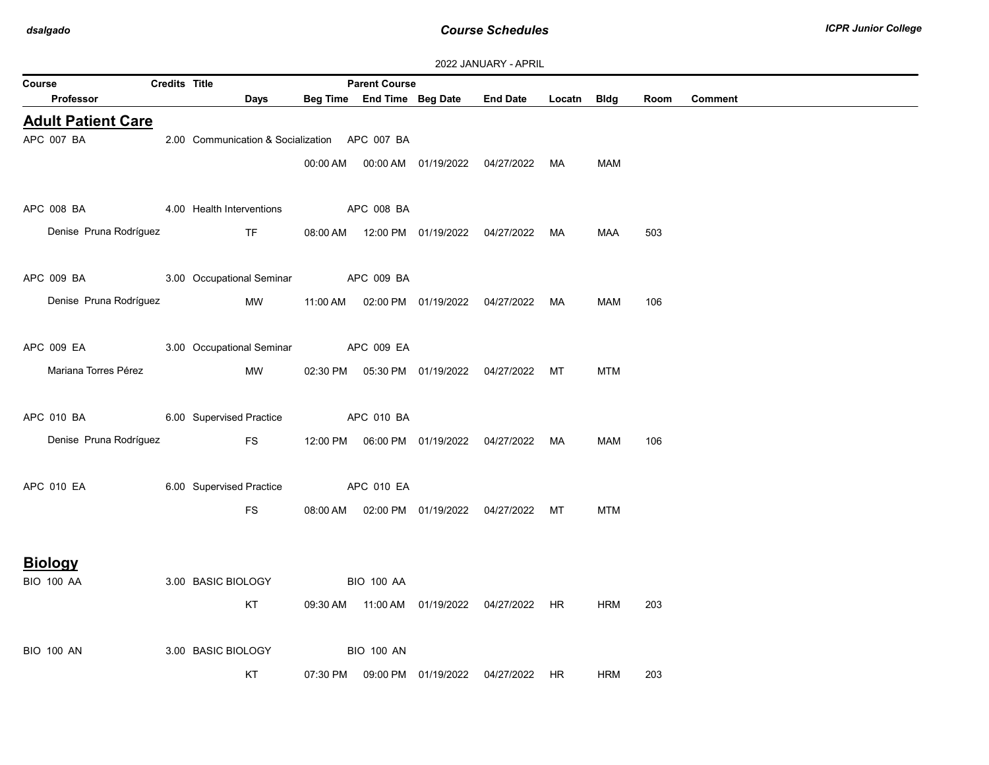| <b>Credits Title</b><br><b>Parent Course</b><br>Course                                              |         |
|-----------------------------------------------------------------------------------------------------|---------|
| Beg Time End Time Beg Date End Date Locatn Bldg<br><b>Professor</b><br>Days<br>Room                 | Comment |
| <b>Adult Patient Care</b>                                                                           |         |
| APC 007 BA<br>2.00 Communication & Socialization APC 007 BA                                         |         |
| 00:00 AM  00:00 AM  01/19/2022  04/27/2022  MA<br>MAM                                               |         |
|                                                                                                     |         |
| 4.00 Health Interventions<br>APC 008 BA 2007<br><b>APC 008 BA</b>                                   |         |
| Denise Pruna Rodríguez<br><b>TF</b><br>08:00 AM  12:00 PM  01/19/2022  04/27/2022  MA<br>MAA<br>503 |         |
|                                                                                                     |         |
| APC 009 BA 3.00 Occupational Seminar APC 009 BA                                                     |         |
| Denise Pruna Rodríguez<br>MW<br>11:00 AM  02:00 PM  01/19/2022  04/27/2022<br>MAM<br>106<br>MA      |         |
|                                                                                                     |         |
| APC 009 EA 3.00 Occupational Seminar APC 009 EA                                                     |         |
| Mariana Torres Pérez<br>MW<br><b>MTM</b><br>02:30 PM  05:30 PM  01/19/2022  04/27/2022  MT          |         |
|                                                                                                     |         |
| APC 010 BA 6.00 Supervised Practice<br>APC 010 BA                                                   |         |
| Denise Pruna Rodríguez<br><b>FS</b><br>12:00 PM  06:00 PM  01/19/2022  04/27/2022  MA<br>106<br>MAM |         |
|                                                                                                     |         |
| 6.00 Supervised Practice<br>APC 010 EA<br>APC 010 EA                                                |         |
| <b>FS</b><br>08:00 AM  02:00 PM  01/19/2022  04/27/2022  MT<br><b>MTM</b>                           |         |
|                                                                                                     |         |
| <b>Biology</b>                                                                                      |         |
| 3.00 BASIC BIOLOGY<br><b>BIO 100 AA</b><br><b>BIO 100 AA</b>                                        |         |
| KT<br>203<br>09:30 AM  11:00 AM  01/19/2022  04/27/2022  HR<br><b>HRM</b>                           |         |
|                                                                                                     |         |
| <b>BIO 100 AN</b><br>3.00 BASIC BIOLOGY<br><b>BIO 100 AN</b>                                        |         |
| KT<br>07:30 PM  09:00 PM  01/19/2022  04/27/2022  HR<br><b>HRM</b><br>203                           |         |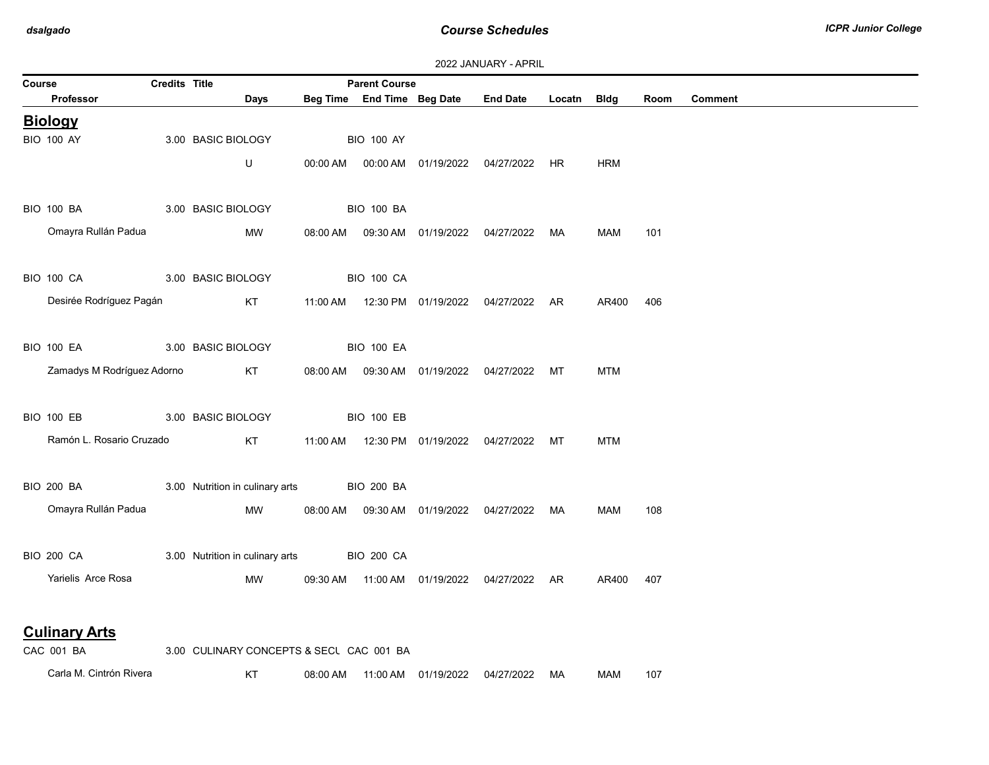| 2022 JANUARY - APRIL |  |
|----------------------|--|
|----------------------|--|

| Course                                    | <b>Credits Title</b> |                                          |                   | <b>Parent Course</b> |                            |                                                |             |            |      |         |
|-------------------------------------------|----------------------|------------------------------------------|-------------------|----------------------|----------------------------|------------------------------------------------|-------------|------------|------|---------|
| Professor                                 |                      | <b>Days</b>                              |                   |                      | Beg Time End Time Beg Date | <b>End Date</b>                                | Locatn Bldg |            | Room | Comment |
| <b>Biology</b>                            |                      |                                          |                   |                      |                            |                                                |             |            |      |         |
| <b>BIO 100 AY</b>                         |                      | 3.00 BASIC BIOLOGY                       |                   | <b>BIO 100 AY</b>    |                            |                                                |             |            |      |         |
|                                           |                      | U                                        | 00:00 AM          |                      |                            | 00:00 AM  01/19/2022  04/27/2022  HR           |             | <b>HRM</b> |      |         |
|                                           |                      |                                          |                   |                      |                            |                                                |             |            |      |         |
| <b>BIO 100 BA</b>                         |                      | 3.00 BASIC BIOLOGY                       |                   | <b>BIO 100 BA</b>    |                            |                                                |             |            |      |         |
| Omayra Rullán Padua                       |                      | MW                                       |                   |                      |                            | 08:00 AM  09:30 AM  01/19/2022  04/27/2022  MA |             | <b>MAM</b> | 101  |         |
|                                           |                      |                                          |                   |                      |                            |                                                |             |            |      |         |
| <b>BIO 100 CA</b>                         |                      | 3.00 BASIC BIOLOGY                       | <b>BIO 100 CA</b> |                      |                            |                                                |             |            |      |         |
| Desirée Rodríguez Pagán                   |                      | KT                                       |                   |                      |                            | 11:00 AM  12:30 PM  01/19/2022  04/27/2022  AR |             | AR400      | 406  |         |
|                                           |                      |                                          |                   |                      |                            |                                                |             |            |      |         |
| <b>BIO 100 EA</b>                         |                      | 3.00 BASIC BIOLOGY                       |                   | <b>BIO 100 EA</b>    |                            |                                                |             |            |      |         |
| Zamadys M Rodríguez Adorno                |                      | KT                                       |                   |                      |                            | 08:00 AM  09:30 AM  01/19/2022  04/27/2022  MT |             | <b>MTM</b> |      |         |
|                                           |                      |                                          |                   |                      |                            |                                                |             |            |      |         |
| <b>BIO 100 EB</b>                         |                      | 3.00 BASIC BIOLOGY                       |                   | <b>BIO 100 EB</b>    |                            |                                                |             |            |      |         |
| Ramón L. Rosario Cruzado                  |                      | KT                                       |                   |                      |                            | 11:00 AM  12:30 PM  01/19/2022  04/27/2022  MT |             | <b>MTM</b> |      |         |
|                                           |                      |                                          |                   |                      |                            |                                                |             |            |      |         |
| <b>BIO 200 BA SAMPLE 100 BM</b>           |                      | 3.00 Nutrition in culinary arts          |                   | <b>BIO 200 BA</b>    |                            |                                                |             |            |      |         |
| Omayra Rullán Padua                       |                      | MW                                       |                   |                      |                            | 08:00 AM  09:30 AM  01/19/2022  04/27/2022  MA |             | <b>MAM</b> | 108  |         |
|                                           |                      |                                          |                   |                      |                            |                                                |             |            |      |         |
| <b>BIO 200 CA</b>                         |                      | 3.00 Nutrition in culinary arts          |                   | <b>BIO 200 CA</b>    |                            |                                                |             |            |      |         |
| Yarielis Arce Rosa                        |                      | MW                                       |                   |                      |                            | 09:30 AM  11:00 AM  01/19/2022  04/27/2022  AR |             | AR400      | 407  |         |
|                                           |                      |                                          |                   |                      |                            |                                                |             |            |      |         |
| <b>Culinary Arts</b>                      |                      |                                          |                   |                      |                            |                                                |             |            |      |         |
| $\sim$ $\sim$ $\sim$ $\sim$ $\sim$ $\sim$ |                      | COO QUINIADV CONCEDITO 8 OFOU OAO 804 BA |                   |                      |                            |                                                |             |            |      |         |

| CAC 001 BA              | 3.00 CULINARY CONCEPTS & SECL CAC 001 BA |          |          |            |            |    |     |     |
|-------------------------|------------------------------------------|----------|----------|------------|------------|----|-----|-----|
| Carla M. Cintrón Rivera | L/T                                      | 08:00 AM | 11:00 AM | 01/19/2022 | 04/27/2022 | MA | MAM | 107 |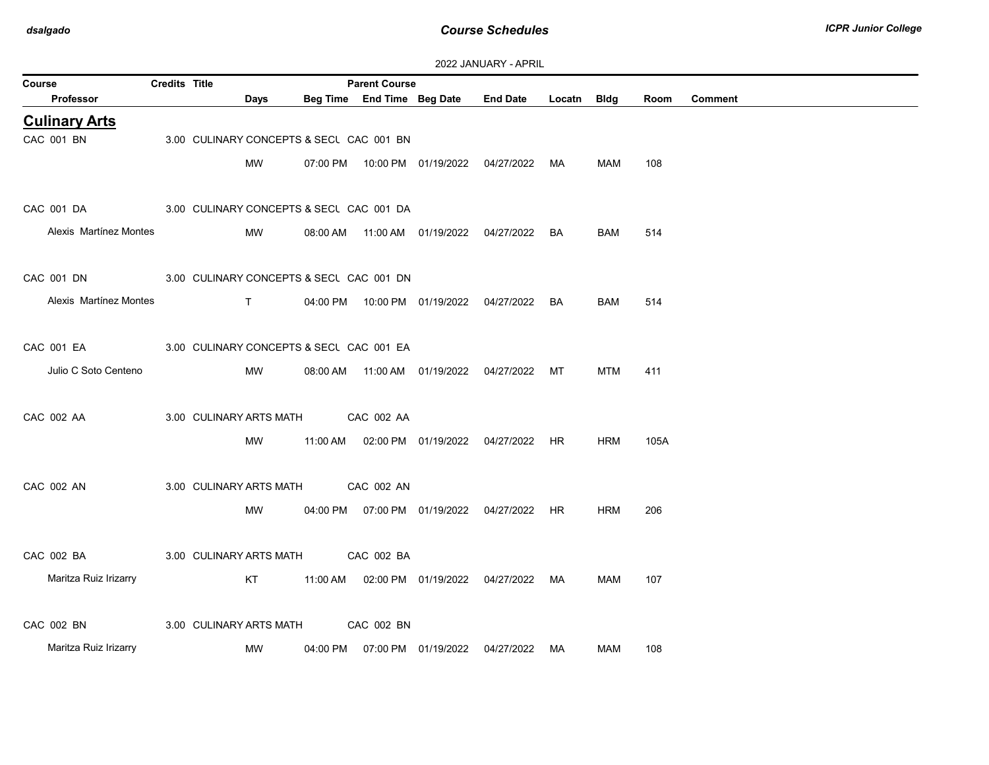| Course                                              | Credits Title |                               |                                          | <b>Parent Course</b> |                            |                                                |             |            |      |                |
|-----------------------------------------------------|---------------|-------------------------------|------------------------------------------|----------------------|----------------------------|------------------------------------------------|-------------|------------|------|----------------|
| Professor                                           |               | Days                          |                                          |                      | Beg Time End Time Beg Date | <b>End Date</b>                                | Locatn Bldg |            | Room | <b>Comment</b> |
| <b>Culinary Arts</b>                                |               |                               |                                          |                      |                            |                                                |             |            |      |                |
| CAC 001 BN                                          |               |                               | 3.00 CULINARY CONCEPTS & SECL CAC 001 BN |                      |                            |                                                |             |            |      |                |
|                                                     |               | MW                            |                                          |                      |                            | 07:00 PM  10:00 PM  01/19/2022  04/27/2022  MA |             | MAM        | 108  |                |
| CAC 001 DA                                          |               |                               | 3.00 CULINARY CONCEPTS & SECL CAC 001 DA |                      |                            |                                                |             |            |      |                |
| Alexis Martínez Montes                              |               |                               |                                          |                      |                            |                                                |             |            |      |                |
|                                                     |               | MW                            |                                          |                      |                            | 08:00 AM  11:00 AM  01/19/2022  04/27/2022  BA |             | <b>BAM</b> | 514  |                |
| CAC 001 DN 3.00 CULINARY CONCEPTS & SECU CAC 001 DN |               |                               |                                          |                      |                            |                                                |             |            |      |                |
| Alexis Martínez Montes                              |               | $\mathsf{T}$ and $\mathsf{T}$ |                                          |                      |                            | 04:00 PM  10:00 PM  01/19/2022  04/27/2022  BA |             | <b>BAM</b> | 514  |                |
|                                                     |               |                               |                                          |                      |                            |                                                |             |            |      |                |
| CAC 001 EA                                          |               |                               | 3.00 CULINARY CONCEPTS & SECL CAC 001 EA |                      |                            |                                                |             |            |      |                |
| Julio C Soto Centeno                                |               | MW                            |                                          |                      |                            | 08:00 AM  11:00 AM  01/19/2022  04/27/2022  MT |             | MTM        | 411  |                |
|                                                     |               |                               |                                          |                      |                            |                                                |             |            |      |                |
| CAC 002 AA                                          |               | 3.00 CULINARY ARTS MATH       |                                          | CAC 002 AA           |                            |                                                |             |            |      |                |
|                                                     |               | MW                            |                                          |                      |                            | 11:00 AM  02:00 PM  01/19/2022  04/27/2022  HR |             | HRM        | 105A |                |
| CAC 002 AN                                          |               | 3.00 CULINARY ARTS MATH       |                                          | CAC 002 AN           |                            |                                                |             |            |      |                |
|                                                     |               |                               |                                          |                      |                            |                                                |             |            |      |                |
|                                                     |               | MW                            |                                          |                      |                            | 04:00 PM  07:00 PM  01/19/2022  04/27/2022  HR |             | <b>HRM</b> | 206  |                |
| CAC 002 BA                                          |               | 3.00 CULINARY ARTS MATH       |                                          | CAC 002 BA           |                            |                                                |             |            |      |                |
| Maritza Ruiz Irizarry                               |               | KT                            |                                          |                      |                            | 11:00 AM  02:00 PM  01/19/2022  04/27/2022     | MA          | MAM        | 107  |                |
|                                                     |               |                               |                                          |                      |                            |                                                |             |            |      |                |
| CAC 002 BN                                          |               | 3.00 CULINARY ARTS MATH       |                                          | CAC 002 BN           |                            |                                                |             |            |      |                |
| Maritza Ruiz Irizarry                               |               | MW                            | 04:00 PM                                 |                      | 07:00 PM 01/19/2022        | 04/27/2022                                     | MA          | MAM        | 108  |                |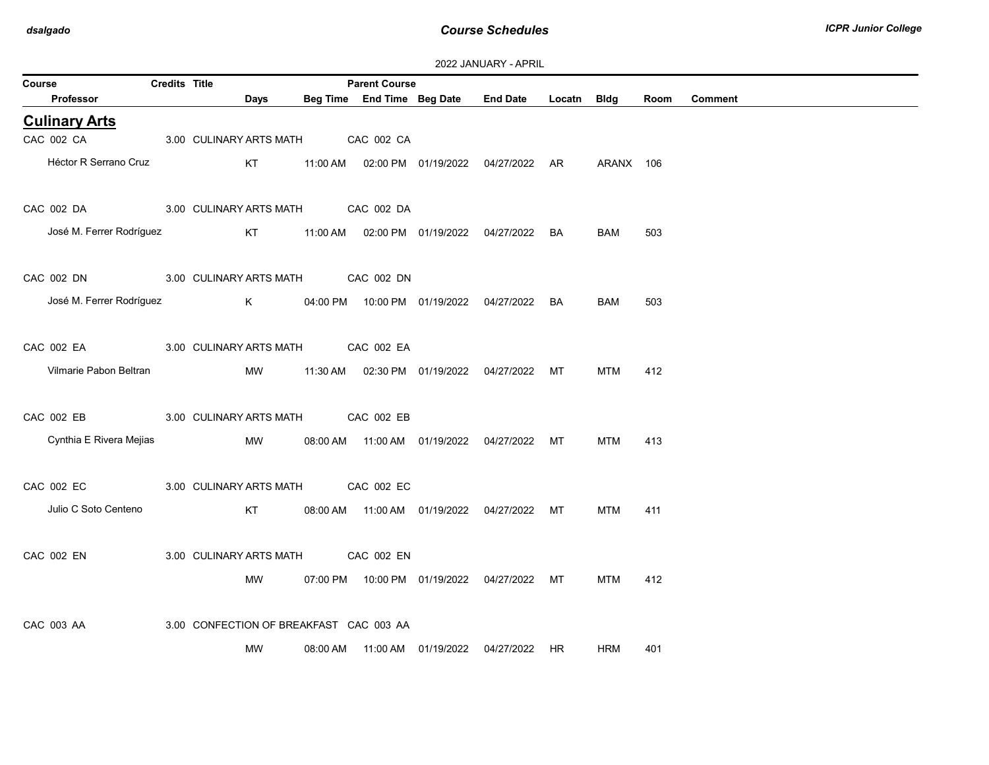| Course |                            | <b>Credits Title</b> |                         |          | <b>Parent Course</b>                       |                                  |                                                |             |            |      |                |
|--------|----------------------------|----------------------|-------------------------|----------|--------------------------------------------|----------------------------------|------------------------------------------------|-------------|------------|------|----------------|
|        | Professor                  |                      | Days                    |          | Beg Time End Time Beg Date                 |                                  | <b>End Date</b>                                | Locatn Bldg |            | Room | <b>Comment</b> |
|        | <b>Culinary Arts</b>       |                      |                         |          |                                            |                                  |                                                |             |            |      |                |
|        | CAC 002 CA                 |                      | 3.00 CULINARY ARTS MATH |          | CAC 002 CA                                 |                                  |                                                |             |            |      |                |
|        | Héctor R Serrano Cruz      |                      | KT                      |          |                                            |                                  | 11:00 AM  02:00 PM  01/19/2022  04/27/2022  AR |             | ARANX 106  |      |                |
|        | CAC 002 DA                 |                      |                         |          | 3.00 CULINARY ARTS MATH CAC 002 DA         |                                  |                                                |             |            |      |                |
|        | José M. Ferrer Rodríguez   |                      | KT                      | 11:00 AM |                                            | 02:00 PM  01/19/2022  04/27/2022 |                                                | BA          | <b>BAM</b> | 503  |                |
|        | CAC 002 DN                 |                      |                         |          | 3.00 CULINARY ARTS MATH CAC 002 DN         |                                  |                                                |             |            |      |                |
|        | José M. Ferrer Rodríguez K |                      |                         |          |                                            |                                  | 04:00 PM  10:00 PM  01/19/2022  04/27/2022  BA |             | <b>BAM</b> | 503  |                |
|        | CAC 002 EA                 |                      | 3.00 CULINARY ARTS MATH |          | CAC 002 EA                                 |                                  |                                                |             |            |      |                |
|        | Vilmarie Pabon Beltran     |                      | MW                      |          |                                            |                                  | 11:30 AM  02:30 PM  01/19/2022  04/27/2022  MT |             | <b>MTM</b> | 412  |                |
|        | CAC 002 EB                 |                      | 3.00 CULINARY ARTS MATH |          | CAC 002 EB                                 |                                  |                                                |             |            |      |                |
|        | Cynthia E Rivera Mejias    |                      | MW                      |          | 08:00 AM  11:00 AM  01/19/2022  04/27/2022 |                                  |                                                | МT          | <b>MTM</b> | 413  |                |
|        | CAC 002 EC                 |                      |                         |          | 3.00 CULINARY ARTS MATH CAC 002 EC         |                                  |                                                |             |            |      |                |
|        | Julio C Soto Centeno       |                      | KT                      |          |                                            |                                  | 08:00 AM  11:00 AM  01/19/2022  04/27/2022  MT |             | <b>MTM</b> | 411  |                |
|        | CAC 002 EN                 |                      | 3.00 CULINARY ARTS MATH |          | CAC 002 EN                                 |                                  |                                                |             |            |      |                |
|        |                            |                      | MW                      |          |                                            |                                  | 07:00 PM  10:00 PM  01/19/2022  04/27/2022  MT |             | <b>MTM</b> | 412  |                |
|        | CAC 003 AA                 |                      |                         |          | 3.00 CONFECTION OF BREAKFAST CAC 003 AA    |                                  |                                                |             |            |      |                |
|        |                            |                      | <b>MW</b>               | 08:00 AM |                                            | 11:00 AM  01/19/2022             | 04/27/2022                                     | <b>HR</b>   | <b>HRM</b> | 401  |                |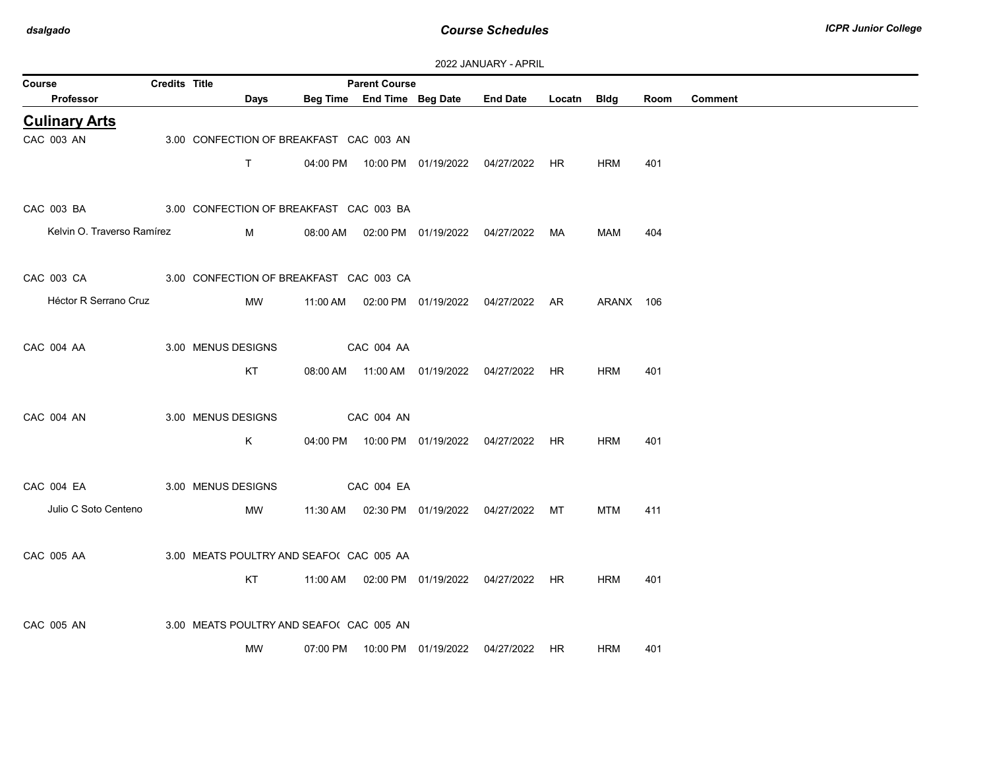| 2022 JANUARY - APRIL |  |
|----------------------|--|
|----------------------|--|

| Course                                             | <b>Credits Title</b> |                                          |          | <b>Parent Course</b>       | 2022 <del>UNIVON</del> ILLE ALILLE             |             |            |      |                |
|----------------------------------------------------|----------------------|------------------------------------------|----------|----------------------------|------------------------------------------------|-------------|------------|------|----------------|
| Professor                                          |                      | Days                                     |          | Beg Time End Time Beg Date | <b>End Date</b>                                | Locatn Bldg |            | Room | <b>Comment</b> |
| <b>Culinary Arts</b>                               |                      |                                          |          |                            |                                                |             |            |      |                |
| CAC 003 AN                                         |                      | 3.00 CONFECTION OF BREAKFAST CAC 003 AN  |          |                            |                                                |             |            |      |                |
|                                                    |                      | T.                                       |          |                            | 04:00 PM  10:00 PM  01/19/2022  04/27/2022  HR |             | <b>HRM</b> | 401  |                |
|                                                    |                      |                                          |          |                            |                                                |             |            |      |                |
| CAC 003 BA 3.00 CONFECTION OF BREAKFAST CAC 003 BA |                      |                                          |          |                            |                                                |             |            |      |                |
| Kelvin O. Traverso Ramírez                         |                      | $M \sim 1$                               |          |                            | 08:00 AM  02:00 PM  01/19/2022  04/27/2022  MA |             | MAM        | 404  |                |
|                                                    |                      |                                          |          |                            |                                                |             |            |      |                |
| CAC 003 CA 3.00 CONFECTION OF BREAKFAST CAC 003 CA |                      |                                          |          |                            |                                                |             |            |      |                |
| Héctor R Serrano Cruz                              |                      | MW                                       |          |                            | 11:00 AM  02:00 PM  01/19/2022  04/27/2022  AR |             | ARANX 106  |      |                |
|                                                    |                      |                                          |          |                            |                                                |             |            |      |                |
| CAC 004 AA                                         |                      | 3.00 MENUS DESIGNS                       |          | CAC 004 AA                 |                                                |             |            |      |                |
|                                                    |                      | KT                                       |          |                            | 08:00 AM  11:00 AM  01/19/2022  04/27/2022     | HR          | <b>HRM</b> | 401  |                |
|                                                    |                      |                                          |          |                            |                                                |             |            |      |                |
| CAC 004 AN                                         |                      | 3.00 MENUS DESIGNS                       |          | CAC 004 AN                 |                                                |             |            |      |                |
|                                                    |                      | K                                        |          |                            | 04:00 PM  10:00 PM  01/19/2022  04/27/2022  HR |             | <b>HRM</b> | 401  |                |
|                                                    |                      |                                          |          |                            |                                                |             |            |      |                |
| CAC 004 EA                                         |                      | 3.00 MENUS DESIGNS                       |          | CAC 004 EA                 |                                                |             |            |      |                |
| Julio C Soto Centeno                               |                      | MW                                       |          |                            | 11:30 AM  02:30 PM  01/19/2022  04/27/2022  MT |             | <b>MTM</b> | 411  |                |
|                                                    |                      |                                          |          |                            |                                                |             |            |      |                |
| CAC 005 AA                                         |                      | 3.00 MEATS POULTRY AND SEAFO( CAC 005 AA |          |                            |                                                |             |            |      |                |
|                                                    |                      | KT                                       |          |                            |                                                |             | <b>HRM</b> | 401  |                |
|                                                    |                      |                                          |          |                            | 11:00 AM  02:00 PM  01/19/2022  04/27/2022  HR |             |            |      |                |
|                                                    |                      |                                          |          |                            |                                                |             |            |      |                |
| CAC 005 AN                                         |                      | 3.00 MEATS POULTRY AND SEAFO( CAC 005 AN |          |                            |                                                |             |            |      |                |
|                                                    |                      | MW                                       | 07:00 PM |                            | 10:00 PM  01/19/2022  04/27/2022  HR           |             | HRM        | 401  |                |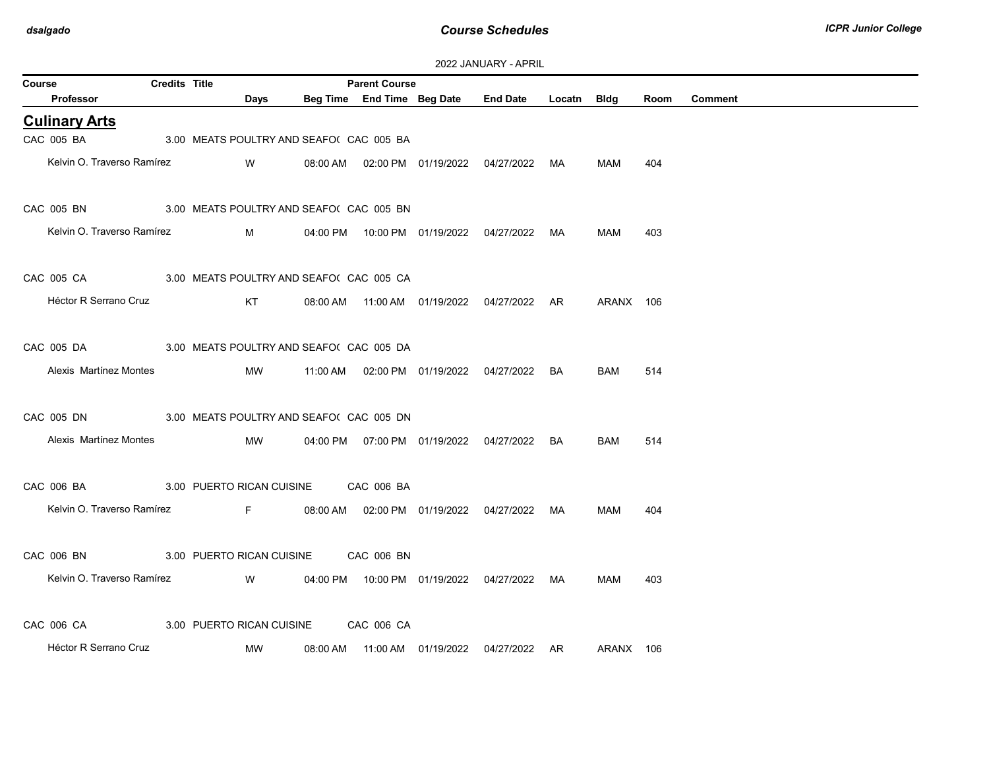| 2022 JANUARY - APRIL |
|----------------------|
|----------------------|

| Course     |                                                     | <b>Credits Title</b> |                                          |          | <b>Parent Course</b> |                                            |                                                 |    |            |      |                |
|------------|-----------------------------------------------------|----------------------|------------------------------------------|----------|----------------------|--------------------------------------------|-------------------------------------------------|----|------------|------|----------------|
|            | Professor                                           |                      | Days                                     |          |                      |                                            | Beg Time End Time Beg Date End Date Locatn Bldg |    |            | Room | <b>Comment</b> |
|            | <b>Culinary Arts</b>                                |                      |                                          |          |                      |                                            |                                                 |    |            |      |                |
| CAC 005 BA |                                                     |                      | 3.00 MEATS POULTRY AND SEAFO( CAC 005 BA |          |                      |                                            |                                                 |    |            |      |                |
|            | Kelvin O. Traverso Ramírez                          |                      | W                                        |          |                      |                                            | 08:00 AM  02:00 PM  01/19/2022  04/27/2022  MA  |    | MAM        | 404  |                |
|            | CAC 005 BN 3.00 MEATS POULTRY AND SEAFO( CAC 005 BN |                      |                                          |          |                      |                                            |                                                 |    |            |      |                |
|            | Kelvin O. Traverso Ramírez                          |                      | M                                        |          |                      | 04:00 PM  10:00 PM  01/19/2022  04/27/2022 |                                                 | MA | MAM        | 403  |                |
|            | CAC 005 CA 3.00 MEATS POULTRY AND SEAFO( CAC 005 CA |                      |                                          |          |                      |                                            |                                                 |    |            |      |                |
|            | Héctor R Serrano Cruz                               |                      | KT                                       |          |                      |                                            | 08:00 AM  11:00 AM  01/19/2022  04/27/2022  AR  |    | ARANX 106  |      |                |
| CAC 005 DA |                                                     |                      | 3.00 MEATS POULTRY AND SEAFO( CAC 005 DA |          |                      |                                            |                                                 |    |            |      |                |
|            | Alexis Martínez Montes                              |                      | MW                                       |          |                      |                                            | 11:00 AM  02:00 PM  01/19/2022  04/27/2022      | BA | <b>BAM</b> | 514  |                |
| CAC 005 DN |                                                     |                      | 3.00 MEATS POULTRY AND SEAFO( CAC 005 DN |          |                      |                                            |                                                 |    |            |      |                |
|            | Alexis Martínez Montes                              |                      | MW                                       |          |                      | 04:00 PM  07:00 PM  01/19/2022  04/27/2022 |                                                 | BA | <b>BAM</b> | 514  |                |
|            | CAC 006 BA 3.00 PUERTO RICAN CUISINE CAC 006 BA     |                      |                                          |          |                      |                                            |                                                 |    |            |      |                |
|            | Kelvin O. Traverso Ramírez                          |                      | <b>Example 19</b>                        |          |                      |                                            | 08:00 AM  02:00 PM  01/19/2022  04/27/2022  MA  |    | MAM        | 404  |                |
| CAC 006 BN |                                                     |                      | 3.00 PUERTO RICAN CUISINE                |          | CAC 006 BN           |                                            |                                                 |    |            |      |                |
|            | Kelvin O. Traverso Ramírez <b>W</b> W               |                      |                                          |          |                      |                                            | 04:00 PM  10:00 PM  01/19/2022  04/27/2022  MA  |    | MAM        | 403  |                |
| CAC 006 CA |                                                     |                      | 3.00 PUERTO RICAN CUISINE                |          | CAC 006 CA           |                                            |                                                 |    |            |      |                |
|            | Héctor R Serrano Cruz                               |                      | MW                                       | 08:00 AM |                      |                                            | 04/27/2022                                      | AR | ARANX 106  |      |                |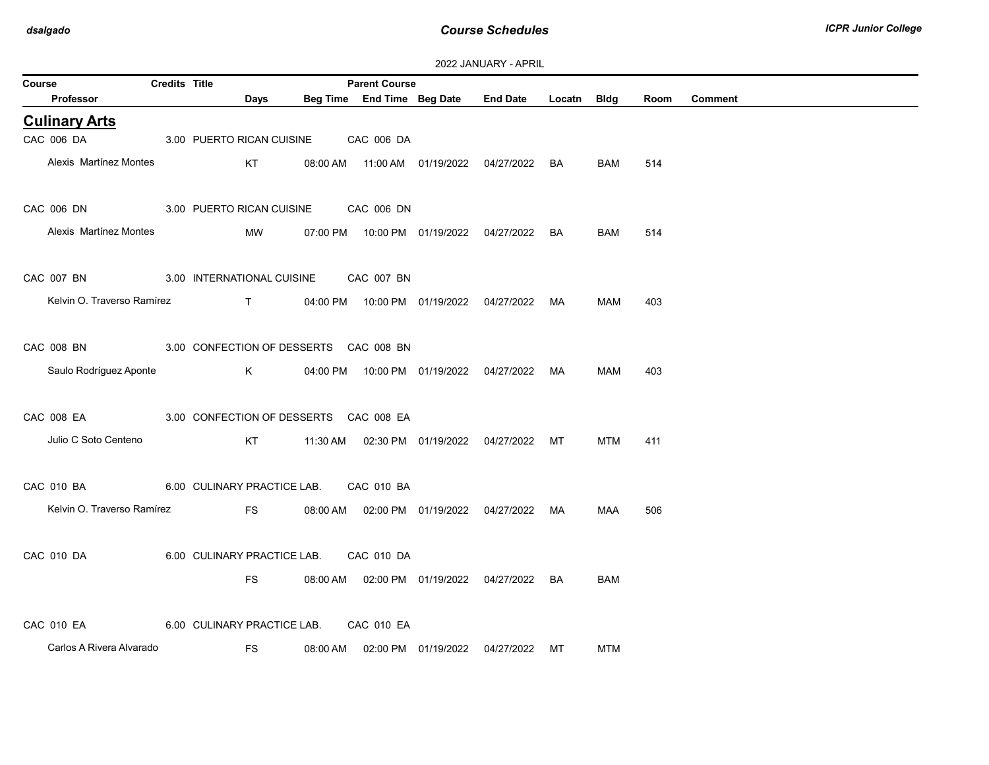| Course                                            | <b>Credits Title</b> |                                              |          | <b>Parent Course</b> |                                            |                                                 |    |            |      |                |
|---------------------------------------------------|----------------------|----------------------------------------------|----------|----------------------|--------------------------------------------|-------------------------------------------------|----|------------|------|----------------|
| Professor                                         |                      | Days                                         |          |                      |                                            | Beg Time End Time Beg Date End Date Locatn Bldg |    |            | Room | <b>Comment</b> |
| <b>Culinary Arts</b>                              |                      |                                              |          |                      |                                            |                                                 |    |            |      |                |
| CAC 006 DA                                        |                      | 3.00 PUERTO RICAN CUISINE                    |          | CAC 006 DA           |                                            |                                                 |    |            |      |                |
| Alexis Martínez Montes                            |                      | KT                                           |          |                      |                                            | 08:00 AM  11:00 AM  01/19/2022  04/27/2022  BA  |    | <b>BAM</b> | 514  |                |
| CAC 006 DN                                        |                      | 3.00 PUERTO RICAN CUISINE                    |          | CAC 006 DN           |                                            |                                                 |    |            |      |                |
| Alexis Martínez Montes                            |                      | <b>MW</b>                                    |          |                      |                                            |                                                 | BA | BAM        | 514  |                |
| CAC 007 BN                                        |                      | 3.00 INTERNATIONAL CUISINE CAC 007 BN        |          |                      |                                            |                                                 |    |            |      |                |
| Kelvin O. Traverso Ramírez                        |                      | T 04:00 PM 10:00 PM 01/19/2022 04/27/2022 MA |          |                      |                                            |                                                 |    | MAM        | 403  |                |
| CAC 008 BN 3.00 CONFECTION OF DESSERTS CAC 008 BN |                      |                                              |          |                      |                                            |                                                 |    |            |      |                |
| Saulo Rodríguez Aponte                            |                      | K.                                           |          |                      |                                            | 04:00 PM  10:00 PM  01/19/2022  04/27/2022  MA  |    | MAM        | 403  |                |
| CAC 008 EA 3.00 CONFECTION OF DESSERTS CAC 008 EA |                      |                                              |          |                      |                                            |                                                 |    |            |      |                |
| Julio C Soto Centeno                              |                      | KT                                           |          |                      | 11:30 AM  02:30 PM  01/19/2022  04/27/2022 |                                                 | MT | <b>MTM</b> | 411  |                |
| CAC 010 BA 6.00 CULINARY PRACTICE LAB.            |                      |                                              |          | CAC 010 BA           |                                            |                                                 |    |            |      |                |
| Kelvin O. Traverso Ramírez                        |                      | FS <sub>2</sub>                              |          |                      |                                            | 08:00 AM  02:00 PM  01/19/2022  04/27/2022  MA  |    | MAA        | 506  |                |
| CAC 010 DA                                        |                      | 6.00 CULINARY PRACTICE LAB.                  |          | CAC 010 DA           |                                            |                                                 |    |            |      |                |
|                                                   |                      | <b>FS</b>                                    |          |                      |                                            | 08:00 AM  02:00 PM  01/19/2022  04/27/2022  BA  |    | <b>BAM</b> |      |                |
| CAC 010 EA 6.00 CULINARY PRACTICE LAB.            |                      |                                              |          | CAC 010 EA           |                                            |                                                 |    |            |      |                |
| Carlos A Rivera Alvarado                          |                      | <b>FS</b>                                    | 08:00 AM |                      | 02:00 PM 01/19/2022                        | 04/27/2022                                      | МT | <b>MTM</b> |      |                |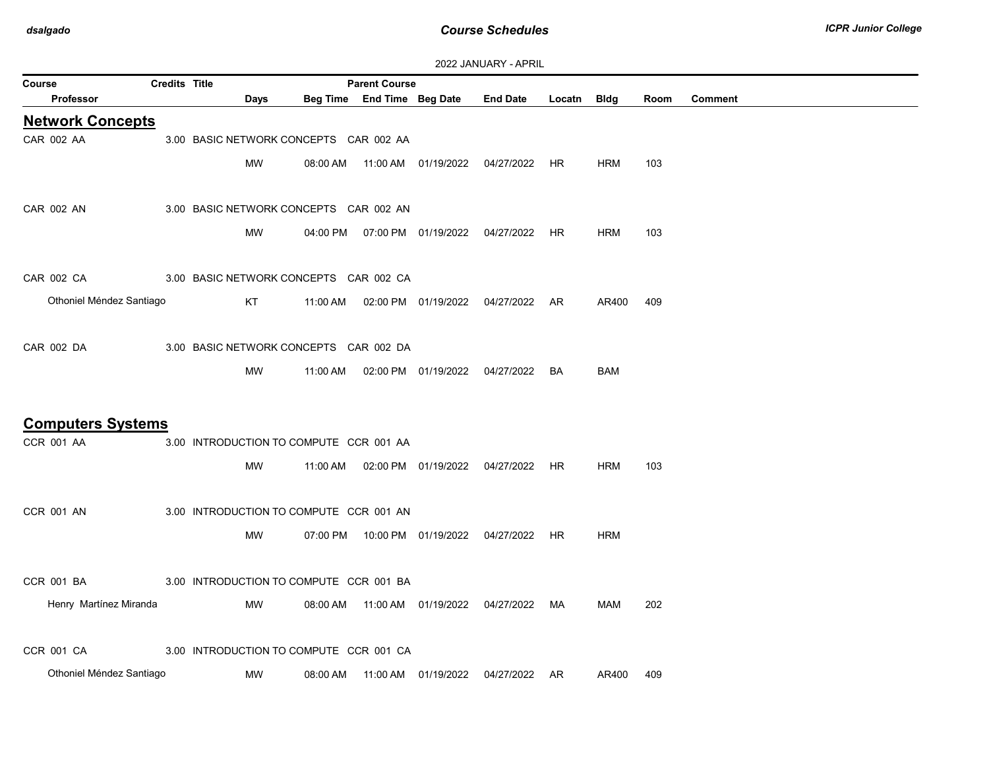| Course                   | <b>Credits Title</b> |                                         |          | <b>Parent Course</b>       |                                  |                                            |             |            |      |                |
|--------------------------|----------------------|-----------------------------------------|----------|----------------------------|----------------------------------|--------------------------------------------|-------------|------------|------|----------------|
| <b>Professor</b>         |                      | Days                                    |          | Beg Time End Time Beg Date |                                  | <b>End Date</b>                            | Locatn Bldg |            | Room | <b>Comment</b> |
| <b>Network Concepts</b>  |                      |                                         |          |                            |                                  |                                            |             |            |      |                |
| CAR 002 AA               |                      | 3.00 BASIC NETWORK CONCEPTS CAR 002 AA  |          |                            |                                  |                                            |             |            |      |                |
|                          |                      | <b>MW</b>                               | 08:00 AM |                            |                                  | 11:00 AM  01/19/2022  04/27/2022  HR       |             | <b>HRM</b> | 103  |                |
|                          |                      |                                         |          |                            |                                  |                                            |             |            |      |                |
| CAR 002 AN               |                      | 3.00 BASIC NETWORK CONCEPTS CAR 002 AN  |          |                            |                                  |                                            |             |            |      |                |
|                          |                      | <b>MW</b>                               |          |                            |                                  | 04:00 PM  07:00 PM  01/19/2022  04/27/2022 | HR          | <b>HRM</b> | 103  |                |
|                          |                      |                                         |          |                            |                                  |                                            |             |            |      |                |
| CAR 002 CA               |                      | 3.00 BASIC NETWORK CONCEPTS CAR 002 CA  |          |                            |                                  |                                            |             |            |      |                |
| Othoniel Méndez Santiago |                      | KT                                      | 11:00 AM |                            | 02:00 PM 01/19/2022              | 04/27/2022 AR                              |             | AR400      | 409  |                |
|                          |                      |                                         |          |                            |                                  |                                            |             |            |      |                |
| CAR 002 DA               |                      | 3.00 BASIC NETWORK CONCEPTS CAR 002 DA  |          |                            |                                  |                                            |             |            |      |                |
|                          |                      |                                         |          |                            |                                  |                                            |             |            |      |                |
|                          |                      | MW                                      | 11:00 AM |                            | 02:00 PM  01/19/2022  04/27/2022 |                                            | BA          | <b>BAM</b> |      |                |
|                          |                      |                                         |          |                            |                                  |                                            |             |            |      |                |
| <b>Computers Systems</b> |                      |                                         |          |                            |                                  |                                            |             |            |      |                |
| <b>CCR 001 AA</b>        |                      | 3.00 INTRODUCTION TO COMPUTE CCR 001 AA |          |                            |                                  |                                            |             |            |      |                |
|                          |                      | MW                                      | 11:00 AM |                            | 02:00 PM  01/19/2022  04/27/2022 |                                            | HR.         | <b>HRM</b> | 103  |                |
|                          |                      |                                         |          |                            |                                  |                                            |             |            |      |                |
| <b>CCR 001 AN</b>        |                      | 3.00 INTRODUCTION TO COMPUTE CCR 001 AN |          |                            |                                  |                                            |             |            |      |                |
|                          |                      | MW                                      | 07:00 PM |                            | 10:00 PM 01/19/2022 04/27/2022   |                                            | <b>HR</b>   | <b>HRM</b> |      |                |
|                          |                      |                                         |          |                            |                                  |                                            |             |            |      |                |
| CCR 001 BA               |                      | 3.00 INTRODUCTION TO COMPUTE CCR 001 BA |          |                            |                                  |                                            |             |            |      |                |
| Henry Martínez Miranda   |                      | MW                                      | 08:00 AM |                            |                                  | 11:00 AM  01/19/2022  04/27/2022           | MA          | MAM        | 202  |                |
|                          |                      |                                         |          |                            |                                  |                                            |             |            |      |                |
| <b>CCR 001 CA</b>        |                      | 3.00 INTRODUCTION TO COMPUTE CCR 001 CA |          |                            |                                  |                                            |             |            |      |                |
| Othoniel Méndez Santiago |                      | MW                                      | 08:00 AM |                            | 11:00 AM  01/19/2022             | 04/27/2022 AR                              |             | AR400      | 409  |                |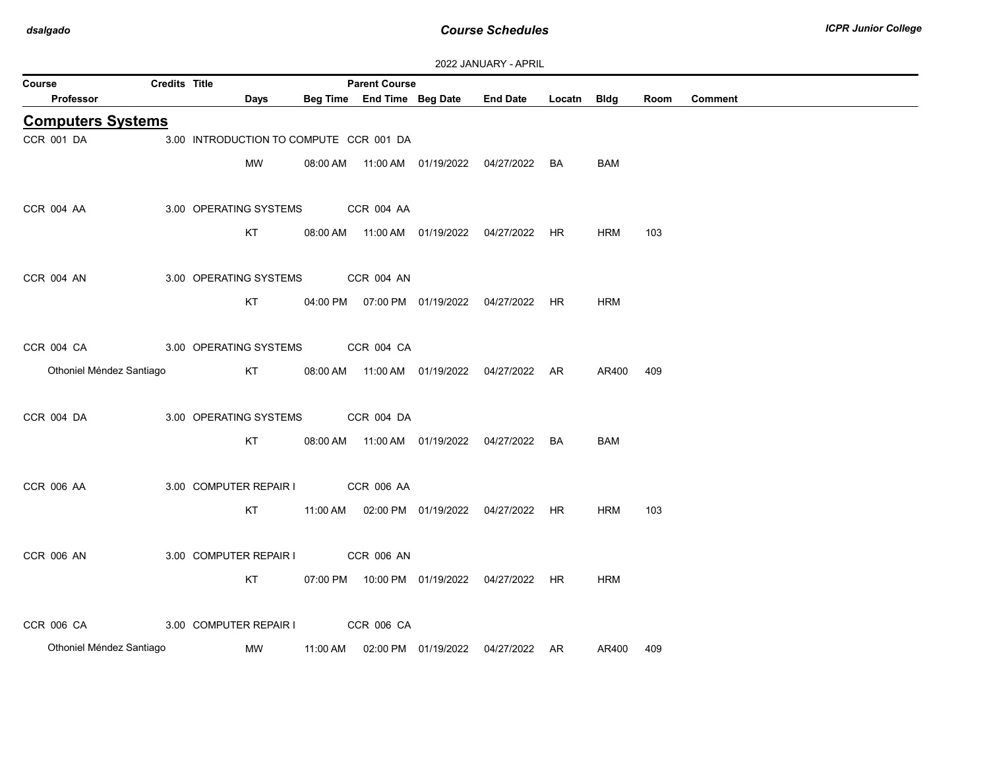| Course                   | Credits Title |                                         |          | <b>Parent Course</b> |                     |                                                |             |            |      |                |
|--------------------------|---------------|-----------------------------------------|----------|----------------------|---------------------|------------------------------------------------|-------------|------------|------|----------------|
| <b>Professor</b>         |               | Days                                    |          |                      |                     | Beg Time End Time Beg Date End Date            | Locatn Bldg |            | Room | <b>Comment</b> |
| <b>Computers Systems</b> |               |                                         |          |                      |                     |                                                |             |            |      |                |
| CCR 001 DA               |               | 3.00 INTRODUCTION TO COMPUTE CCR 001 DA |          |                      |                     |                                                |             |            |      |                |
|                          |               | MW                                      |          |                      |                     | 08:00 AM  11:00 AM  01/19/2022  04/27/2022  BA |             | BAM        |      |                |
|                          |               |                                         |          |                      |                     |                                                |             |            |      |                |
| <b>CCR 004 AA</b>        |               | 3.00 OPERATING SYSTEMS                  |          | CCR 004 AA           |                     |                                                |             |            |      |                |
|                          |               | KT                                      |          |                      |                     | 08:00 AM  11:00 AM  01/19/2022  04/27/2022  HR |             | <b>HRM</b> | 103  |                |
|                          |               |                                         |          |                      |                     |                                                |             |            |      |                |
| CCR 004 AN               |               | 3.00 OPERATING SYSTEMS                  |          | <b>CCR 004 AN</b>    |                     |                                                |             |            |      |                |
|                          |               | KT                                      |          |                      |                     | 04:00 PM  07:00 PM  01/19/2022  04/27/2022  HR |             | <b>HRM</b> |      |                |
|                          |               |                                         |          |                      |                     |                                                |             |            |      |                |
| CCR 004 CA               |               | 3.00 OPERATING SYSTEMS                  |          | CCR 004 CA           |                     |                                                |             |            |      |                |
| Othoniel Méndez Santiago |               | KT                                      |          |                      |                     | 08:00 AM  11:00 AM  01/19/2022  04/27/2022  AR |             | AR400 409  |      |                |
|                          |               |                                         |          |                      |                     |                                                |             |            |      |                |
| CCR 004 DA               |               | 3.00 OPERATING SYSTEMS                  |          | CCR 004 DA           |                     |                                                |             |            |      |                |
|                          |               | KT                                      |          |                      |                     | 08:00 AM  11:00 AM  01/19/2022  04/27/2022  BA |             | <b>BAM</b> |      |                |
|                          |               |                                         |          |                      |                     |                                                |             |            |      |                |
| CCR 006 AA               |               | 3.00 COMPUTER REPAIR I                  |          | <b>CCR 006 AA</b>    |                     |                                                |             |            |      |                |
|                          |               | KT                                      |          |                      |                     | 11:00 AM  02:00 PM  01/19/2022  04/27/2022  HR |             | <b>HRM</b> | 103  |                |
|                          |               |                                         |          |                      |                     |                                                |             |            |      |                |
| <b>CCR 006 AN</b>        |               | 3.00 COMPUTER REPAIR I                  |          | <b>CCR 006 AN</b>    |                     |                                                |             |            |      |                |
|                          |               | KT                                      |          |                      |                     | 07:00 PM  10:00 PM  01/19/2022  04/27/2022  HR |             | <b>HRM</b> |      |                |
|                          |               |                                         |          |                      |                     |                                                |             |            |      |                |
| CCR 006 CA               |               | 3.00 COMPUTER REPAIR I                  |          | CCR 006 CA           |                     |                                                |             |            |      |                |
| Othoniel Méndez Santiago |               | MW                                      |          |                      | 02:00 PM 01/19/2022 | 04/27/2022 AR                                  |             |            |      |                |
|                          |               |                                         | 11:00 AM |                      |                     |                                                |             | AR400      | 409  |                |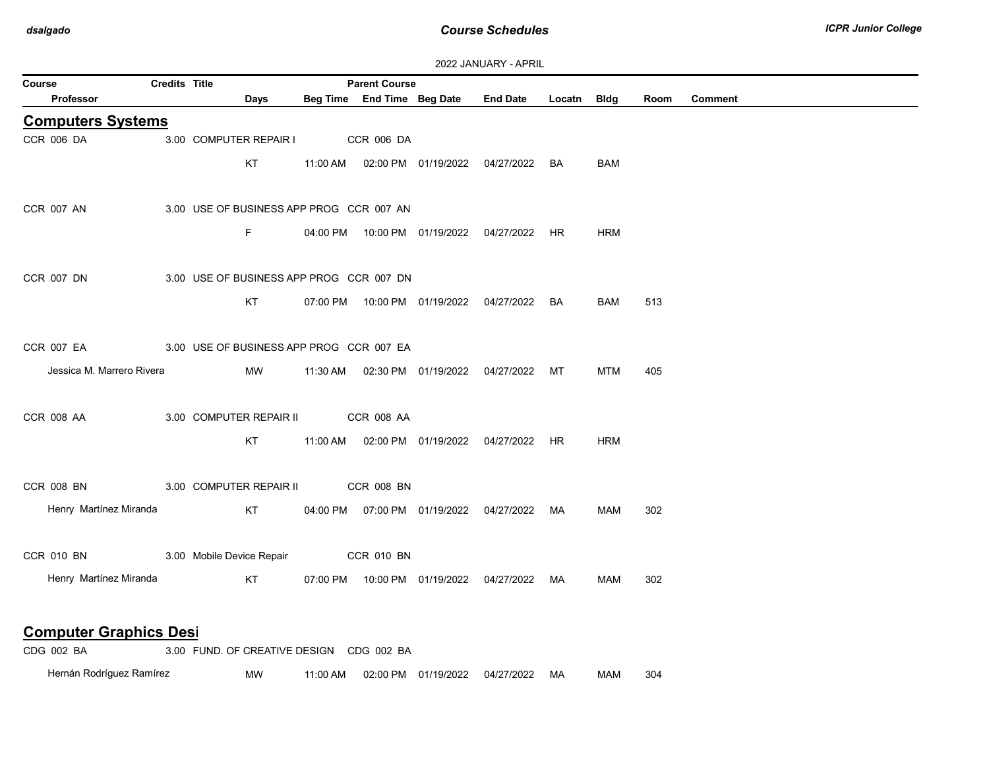| Course                        | <b>Credits Title</b> |                                          | <b>Parent Course</b>       |                                                |             |            |      |                |
|-------------------------------|----------------------|------------------------------------------|----------------------------|------------------------------------------------|-------------|------------|------|----------------|
| <b>Professor</b>              |                      | <b>Days</b>                              | Beg Time End Time Beg Date | <b>End Date</b>                                | Locatn Bldg |            | Room | <b>Comment</b> |
| <b>Computers Systems</b>      |                      |                                          |                            |                                                |             |            |      |                |
| CCR 006 DA                    |                      | 3.00 COMPUTER REPAIR I                   | CCR 006 DA                 |                                                |             |            |      |                |
|                               |                      | KT                                       |                            | 11:00 AM  02:00 PM  01/19/2022  04/27/2022  BA |             | BAM        |      |                |
|                               |                      |                                          |                            |                                                |             |            |      |                |
| <b>CCR 007 AN</b>             |                      | 3.00 USE OF BUSINESS APP PROG CCR 007 AN |                            |                                                |             |            |      |                |
|                               |                      | F.                                       |                            | 04:00 PM  10:00 PM  01/19/2022  04/27/2022  HR |             | <b>HRM</b> |      |                |
|                               |                      |                                          |                            |                                                |             |            |      |                |
| CCR 007 DN                    |                      | 3.00 USE OF BUSINESS APP PROG CCR 007 DN |                            |                                                |             |            |      |                |
|                               |                      | KT                                       |                            | 07:00 PM  10:00 PM  01/19/2022  04/27/2022  BA |             | BAM        | 513  |                |
|                               |                      |                                          |                            |                                                |             |            |      |                |
| CCR 007 EA                    |                      | 3.00 USE OF BUSINESS APP PROG CCR 007 EA |                            |                                                |             |            |      |                |
| Jessica M. Marrero Rivera     |                      | MW                                       |                            | 11:30 AM  02:30 PM  01/19/2022  04/27/2022  MT |             | MTM        | 405  |                |
|                               |                      |                                          |                            |                                                |             |            |      |                |
| <b>CCR 008 AA</b>             |                      | 3.00 COMPUTER REPAIR II                  | CCR 008 AA                 |                                                |             |            |      |                |
|                               |                      |                                          |                            |                                                |             |            |      |                |
|                               |                      | KT                                       |                            | 11:00 AM  02:00 PM  01/19/2022  04/27/2022  HR |             | <b>HRM</b> |      |                |
|                               |                      |                                          |                            |                                                |             |            |      |                |
| <b>CCR 008 BN</b>             |                      | 3.00 COMPUTER REPAIR II                  | <b>CCR 008 BN</b>          |                                                |             |            |      |                |
| Henry Martínez Miranda        |                      | KT                                       |                            | 04:00 PM  07:00 PM  01/19/2022  04/27/2022  MA |             | <b>MAM</b> | 302  |                |
|                               |                      |                                          |                            |                                                |             |            |      |                |
| CCR 010 BN                    |                      | 3.00 Mobile Device Repair                | CCR 010 BN                 |                                                |             |            |      |                |
| Henry Martínez Miranda        |                      | KT                                       |                            | 07:00 PM  10:00 PM  01/19/2022  04/27/2022  MA |             | MAM        | 302  |                |
|                               |                      |                                          |                            |                                                |             |            |      |                |
| <b>Computer Graphics Desi</b> |                      |                                          |                            |                                                |             |            |      |                |
| CDG 002 BA                    |                      | 3.00 FUND. OF CREATIVE DESIGN CDG 002 BA |                            |                                                |             |            |      |                |

Hernán Rodríguez Ramírez MW 11:00 AM 02:00 PM 01/19/2022 04/27/2022 MA MAM 304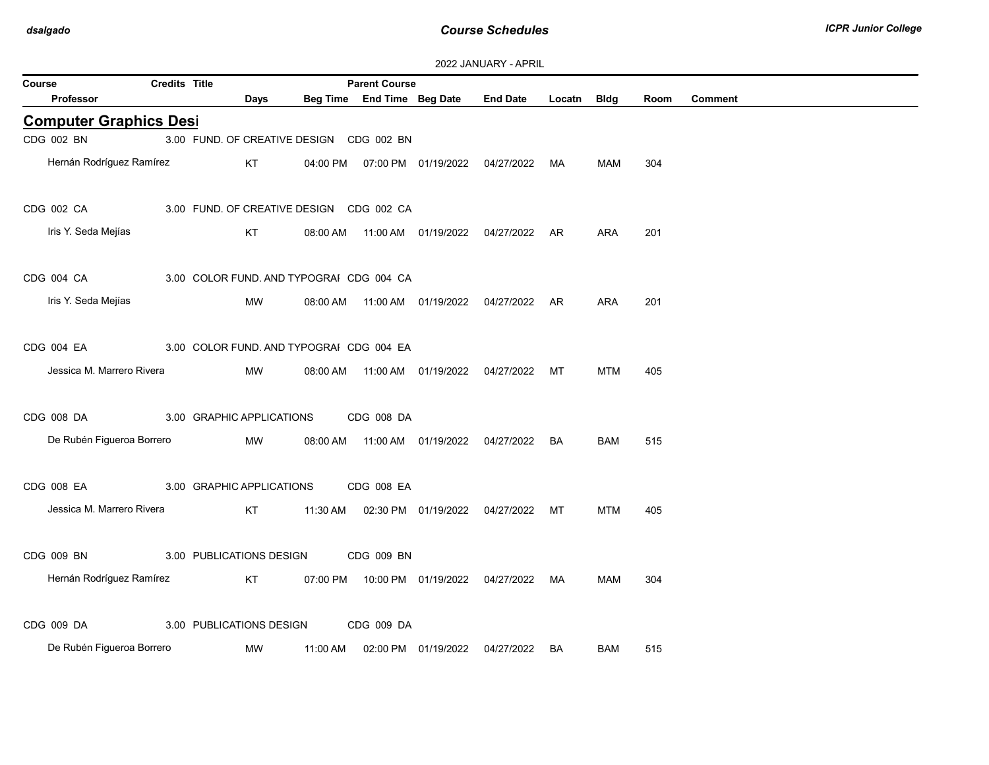| 2022 JANUARY - APRIL |
|----------------------|
|----------------------|

| Course |                               | Credits Title |                           |                                          | <b>Parent Course</b>       |                     |                                                |        |            |      |                |
|--------|-------------------------------|---------------|---------------------------|------------------------------------------|----------------------------|---------------------|------------------------------------------------|--------|------------|------|----------------|
|        | <b>Professor</b>              |               | Days                      |                                          | Beg Time End Time Beg Date |                     | <b>End Date</b>                                | Locatn | Bldg       | Room | <b>Comment</b> |
|        | <b>Computer Graphics Desi</b> |               |                           |                                          |                            |                     |                                                |        |            |      |                |
|        | CDG 002 BN                    |               |                           | 3.00 FUND. OF CREATIVE DESIGN CDG 002 BN |                            |                     |                                                |        |            |      |                |
|        | Hernán Rodríguez Ramírez      |               | KT                        | 04:00 PM                                 |                            |                     | 07:00 PM 01/19/2022 04/27/2022 MA              |        | MAM        | 304  |                |
|        | CDG 002 CA                    |               |                           | 3.00 FUND. OF CREATIVE DESIGN CDG 002 CA |                            |                     |                                                |        |            |      |                |
|        | Iris Y. Seda Mejías           |               | KT                        | 08:00 AM                                 |                            |                     |                                                | AR     | <b>ARA</b> | 201  |                |
|        | CDG 004 CA                    |               |                           | 3.00 COLOR FUND. AND TYPOGRAI CDG 004 CA |                            |                     |                                                |        |            |      |                |
|        | Iris Y. Seda Mejías           |               | MW                        |                                          |                            |                     | 08:00 AM  11:00 AM  01/19/2022  04/27/2022  AR |        | <b>ARA</b> | 201  |                |
|        | CDG 004 EA                    |               |                           | 3.00 COLOR FUND. AND TYPOGRAI CDG 004 EA |                            |                     |                                                |        |            |      |                |
|        | Jessica M. Marrero Rivera     |               | MW                        | 08:00 AM                                 |                            |                     | 11:00 AM  01/19/2022  04/27/2022               | МT     | <b>MTM</b> | 405  |                |
|        | CDG 008 DA                    |               | 3.00 GRAPHIC APPLICATIONS |                                          | CDG 008 DA                 |                     |                                                |        |            |      |                |
|        | De Rubén Figueroa Borrero     |               | MW                        |                                          |                            |                     | 08:00 AM  11:00 AM  01/19/2022  04/27/2022     | BA     | <b>BAM</b> | 515  |                |
|        | CDG 008 EA                    |               | 3.00 GRAPHIC APPLICATIONS |                                          | CDG 008 EA                 |                     |                                                |        |            |      |                |
|        | Jessica M. Marrero Rivera     |               | KT                        | 11:30 AM                                 |                            | 02:30 PM 01/19/2022 | 04/27/2022                                     | МT     | <b>MTM</b> | 405  |                |
|        | CDG 009 BN                    |               | 3.00 PUBLICATIONS DESIGN  |                                          | CDG 009 BN                 |                     |                                                |        |            |      |                |
|        | Hernán Rodríguez Ramírez      |               | KT                        |                                          |                            |                     | 07:00 PM  10:00 PM  01/19/2022  04/27/2022     | MA     | MAM        | 304  |                |
|        | CDG 009 DA                    |               | 3.00 PUBLICATIONS DESIGN  |                                          | CDG 009 DA                 |                     |                                                |        |            |      |                |
|        | De Rubén Figueroa Borrero     |               | MW                        | 11:00 AM                                 |                            | 02:00 PM 01/19/2022 | 04/27/2022                                     | BA     | <b>BAM</b> | 515  |                |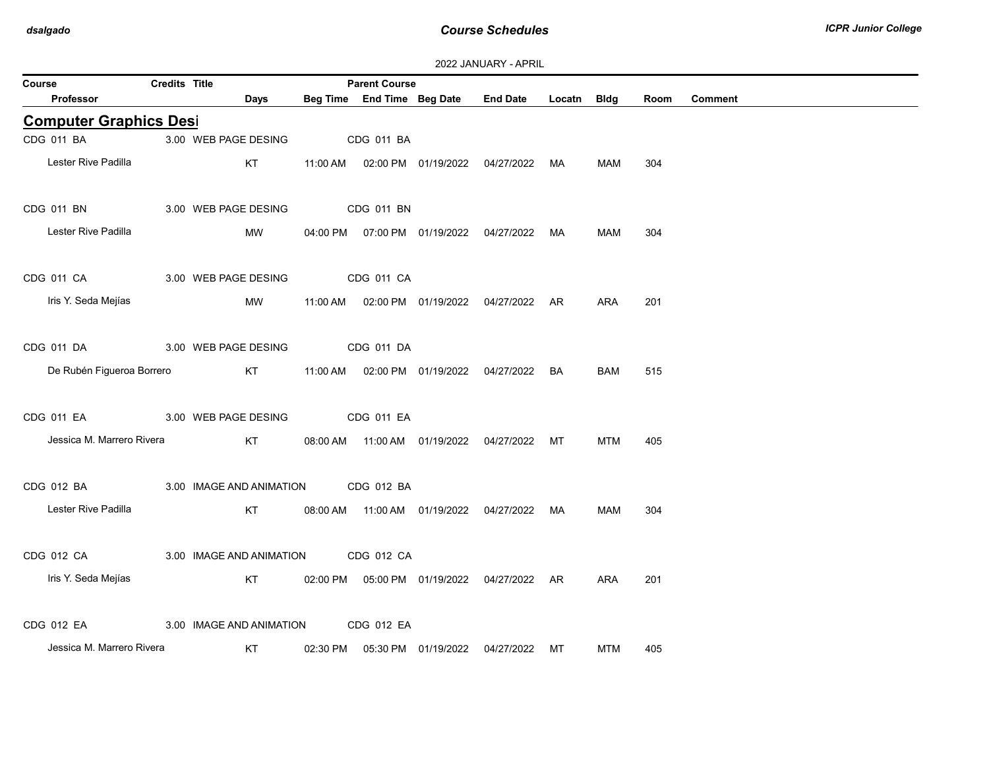| 2022 JANUARY - APRIL |  |
|----------------------|--|
|----------------------|--|

| Course                        | Credits Title |                          |          | <b>Parent Course</b>       |                     |                                                |             |            |      |                |
|-------------------------------|---------------|--------------------------|----------|----------------------------|---------------------|------------------------------------------------|-------------|------------|------|----------------|
| <b>Professor</b>              |               | Days                     |          | Beg Time End Time Beg Date |                     | <b>End Date</b>                                | Locatn Bldg |            | Room | <b>Comment</b> |
| <b>Computer Graphics Desi</b> |               |                          |          |                            |                     |                                                |             |            |      |                |
| CDG 011 BA                    |               | 3.00 WEB PAGE DESING     |          | CDG 011 BA                 |                     |                                                |             |            |      |                |
| Lester Rive Padilla           |               | KT                       |          |                            |                     | 11:00 AM  02:00 PM  01/19/2022  04/27/2022     | MA          | MAM        | 304  |                |
| CDG 011 BN                    |               | 3.00 WEB PAGE DESING     |          | CDG 011 BN                 |                     |                                                |             |            |      |                |
| Lester Rive Padilla           |               | MW                       |          |                            |                     | 04:00 PM  07:00 PM  01/19/2022  04/27/2022     | MA          | MAM        | 304  |                |
| CDG 011 CA                    |               | 3.00 WEB PAGE DESING     |          | CDG 011 CA                 |                     |                                                |             |            |      |                |
| Iris Y. Seda Mejías           |               | MW                       |          |                            |                     | 11:00 AM  02:00 PM  01/19/2022  04/27/2022  AR |             | <b>ARA</b> | 201  |                |
| CDG 011 DA                    |               | 3.00 WEB PAGE DESING     |          | CDG 011 DA                 |                     |                                                |             |            |      |                |
| De Rubén Figueroa Borrero     |               | KT                       | 11:00 AM |                            |                     | 02:00 PM 01/19/2022 04/27/2022                 | <b>BA</b>   | <b>BAM</b> | 515  |                |
| CDG 011 EA                    |               | 3.00 WEB PAGE DESING     |          | CDG 011 EA                 |                     |                                                |             |            |      |                |
| Jessica M. Marrero Rivera     |               | KT                       |          |                            |                     | 08:00 AM  11:00 AM  01/19/2022  04/27/2022     | MT          | MTM        | 405  |                |
| CDG 012 BA                    |               | 3.00 IMAGE AND ANIMATION |          | CDG 012 BA                 |                     |                                                |             |            |      |                |
| Lester Rive Padilla           |               | KT                       |          |                            |                     | 08:00 AM  11:00 AM  01/19/2022  04/27/2022     | MA          | MAM        | 304  |                |
| CDG 012 CA                    |               | 3.00 IMAGE AND ANIMATION |          | CDG 012 CA                 |                     |                                                |             |            |      |                |
| Iris Y. Seda Mejías           |               | KT                       |          |                            |                     | 02:00 PM  05:00 PM  01/19/2022  04/27/2022  AR |             | ARA        | 201  |                |
| CDG 012 EA                    |               | 3.00 IMAGE AND ANIMATION |          | CDG 012 EA                 |                     |                                                |             |            |      |                |
| Jessica M. Marrero Rivera     |               | KT                       | 02:30 PM |                            | 05:30 PM 01/19/2022 | 04/27/2022                                     | МT          | <b>MTM</b> | 405  |                |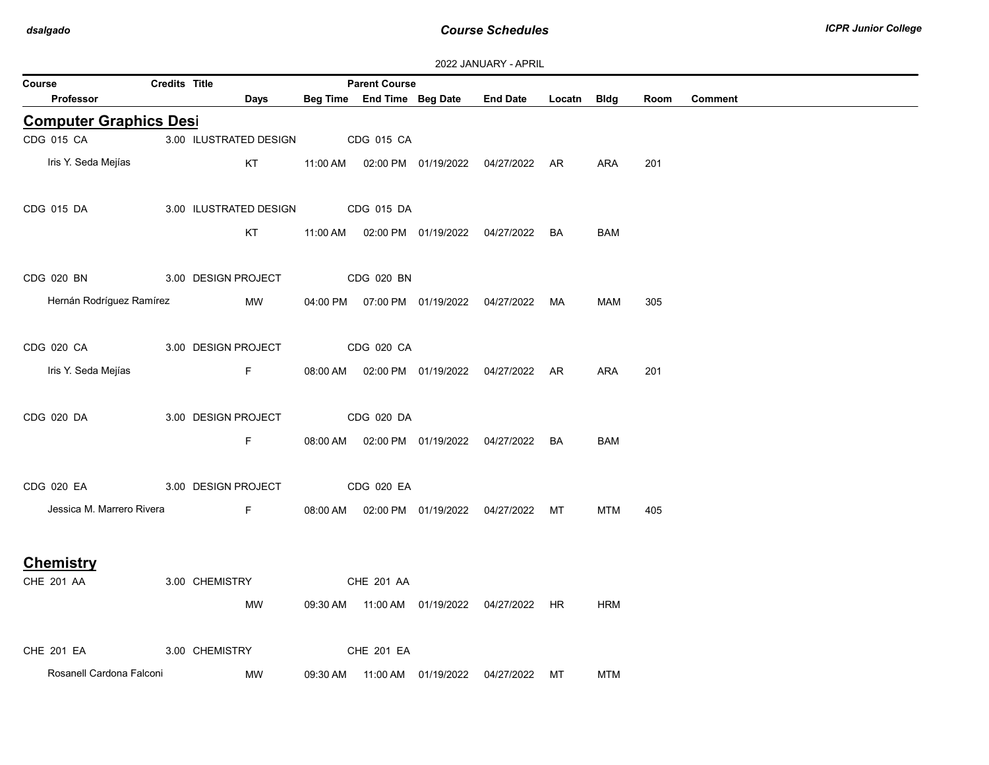| Course                        | <b>Credits Title</b> |                        |          | <b>Parent Course</b> |                                            |                                                |             |            |      |         |
|-------------------------------|----------------------|------------------------|----------|----------------------|--------------------------------------------|------------------------------------------------|-------------|------------|------|---------|
| Professor                     |                      | Days                   |          |                      | Beg Time End Time Beg Date                 | <b>End Date</b>                                | Locatn Bldg |            | Room | Comment |
| <b>Computer Graphics Desi</b> |                      |                        |          |                      |                                            |                                                |             |            |      |         |
| CDG 015 CA                    |                      | 3.00 ILUSTRATED DESIGN |          | CDG 015 CA           |                                            |                                                |             |            |      |         |
| Iris Y. Seda Mejías           |                      | KT                     |          |                      |                                            | 11:00 AM  02:00 PM  01/19/2022  04/27/2022  AR |             | ARA        | 201  |         |
| CDG 015 DA                    |                      | 3.00 ILUSTRATED DESIGN |          | CDG 015 DA           |                                            |                                                |             |            |      |         |
|                               |                      | KT                     |          |                      |                                            | 11:00 AM  02:00 PM  01/19/2022  04/27/2022  BA |             | <b>BAM</b> |      |         |
| CDG 020 BN                    |                      | 3.00 DESIGN PROJECT    |          | CDG 020 BN           |                                            |                                                |             |            |      |         |
| Hernán Rodríguez Ramírez      |                      | MW                     |          |                      | 04:00 PM  07:00 PM  01/19/2022  04/27/2022 |                                                | MA          | MAM        | 305  |         |
| CDG 020 CA 200 000            |                      | 3.00 DESIGN PROJECT    |          | CDG 020 CA           |                                            |                                                |             |            |      |         |
| Iris Y. Seda Mejías           |                      | F                      |          |                      |                                            | 08:00 AM  02:00 PM  01/19/2022  04/27/2022  AR |             | ARA        | 201  |         |
| CDG 020 DA                    |                      | 3.00 DESIGN PROJECT    |          | CDG 020 DA           |                                            |                                                |             |            |      |         |
|                               |                      | F.                     |          |                      |                                            | 08:00 AM  02:00 PM  01/19/2022  04/27/2022  BA |             | <b>BAM</b> |      |         |
| CDG 020 EA                    |                      | 3.00 DESIGN PROJECT    |          | CDG 020 EA           |                                            |                                                |             |            |      |         |
| Jessica M. Marrero Rivera     |                      | F                      |          |                      |                                            | 08:00 AM  02:00 PM  01/19/2022  04/27/2022  MT |             | MTM        | 405  |         |
| <b>Chemistry</b>              |                      |                        |          |                      |                                            |                                                |             |            |      |         |
| CHE 201 AA                    |                      | 3.00 CHEMISTRY         |          | CHE 201 AA           |                                            |                                                |             |            |      |         |
|                               |                      | MW                     |          |                      |                                            | 09:30 AM  11:00 AM  01/19/2022  04/27/2022  HR |             | <b>HRM</b> |      |         |
| <b>CHE 201 EA</b>             |                      | 3.00 CHEMISTRY         |          | CHE 201 EA           |                                            |                                                |             |            |      |         |
| Rosanell Cardona Falconi      |                      | MW                     | 09:30 AM |                      |                                            | 11:00 AM  01/19/2022  04/27/2022  MT           |             | <b>MTM</b> |      |         |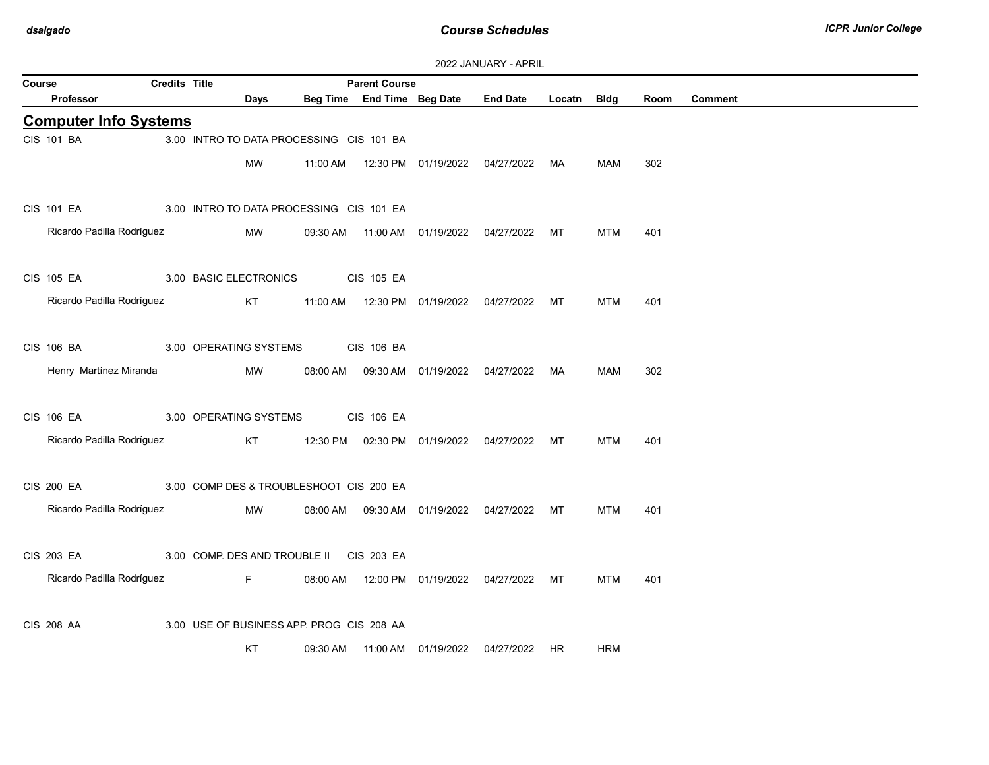| 2022 JANUARY - APRIL |  |
|----------------------|--|
|----------------------|--|

|        |                              |                      |                                           |          |                                                    |                                  | LULL UNIVUNIVI "NI IVIL                        |        |            |      |                |
|--------|------------------------------|----------------------|-------------------------------------------|----------|----------------------------------------------------|----------------------------------|------------------------------------------------|--------|------------|------|----------------|
| Course | Professor                    | <b>Credits Title</b> | <b>Days</b>                               |          | <b>Parent Course</b><br>Beg Time End Time Beg Date |                                  | <b>End Date</b>                                | Locatn | Bldg       | Room | <b>Comment</b> |
|        | <b>Computer Info Systems</b> |                      |                                           |          |                                                    |                                  |                                                |        |            |      |                |
|        | CIS 101 BA                   |                      | 3.00 INTRO TO DATA PROCESSING CIS 101 BA  |          |                                                    |                                  |                                                |        |            |      |                |
|        |                              |                      | MW                                        |          |                                                    |                                  | 11:00 AM  12:30 PM  01/19/2022  04/27/2022  MA |        | MAM        | 302  |                |
|        | <b>CIS 101 EA</b>            |                      | 3.00 INTRO TO DATA PROCESSING CIS 101 EA  |          |                                                    |                                  |                                                |        |            |      |                |
|        | Ricardo Padilla Rodríguez    |                      | MW                                        |          |                                                    |                                  | 09:30 AM  11:00 AM  01/19/2022  04/27/2022  MT |        | <b>MTM</b> | 401  |                |
|        | <b>CIS 105 EA</b>            |                      | 3.00 BASIC ELECTRONICS                    |          | <b>CIS 105 EA</b>                                  |                                  |                                                |        |            |      |                |
|        | Ricardo Padilla Rodríguez    |                      | KT                                        |          |                                                    |                                  |                                                |        | <b>MTM</b> | 401  |                |
|        | CIS 106 BA                   |                      | 3.00 OPERATING SYSTEMS                    |          | <b>CIS 106 BA</b>                                  |                                  |                                                |        |            |      |                |
|        | Henry Martínez Miranda       |                      | MW                                        | 08:00 AM |                                                    | 09:30 AM  01/19/2022  04/27/2022 |                                                | МA     | <b>MAM</b> | 302  |                |
|        | CIS 106 EA                   |                      | 3.00 OPERATING SYSTEMS                    |          | <b>CIS 106 EA</b>                                  |                                  |                                                |        |            |      |                |
|        | Ricardo Padilla Rodríguez    |                      | KT                                        |          |                                                    |                                  | 12:30 PM  02:30 PM  01/19/2022  04/27/2022  MT |        | <b>MTM</b> | 401  |                |
|        | <b>CIS 200 EA</b>            |                      | 3.00 COMP DES & TROUBLESHOO1 CIS 200 EA   |          |                                                    |                                  |                                                |        |            |      |                |
|        | Ricardo Padilla Rodríguez    |                      | MW                                        |          |                                                    |                                  | 08:00 AM  09:30 AM  01/19/2022  04/27/2022  MT |        | <b>MTM</b> | 401  |                |
|        | <b>CIS 203 EA</b>            |                      | 3.00 COMP. DES AND TROUBLE II             |          | CIS 203 EA                                         |                                  |                                                |        |            |      |                |
|        | Ricardo Padilla Rodríguez    |                      | F                                         |          |                                                    |                                  | 08:00 AM  12:00 PM  01/19/2022  04/27/2022  MT |        | MTM        | 401  |                |
|        | <b>CIS 208 AA</b>            |                      | 3.00 USE OF BUSINESS APP. PROG CIS 208 AA |          |                                                    |                                  |                                                |        |            |      |                |
|        |                              |                      | KT                                        | 09:30 AM |                                                    |                                  | 04/27/2022 HR                                  |        | <b>HRM</b> |      |                |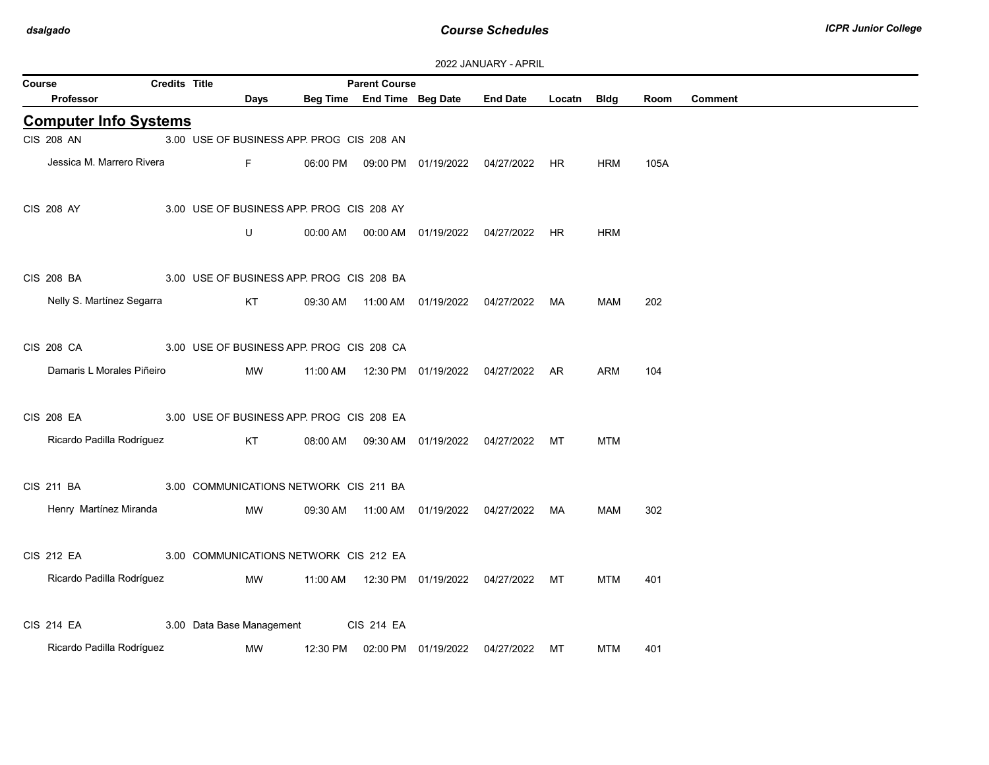| Course                       | Credits Title |                                           |          | <b>Parent Course</b>       |                                            |                                                |             |            |      |                |
|------------------------------|---------------|-------------------------------------------|----------|----------------------------|--------------------------------------------|------------------------------------------------|-------------|------------|------|----------------|
| Professor                    |               | Days                                      |          | Beg Time End Time Beg Date |                                            | <b>End Date</b>                                | Locatn Bldg |            | Room | <b>Comment</b> |
| <b>Computer Info Systems</b> |               |                                           |          |                            |                                            |                                                |             |            |      |                |
| <b>CIS 208 AN</b>            |               | 3.00 USE OF BUSINESS APP. PROC CIS 208 AN |          |                            |                                            |                                                |             |            |      |                |
| Jessica M. Marrero Rivera    |               | F                                         | 06:00 PM |                            | 09:00 PM  01/19/2022  04/27/2022           |                                                | HR.         | HRM        | 105A |                |
| <b>CIS 208 AY</b>            |               | 3.00 USE OF BUSINESS APP. PROG CIS 208 AY |          |                            |                                            |                                                |             |            |      |                |
|                              |               | U                                         | 00:00 AM |                            |                                            | 00:00 AM  01/19/2022  04/27/2022  HR           |             | <b>HRM</b> |      |                |
| <b>CIS 208 BA</b>            |               | 3.00 USE OF BUSINESS APP. PROG CIS 208 BA |          |                            |                                            |                                                |             |            |      |                |
| Nelly S. Martínez Segarra    |               | KT                                        |          |                            |                                            | 09:30 AM  11:00 AM  01/19/2022  04/27/2022  MA |             | <b>MAM</b> | 202  |                |
| <b>CIS 208 CA</b>            |               | 3.00 USE OF BUSINESS APP. PROC CIS 208 CA |          |                            |                                            |                                                |             |            |      |                |
| Damaris L Morales Piñeiro    |               | MW                                        | 11:00 AM |                            | 12:30 PM 01/19/2022                        | 04/27/2022                                     | AR          | <b>ARM</b> | 104  |                |
| <b>CIS 208 EA</b>            |               | 3.00 USE OF BUSINESS APP. PROC CIS 208 EA |          |                            |                                            |                                                |             |            |      |                |
| Ricardo Padilla Rodríguez    |               | KT                                        | 08:00 AM |                            | 09:30 AM  01/19/2022  04/27/2022           |                                                | МT          | <b>MTM</b> |      |                |
| CIS 211 BA                   |               | 3.00 COMMUNICATIONS NETWORK CIS 211 BA    |          |                            |                                            |                                                |             |            |      |                |
| Henry Martínez Miranda       |               | MW                                        |          |                            | 09:30 AM  11:00 AM  01/19/2022  04/27/2022 |                                                | МA          | <b>MAM</b> | 302  |                |
| <b>CIS 212 EA</b>            |               | 3.00 COMMUNICATIONS NETWORK CIS 212 EA    |          |                            |                                            |                                                |             |            |      |                |
| Ricardo Padilla Rodríguez    |               | MW                                        |          |                            | 11:00 AM  12:30 PM  01/19/2022  04/27/2022 |                                                | МT          | <b>MTM</b> | 401  |                |
| <b>CIS 214 EA</b>            |               | 3.00 Data Base Management                 |          | <b>CIS 214 EA</b>          |                                            |                                                |             |            |      |                |
| Ricardo Padilla Rodríguez    |               | МW                                        | 12:30 PM |                            | 02:00 PM 01/19/2022                        | 04/27/2022                                     | МT          | <b>MTM</b> | 401  |                |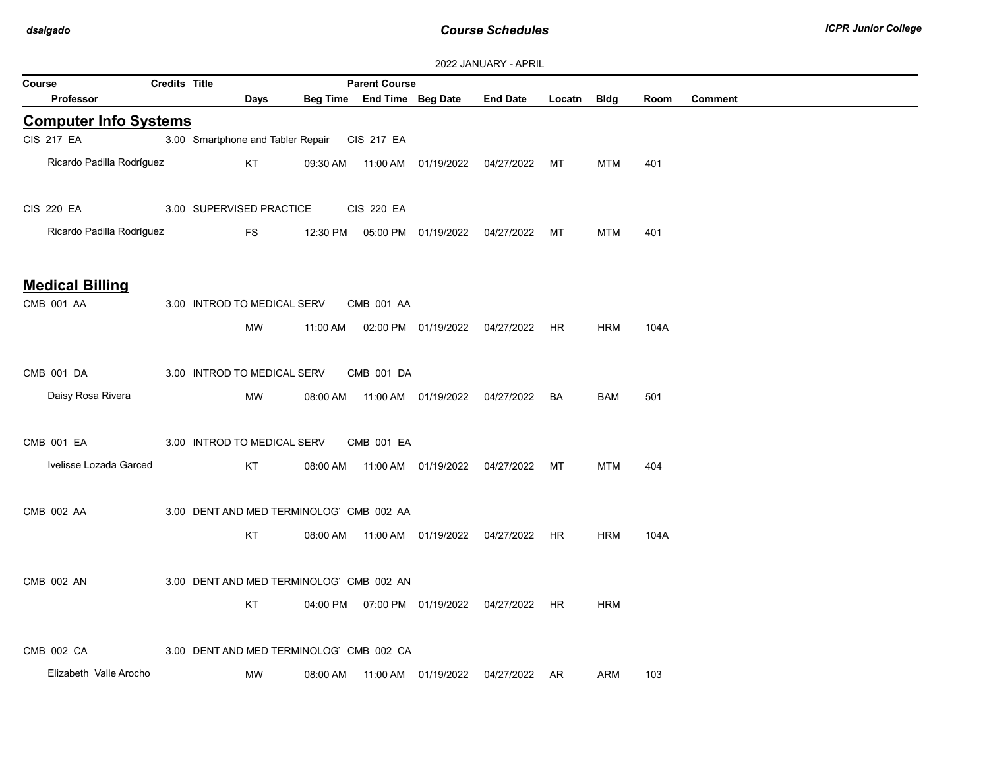|                                      |                      |                                               |          |                            |                                  | <b>ZUZZ JAINUART - APRIL</b>                   |        |             |      |                |
|--------------------------------------|----------------------|-----------------------------------------------|----------|----------------------------|----------------------------------|------------------------------------------------|--------|-------------|------|----------------|
| Course                               | <b>Credits Title</b> |                                               |          | <b>Parent Course</b>       |                                  |                                                |        |             |      |                |
| Professor                            |                      | Days                                          |          | Beg Time End Time Beg Date |                                  | <b>End Date</b>                                | Locatn | <b>Bldg</b> | Room | <b>Comment</b> |
| <b>Computer Info Systems</b>         |                      |                                               |          |                            |                                  |                                                |        |             |      |                |
| <b>CIS 217 EA</b>                    |                      | 3.00 Smartphone and Tabler Repair CIS 217 EA  |          |                            |                                  |                                                |        |             |      |                |
| Ricardo Padilla Rodríguez            |                      | KT                                            |          |                            |                                  | 09:30 AM  11:00 AM  01/19/2022  04/27/2022  MT |        | <b>MTM</b>  | 401  |                |
| <b>CIS 220 EA</b>                    |                      | 3.00 SUPERVISED PRACTICE                      |          | <b>CIS 220 EA</b>          |                                  |                                                |        |             |      |                |
| Ricardo Padilla Rodríguez            |                      | <b>FS</b>                                     | 12:30 PM |                            | 05:00 PM 01/19/2022 04/27/2022   |                                                | МT     | <b>MTM</b>  | 401  |                |
| <b>Medical Billing</b><br>CMB 001 AA |                      | 3.00 INTROD TO MEDICAL SERV<br><b>MW</b>      | 11:00 AM | CMB 001 AA                 | 02:00 PM 01/19/2022              | 04/27/2022 HR                                  |        | <b>HRM</b>  | 104A |                |
| CMB 001 DA<br>Daisy Rosa Rivera      |                      | 3.00 INTROD TO MEDICAL SERV<br>MW             | 08:00 AM | CMB 001 DA                 |                                  |                                                | BA     | BAM         | 501  |                |
| CMB 001 EA<br>Ivelisse Lozada Garced |                      | 3.00 INTROD TO MEDICAL SERV<br>KT             | 08:00 AM | CMB 001 EA                 |                                  |                                                | MT     | <b>MTM</b>  | 404  |                |
| CMB 002 AA                           |                      | 3.00 DENT AND MED TERMINOLOG CMB 002 AA<br>KT | 08:00 AM |                            | 11:00 AM  01/19/2022  04/27/2022 |                                                | HR     | <b>HRM</b>  | 104A |                |
| <b>CMB 002 AN</b>                    |                      | 3.00 DENT AND MED TERMINOLOG CMB 002 AN<br>KT |          |                            |                                  | 04:00 PM  07:00 PM  01/19/2022  04/27/2022  HR |        | <b>HRM</b>  |      |                |
| CMB 002 CA<br>Elizabeth Valle Arocho |                      | 3.00 DENT AND MED TERMINOLOG CMB 002 CA<br>MW | 08:00 AM |                            | 11:00 AM  01/19/2022             | 04/27/2022                                     | AR     | ARM         | 103  |                |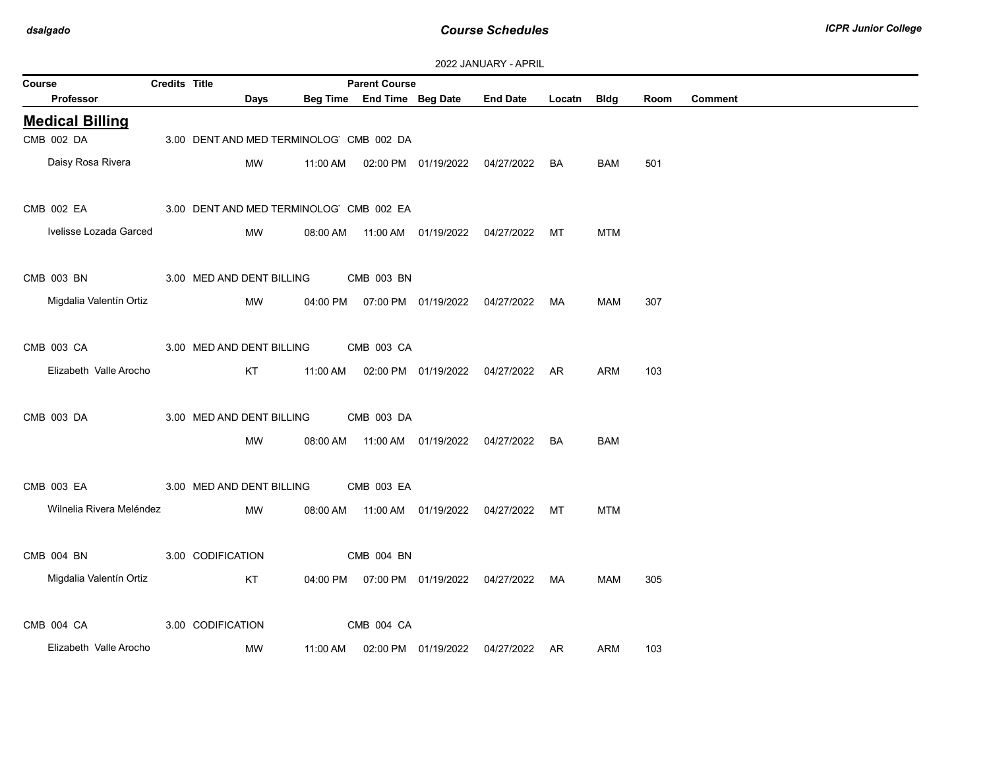| 2022 JANUARY - APRIL |  |
|----------------------|--|
|----------------------|--|

| Course     |                          | <b>Credits Title</b> |                   |                           |          | <b>Parent Course</b>                    |                                            |                                            |           |             |      |                |
|------------|--------------------------|----------------------|-------------------|---------------------------|----------|-----------------------------------------|--------------------------------------------|--------------------------------------------|-----------|-------------|------|----------------|
|            | Professor                |                      |                   | <b>Days</b>               |          | Beg Time End Time Beg Date              |                                            | <b>End Date</b>                            | Locatn    | <b>Bldg</b> | Room | <b>Comment</b> |
|            | <b>Medical Billing</b>   |                      |                   |                           |          |                                         |                                            |                                            |           |             |      |                |
| CMB 002 DA |                          |                      |                   |                           |          | 3.00 DENT AND MED TERMINOLOG CMB 002 DA |                                            |                                            |           |             |      |                |
|            | Daisy Rosa Rivera        |                      |                   | <b>MW</b>                 | 11:00 AM |                                         | 02:00 PM  01/19/2022  04/27/2022           |                                            | BA        | BAM         | 501  |                |
| CMB 002 EA |                          |                      |                   |                           |          | 3.00 DENT AND MED TERMINOLOG CMB 002 EA |                                            |                                            |           |             |      |                |
|            | Ivelisse Lozada Garced   |                      |                   | MW                        | 08:00 AM |                                         | 11:00 AM  01/19/2022  04/27/2022           |                                            | МT        | <b>MTM</b>  |      |                |
| CMB 003 BN |                          |                      |                   | 3.00 MED AND DENT BILLING |          | CMB 003 BN                              |                                            |                                            |           |             |      |                |
|            | Migdalia Valentín Ortiz  |                      |                   | <b>MW</b>                 |          |                                         |                                            | 04:00 PM  07:00 PM  01/19/2022  04/27/2022 | MA        | MAM         | 307  |                |
| CMB 003 CA |                          |                      |                   | 3.00 MED AND DENT BILLING |          | CMB 003 CA                              |                                            |                                            |           |             |      |                |
|            | Elizabeth Valle Arocho   |                      |                   | KT                        | 11:00 AM |                                         | 02:00 PM 01/19/2022                        | 04/27/2022                                 | <b>AR</b> | <b>ARM</b>  | 103  |                |
| CMB 003 DA |                          |                      |                   | 3.00 MED AND DENT BILLING |          | CMB 003 DA                              |                                            |                                            |           |             |      |                |
|            |                          |                      |                   | МW                        |          |                                         | 08:00 AM  11:00 AM  01/19/2022  04/27/2022 |                                            | BA        | BAM         |      |                |
| CMB 003 EA |                          |                      |                   | 3.00 MED AND DENT BILLING |          | CMB 003 EA                              |                                            |                                            |           |             |      |                |
|            | Wilnelia Rivera Meléndez |                      |                   | <b>MW</b>                 | 08:00 AM |                                         | 11:00 AM  01/19/2022  04/27/2022           |                                            | МT        | <b>MTM</b>  |      |                |
| CMB 004 BN |                          |                      | 3.00 CODIFICATION |                           |          | CMB 004 BN                              |                                            |                                            |           |             |      |                |
|            | Migdalia Valentín Ortiz  |                      |                   | KT                        |          |                                         | 04:00 PM   07:00 PM   01/19/2022           | 04/27/2022 MA                              |           | MAM         | 305  |                |
| CMB 004 CA |                          |                      | 3.00 CODIFICATION |                           |          | CMB 004 CA                              |                                            |                                            |           |             |      |                |
|            | Elizabeth Valle Arocho   |                      |                   | MW                        | 11:00 AM |                                         | 02:00 PM 01/19/2022                        | 04/27/2022                                 | AR        | <b>ARM</b>  | 103  |                |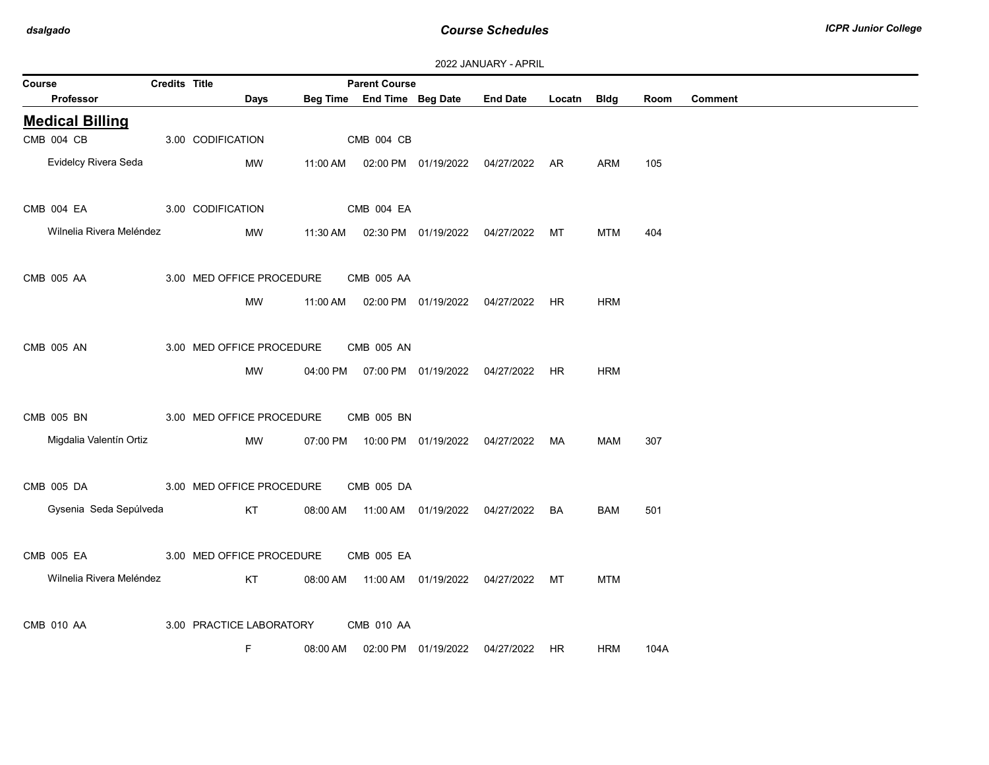| 2022 JANUARY - APRIL |  |
|----------------------|--|
|----------------------|--|

| Course                   | <b>Credits Title</b> |                           |          | <b>Parent Course</b>       | $2022$ $01110111$ |                                                |             |            |      |                |
|--------------------------|----------------------|---------------------------|----------|----------------------------|-------------------|------------------------------------------------|-------------|------------|------|----------------|
| Professor                |                      | Days                      |          | Beg Time End Time Beg Date |                   | <b>End Date</b>                                | Locatn Bldg |            | Room | <b>Comment</b> |
| <b>Medical Billing</b>   |                      |                           |          |                            |                   |                                                |             |            |      |                |
| CMB 004 CB               |                      | 3.00 CODIFICATION         |          | CMB 004 CB                 |                   |                                                |             |            |      |                |
| Evidelcy Rivera Seda     |                      | MW                        | 11:00 AM |                            |                   | 02:00 PM 01/19/2022 04/27/2022 AR              |             | ARM        | 105  |                |
| CMB 004 EA               |                      | 3.00 CODIFICATION         |          | CMB 004 EA                 |                   |                                                |             |            |      |                |
| Wilnelia Rivera Meléndez |                      | MW                        |          |                            |                   | 11:30 AM  02:30 PM  01/19/2022  04/27/2022  MT |             | MTM        | 404  |                |
| CMB 005 AA               |                      | 3.00 MED OFFICE PROCEDURE |          | CMB 005 AA                 |                   |                                                |             |            |      |                |
|                          |                      | <b>MW</b>                 | 11:00 AM |                            |                   | 02:00 PM 01/19/2022 04/27/2022 HR              |             | <b>HRM</b> |      |                |
| <b>CMB 005 AN</b>        |                      | 3.00 MED OFFICE PROCEDURE |          | CMB 005 AN                 |                   |                                                |             |            |      |                |
|                          |                      | MW                        | 04:00 PM |                            |                   | 07:00 PM 01/19/2022 04/27/2022 HR              |             | <b>HRM</b> |      |                |
| CMB 005 BN               |                      | 3.00 MED OFFICE PROCEDURE |          | CMB 005 BN                 |                   |                                                |             |            |      |                |
| Migdalia Valentín Ortiz  |                      | MW                        | 07:00 PM |                            |                   | 10:00 PM  01/19/2022  04/27/2022  MA           |             | MAM        | 307  |                |
| CMB 005 DA               |                      | 3.00 MED OFFICE PROCEDURE |          | CMB 005 DA                 |                   |                                                |             |            |      |                |
| Gysenia Seda Sepúlveda   |                      | KT                        |          |                            |                   | 08:00 AM  11:00 AM  01/19/2022  04/27/2022  BA |             | <b>BAM</b> | 501  |                |
| CMB 005 EA               |                      | 3.00 MED OFFICE PROCEDURE |          | CMB 005 EA                 |                   |                                                |             |            |      |                |
| Wilnelia Rivera Meléndez |                      | KT                        | 08:00 AM |                            |                   | 11:00 AM  01/19/2022  04/27/2022               | MT          | <b>MTM</b> |      |                |
| CMB 010 AA               |                      | 3.00 PRACTICE LABORATORY  |          | <b>CMB 010 AA</b>          |                   |                                                |             |            |      |                |
|                          |                      | F.                        | 08:00 AM |                            |                   | 02:00 PM  01/19/2022  04/27/2022  HR           |             | <b>HRM</b> | 104A |                |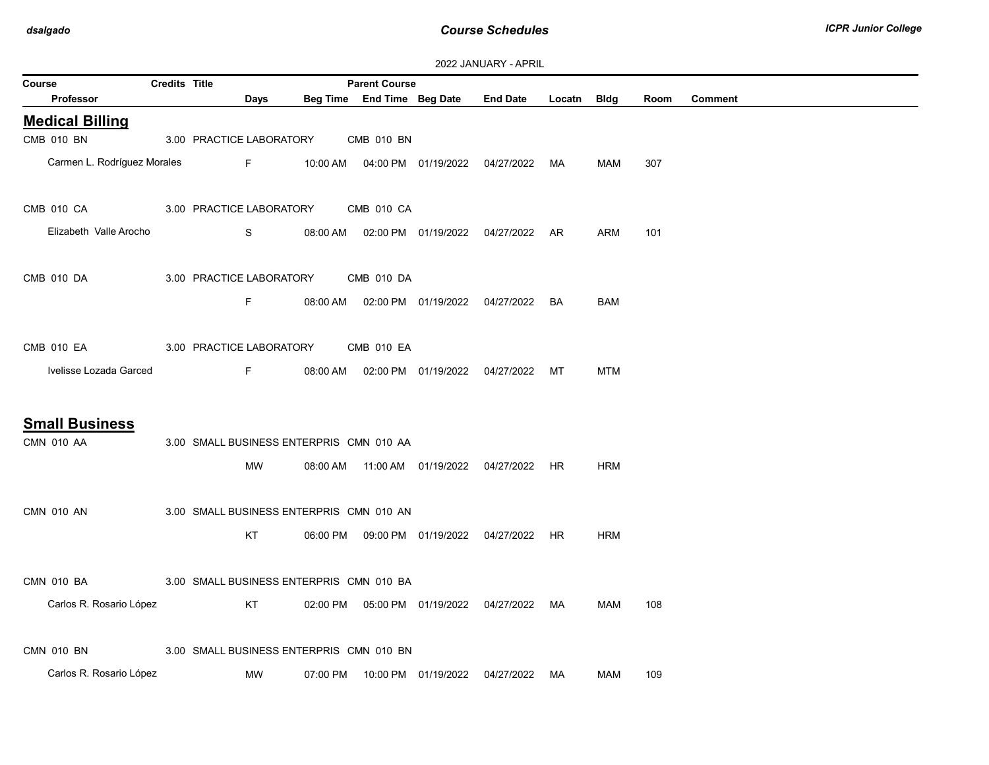| Course |                             | <b>Credits Title</b> |                          |          | <b>Parent Course</b>                     |                                            |                                                |           |            |      |                |
|--------|-----------------------------|----------------------|--------------------------|----------|------------------------------------------|--------------------------------------------|------------------------------------------------|-----------|------------|------|----------------|
|        | Professor                   |                      | Days                     |          |                                          | Beg Time End Time Beg Date                 | End Date Locatn Bldg                           |           |            | Room | <b>Comment</b> |
|        | <b>Medical Billing</b>      |                      |                          |          |                                          |                                            |                                                |           |            |      |                |
|        | CMB 010 BN                  |                      | 3.00 PRACTICE LABORATORY |          | <b>CMB 010 BN</b>                        |                                            |                                                |           |            |      |                |
|        | Carmen L. Rodríguez Morales |                      | Fig. 10                  |          |                                          |                                            | 10:00 AM  04:00 PM  01/19/2022  04/27/2022  MA |           | MAM        | 307  |                |
|        | CMB 010 CA                  |                      | 3.00 PRACTICE LABORATORY |          | CMB 010 CA                               |                                            |                                                |           |            |      |                |
|        | Elizabeth Valle Arocho      |                      | S                        |          |                                          |                                            | 08:00 AM  02:00 PM  01/19/2022  04/27/2022  AR |           | <b>ARM</b> | 101  |                |
|        | CMB 010 DA                  |                      | 3.00 PRACTICE LABORATORY |          | CMB 010 DA                               |                                            |                                                |           |            |      |                |
|        |                             |                      | F.                       | 08:00 AM |                                          | 02:00 PM  01/19/2022  04/27/2022           |                                                | BA        | <b>BAM</b> |      |                |
|        | CMB 010 EA                  |                      | 3.00 PRACTICE LABORATORY |          | <b>CMB 010 EA</b>                        |                                            |                                                |           |            |      |                |
|        | Ivelisse Lozada Garced      |                      | $F -$                    |          |                                          | 08:00 AM  02:00 PM  01/19/2022  04/27/2022 |                                                | MT        | <b>MTM</b> |      |                |
|        | <b>Small Business</b>       |                      |                          |          |                                          |                                            |                                                |           |            |      |                |
|        | <b>CMN 010 AA</b>           |                      |                          |          | 3.00 SMALL BUSINESS ENTERPRIS CMN 010 AA |                                            |                                                |           |            |      |                |
|        |                             |                      | <b>MW</b>                | 08:00 AM |                                          | 11:00 AM  01/19/2022  04/27/2022           |                                                | <b>HR</b> | <b>HRM</b> |      |                |
|        | <b>CMN 010 AN</b>           |                      |                          |          | 3.00 SMALL BUSINESS ENTERPRIS CMN 010 AN |                                            |                                                |           |            |      |                |
|        |                             |                      | KT                       |          |                                          | 06:00 PM  09:00 PM  01/19/2022  04/27/2022 |                                                | HR        | <b>HRM</b> |      |                |
|        | CMN 010 BA                  |                      |                          |          | 3.00 SMALL BUSINESS ENTERPRIS CMN 010 BA |                                            |                                                |           |            |      |                |
|        | Carlos R. Rosario López     |                      | KT                       |          |                                          | 02:00 PM  05:00 PM  01/19/2022  04/27/2022 |                                                | MA        | <b>MAM</b> | 108  |                |
|        | <b>CMN 010 BN</b>           |                      |                          |          | 3.00 SMALL BUSINESS ENTERPRIS CMN 010 BN |                                            |                                                |           |            |      |                |
|        | Carlos R. Rosario López     |                      | MW                       | 07:00 PM |                                          | 10:00 PM  01/19/2022                       | 04/27/2022                                     | MA        | <b>MAM</b> | 109  |                |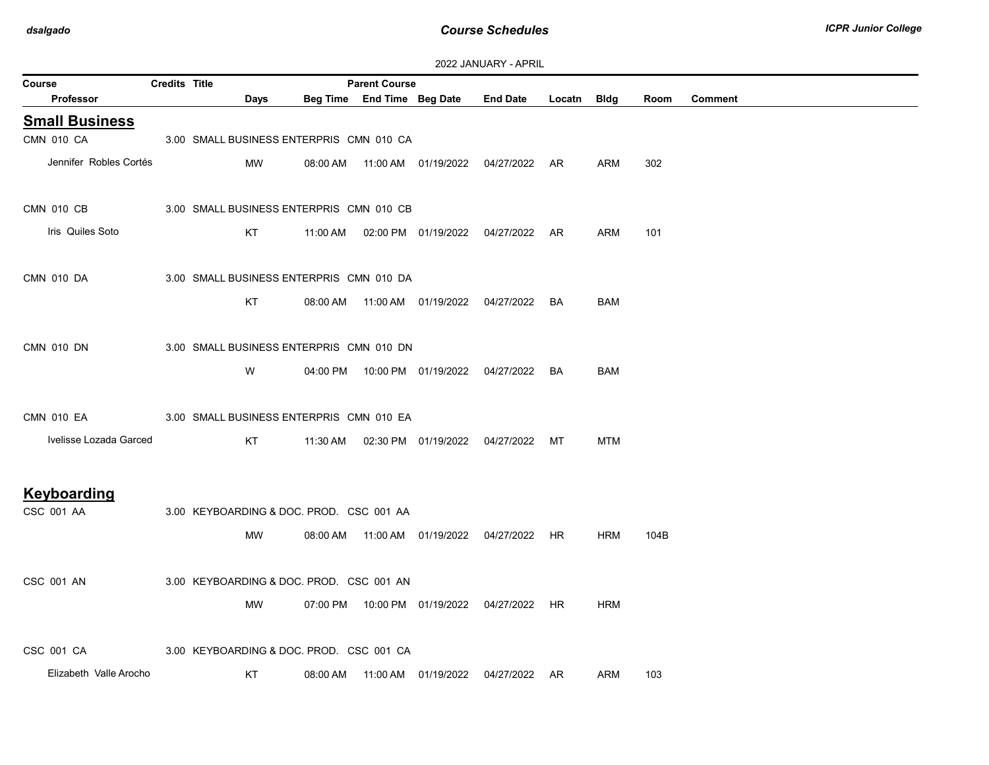| 2022 JANUARY - APRIL |  |
|----------------------|--|
|----------------------|--|

| Course                 | <b>Credits Title</b> |                                          |          | <b>Parent Course</b>       |                      | .                                              |             |            |      |                |
|------------------------|----------------------|------------------------------------------|----------|----------------------------|----------------------|------------------------------------------------|-------------|------------|------|----------------|
| Professor              |                      | Days                                     |          | Beg Time End Time Beg Date |                      | <b>End Date</b>                                | Locatn Bldg |            | Room | <b>Comment</b> |
| <b>Small Business</b>  |                      |                                          |          |                            |                      |                                                |             |            |      |                |
| CMN 010 CA             |                      | 3.00 SMALL BUSINESS ENTERPRIS CMN 010 CA |          |                            |                      |                                                |             |            |      |                |
| Jennifer Robles Cortés |                      | <b>MW</b>                                | 08:00 AM |                            |                      | 11:00 AM  01/19/2022  04/27/2022  AR           |             | ARM        | 302  |                |
| CMN 010 CB             |                      | 3.00 SMALL BUSINESS ENTERPRIS CMN 010 CB |          |                            |                      |                                                |             |            |      |                |
| Iris Quiles Soto       |                      | KT                                       | 11:00 AM |                            |                      | 02:00 PM 01/19/2022 04/27/2022 AR              |             | <b>ARM</b> | 101  |                |
| <b>CMN 010 DA</b>      |                      | 3.00 SMALL BUSINESS ENTERPRIS CMN 010 DA |          |                            |                      |                                                |             |            |      |                |
|                        |                      | KT                                       | 08:00 AM |                            |                      | 11:00 AM  01/19/2022  04/27/2022  BA           |             | BAM        |      |                |
| CMN 010 DN             |                      | 3.00 SMALL BUSINESS ENTERPRIS CMN 010 DN |          |                            |                      |                                                |             |            |      |                |
|                        |                      | W                                        |          |                            |                      | 04:00 PM  10:00 PM  01/19/2022  04/27/2022     | <b>BA</b>   | <b>BAM</b> |      |                |
| <b>CMN 010 EA</b>      |                      | 3.00 SMALL BUSINESS ENTERPRIS CMN 010 EA |          |                            |                      |                                                |             |            |      |                |
| Ivelisse Lozada Garced |                      | KT                                       |          |                            |                      | 11:30 AM  02:30 PM  01/19/2022  04/27/2022  MT |             | MTM        |      |                |
| Keyboarding            |                      |                                          |          |                            |                      |                                                |             |            |      |                |
| CSC 001 AA             |                      | 3.00 KEYBOARDING & DOC. PROD. CSC 001 AA |          |                            |                      |                                                |             |            |      |                |
|                        |                      | MW                                       | 08:00 AM |                            |                      |                                                | HR          | <b>HRM</b> | 104B |                |
| CSC 001 AN             |                      | 3.00 KEYBOARDING & DOC. PROD. CSC 001 AN |          |                            |                      |                                                |             |            |      |                |
|                        |                      | MW                                       |          |                            |                      | 07:00 PM  10:00 PM  01/19/2022  04/27/2022  HR |             | <b>HRM</b> |      |                |
| CSC 001 CA             |                      | 3.00 KEYBOARDING & DOC. PROD. CSC 001 CA |          |                            |                      |                                                |             |            |      |                |
| Elizabeth Valle Arocho |                      | KT                                       | 08:00 AM |                            | 11:00 AM  01/19/2022 | 04/27/2022                                     | AR          | <b>ARM</b> | 103  |                |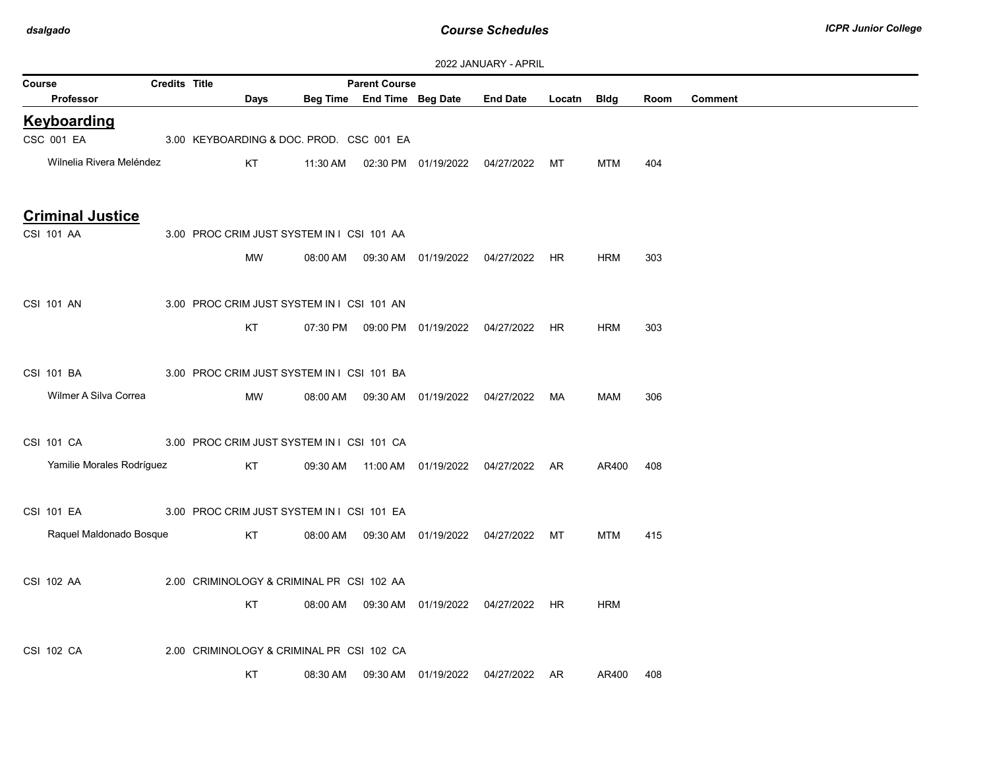|                         |                           |                      |                                            |          |                            |                                  | ZUZZ JAINUANT - AFNIL                          |           |            |      |         |
|-------------------------|---------------------------|----------------------|--------------------------------------------|----------|----------------------------|----------------------------------|------------------------------------------------|-----------|------------|------|---------|
| Course                  |                           | <b>Credits Title</b> |                                            |          | <b>Parent Course</b>       |                                  |                                                |           |            |      |         |
| Professor               |                           |                      | Days                                       |          | Beg Time End Time Beg Date |                                  | <b>End Date</b>                                | Locatn    | Bldg       | Room | Comment |
| <b>Keyboarding</b>      |                           |                      |                                            |          |                            |                                  |                                                |           |            |      |         |
| CSC 001 EA              |                           |                      | 3.00 KEYBOARDING & DOC. PROD. CSC 001 EA   |          |                            |                                  |                                                |           |            |      |         |
|                         | Wilnelia Rivera Meléndez  |                      | KT                                         | 11:30 AM |                            | 02:30 PM 01/19/2022 04/27/2022   |                                                | MT        | <b>MTM</b> | 404  |         |
|                         |                           |                      |                                            |          |                            |                                  |                                                |           |            |      |         |
| <b>Criminal Justice</b> |                           |                      |                                            |          |                            |                                  |                                                |           |            |      |         |
| CSI 101 AA              |                           |                      | 3.00 PROC CRIM JUST SYSTEM IN   CSI 101 AA |          |                            |                                  |                                                |           |            |      |         |
|                         |                           |                      | MW                                         | 08:00 AM |                            | 09:30 AM  01/19/2022  04/27/2022 |                                                | HR        | <b>HRM</b> | 303  |         |
|                         |                           |                      |                                            |          |                            |                                  |                                                |           |            |      |         |
| CSI 101 AN              |                           |                      | 3.00 PROC CRIM JUST SYSTEM IN   CSI 101 AN |          |                            |                                  |                                                |           |            |      |         |
|                         |                           |                      | KT                                         |          |                            |                                  | 07:30 PM  09:00 PM  01/19/2022  04/27/2022  HR |           | <b>HRM</b> | 303  |         |
|                         |                           |                      |                                            |          |                            |                                  |                                                |           |            |      |         |
| CSI 101 BA              |                           |                      | 3.00 PROC CRIM JUST SYSTEM IN   CSI 101 BA |          |                            |                                  |                                                |           |            |      |         |
|                         |                           |                      |                                            |          |                            |                                  |                                                |           |            |      |         |
|                         | Wilmer A Silva Correa     |                      | MW                                         | 08:00 AM |                            |                                  | 04/27/2022                                     | MA        | MAM        | 306  |         |
|                         |                           |                      |                                            |          |                            |                                  |                                                |           |            |      |         |
| CSI 101 CA              |                           |                      | 3.00 PROC CRIM JUST SYSTEM IN   CSI 101 CA |          |                            |                                  |                                                |           |            |      |         |
|                         | Yamilie Morales Rodríguez |                      | KT                                         |          |                            |                                  | 09:30 AM  11:00 AM  01/19/2022  04/27/2022  AR |           | AR400      | 408  |         |
|                         |                           |                      |                                            |          |                            |                                  |                                                |           |            |      |         |
| CSI 101 EA              |                           |                      | 3.00 PROC CRIM JUST SYSTEM IN   CSI 101 EA |          |                            |                                  |                                                |           |            |      |         |
|                         | Raquel Maldonado Bosque   |                      | KT                                         | 08:00 AM |                            |                                  | 09:30 AM  01/19/2022  04/27/2022  MT           |           | <b>MTM</b> | 415  |         |
|                         |                           |                      |                                            |          |                            |                                  |                                                |           |            |      |         |
| CSI 102 AA              |                           |                      | 2.00 CRIMINOLOGY & CRIMINAL PF CSI 102 AA  |          |                            |                                  |                                                |           |            |      |         |
|                         |                           |                      | KT                                         | 08:00 AM |                            | 09:30 AM  01/19/2022             | 04/27/2022                                     | <b>HR</b> | <b>HRM</b> |      |         |
|                         |                           |                      |                                            |          |                            |                                  |                                                |           |            |      |         |
| CSI 102 CA              |                           |                      | 2.00 CRIMINOLOGY & CRIMINAL PF CSI 102 CA  |          |                            |                                  |                                                |           |            |      |         |
|                         |                           |                      | KT                                         |          |                            |                                  | 04/27/2022 AR                                  |           |            |      |         |
|                         |                           |                      |                                            | 08:30 AM |                            | 09:30 AM  01/19/2022             |                                                |           | AR400      | 408  |         |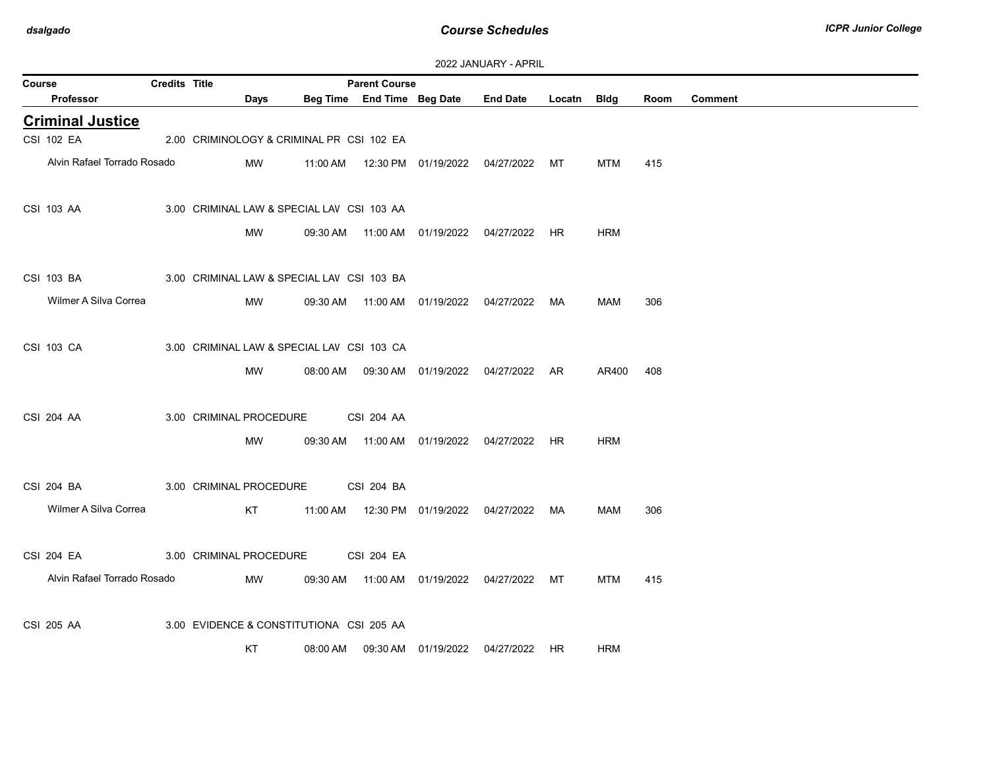| 2022 JANUARY - APRIL |  |
|----------------------|--|
|----------------------|--|

| Course |                             | Credits Title |                                            |          | <b>Parent Course</b> |                                            |                                      |             |            |      |                |
|--------|-----------------------------|---------------|--------------------------------------------|----------|----------------------|--------------------------------------------|--------------------------------------|-------------|------------|------|----------------|
|        | Professor                   |               | Days                                       |          |                      | Beg Time End Time Beg Date End Date        |                                      | Locatn Bldg |            | Room | <b>Comment</b> |
|        | <b>Criminal Justice</b>     |               |                                            |          |                      |                                            |                                      |             |            |      |                |
|        | <b>CSI 102 EA</b>           |               | 2.00 CRIMINOLOGY & CRIMINAL PF CSI 102 EA  |          |                      |                                            |                                      |             |            |      |                |
|        | Alvin Rafael Torrado Rosado |               | MW                                         | 11:00 AM |                      |                                            | 12:30 PM  01/19/2022  04/27/2022  MT |             | MTM        | 415  |                |
|        | CSI 103 AA                  |               | 3.00 CRIMINAL LAW & SPECIAL LAV CSI 103 AA |          |                      |                                            |                                      |             |            |      |                |
|        |                             |               | MW                                         | 09:30 AM |                      |                                            |                                      | <b>HR</b>   | <b>HRM</b> |      |                |
|        | CSI 103 BA                  |               | 3.00 CRIMINAL LAW & SPECIAL LAV CSI 103 BA |          |                      |                                            |                                      |             |            |      |                |
|        | Wilmer A Silva Correa       |               | MW                                         | 09:30 AM |                      |                                            |                                      |             | MAM        | 306  |                |
|        | CSI 103 CA                  |               | 3.00 CRIMINAL LAW & SPECIAL LAV CSI 103 CA |          |                      |                                            |                                      |             |            |      |                |
|        |                             |               | MW                                         | 08:00 AM |                      |                                            | 09:30 AM  01/19/2022  04/27/2022  AR |             | AR400      | 408  |                |
|        | <b>CSI 204 AA</b>           |               | 3.00 CRIMINAL PROCEDURE                    |          | CSI 204 AA           |                                            |                                      |             |            |      |                |
|        |                             |               | <b>MW</b>                                  | 09:30 AM |                      |                                            |                                      | HR.         | HRM        |      |                |
|        | CSI 204 BA                  |               | 3.00 CRIMINAL PROCEDURE                    |          | CSI 204 BA           |                                            |                                      |             |            |      |                |
|        | Wilmer A Silva Correa       |               | KT                                         |          |                      | 11:00 AM  12:30 PM  01/19/2022  04/27/2022 |                                      | MA          | <b>MAM</b> | 306  |                |
|        | <b>CSI 204 EA</b>           |               | 3.00 CRIMINAL PROCEDURE                    |          | <b>CSI 204 EA</b>    |                                            |                                      |             |            |      |                |
|        | Alvin Rafael Torrado Rosado |               | MW                                         | 09:30 AM |                      | 11:00 AM  01/19/2022  04/27/2022           |                                      | MT          | <b>MTM</b> | 415  |                |
|        | CSI 205 AA                  |               | 3.00 EVIDENCE & CONSTITUTIONA CSI 205 AA   |          |                      |                                            |                                      |             |            |      |                |
|        |                             |               | KT                                         | 08:00 AM |                      | 09:30 AM  01/19/2022  04/27/2022           |                                      | HR.         | <b>HRM</b> |      |                |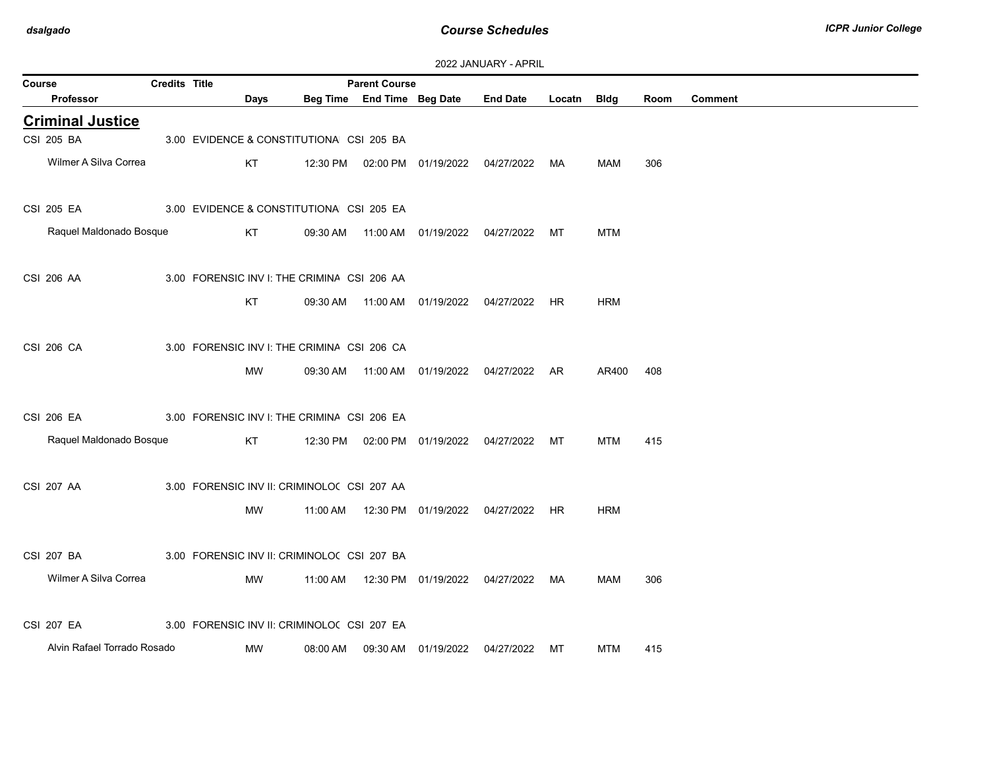| 2022 JANUARY - APRIL |
|----------------------|
|----------------------|

| Course |                             | <b>Credits Title</b> |                                             |          | <b>Parent Course</b>       |                                            |                 |             |            |      |                |
|--------|-----------------------------|----------------------|---------------------------------------------|----------|----------------------------|--------------------------------------------|-----------------|-------------|------------|------|----------------|
|        | Professor                   |                      | Days                                        |          | Beg Time End Time Beg Date |                                            | <b>End Date</b> | Locatn Bldg |            | Room | <b>Comment</b> |
|        | <b>Criminal Justice</b>     |                      |                                             |          |                            |                                            |                 |             |            |      |                |
|        | CSI 205 BA                  |                      | 3.00 EVIDENCE & CONSTITUTIONA CSI 205 BA    |          |                            |                                            |                 |             |            |      |                |
|        | Wilmer A Silva Correa       |                      | KT                                          |          |                            | 12:30 PM  02:00 PM  01/19/2022             | 04/27/2022      | МA          | MAM        | 306  |                |
|        | CSI 205 EA                  |                      | 3.00 EVIDENCE & CONSTITUTIONA CSI 205 EA    |          |                            |                                            |                 |             |            |      |                |
|        | Raquel Maldonado Bosque     |                      | KT                                          | 09:30 AM |                            |                                            | 04/27/2022      | МT          | <b>MTM</b> |      |                |
|        | CSI 206 AA                  |                      | 3.00 FORENSIC INV I: THE CRIMINA CSI 206 AA |          |                            |                                            |                 |             |            |      |                |
|        |                             |                      | KT                                          |          |                            | 09:30 AM  11:00 AM  01/19/2022  04/27/2022 |                 | HR          | <b>HRM</b> |      |                |
|        | CSI 206 CA                  |                      | 3.00 FORENSIC INV I: THE CRIMINA CSI 206 CA |          |                            |                                            |                 |             |            |      |                |
|        |                             |                      | MW                                          | 09:30 AM |                            | 11:00 AM  01/19/2022                       | 04/27/2022      | AR          | AR400      | 408  |                |
|        | CSI 206 EA                  |                      | 3.00 FORENSIC INV I: THE CRIMINA CSI 206 EA |          |                            |                                            |                 |             |            |      |                |
|        | Raquel Maldonado Bosque     |                      | KT                                          |          |                            | 12:30 PM  02:00 PM  01/19/2022  04/27/2022 |                 | MT          | MTM        | 415  |                |
|        | <b>CSI 207 AA</b>           |                      | 3.00 FORENSIC INV II: CRIMINOLO( CSI 207 AA |          |                            |                                            |                 |             |            |      |                |
|        |                             |                      | МW                                          |          |                            | 11:00 AM  12:30 PM  01/19/2022  04/27/2022 |                 | HR          | <b>HRM</b> |      |                |
|        | CSI 207 BA                  |                      | 3.00 FORENSIC INV II: CRIMINOLO( CSI 207 BA |          |                            |                                            |                 |             |            |      |                |
|        | Wilmer A Silva Correa       |                      | MW                                          | 11:00 AM |                            | 12:30 PM 01/19/2022                        | 04/27/2022      | МA          | MAM        | 306  |                |
|        | <b>CSI 207 EA</b>           |                      | 3.00 FORENSIC INV II: CRIMINOLO( CSI 207 EA |          |                            |                                            |                 |             |            |      |                |
|        | Alvin Rafael Torrado Rosado |                      | MW                                          | 08:00 AM |                            | 09:30 AM 01/19/2022                        | 04/27/2022      | МT          | <b>MTM</b> | 415  |                |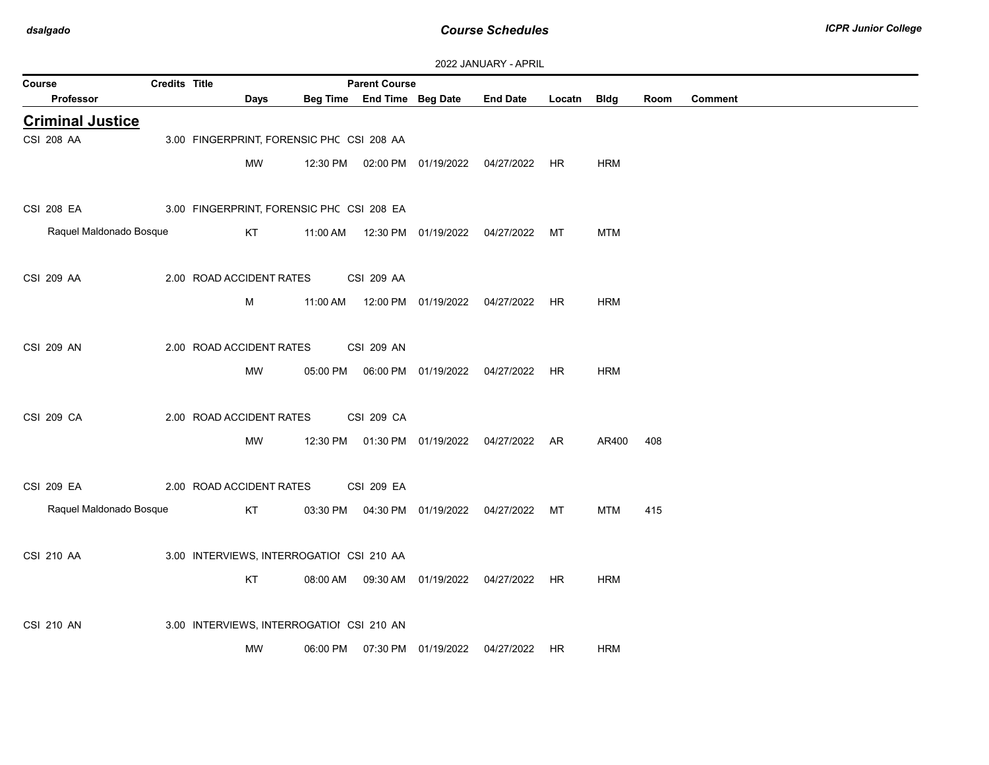| 2022 JANUARY - APRIL |  |  |  |  |
|----------------------|--|--|--|--|
|----------------------|--|--|--|--|

| Course |                         | Credits Title |                                           |          | <b>Parent Course</b>       |                                |                                   |             |            |      |                |
|--------|-------------------------|---------------|-------------------------------------------|----------|----------------------------|--------------------------------|-----------------------------------|-------------|------------|------|----------------|
|        | Professor               |               | Days                                      |          | Beg Time End Time Beg Date |                                | <b>End Date</b>                   | Locatn Bldg |            | Room | <b>Comment</b> |
|        | <b>Criminal Justice</b> |               |                                           |          |                            |                                |                                   |             |            |      |                |
|        | CSI 208 AA              |               | 3.00 FINGERPRINT, FORENSIC PHC CSI 208 AA |          |                            |                                |                                   |             |            |      |                |
|        |                         |               | MW                                        | 12:30 PM |                            |                                |                                   |             | <b>HRM</b> |      |                |
|        |                         |               |                                           |          |                            |                                |                                   |             |            |      |                |
|        | CSI 208 EA              |               | 3.00 FINGERPRINT, FORENSIC PHC CSI 208 EA |          |                            |                                |                                   |             |            |      |                |
|        | Raquel Maldonado Bosque |               | KT                                        | 11:00 AM |                            | 12:30 PM 01/19/2022            | 04/27/2022                        | МT          | <b>MTM</b> |      |                |
|        |                         |               |                                           |          |                            |                                |                                   |             |            |      |                |
|        | CSI 209 AA              |               | 2.00 ROAD ACCIDENT RATES                  |          | <b>CSI 209 AA</b>          |                                |                                   |             |            |      |                |
|        |                         |               | м                                         | 11:00 AM |                            | 12:00 PM 01/19/2022            | 04/27/2022 HR                     |             | <b>HRM</b> |      |                |
|        |                         |               |                                           |          |                            |                                |                                   |             |            |      |                |
|        | CSI 209 AN              |               | 2.00 ROAD ACCIDENT RATES                  |          | <b>CSI 209 AN</b>          |                                |                                   |             |            |      |                |
|        |                         |               | <b>MW</b>                                 | 05:00 PM |                            |                                | 06:00 PM 01/19/2022 04/27/2022 HR |             | <b>HRM</b> |      |                |
|        |                         |               |                                           |          |                            |                                |                                   |             |            |      |                |
|        | CSI 209 CA              |               | 2.00 ROAD ACCIDENT RATES                  |          | CSI 209 CA                 |                                |                                   |             |            |      |                |
|        |                         |               | MW                                        | 12:30 PM |                            | 01:30 PM 01/19/2022            | 04/27/2022                        | AR          | AR400      | 408  |                |
|        |                         |               |                                           |          |                            |                                |                                   |             |            |      |                |
|        | CSI 209 EA              |               | 2.00 ROAD ACCIDENT RATES                  |          | <b>CSI 209 EA</b>          |                                |                                   |             |            |      |                |
|        | Raquel Maldonado Bosque |               | KT                                        |          |                            | 03:30 PM  04:30 PM  01/19/2022 | 04/27/2022 MT                     |             | MTM        | 415  |                |
|        |                         |               |                                           |          |                            |                                |                                   |             |            |      |                |
|        | CSI 210 AA              |               | 3.00 INTERVIEWS, INTERROGATIOI CSI 210 AA |          |                            |                                |                                   |             |            |      |                |
|        |                         |               | KT                                        |          |                            | 08:00 AM  09:30 AM  01/19/2022 | 04/27/2022 HR                     |             | <b>HRM</b> |      |                |
|        |                         |               |                                           |          |                            |                                |                                   |             |            |      |                |
|        | <b>CSI 210 AN</b>       |               | 3.00 INTERVIEWS, INTERROGATIOI CSI 210 AN |          |                            |                                |                                   |             |            |      |                |
|        |                         |               | <b>MW</b>                                 | 06:00 PM |                            | 07:30 PM 01/19/2022            | 04/27/2022                        | HR          | <b>HRM</b> |      |                |
|        |                         |               |                                           |          |                            |                                |                                   |             |            |      |                |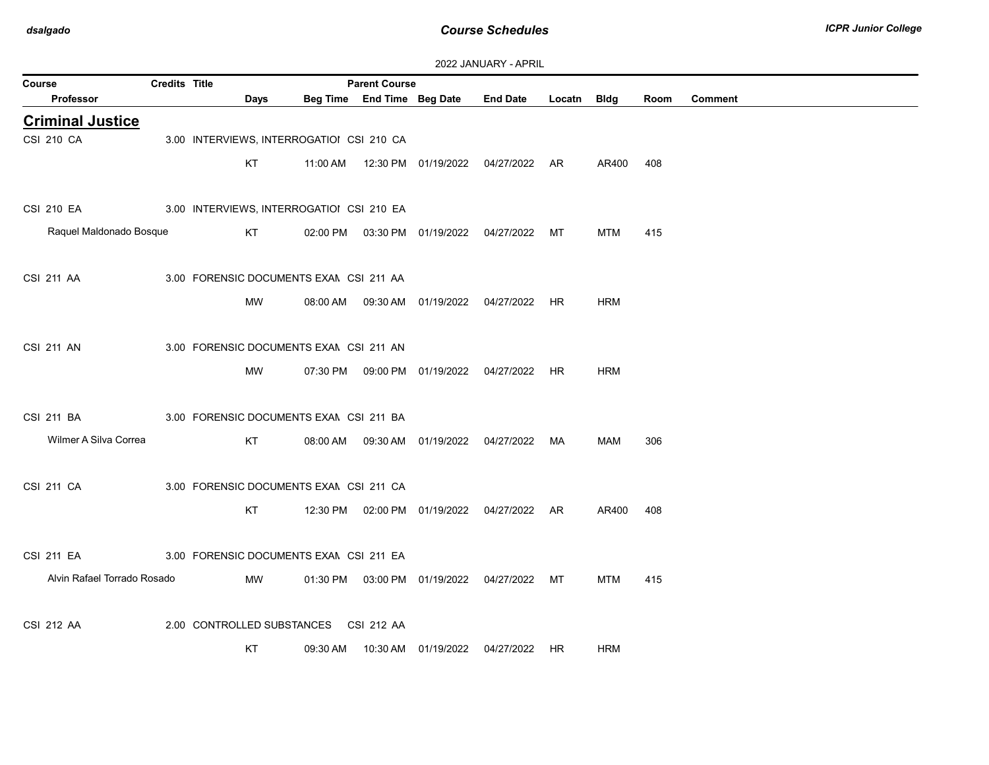| 2022 JANUARY - APRIL |  |  |  |  |
|----------------------|--|--|--|--|
|----------------------|--|--|--|--|

| Course                      | <b>Credits Title</b> |                                           |           |          | <b>Parent Course</b>       |                                                | 2022 <del>UNIVON</del> ILLE ALILLE |        |             |      |                |
|-----------------------------|----------------------|-------------------------------------------|-----------|----------|----------------------------|------------------------------------------------|------------------------------------|--------|-------------|------|----------------|
| Professor                   |                      |                                           | Days      |          | Beg Time End Time Beg Date |                                                | <b>End Date</b>                    | Locatn | <b>Bldg</b> | Room | <b>Comment</b> |
| <b>Criminal Justice</b>     |                      |                                           |           |          |                            |                                                |                                    |        |             |      |                |
| CSI 210 CA                  |                      | 3.00 INTERVIEWS, INTERROGATIOI CSI 210 CA |           |          |                            |                                                |                                    |        |             |      |                |
|                             |                      | KT                                        |           | 11:00 AM |                            |                                                |                                    |        | AR400       | 408  |                |
| <b>CSI 210 EA</b>           |                      | 3.00 INTERVIEWS, INTERROGATIOI CSI 210 EA |           |          |                            |                                                |                                    |        |             |      |                |
| Raquel Maldonado Bosque     |                      | KT                                        |           | 02:00 PM |                            | 03:30 PM  01/19/2022  04/27/2022               |                                    | МT     | <b>MTM</b>  | 415  |                |
| <b>CSI 211 AA</b>           |                      | 3.00 FORENSIC DOCUMENTS EXAN CSI 211 AA   |           |          |                            |                                                |                                    |        |             |      |                |
|                             |                      |                                           | <b>MW</b> |          |                            | 08:00 AM  09:30 AM  01/19/2022  04/27/2022  HR |                                    |        | <b>HRM</b>  |      |                |
| <b>CSI 211 AN</b>           |                      | 3.00 FORENSIC DOCUMENTS EXAM CSI 211 AN   |           |          |                            |                                                |                                    |        |             |      |                |
|                             |                      |                                           | MW        | 07:30 PM |                            | 09:00 PM  01/19/2022  04/27/2022               |                                    | HR.    | <b>HRM</b>  |      |                |
| CSI 211 BA                  |                      | 3.00 FORENSIC DOCUMENTS EXAN CSI 211 BA   |           |          |                            |                                                |                                    |        |             |      |                |
| Wilmer A Silva Correa       |                      | KT                                        |           | 08:00 AM |                            | 09:30 AM  01/19/2022  04/27/2022  MA           |                                    |        | MAM         | 306  |                |
| <b>CSI 211 CA</b>           |                      | 3.00 FORENSIC DOCUMENTS EXAN CSI 211 CA   |           |          |                            |                                                |                                    |        |             |      |                |
|                             |                      | KT                                        |           |          |                            | 12:30 PM  02:00 PM  01/19/2022  04/27/2022  AR |                                    |        | AR400       | 408  |                |
| CSI 211 EA                  |                      | 3.00 FORENSIC DOCUMENTS EXAN CSI 211 EA   |           |          |                            |                                                |                                    |        |             |      |                |
| Alvin Rafael Torrado Rosado |                      |                                           | MW        |          |                            | 01:30 PM  03:00 PM  01/19/2022  04/27/2022     |                                    | МT     | <b>MTM</b>  | 415  |                |
| CSI 212 AA                  |                      | 2.00 CONTROLLED SUBSTANCES                |           |          | CSI 212 AA                 |                                                |                                    |        |             |      |                |
|                             |                      | KT                                        |           | 09:30 AM |                            | 10:30 AM  01/19/2022                           | 04/27/2022 HR                      |        | <b>HRM</b>  |      |                |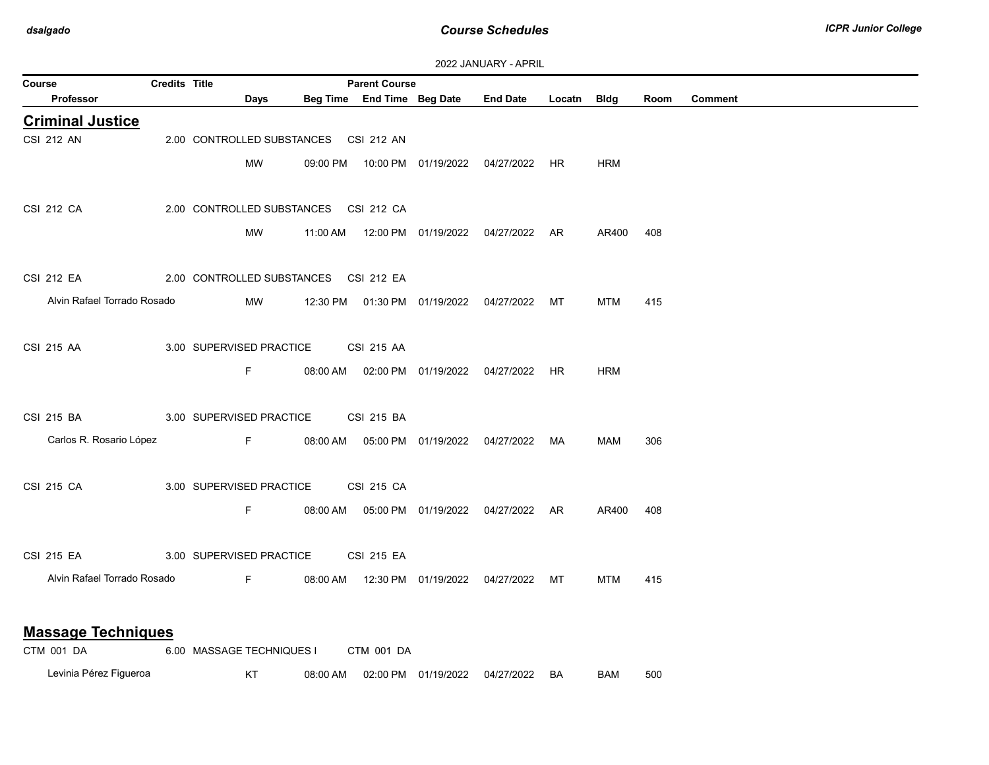| Course                      | <b>Credits Title</b> |                                       | <b>Parent Course</b> |                                            |                                                |             |            |      |                |
|-----------------------------|----------------------|---------------------------------------|----------------------|--------------------------------------------|------------------------------------------------|-------------|------------|------|----------------|
| Professor                   |                      | Days                                  |                      | Beg Time End Time Beg Date                 | <b>End Date</b>                                | Locatn Bldg |            | Room | <b>Comment</b> |
| <b>Criminal Justice</b>     |                      |                                       |                      |                                            |                                                |             |            |      |                |
| <b>CSI 212 AN</b>           |                      | 2.00 CONTROLLED SUBSTANCES CSI 212 AN |                      |                                            |                                                |             |            |      |                |
|                             |                      | <b>MW</b>                             |                      |                                            | 09:00 PM  10:00 PM  01/19/2022  04/27/2022  HR |             | <b>HRM</b> |      |                |
|                             |                      |                                       |                      |                                            |                                                |             |            |      |                |
| CSI 212 CA                  |                      | 2.00 CONTROLLED SUBSTANCES CSI 212 CA |                      |                                            |                                                |             |            |      |                |
|                             |                      | MW                                    |                      |                                            |                                                |             | AR400      | 408  |                |
|                             |                      |                                       |                      |                                            |                                                |             |            |      |                |
| <b>CSI 212 EA</b>           |                      | 2.00 CONTROLLED SUBSTANCES CSI 212 EA |                      |                                            |                                                |             |            |      |                |
|                             |                      |                                       |                      |                                            |                                                |             |            |      |                |
| Alvin Rafael Torrado Rosado |                      | MW                                    |                      |                                            | 12:30 PM  01:30 PM  01/19/2022  04/27/2022  MT |             | MTM        | 415  |                |
|                             |                      |                                       |                      |                                            |                                                |             |            |      |                |
| CSI 215 AA                  |                      | 3.00 SUPERVISED PRACTICE              | CSI 215 AA           |                                            |                                                |             |            |      |                |
|                             |                      | F.                                    |                      | 08:00 AM  02:00 PM  01/19/2022  04/27/2022 |                                                | HR          | <b>HRM</b> |      |                |
|                             |                      |                                       |                      |                                            |                                                |             |            |      |                |
| CSI 215 BA                  |                      | 3.00 SUPERVISED PRACTICE              | CSI 215 BA           |                                            |                                                |             |            |      |                |
| Carlos R. Rosario López     |                      | F <sub>12</sub>                       |                      |                                            | 08:00 AM  05:00 PM  01/19/2022  04/27/2022  MA |             | MAM        | 306  |                |
|                             |                      |                                       |                      |                                            |                                                |             |            |      |                |
| CSI 215 CA                  |                      | 3.00 SUPERVISED PRACTICE              | CSI 215 CA           |                                            |                                                |             |            |      |                |
|                             |                      | F.                                    |                      |                                            | 08:00 AM  05:00 PM  01/19/2022  04/27/2022  AR |             | AR400      | 408  |                |
|                             |                      |                                       |                      |                                            |                                                |             |            |      |                |
| CSI 215 EA                  |                      | 3.00 SUPERVISED PRACTICE              | CSI 215 EA           |                                            |                                                |             |            |      |                |
| Alvin Rafael Torrado Rosado |                      | Fig. 10                               |                      |                                            | 08:00 AM  12:30 PM  01/19/2022  04/27/2022     | MT          | MTM        | 415  |                |
|                             |                      |                                       |                      |                                            |                                                |             |            |      |                |
|                             |                      |                                       |                      |                                            |                                                |             |            |      |                |
| <b>Massage Techniques</b>   |                      |                                       |                      |                                            |                                                |             |            |      |                |
| CTM 001 DA                  |                      | 6.00 MASSAGE TECHNIQUES I             | CTM 001 DA           |                                            |                                                |             |            |      |                |

Levinia Pérez Figueroa **KT** 08:00 AM 02:00 PM 01/19/2022 04/27/2022 BA BAM 500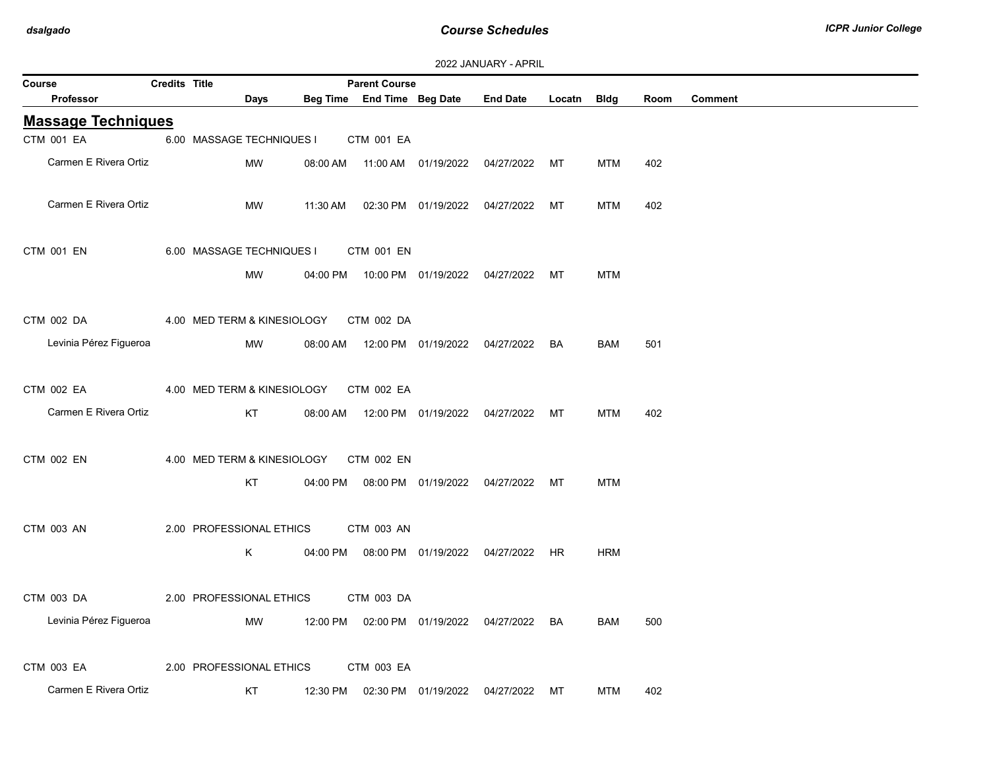|               |                           |                      |                             |          |                            |                                            | ZUZZ JAINUANT - AFNIL |           |             |      |                |
|---------------|---------------------------|----------------------|-----------------------------|----------|----------------------------|--------------------------------------------|-----------------------|-----------|-------------|------|----------------|
| <b>Course</b> |                           | <b>Credits Title</b> |                             |          | <b>Parent Course</b>       |                                            |                       |           |             |      |                |
|               | Professor                 |                      | Days                        |          | Beg Time End Time Beg Date |                                            | <b>End Date</b>       | Locatn    | <b>Bldg</b> | Room | <b>Comment</b> |
|               | <b>Massage Techniques</b> |                      |                             |          |                            |                                            |                       |           |             |      |                |
|               | CTM 001 EA                |                      | 6.00 MASSAGE TECHNIQUES I   |          | CTM 001 EA                 |                                            |                       |           |             |      |                |
|               | Carmen E Rivera Ortiz     |                      | <b>MW</b>                   |          |                            | 08:00 AM  11:00 AM  01/19/2022             | 04/27/2022            | МT        | <b>MTM</b>  | 402  |                |
|               |                           |                      |                             |          |                            |                                            |                       |           |             |      |                |
|               | Carmen E Rivera Ortiz     |                      | <b>MW</b>                   | 11:30 AM |                            | 02:30 PM 01/19/2022                        | 04/27/2022            | MT        | <b>MTM</b>  | 402  |                |
|               |                           |                      |                             |          |                            |                                            |                       |           |             |      |                |
|               | CTM 001 EN                |                      | 6.00 MASSAGE TECHNIQUES I   |          | CTM 001 EN                 |                                            |                       |           |             |      |                |
|               |                           |                      | MW                          |          |                            | 04:00 PM  10:00 PM  01/19/2022  04/27/2022 |                       | МT        | <b>MTM</b>  |      |                |
|               |                           |                      |                             |          |                            |                                            |                       |           |             |      |                |
|               |                           |                      |                             |          |                            |                                            |                       |           |             |      |                |
|               | CTM 002 DA                |                      | 4.00 MED TERM & KINESIOLOGY |          | CTM 002 DA                 |                                            |                       |           |             |      |                |
|               | Levinia Pérez Figueroa    |                      | <b>MW</b>                   | 08:00 AM |                            | 12:00 PM 01/19/2022                        | 04/27/2022            | <b>BA</b> | <b>BAM</b>  | 501  |                |
|               |                           |                      |                             |          |                            |                                            |                       |           |             |      |                |
|               | CTM 002 EA                |                      | 4.00 MED TERM & KINESIOLOGY |          | CTM 002 EA                 |                                            |                       |           |             |      |                |
|               | Carmen E Rivera Ortiz     |                      | KT                          |          |                            | 08:00 AM  12:00 PM  01/19/2022             | 04/27/2022            | МT        | MTM         | 402  |                |
|               |                           |                      |                             |          |                            |                                            |                       |           |             |      |                |
|               | CTM 002 EN                |                      | 4.00 MED TERM & KINESIOLOGY |          | CTM 002 EN                 |                                            |                       |           |             |      |                |
|               |                           |                      |                             |          |                            |                                            |                       |           |             |      |                |
|               |                           |                      | KT                          |          |                            | 04:00 PM  08:00 PM  01/19/2022  04/27/2022 |                       | МT        | <b>MTM</b>  |      |                |
|               |                           |                      |                             |          |                            |                                            |                       |           |             |      |                |
|               | CTM 003 AN                |                      | 2.00 PROFESSIONAL ETHICS    |          | <b>CTM 003 AN</b>          |                                            |                       |           |             |      |                |
|               |                           |                      | Κ                           |          |                            | 04:00 PM  08:00 PM  01/19/2022  04/27/2022 |                       | <b>HR</b> | <b>HRM</b>  |      |                |
|               |                           |                      |                             |          |                            |                                            |                       |           |             |      |                |
|               | CTM 003 DA                |                      | 2.00 PROFESSIONAL ETHICS    |          | CTM 003 DA                 |                                            |                       |           |             |      |                |
|               | Levinia Pérez Figueroa    |                      | MW                          |          |                            | 12:00 PM  02:00 PM  01/19/2022  04/27/2022 |                       | BA        | BAM         | 500  |                |
|               |                           |                      |                             |          |                            |                                            |                       |           |             |      |                |
|               |                           |                      |                             |          |                            |                                            |                       |           |             |      |                |
|               | CTM 003 EA                |                      | 2.00 PROFESSIONAL ETHICS    |          | CTM 003 EA                 |                                            |                       |           |             |      |                |
|               | Carmen E Rivera Ortiz     |                      | КT                          | 12:30 PM |                            | 02:30 PM 01/19/2022                        | 04/27/2022            | МT        | <b>MTM</b>  | 402  |                |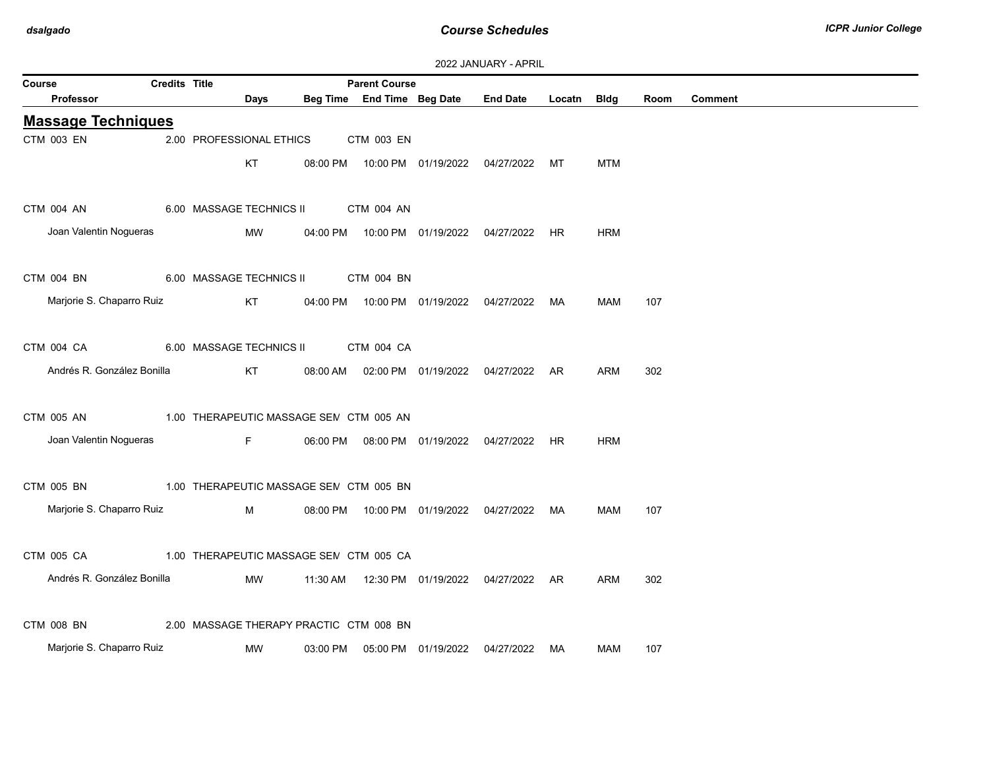|        |                                                    |                      |                          |                                                    |                                            | <b>LULL UNIVORISE FRIESIL</b>                  |             |            |      |                |
|--------|----------------------------------------------------|----------------------|--------------------------|----------------------------------------------------|--------------------------------------------|------------------------------------------------|-------------|------------|------|----------------|
| Course | Professor                                          | <b>Credits Title</b> | Days                     | <b>Parent Course</b><br>Beg Time End Time Beg Date |                                            | <b>End Date</b>                                | Locatn Bldg |            | Room | <b>Comment</b> |
|        |                                                    |                      |                          |                                                    |                                            |                                                |             |            |      |                |
|        | <b>Massage Techniques</b>                          |                      |                          |                                                    |                                            |                                                |             |            |      |                |
|        | CTM 003 EN                                         |                      | 2.00 PROFESSIONAL ETHICS | CTM 003 EN                                         |                                            |                                                |             |            |      |                |
|        |                                                    |                      | KT                       |                                                    |                                            | 08:00 PM  10:00 PM  01/19/2022  04/27/2022  MT |             | <b>MTM</b> |      |                |
|        |                                                    |                      |                          |                                                    |                                            |                                                |             |            |      |                |
|        | CTM 004 AN                                         |                      |                          | 6.00 MASSAGE TECHNICS II CTM 004 AN                |                                            |                                                |             |            |      |                |
|        | Joan Valentin Nogueras                             |                      | MW                       |                                                    |                                            | 04:00 PM  10:00 PM  01/19/2022  04/27/2022  HR |             | <b>HRM</b> |      |                |
|        |                                                    |                      |                          |                                                    |                                            |                                                |             |            |      |                |
|        |                                                    |                      |                          |                                                    |                                            |                                                |             |            |      |                |
|        | CTM 004 BN                                         |                      |                          | 6.00 MASSAGE TECHNICS II CTM 004 BN                |                                            |                                                |             |            |      |                |
|        | Marjorie S. Chaparro Ruiz                          |                      | KT                       |                                                    |                                            | 04:00 PM  10:00 PM  01/19/2022  04/27/2022  MA |             | MAM        | 107  |                |
|        |                                                    |                      |                          |                                                    |                                            |                                                |             |            |      |                |
|        | CTM 004 CA                                         |                      |                          | 6.00 MASSAGE TECHNICS II CTM 004 CA                |                                            |                                                |             |            |      |                |
|        | Andrés R. González Bonilla                         |                      | KT                       |                                                    |                                            | 08:00 AM  02:00 PM  01/19/2022  04/27/2022  AR |             | <b>ARM</b> | 302  |                |
|        |                                                    |                      |                          |                                                    |                                            |                                                |             |            |      |                |
|        |                                                    |                      |                          |                                                    |                                            |                                                |             |            |      |                |
|        | CTM 005 AN                                         |                      |                          | 1.00 THERAPEUTIC MASSAGE SEN CTM 005 AN            |                                            |                                                |             |            |      |                |
|        | Joan Valentin Nogueras                             |                      | F                        |                                                    |                                            | 06:00 PM  08:00 PM  01/19/2022  04/27/2022  HR |             | <b>HRM</b> |      |                |
|        |                                                    |                      |                          |                                                    |                                            |                                                |             |            |      |                |
|        | CTM 005 BN                                         |                      |                          | 1.00 THERAPEUTIC MASSAGE SEN CTM 005 BN            |                                            |                                                |             |            |      |                |
|        | Marjorie S. Chaparro Ruiz                          |                      | M                        |                                                    |                                            | 08:00 PM  10:00 PM  01/19/2022  04/27/2022  MA |             | MAM        | 107  |                |
|        |                                                    |                      |                          |                                                    |                                            |                                                |             |            |      |                |
|        |                                                    |                      |                          |                                                    |                                            |                                                |             |            |      |                |
|        | CTM 005 CA                                         |                      |                          | 1.00 THERAPEUTIC MASSAGE SEN CTM 005 CA            |                                            |                                                |             |            |      |                |
|        | Andrés R. González Bonilla                         |                      | MW                       |                                                    |                                            | 11:30 AM  12:30 PM  01/19/2022  04/27/2022  AR |             | ARM        | 302  |                |
|        |                                                    |                      |                          |                                                    |                                            |                                                |             |            |      |                |
|        | CTM 008 BN 2.00 MASSAGE THERAPY PRACTIC CTM 008 BN |                      |                          |                                                    |                                            |                                                |             |            |      |                |
|        | Marjorie S. Chaparro Ruiz                          |                      | MW                       |                                                    | 03:00 PM  05:00 PM  01/19/2022  04/27/2022 |                                                | MA          | MAM        | 107  |                |
|        |                                                    |                      |                          |                                                    |                                            |                                                |             |            |      |                |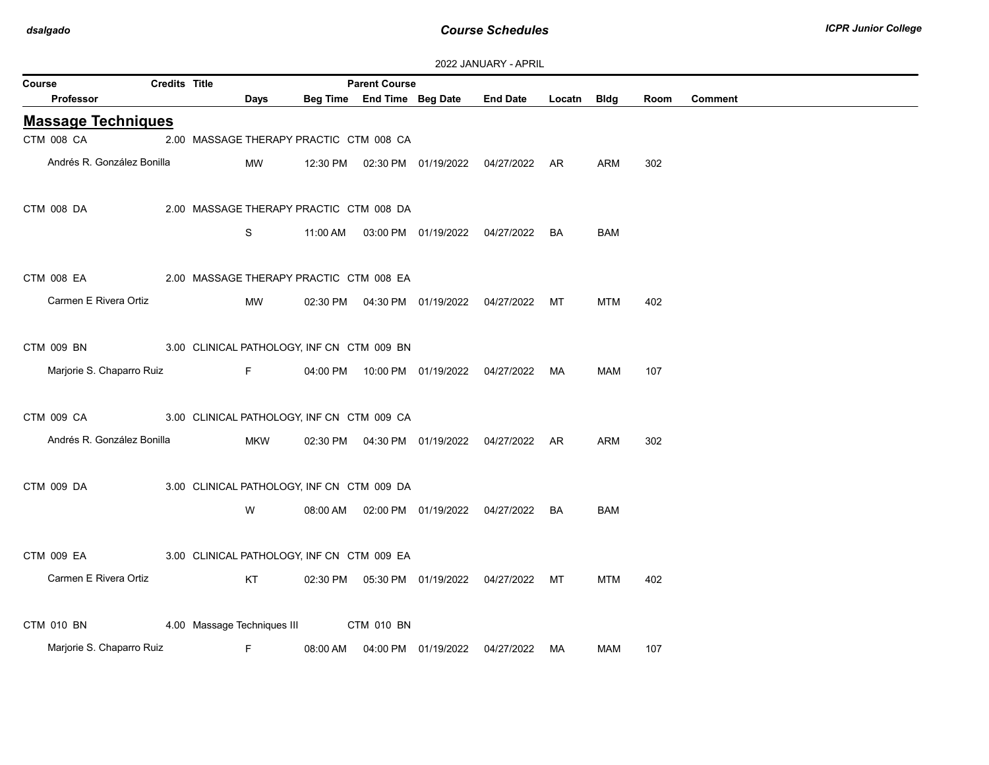| Course |                   |                                            | <b>Credits Title</b> |                                            | <b>Parent Course</b> |                                            |                                                |             |            |      |                |
|--------|-------------------|--------------------------------------------|----------------------|--------------------------------------------|----------------------|--------------------------------------------|------------------------------------------------|-------------|------------|------|----------------|
|        | Professor         |                                            |                      | Days                                       |                      | Beg Time End Time Beg Date                 | <b>End Date</b>                                | Locatn Bldg |            | Room | <b>Comment</b> |
|        |                   | <b>Massage Techniques</b>                  |                      |                                            |                      |                                            |                                                |             |            |      |                |
|        | CTM 008 CA        |                                            |                      | 2.00 MASSAGE THERAPY PRACTIC CTM 008 CA    |                      |                                            |                                                |             |            |      |                |
|        |                   | Andrés R. González Bonilla                 |                      | MW                                         |                      |                                            | 12:30 PM  02:30 PM  01/19/2022  04/27/2022  AR |             | ARM        | 302  |                |
|        | CTM 008 DA        |                                            |                      | 2.00 MASSAGE THERAPY PRACTIC CTM 008 DA    |                      |                                            |                                                |             |            |      |                |
|        |                   |                                            |                      | S                                          |                      |                                            | 11:00 AM  03:00 PM  01/19/2022  04/27/2022  BA |             | BAM        |      |                |
|        | <b>CTM 008 EA</b> | 2.00 MASSAGE THERAPY PRACTIC CTM 008 EA    |                      |                                            |                      |                                            |                                                |             |            |      |                |
|        |                   | Carmen E Rivera Ortiz                      |                      | MW                                         |                      |                                            | 02:30 PM  04:30 PM  01/19/2022  04/27/2022  MT |             | MTM        | 402  |                |
|        | CTM 009 BN        | 3.00 CLINICAL PATHOLOGY, INF CN CTM 009 BN |                      |                                            |                      |                                            |                                                |             |            |      |                |
|        |                   | Marjorie S. Chaparro Ruiz                  |                      | $F -$                                      |                      | 04:00 PM  10:00 PM  01/19/2022  04/27/2022 |                                                | MA          | <b>MAM</b> | 107  |                |
|        | CTM 009 CA        | 3.00 CLINICAL PATHOLOGY, INF CN CTM 009 CA |                      |                                            |                      |                                            |                                                |             |            |      |                |
|        |                   | Andrés R. González Bonilla                 |                      | <b>MKW</b>                                 |                      |                                            | 02:30 PM  04:30 PM  01/19/2022  04/27/2022  AR |             | ARM        | 302  |                |
|        | CTM 009 DA        |                                            |                      | 3.00 CLINICAL PATHOLOGY, INF CN CTM 009 DA |                      |                                            |                                                |             |            |      |                |
|        |                   |                                            |                      | W                                          |                      |                                            | 08:00 AM  02:00 PM  01/19/2022  04/27/2022  BA |             | <b>BAM</b> |      |                |
|        | CTM 009 EA        | 3.00 CLINICAL PATHOLOGY, INF CN CTM 009 EA |                      |                                            |                      |                                            |                                                |             |            |      |                |
|        |                   | Carmen E Rivera Ortiz                      |                      | KT                                         |                      |                                            | 02:30 PM  05:30 PM  01/19/2022  04/27/2022  MT |             | <b>MTM</b> | 402  |                |
|        | CTM 010 BN        |                                            |                      | 4.00 Massage Techniques III                | CTM 010 BN           |                                            |                                                |             |            |      |                |
|        |                   | Marjorie S. Chaparro Ruiz                  |                      | F.                                         |                      | 08:00 AM  04:00 PM  01/19/2022             | 04/27/2022                                     | MA          | MAM        | 107  |                |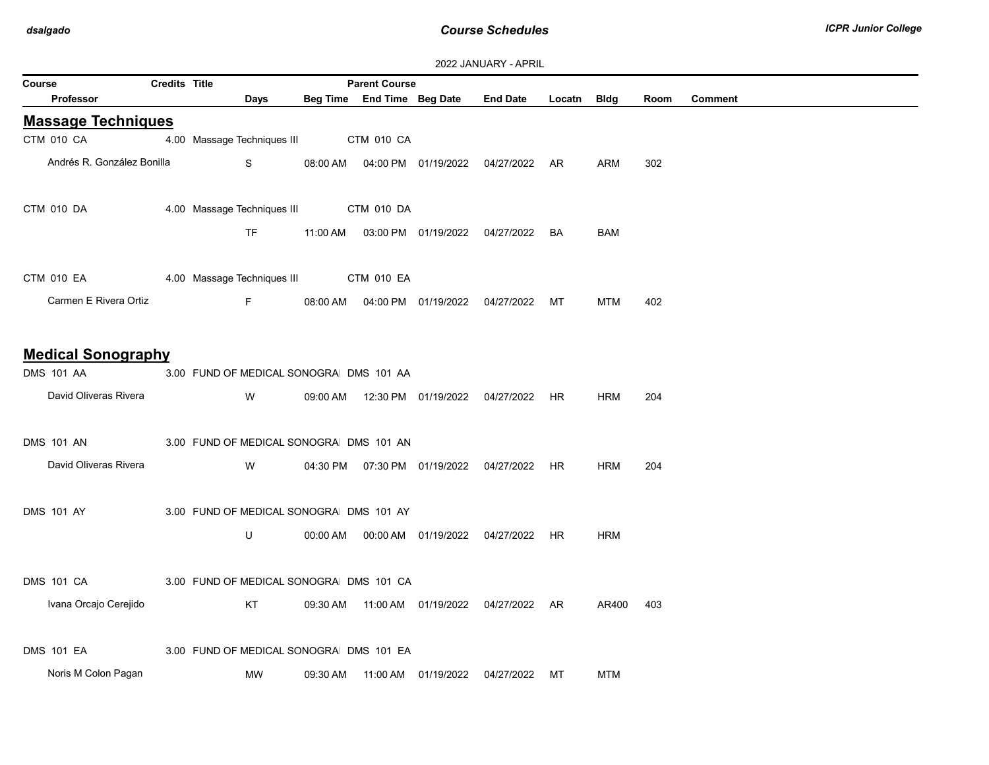| Course                                         | <b>Credits Title</b> |                                         |          | <b>Parent Course</b> |                                  |                                                 |    |            |      |                |
|------------------------------------------------|----------------------|-----------------------------------------|----------|----------------------|----------------------------------|-------------------------------------------------|----|------------|------|----------------|
| Professor                                      |                      | Days                                    |          |                      |                                  | Beg Time End Time Beg Date End Date Locatn Bldg |    |            | Room | <b>Comment</b> |
| <b>Massage Techniques</b>                      |                      |                                         |          |                      |                                  |                                                 |    |            |      |                |
| CTM 010 CA                                     |                      | 4.00 Massage Techniques III CTM 010 CA  |          |                      |                                  |                                                 |    |            |      |                |
| Andrés R. González Bonilla                     |                      | S                                       |          |                      |                                  | 08:00 AM  04:00 PM  01/19/2022  04/27/2022  AR  |    | ARM        | 302  |                |
| CTM 010 DA                                     |                      | 4.00 Massage Techniques III CTM 010 DA  |          |                      |                                  |                                                 |    |            |      |                |
|                                                |                      | TF                                      |          |                      |                                  | 11:00 AM  03:00 PM  01/19/2022  04/27/2022  BA  |    | <b>BAM</b> |      |                |
| CTM 010 EA                                     |                      | 4.00 Massage Techniques III  CTM 010 EA |          |                      |                                  |                                                 |    |            |      |                |
| Carmen E Rivera Ortiz                          |                      | Fig. 10                                 |          |                      |                                  | 08:00 AM  04:00 PM  01/19/2022  04/27/2022  MT  |    | <b>MTM</b> | 402  |                |
| <b>Medical Sonography</b><br><b>DMS 101 AA</b> |                      | 3.00 FUND OF MEDICAL SONOGRA DMS 101 AA |          |                      |                                  |                                                 |    |            |      |                |
| David Oliveras Rivera                          |                      | W                                       |          |                      |                                  | 09:00 AM  12:30 PM  01/19/2022  04/27/2022  HR  |    | <b>HRM</b> | 204  |                |
| <b>DMS 101 AN</b>                              |                      | 3.00 FUND OF MEDICAL SONOGRA DMS 101 AN |          |                      |                                  |                                                 |    |            |      |                |
| David Oliveras Rivera                          |                      | W                                       |          |                      |                                  | 04:30 PM  07:30 PM  01/19/2022  04/27/2022  HR  |    | <b>HRM</b> | 204  |                |
| <b>DMS 101 AY</b>                              |                      | 3.00 FUND OF MEDICAL SONOGRA DMS 101 AY |          |                      |                                  |                                                 |    |            |      |                |
|                                                |                      | U                                       |          |                      |                                  | 00:00 AM  00:00 AM  01/19/2022  04/27/2022  HR  |    | <b>HRM</b> |      |                |
| DMS 101 CA                                     |                      | 3.00 FUND OF MEDICAL SONOGRA DMS 101 CA |          |                      |                                  |                                                 |    |            |      |                |
| Ivana Orcajo Cerejido                          |                      | KT                                      |          |                      |                                  | 09:30 AM  11:00 AM  01/19/2022  04/27/2022  AR  |    | AR400      | 403  |                |
| <b>DMS 101 EA</b>                              |                      | 3.00 FUND OF MEDICAL SONOGRA DMS 101 EA |          |                      |                                  |                                                 |    |            |      |                |
| Noris M Colon Pagan                            |                      | MW                                      | 09:30 AM |                      | 11:00 AM  01/19/2022  04/27/2022 |                                                 | МT | <b>MTM</b> |      |                |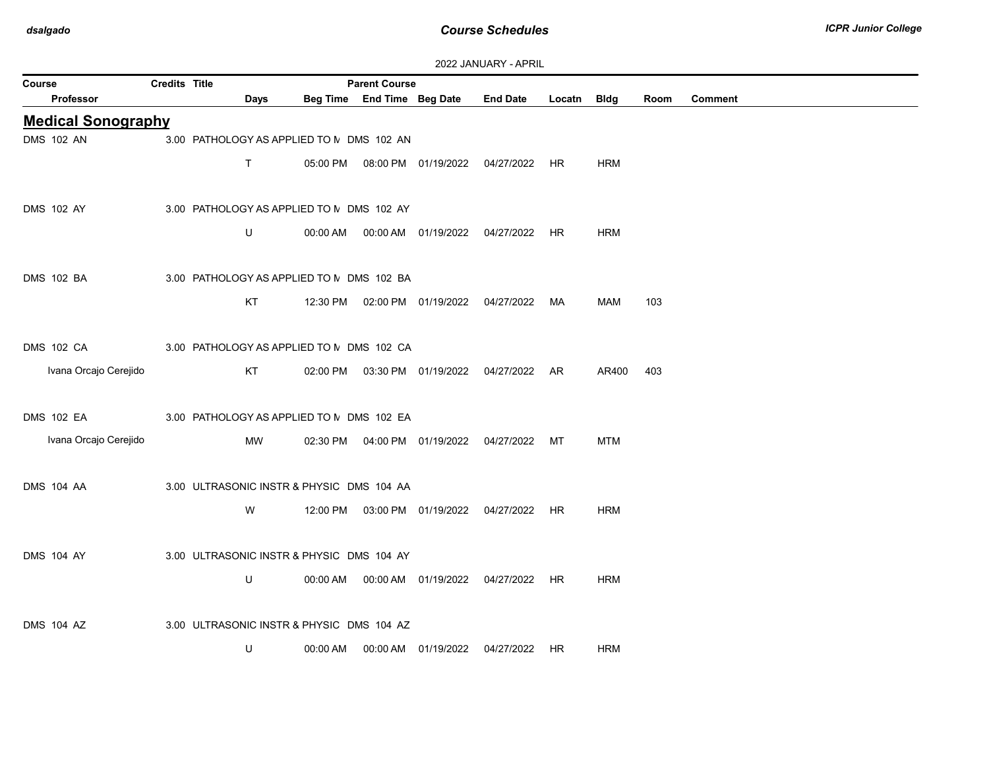| 2022 JANUARY - APRIL |  |  |  |  |
|----------------------|--|--|--|--|
|----------------------|--|--|--|--|

| Course                    | <b>LULL UNIVORISE FRIESIL</b><br><b>Parent Course</b><br><b>Credits Title</b> |                                           |             |          |                            |                                  |                                                |             |            |      |         |
|---------------------------|-------------------------------------------------------------------------------|-------------------------------------------|-------------|----------|----------------------------|----------------------------------|------------------------------------------------|-------------|------------|------|---------|
| Professor                 |                                                                               |                                           | Days        |          | Beg Time End Time Beg Date |                                  | <b>End Date</b>                                | Locatn Bldg |            | Room | Comment |
| <b>Medical Sonography</b> |                                                                               |                                           |             |          |                            |                                  |                                                |             |            |      |         |
| <b>DMS 102 AN</b>         |                                                                               | 3.00 PATHOLOGY AS APPLIED TO N DMS 102 AN |             |          |                            |                                  |                                                |             |            |      |         |
|                           |                                                                               |                                           | $\mathsf T$ |          |                            |                                  | 05:00 PM  08:00 PM  01/19/2022  04/27/2022  HR |             | <b>HRM</b> |      |         |
| <b>DMS 102 AY</b>         |                                                                               | 3.00 PATHOLOGY AS APPLIED TO M DMS 102 AY |             |          |                            |                                  |                                                |             |            |      |         |
|                           |                                                                               |                                           | U           |          |                            |                                  | 00:00 AM  00:00 AM  01/19/2022  04/27/2022  HR |             | <b>HRM</b> |      |         |
| <b>DMS 102 BA</b>         |                                                                               | 3.00 PATHOLOGY AS APPLIED TO N DMS 102 BA |             |          |                            |                                  |                                                |             |            |      |         |
|                           |                                                                               |                                           | KT          |          |                            |                                  | 12:30 PM  02:00 PM  01/19/2022  04/27/2022  MA |             | MAM        | 103  |         |
| <b>DMS 102 CA</b>         |                                                                               | 3.00 PATHOLOGY AS APPLIED TO M DMS 102 CA |             |          |                            |                                  |                                                |             |            |      |         |
| Ivana Orcajo Cerejido     |                                                                               |                                           | KT          |          |                            |                                  | 02:00 PM  03:30 PM  01/19/2022  04/27/2022  AR |             | AR400      | 403  |         |
| <b>DMS 102 EA</b>         |                                                                               | 3.00 PATHOLOGY AS APPLIED TO N DMS 102 EA |             |          |                            |                                  |                                                |             |            |      |         |
| Ivana Orcajo Cerejido     |                                                                               |                                           | <b>MW</b>   | 02:30 PM |                            | 04:00 PM  01/19/2022  04/27/2022 |                                                | МT          | <b>MTM</b> |      |         |
| <b>DMS 104 AA</b>         |                                                                               | 3.00 ULTRASONIC INSTR & PHYSIC DMS 104 AA |             |          |                            |                                  |                                                |             |            |      |         |
|                           |                                                                               |                                           | W           | 12:00 PM |                            |                                  | 03:00 PM 01/19/2022 04/27/2022 HR              |             | <b>HRM</b> |      |         |
| <b>DMS 104 AY</b>         |                                                                               | 3.00 ULTRASONIC INSTR & PHYSIC DMS 104 AY |             |          |                            |                                  |                                                |             |            |      |         |
|                           |                                                                               |                                           | U           |          |                            |                                  | 00:00 AM  00:00 AM  01/19/2022  04/27/2022  HR |             | <b>HRM</b> |      |         |
| <b>DMS 104 AZ</b>         |                                                                               | 3.00 ULTRASONIC INSTR & PHYSIC DMS 104 AZ |             |          |                            |                                  |                                                |             |            |      |         |
|                           |                                                                               |                                           | U           | 00:00 AM |                            | 00:00 AM 01/19/2022              | 04/27/2022                                     | HR          | <b>HRM</b> |      |         |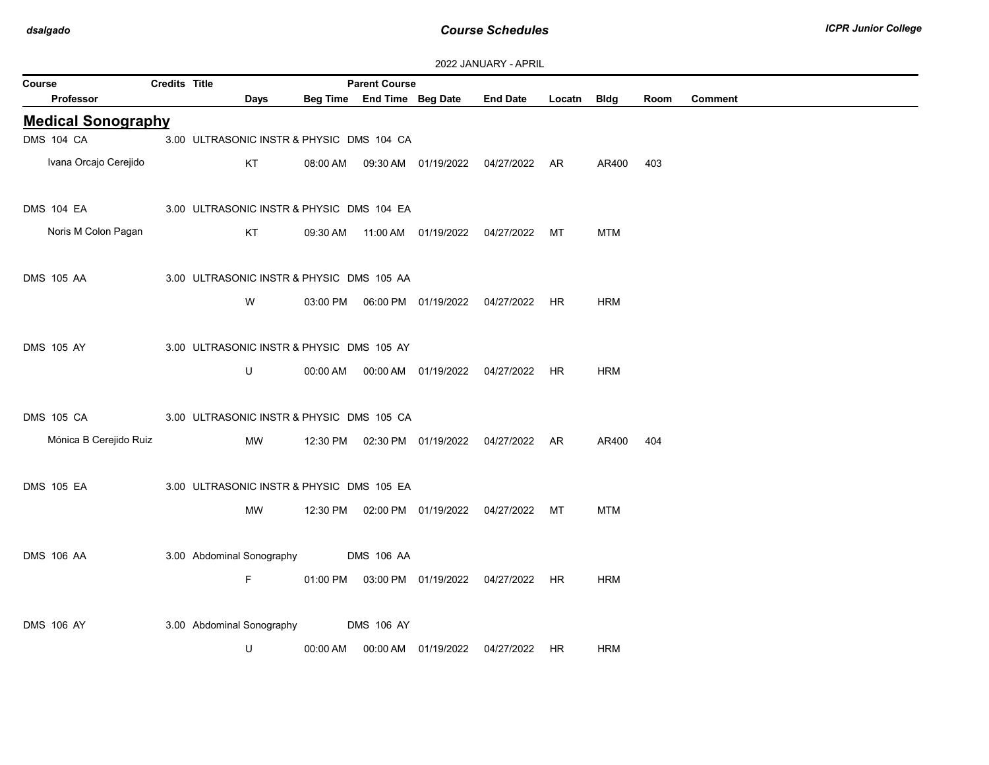| Credits Title<br><b>Parent Course</b><br>Course |  |                           |                                           |                                                |                                      |                 |             |            |      |                |  |
|-------------------------------------------------|--|---------------------------|-------------------------------------------|------------------------------------------------|--------------------------------------|-----------------|-------------|------------|------|----------------|--|
| <b>Professor</b>                                |  | Days                      |                                           | Beg Time End Time Beg Date                     |                                      | <b>End Date</b> | Locatn Bldg |            | Room | <b>Comment</b> |  |
| <b>Medical Sonography</b>                       |  |                           |                                           |                                                |                                      |                 |             |            |      |                |  |
| <b>DMS 104 CA</b>                               |  |                           | 3.00 ULTRASONIC INSTR & PHYSIC DMS 104 CA |                                                |                                      |                 |             |            |      |                |  |
| Ivana Orcajo Cerejido                           |  | KT                        | 08:00 AM                                  |                                                | 09:30 AM  01/19/2022  04/27/2022  AR |                 |             | AR400      | 403  |                |  |
| DMS 104 EA                                      |  |                           | 3.00 ULTRASONIC INSTR & PHYSIC DMS 104 EA |                                                |                                      |                 |             |            |      |                |  |
| Noris M Colon Pagan                             |  | KT                        |                                           | 09:30 AM  11:00 AM  01/19/2022  04/27/2022  MT |                                      |                 |             | <b>MTM</b> |      |                |  |
| <b>DMS 105 AA</b>                               |  |                           | 3.00 ULTRASONIC INSTR & PHYSIC DMS 105 AA |                                                |                                      |                 |             |            |      |                |  |
|                                                 |  | W                         |                                           |                                                |                                      |                 |             | <b>HRM</b> |      |                |  |
| <b>DMS 105 AY</b>                               |  |                           | 3.00 ULTRASONIC INSTR & PHYSIC DMS 105 AY |                                                |                                      |                 |             |            |      |                |  |
|                                                 |  | U                         |                                           | 00:00 AM  00:00 AM  01/19/2022  04/27/2022  HR |                                      |                 |             | <b>HRM</b> |      |                |  |
| DMS 105 CA                                      |  |                           | 3.00 ULTRASONIC INSTR & PHYSIC DMS 105 CA |                                                |                                      |                 |             |            |      |                |  |
| Mónica B Cerejido Ruiz                          |  | MW                        |                                           | 12:30 PM  02:30 PM  01/19/2022  04/27/2022  AR |                                      |                 |             | AR400      | 404  |                |  |
| <b>DMS 105 EA</b>                               |  |                           | 3.00 ULTRASONIC INSTR & PHYSIC DMS 105 EA |                                                |                                      |                 |             |            |      |                |  |
|                                                 |  | MW                        |                                           | 12:30 PM  02:00 PM  01/19/2022  04/27/2022  MT |                                      |                 |             | <b>MTM</b> |      |                |  |
| <b>DMS 106 AA</b>                               |  | 3.00 Abdominal Sonography |                                           | <b>DMS 106 AA</b>                              |                                      |                 |             |            |      |                |  |
|                                                 |  | F.                        |                                           | 01:00 PM  03:00 PM  01/19/2022  04/27/2022  HR |                                      |                 |             | <b>HRM</b> |      |                |  |
| <b>DMS 106 AY</b>                               |  |                           | 3.00 Abdominal Sonography                 | <b>DMS 106 AY</b>                              |                                      |                 |             |            |      |                |  |
|                                                 |  | U                         | 00:00 AM                                  |                                                | 00:00 AM  01/19/2022  04/27/2022     |                 | HR          | HRM        |      |                |  |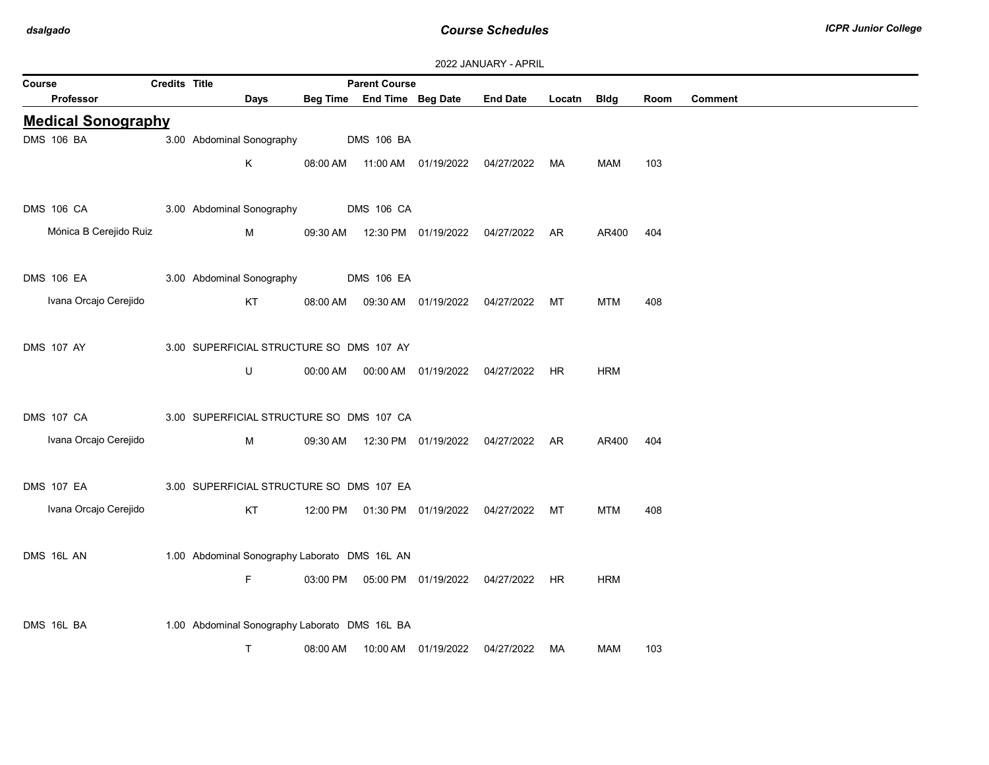| Course                    | Credits Title |                           |          | <b>Parent Course</b>                          |                     |                                                |             |            |      |                |
|---------------------------|---------------|---------------------------|----------|-----------------------------------------------|---------------------|------------------------------------------------|-------------|------------|------|----------------|
| <b>Professor</b>          |               | Days                      |          | Beg Time End Time Beg Date                    |                     | <b>End Date</b>                                | Locatn Bldg |            | Room | <b>Comment</b> |
| <b>Medical Sonography</b> |               |                           |          |                                               |                     |                                                |             |            |      |                |
| <b>DMS 106 BA</b>         |               | 3.00 Abdominal Sonography |          | <b>DMS 106 BA</b>                             |                     |                                                |             |            |      |                |
|                           |               | K                         | 08:00 AM |                                               |                     | 11:00 AM  01/19/2022  04/27/2022  MA           |             | MAM        | 103  |                |
| <b>DMS 106 CA</b>         |               | 3.00 Abdominal Sonography |          | <b>DMS 106 CA</b>                             |                     |                                                |             |            |      |                |
| Mónica B Cerejido Ruiz    |               | M                         | 09:30 AM |                                               |                     | 12:30 PM  01/19/2022  04/27/2022  AR           |             | AR400      | 404  |                |
| DMS 106 EA                |               | 3.00 Abdominal Sonography |          | <b>DMS 106 EA</b>                             |                     |                                                |             |            |      |                |
| Ivana Orcajo Cerejido     |               | KT                        |          |                                               |                     | 08:00 AM  09:30 AM  01/19/2022  04/27/2022  MT |             | MTM        | 408  |                |
| <b>DMS 107 AY</b>         |               |                           |          | 3.00 SUPERFICIAL STRUCTURE SC DMS 107 AY      |                     |                                                |             |            |      |                |
|                           |               | U                         | 00:00 AM |                                               |                     | 00:00 AM  01/19/2022  04/27/2022  HR           |             | <b>HRM</b> |      |                |
| <b>DMS 107 CA</b>         |               |                           |          | 3.00 SUPERFICIAL STRUCTURE SC DMS 107 CA      |                     |                                                |             |            |      |                |
| Ivana Orcajo Cerejido     |               | M                         | 09:30 AM |                                               |                     | 12:30 PM  01/19/2022  04/27/2022  AR           |             | AR400      | 404  |                |
| <b>DMS 107 EA</b>         |               |                           |          | 3.00 SUPERFICIAL STRUCTURE SC DMS 107 EA      |                     |                                                |             |            |      |                |
| Ivana Orcajo Cerejido     |               | KT                        |          |                                               |                     | 12:00 PM  01:30 PM  01/19/2022  04/27/2022  MT |             | <b>MTM</b> | 408  |                |
| DMS 16L AN                |               |                           |          | 1.00 Abdominal Sonography Laborato DMS 16L AN |                     |                                                |             |            |      |                |
|                           |               | F.                        |          |                                               |                     | 03:00 PM  05:00 PM  01/19/2022  04/27/2022  HR |             | <b>HRM</b> |      |                |
| DMS 16L BA                |               |                           |          | 1.00 Abdominal Sonography Laborato DMS 16L BA |                     |                                                |             |            |      |                |
|                           |               | $\mathsf{T}$              | 08:00 AM |                                               | 10:00 AM 01/19/2022 | 04/27/2022                                     | MA          | MAM        | 103  |                |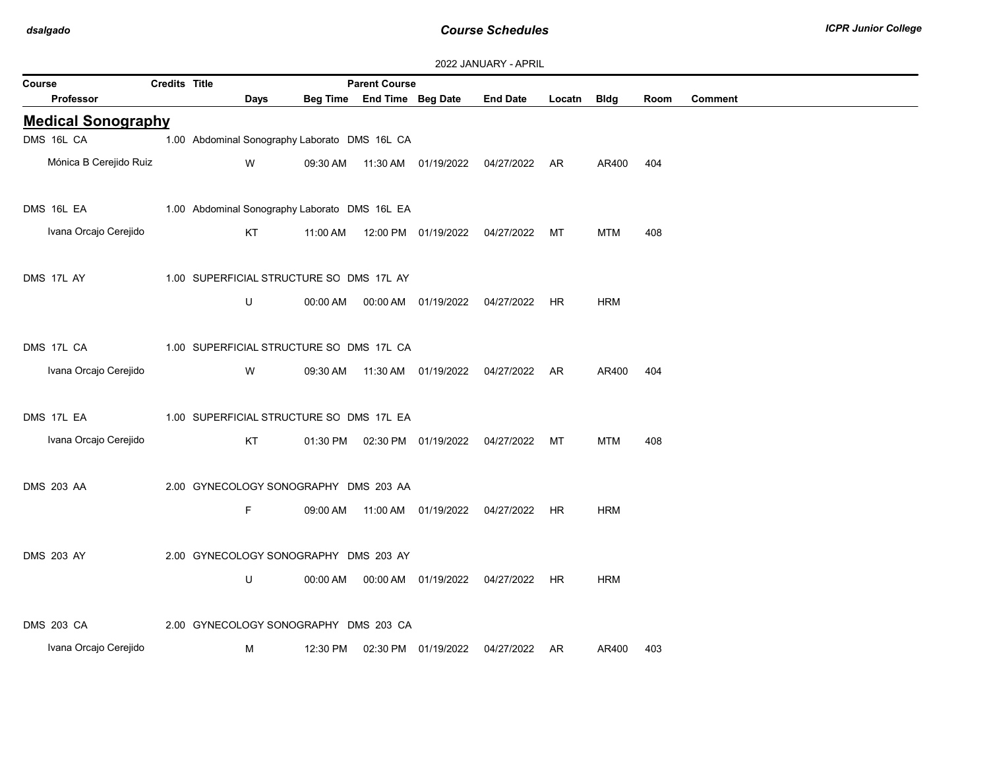| 2022 JANUARY - APRIL |  |  |  |  |
|----------------------|--|--|--|--|
|----------------------|--|--|--|--|

| Credits Title<br><b>Parent Course</b><br>Course |  |                                               |             |          |                            |                                  |                                                |             |            |      |                |
|-------------------------------------------------|--|-----------------------------------------------|-------------|----------|----------------------------|----------------------------------|------------------------------------------------|-------------|------------|------|----------------|
| Professor                                       |  |                                               | <b>Days</b> |          | Beg Time End Time Beg Date |                                  | <b>End Date</b>                                | Locatn Bldg |            | Room | <b>Comment</b> |
| <b>Medical Sonography</b>                       |  |                                               |             |          |                            |                                  |                                                |             |            |      |                |
| DMS 16L CA                                      |  | 1.00 Abdominal Sonography Laborato DMS 16L CA |             |          |                            |                                  |                                                |             |            |      |                |
| Mónica B Cerejido Ruiz                          |  |                                               | W           | 09:30 AM |                            |                                  | 11:30 AM  01/19/2022  04/27/2022  AR           |             | AR400      | 404  |                |
| DMS 16L EA                                      |  | 1.00 Abdominal Sonography Laborato DMS 16L EA |             |          |                            |                                  |                                                |             |            |      |                |
| Ivana Orcajo Cerejido                           |  |                                               | KT          | 11:00 AM |                            | 12:00 PM  01/19/2022  04/27/2022 |                                                | MT          | <b>MTM</b> | 408  |                |
| DMS 17L AY                                      |  | 1.00 SUPERFICIAL STRUCTURE SC DMS 17L AY      |             |          |                            |                                  |                                                |             |            |      |                |
|                                                 |  |                                               | U           |          |                            |                                  | 00:00 AM  00:00 AM  01/19/2022  04/27/2022  HR |             | <b>HRM</b> |      |                |
| DMS 17L CA                                      |  | 1.00 SUPERFICIAL STRUCTURE SC DMS 17L CA      |             |          |                            |                                  |                                                |             |            |      |                |
| Ivana Orcajo Cerejido                           |  |                                               | W           |          |                            |                                  | 09:30 AM  11:30 AM  01/19/2022  04/27/2022  AR |             | AR400      | 404  |                |
| DMS 17L EA                                      |  | 1.00 SUPERFICIAL STRUCTURE SC DMS 17L EA      |             |          |                            |                                  |                                                |             |            |      |                |
| Ivana Orcajo Cerejido                           |  |                                               | KT          |          |                            |                                  | 01:30 PM  02:30 PM  01/19/2022  04/27/2022  MT |             | <b>MTM</b> | 408  |                |
| <b>DMS 203 AA</b>                               |  | 2.00 GYNECOLOGY SONOGRAPHY DMS 203 AA         |             |          |                            |                                  |                                                |             |            |      |                |
|                                                 |  |                                               | F.          | 09:00 AM |                            |                                  |                                                |             | <b>HRM</b> |      |                |
| <b>DMS 203 AY</b>                               |  | 2.00 GYNECOLOGY SONOGRAPHY DMS 203 AY         |             |          |                            |                                  |                                                |             |            |      |                |
|                                                 |  |                                               | U           |          |                            |                                  |                                                | HR          | <b>HRM</b> |      |                |
| <b>DMS 203 CA</b>                               |  | 2.00 GYNECOLOGY SONOGRAPHY DMS 203 CA         |             |          |                            |                                  |                                                |             |            |      |                |
| Ivana Orcajo Cerejido                           |  |                                               | М           | 12:30 PM |                            | 02:30 PM 01/19/2022              | 04/27/2022 AR                                  |             | AR400      | 403  |                |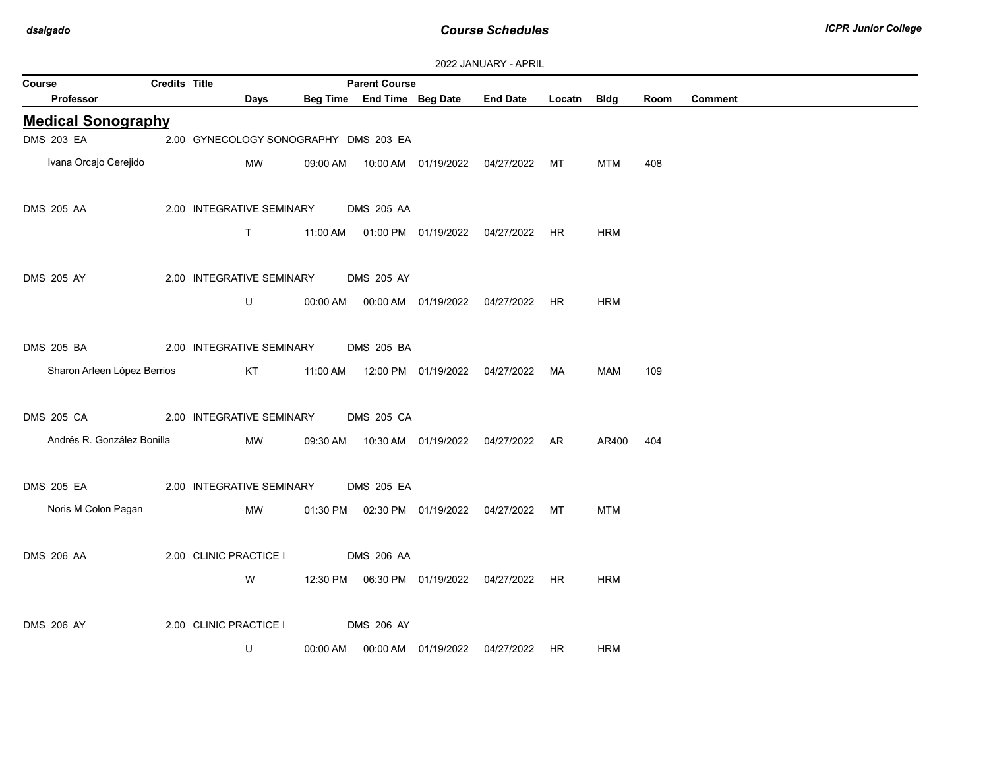| 2022 JANUARY - APRIL |  |
|----------------------|--|
|----------------------|--|

| Course |                             | <b>Credits Title</b> |                                       |          | <b>Parent Course</b> |                            |                                                |             |            |      |                |
|--------|-----------------------------|----------------------|---------------------------------------|----------|----------------------|----------------------------|------------------------------------------------|-------------|------------|------|----------------|
|        | Professor                   |                      | Days                                  |          |                      | Beg Time End Time Beg Date | <b>End Date</b>                                | Locatn Bldg |            | Room | <b>Comment</b> |
|        | <b>Medical Sonography</b>   |                      |                                       |          |                      |                            |                                                |             |            |      |                |
|        | <b>DMS 203 EA</b>           |                      | 2.00 GYNECOLOGY SONOGRAPHY DMS 203 EA |          |                      |                            |                                                |             |            |      |                |
|        | Ivana Orcajo Cerejido       |                      | MW                                    |          |                      |                            | 09:00 AM  10:00 AM  01/19/2022  04/27/2022  MT |             | MTM        | 408  |                |
|        | <b>DMS 205 AA</b>           |                      | 2.00 INTEGRATIVE SEMINARY             |          | <b>DMS 205 AA</b>    |                            |                                                |             |            |      |                |
|        |                             |                      | $\mathsf{T}$                          |          |                      |                            | 11:00 AM  01:00 PM  01/19/2022  04/27/2022  HR |             | <b>HRM</b> |      |                |
|        | <b>DMS 205 AY</b>           |                      | 2.00 INTEGRATIVE SEMINARY             |          | <b>DMS 205 AY</b>    |                            |                                                |             |            |      |                |
|        |                             |                      | U                                     | 00:00 AM |                      |                            | 00:00 AM  01/19/2022  04/27/2022  HR           |             | <b>HRM</b> |      |                |
|        | <b>DMS 205 BA</b>           |                      | 2.00 INTEGRATIVE SEMINARY             |          | <b>DMS 205 BA</b>    |                            |                                                |             |            |      |                |
|        | Sharon Arleen López Berrios |                      | KT                                    |          |                      |                            | 11:00 AM  12:00 PM  01/19/2022  04/27/2022  MA |             | MAM        | 109  |                |
|        | DMS 205 CA                  |                      | 2.00 INTEGRATIVE SEMINARY             |          | DMS 205 CA           |                            |                                                |             |            |      |                |
|        | Andrés R. González Bonilla  |                      | MW                                    |          |                      |                            | 09:30 AM  10:30 AM  01/19/2022  04/27/2022  AR |             | AR400      | 404  |                |
|        | <b>DMS 205 EA</b>           |                      | 2.00 INTEGRATIVE SEMINARY             |          | <b>DMS 205 EA</b>    |                            |                                                |             |            |      |                |
|        | Noris M Colon Pagan         |                      | MW                                    |          |                      |                            | 01:30 PM  02:30 PM  01/19/2022  04/27/2022  MT |             | <b>MTM</b> |      |                |
|        | <b>DMS 206 AA</b>           |                      | 2.00 CLINIC PRACTICE I                |          | <b>DMS 206 AA</b>    |                            |                                                |             |            |      |                |
|        |                             |                      | W                                     |          |                      |                            | 12:30 PM  06:30 PM  01/19/2022  04/27/2022  HR |             | <b>HRM</b> |      |                |
|        | <b>DMS 206 AY</b>           |                      | 2.00 CLINIC PRACTICE I                |          | <b>DMS 206 AY</b>    |                            |                                                |             |            |      |                |
|        |                             |                      | U                                     | 00:00 AM |                      |                            | 00:00 AM  01/19/2022  04/27/2022  HR           |             | HRM        |      |                |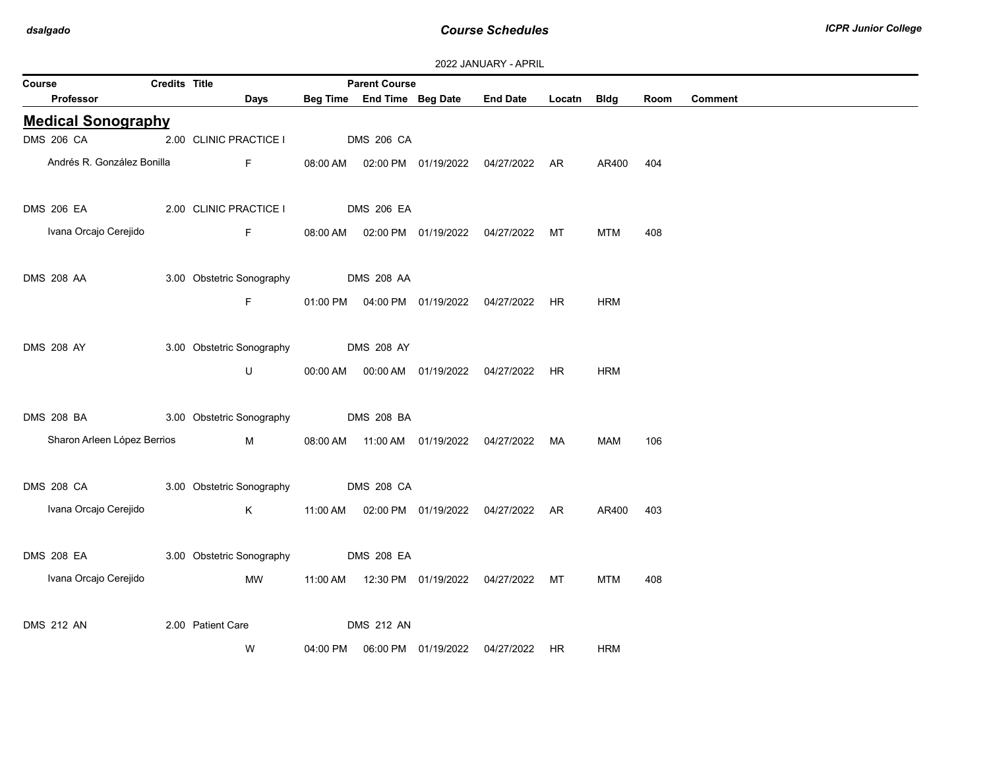| Course |                             | Credits Title |                                                                                                                                                                                                                                     |                   | <b>Parent Course</b> |                            |                                                |           |            |      |                |
|--------|-----------------------------|---------------|-------------------------------------------------------------------------------------------------------------------------------------------------------------------------------------------------------------------------------------|-------------------|----------------------|----------------------------|------------------------------------------------|-----------|------------|------|----------------|
|        | Professor                   |               | Days                                                                                                                                                                                                                                |                   |                      | Beg Time End Time Beg Date | <b>End Date</b>                                | Locatn    | Bldg       | Room | <b>Comment</b> |
|        | <b>Medical Sonography</b>   |               |                                                                                                                                                                                                                                     |                   |                      |                            |                                                |           |            |      |                |
|        | <b>DMS 206 CA</b>           |               | 2.00 CLINIC PRACTICE I                                                                                                                                                                                                              | <b>DMS 206 CA</b> |                      |                            |                                                |           |            |      |                |
|        | Andrés R. González Bonilla  |               | F                                                                                                                                                                                                                                   |                   |                      |                            | 08:00 AM  02:00 PM  01/19/2022  04/27/2022  AR |           | AR400      | 404  |                |
|        | <b>DMS 206 EA</b>           |               | 2.00 CLINIC PRACTICE I                                                                                                                                                                                                              |                   | <b>DMS 206 EA</b>    |                            |                                                |           |            |      |                |
|        |                             |               |                                                                                                                                                                                                                                     |                   |                      |                            |                                                |           |            |      |                |
|        | Ivana Orcajo Cerejido       |               | $\mathsf F$                                                                                                                                                                                                                         |                   |                      |                            | 08:00 AM  02:00 PM  01/19/2022  04/27/2022     | MT        | <b>MTM</b> | 408  |                |
|        |                             |               |                                                                                                                                                                                                                                     |                   |                      |                            |                                                |           |            |      |                |
|        | <b>DMS 208 AA</b>           |               | 3.00 Obstetric Sonography                                                                                                                                                                                                           |                   | <b>DMS 208 AA</b>    |                            |                                                |           |            |      |                |
|        |                             |               | F.                                                                                                                                                                                                                                  |                   |                      |                            | 01:00 PM  04:00 PM  01/19/2022  04/27/2022  HR |           | <b>HRM</b> |      |                |
|        |                             |               |                                                                                                                                                                                                                                     |                   |                      |                            |                                                |           |            |      |                |
|        | <b>DMS 208 AY</b>           |               | 3.00 Obstetric Sonography                                                                                                                                                                                                           |                   | <b>DMS 208 AY</b>    |                            |                                                |           |            |      |                |
|        |                             |               | U                                                                                                                                                                                                                                   | 00:00 AM          |                      | 00:00 AM 01/19/2022        | 04/27/2022                                     | <b>HR</b> | <b>HRM</b> |      |                |
|        |                             |               |                                                                                                                                                                                                                                     |                   |                      |                            |                                                |           |            |      |                |
|        |                             |               |                                                                                                                                                                                                                                     |                   |                      |                            |                                                |           |            |      |                |
|        | DMS 208 BA                  |               | 3.00 Obstetric Sonography                                                                                                                                                                                                           |                   | <b>DMS 208 BA</b>    |                            |                                                |           |            |      |                |
|        | Sharon Arleen López Berrios |               | <b>M</b> and the state of the state of the state of the state of the state of the state of the state of the state of the state of the state of the state of the state of the state of the state of the state of the state of the st |                   |                      |                            | 08:00 AM  11:00 AM  01/19/2022  04/27/2022  MA |           | MAM        | 106  |                |
|        |                             |               |                                                                                                                                                                                                                                     |                   |                      |                            |                                                |           |            |      |                |
|        | <b>DMS 208 CA</b>           |               | 3.00 Obstetric Sonography                                                                                                                                                                                                           |                   | <b>DMS 208 CA</b>    |                            |                                                |           |            |      |                |
|        | Ivana Orcajo Cerejido       |               | K                                                                                                                                                                                                                                   | 11:00 AM          |                      |                            | 02:00 PM 01/19/2022 04/27/2022 AR              |           | AR400      | 403  |                |
|        |                             |               |                                                                                                                                                                                                                                     |                   |                      |                            |                                                |           |            |      |                |
|        | <b>DMS 208 EA</b>           |               | 3.00 Obstetric Sonography                                                                                                                                                                                                           |                   | <b>DMS 208 EA</b>    |                            |                                                |           |            |      |                |
|        | Ivana Orcajo Cerejido       |               | MW                                                                                                                                                                                                                                  | 11:00 AM          |                      |                            | 12:30 PM  01/19/2022  04/27/2022  MT           |           | <b>MTM</b> | 408  |                |
|        |                             |               |                                                                                                                                                                                                                                     |                   |                      |                            |                                                |           |            |      |                |
|        |                             |               |                                                                                                                                                                                                                                     |                   |                      |                            |                                                |           |            |      |                |
|        | <b>DMS 212 AN</b>           |               | 2.00 Patient Care                                                                                                                                                                                                                   |                   | <b>DMS 212 AN</b>    |                            |                                                |           |            |      |                |
|        |                             |               | W                                                                                                                                                                                                                                   | 04:00 PM          |                      | 06:00 PM 01/19/2022        | 04/27/2022                                     | <b>HR</b> | <b>HRM</b> |      |                |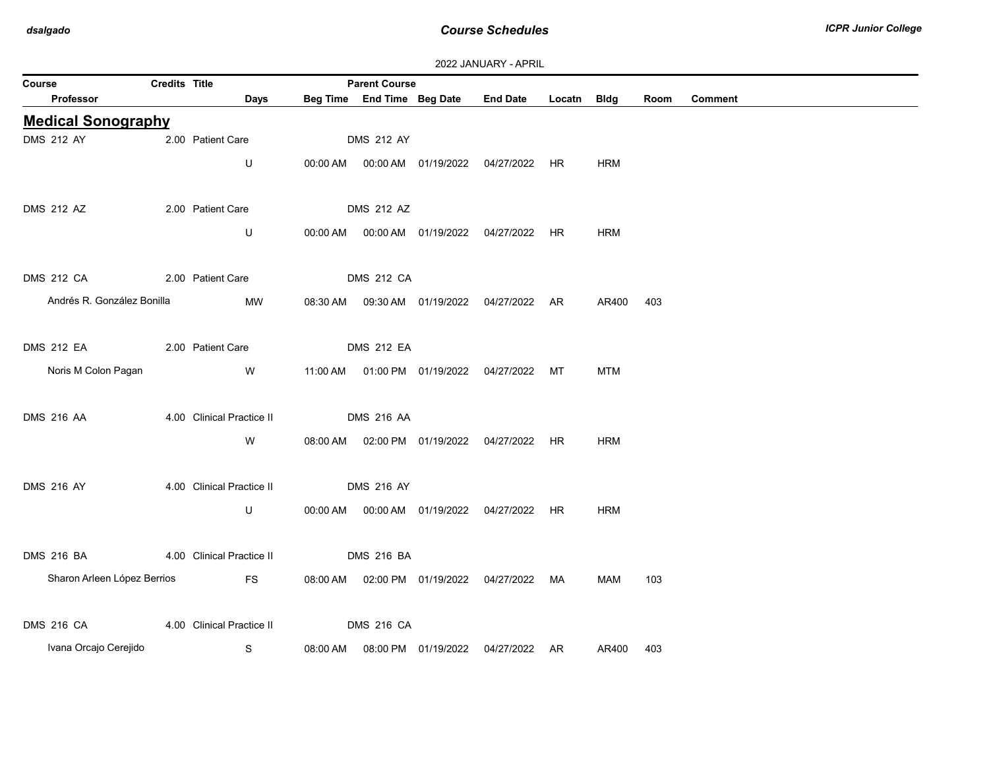|                                     | 2022 JANUARY - APRIL |                                     |          |                            |                                  |                                                              |           |                         |      |                |  |  |
|-------------------------------------|----------------------|-------------------------------------|----------|----------------------------|----------------------------------|--------------------------------------------------------------|-----------|-------------------------|------|----------------|--|--|
| Course                              | <b>Credits Title</b> |                                     |          | <b>Parent Course</b>       |                                  |                                                              |           |                         |      |                |  |  |
| Professor                           |                      | Days                                |          | Beg Time End Time Beg Date |                                  | <b>End Date</b>                                              | Locatn    | <b>Bldg</b>             | Room | <b>Comment</b> |  |  |
| <b>Medical Sonography</b>           |                      |                                     |          |                            |                                  |                                                              |           |                         |      |                |  |  |
| <b>DMS 212 AY</b>                   |                      | 2.00 Patient Care                   |          | <b>DMS 212 AY</b>          |                                  |                                                              |           |                         |      |                |  |  |
|                                     |                      | U                                   |          |                            |                                  | 00:00 AM  00:00 AM  01/19/2022  04/27/2022  HR               |           | HRM                     |      |                |  |  |
| <b>DMS 212 AZ</b>                   |                      | 2.00 Patient Care                   |          | <b>DMS 212 AZ</b>          |                                  |                                                              |           |                         |      |                |  |  |
|                                     |                      | U                                   |          |                            |                                  | 00:00 AM  00:00 AM  01/19/2022  04/27/2022  HR               |           | <b>HRM</b>              |      |                |  |  |
| <b>DMS 212 CA</b>                   |                      | 2.00 Patient Care                   |          | <b>DMS 212 CA</b>          |                                  |                                                              |           |                         |      |                |  |  |
| Andrés R. González Bonilla          |                      |                                     |          |                            |                                  |                                                              |           |                         |      |                |  |  |
|                                     |                      | MW                                  | 08:30 AM |                            |                                  | 04/27/2022 AR                                                |           | AR400                   | 403  |                |  |  |
| <b>DMS 212 EA</b>                   | 2.00 Patient Care    |                                     |          | <b>DMS 212 EA</b>          |                                  |                                                              |           |                         |      |                |  |  |
| Noris M Colon Pagan                 |                      | W                                   |          |                            |                                  | 11:00 AM  01:00 PM  01/19/2022  04/27/2022  MT               |           | <b>MTM</b>              |      |                |  |  |
| <b>DMS 216 AA</b>                   |                      | 4.00 Clinical Practice II           |          | <b>DMS 216 AA</b>          |                                  |                                                              |           |                         |      |                |  |  |
|                                     |                      | W                                   |          |                            |                                  | 08:00 AM  02:00 PM  01/19/2022  04/27/2022  HR               |           | <b>HRM</b>              |      |                |  |  |
| <b>DMS 216 AY</b>                   |                      | 4.00 Clinical Practice II           |          | <b>DMS 216 AY</b>          |                                  |                                                              |           |                         |      |                |  |  |
|                                     |                      |                                     |          |                            |                                  |                                                              |           |                         |      |                |  |  |
|                                     |                      |                                     |          |                            |                                  |                                                              |           |                         |      |                |  |  |
| <b>DMS 216 BA</b>                   |                      | 4.00 Clinical Practice II           |          | <b>DMS 216 BA</b>          |                                  |                                                              |           |                         |      |                |  |  |
| Sharon Arleen López Berrios         |                      | <b>FS</b>                           |          |                            |                                  | 08:00 AM  02:00 PM  01/19/2022  04/27/2022  MA               |           | MAM                     | 103  |                |  |  |
|                                     |                      |                                     |          |                            |                                  |                                                              |           |                         |      |                |  |  |
|                                     |                      |                                     |          |                            |                                  |                                                              |           |                         |      |                |  |  |
| DMS 216 CA<br>Ivana Orcajo Cerejido |                      | U<br>4.00 Clinical Practice II<br>S |          | <b>DMS 216 CA</b>          | 00:00 AM   00:00 AM   01/19/2022 | 04/27/2022<br>08:00 AM  08:00 PM  01/19/2022  04/27/2022  AR | <b>HR</b> | <b>HRM</b><br>AR400 403 |      |                |  |  |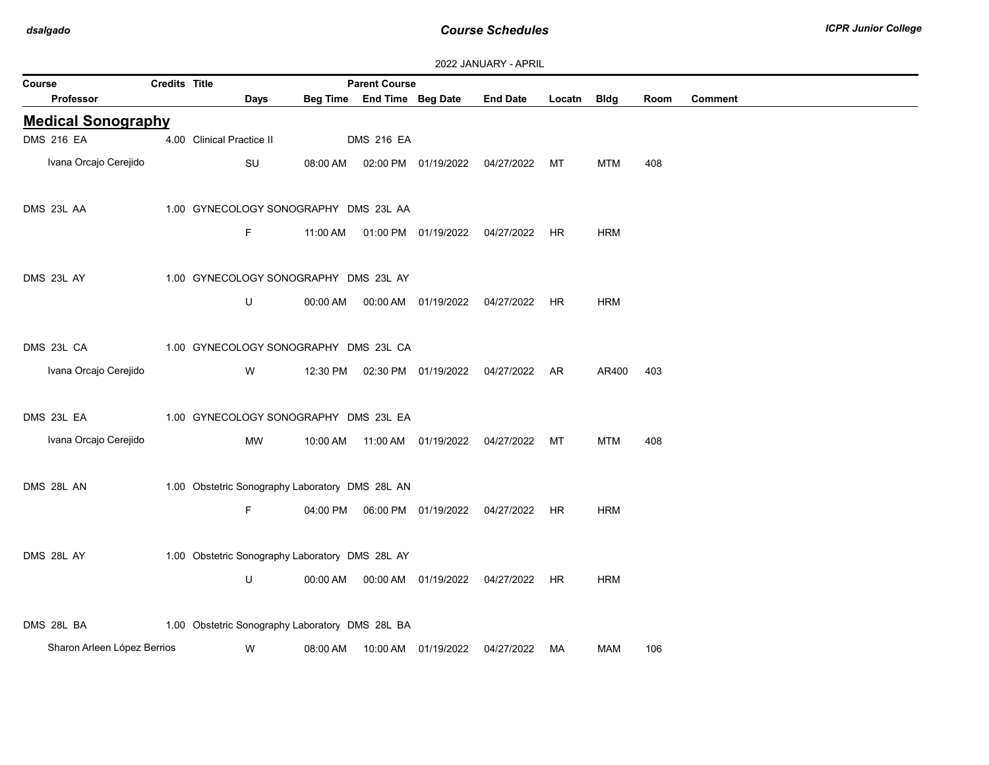| 2022 JANUARY - APRIL |  |
|----------------------|--|
|----------------------|--|

| Course                      | Credits Title |                                                 |          | <b>Parent Course</b>       |                                  |                                            |           |            |      |         |
|-----------------------------|---------------|-------------------------------------------------|----------|----------------------------|----------------------------------|--------------------------------------------|-----------|------------|------|---------|
| <b>Professor</b>            |               | Days                                            |          | Beg Time End Time Beg Date |                                  | <b>End Date</b>                            | Locatn    | Bldg       | Room | Comment |
| <b>Medical Sonography</b>   |               |                                                 |          |                            |                                  |                                            |           |            |      |         |
| <b>DMS 216 EA</b>           |               | 4.00 Clinical Practice II                       |          | <b>DMS 216 EA</b>          |                                  |                                            |           |            |      |         |
| Ivana Orcajo Cerejido       |               | SU                                              | 08:00 AM |                            | 02:00 PM 01/19/2022 04/27/2022   |                                            | МT        | <b>MTM</b> | 408  |         |
| DMS 23L AA                  |               | 1.00 GYNECOLOGY SONOGRAPHY DMS 23L AA           |          |                            |                                  |                                            |           |            |      |         |
|                             |               | F.                                              | 11:00 AM |                            | 01:00 PM  01/19/2022  04/27/2022 |                                            | HR.       | <b>HRM</b> |      |         |
| DMS 23L AY                  |               | 1.00 GYNECOLOGY SONOGRAPHY DMS 23L AY           |          |                            |                                  |                                            |           |            |      |         |
|                             |               | U                                               |          |                            |                                  |                                            | HR.       | <b>HRM</b> |      |         |
| DMS 23L CA                  |               | 1.00 GYNECOLOGY SONOGRAPHY DMS 23L CA           |          |                            |                                  |                                            |           |            |      |         |
| Ivana Orcajo Cerejido       |               | W                                               | 12:30 PM |                            |                                  | 04/27/2022                                 | AR        | AR400      | 403  |         |
| DMS 23L EA                  |               | 1.00 GYNECOLOGY SONOGRAPHY DMS 23L EA           |          |                            |                                  |                                            |           |            |      |         |
| Ivana Orcajo Cerejido       |               | MW                                              |          |                            |                                  |                                            |           | <b>MTM</b> | 408  |         |
| DMS 28L AN                  |               | 1.00 Obstetric Sonography Laboratory DMS 28L AN |          |                            |                                  |                                            |           |            |      |         |
|                             |               | F.                                              | 04:00 PM |                            | 06:00 PM 01/19/2022 04/27/2022   |                                            | HR.       | <b>HRM</b> |      |         |
| DMS 28L AY                  |               | 1.00 Obstetric Sonography Laboratory DMS 28L AY |          |                            |                                  |                                            |           |            |      |         |
|                             |               | U                                               |          |                            |                                  | 00:00 AM  00:00 AM  01/19/2022  04/27/2022 | <b>HR</b> | <b>HRM</b> |      |         |
| DMS 28L BA                  |               | 1.00 Obstetric Sonography Laboratory DMS 28L BA |          |                            |                                  |                                            |           |            |      |         |
| Sharon Arleen López Berrios |               | W                                               | 08:00 AM |                            | 10:00 AM 01/19/2022              | 04/27/2022                                 | MA        | MAM        | 106  |         |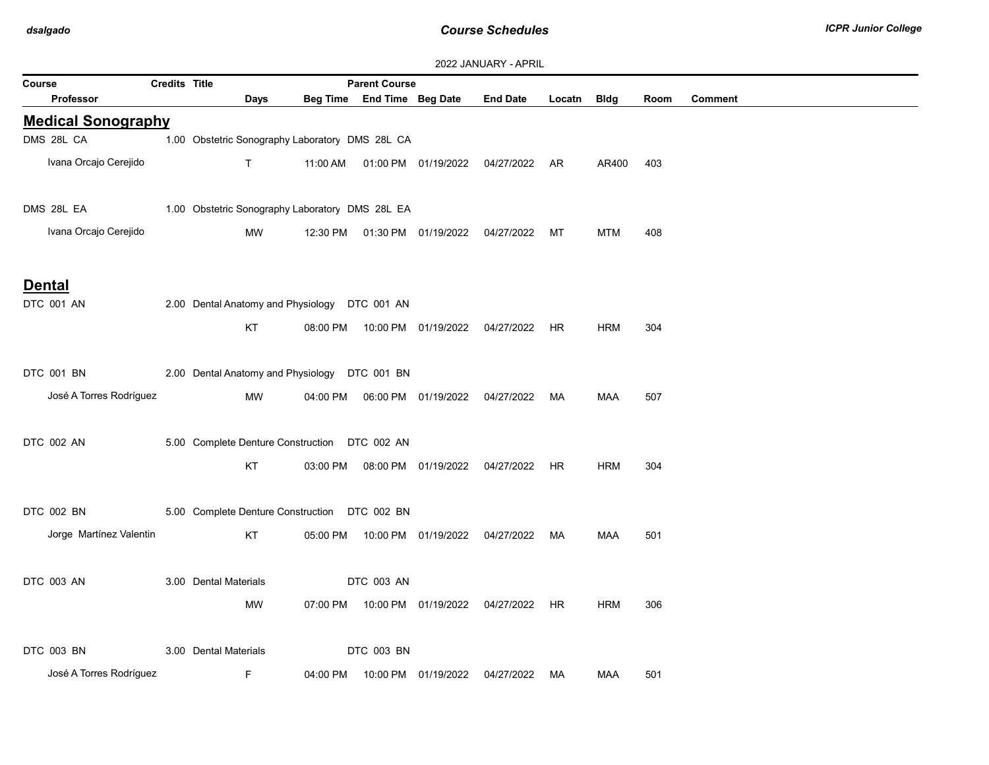|                            | <b>Credits Title</b> |                                                 |          | <b>Parent Course</b>       |                                            | <b><i>LULL JAINUAINI - AFINIL</i></b>          |        |             |      |                |
|----------------------------|----------------------|-------------------------------------------------|----------|----------------------------|--------------------------------------------|------------------------------------------------|--------|-------------|------|----------------|
| Course<br><b>Professor</b> |                      | Days                                            |          | Beg Time End Time Beg Date |                                            | <b>End Date</b>                                | Locatn | <b>Bldg</b> | Room | <b>Comment</b> |
| <b>Medical Sonography</b>  |                      |                                                 |          |                            |                                            |                                                |        |             |      |                |
| DMS 28L CA                 |                      | 1.00 Obstetric Sonography Laboratory DMS 28L CA |          |                            |                                            |                                                |        |             |      |                |
| Ivana Orcajo Cerejido      |                      | T                                               |          |                            |                                            | 11:00 AM  01:00 PM  01/19/2022  04/27/2022  AR |        | AR400       | 403  |                |
| DMS 28L EA                 |                      | 1.00 Obstetric Sonography Laboratory DMS 28L EA |          |                            |                                            |                                                |        |             |      |                |
| Ivana Orcajo Cerejido      |                      | MW                                              |          |                            | 12:30 PM  01:30 PM  01/19/2022  04/27/2022 |                                                | MT     | MTM         | 408  |                |
| <b>Dental</b>              |                      |                                                 |          |                            |                                            |                                                |        |             |      |                |
| DTC 001 AN                 |                      | 2.00 Dental Anatomy and Physiology DTC 001 AN   |          |                            |                                            |                                                |        |             |      |                |
|                            |                      | KT                                              |          |                            |                                            | 08:00 PM  10:00 PM  01/19/2022  04/27/2022  HR |        | HRM         | 304  |                |
| DTC 001 BN                 |                      | 2.00 Dental Anatomy and Physiology DTC 001 BN   |          |                            |                                            |                                                |        |             |      |                |
| José A Torres Rodríguez    |                      | MW                                              |          |                            |                                            |                                                | MA     | <b>MAA</b>  | 507  |                |
| DTC 002 AN                 |                      | 5.00 Complete Denture Construction DTC 002 AN   |          |                            |                                            |                                                |        |             |      |                |
|                            |                      | KT                                              |          |                            |                                            | 03:00 PM  08:00 PM  01/19/2022  04/27/2022  HR |        | <b>HRM</b>  | 304  |                |
| DTC 002 BN                 |                      | 5.00 Complete Denture Construction DTC 002 BN   |          |                            |                                            |                                                |        |             |      |                |
| Jorge Martínez Valentin    |                      | KT                                              |          |                            |                                            | 05:00 PM  10:00 PM  01/19/2022  04/27/2022  MA |        | MAA         | 501  |                |
| DTC 003 AN                 |                      | 3.00 Dental Materials                           |          | DTC 003 AN                 |                                            |                                                |        |             |      |                |
|                            |                      | MW                                              | 07:00 PM |                            |                                            | 10:00 PM 01/19/2022 04/27/2022 HR              |        | <b>HRM</b>  | 306  |                |
| DTC 003 BN                 |                      | 3.00 Dental Materials                           |          | DTC 003 BN                 |                                            |                                                |        |             |      |                |
| José A Torres Rodríguez    |                      | F.                                              | 04:00 PM |                            | 10:00 PM 01/19/2022                        | 04/27/2022                                     | МA     | MAA         | 501  |                |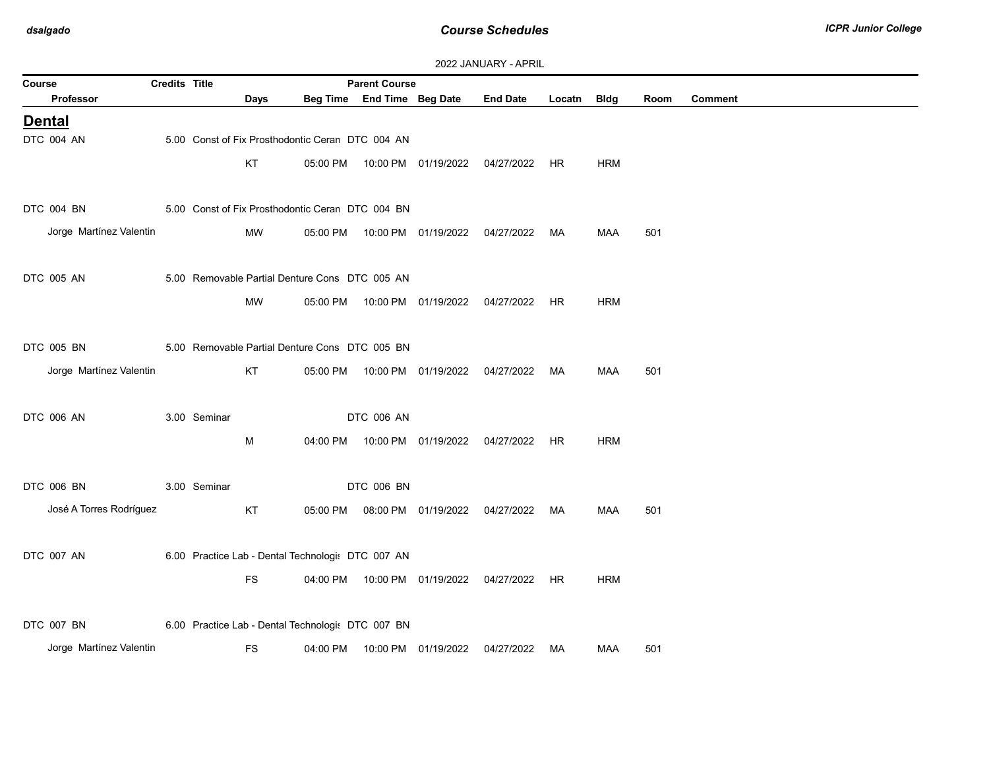| 2022 JANUARY - APRIL |  |
|----------------------|--|
|----------------------|--|

| Course                  | Credits Title |                                                   |      |          | <b>Parent Course</b>       |                                            |                                                |             |            |      |         |
|-------------------------|---------------|---------------------------------------------------|------|----------|----------------------------|--------------------------------------------|------------------------------------------------|-------------|------------|------|---------|
| Professor               |               |                                                   | Days |          | Beg Time End Time Beg Date |                                            | <b>End Date</b>                                | Locatn Bldg |            | Room | Comment |
| <b>Dental</b>           |               |                                                   |      |          |                            |                                            |                                                |             |            |      |         |
| DTC 004 AN              |               | 5.00 Const of Fix Prosthodontic Ceran DTC 004 AN  |      |          |                            |                                            |                                                |             |            |      |         |
|                         |               | KT                                                |      |          |                            | 05:00 PM  10:00 PM  01/19/2022  04/27/2022 |                                                | HR          | <b>HRM</b> |      |         |
|                         |               |                                                   |      |          |                            |                                            |                                                |             |            |      |         |
| DTC 004 BN              |               | 5.00 Const of Fix Prosthodontic Ceran DTC 004 BN  |      |          |                            |                                            |                                                |             |            |      |         |
| Jorge Martínez Valentin |               |                                                   | MW   |          |                            |                                            | 05:00 PM  10:00 PM  01/19/2022  04/27/2022  MA |             | MAA        | 501  |         |
|                         |               |                                                   |      |          |                            |                                            |                                                |             |            |      |         |
| DTC 005 AN              |               | 5.00 Removable Partial Denture Cons DTC 005 AN    |      |          |                            |                                            |                                                |             |            |      |         |
|                         |               |                                                   |      |          |                            |                                            |                                                |             |            |      |         |
|                         |               | MW                                                |      |          |                            |                                            | 05:00 PM  10:00 PM  01/19/2022  04/27/2022  HR |             | <b>HRM</b> |      |         |
|                         |               |                                                   |      |          |                            |                                            |                                                |             |            |      |         |
| DTC 005 BN              |               | 5.00 Removable Partial Denture Cons DTC 005 BN    |      |          |                            |                                            |                                                |             |            |      |         |
| Jorge Martínez Valentin |               | KT                                                |      | 05:00 PM |                            | 10:00 PM 01/19/2022                        | 04/27/2022                                     | МA          | <b>MAA</b> | 501  |         |
|                         |               |                                                   |      |          |                            |                                            |                                                |             |            |      |         |
| DTC 006 AN              |               | 3.00 Seminar                                      |      |          | DTC 006 AN                 |                                            |                                                |             |            |      |         |
|                         |               | М                                                 |      |          |                            |                                            | 04:00 PM  10:00 PM  01/19/2022  04/27/2022  HR |             | <b>HRM</b> |      |         |
|                         |               |                                                   |      |          |                            |                                            |                                                |             |            |      |         |
| DTC 006 BN              |               | 3.00 Seminar                                      |      |          | DTC 006 BN                 |                                            |                                                |             |            |      |         |
| José A Torres Rodríguez |               | KT                                                |      |          |                            | 05:00 PM  08:00 PM  01/19/2022             | 04/27/2022 MA                                  |             | <b>MAA</b> | 501  |         |
|                         |               |                                                   |      |          |                            |                                            |                                                |             |            |      |         |
| DTC 007 AN              |               | 6.00 Practice Lab - Dental Technologi: DTC 007 AN |      |          |                            |                                            |                                                |             |            |      |         |
|                         |               |                                                   |      |          |                            |                                            |                                                |             |            |      |         |
|                         |               | <b>FS</b>                                         |      |          |                            | 04:00 PM  10:00 PM  01/19/2022             | 04/27/2022 HR                                  |             | <b>HRM</b> |      |         |
|                         |               |                                                   |      |          |                            |                                            |                                                |             |            |      |         |
| DTC 007 BN              |               | 6.00 Practice Lab - Dental Technologi: DTC 007 BN |      |          |                            |                                            |                                                |             |            |      |         |
| Jorge Martínez Valentin |               | <b>FS</b>                                         |      |          |                            | 04:00 PM  10:00 PM  01/19/2022             | 04/27/2022 MA                                  |             | MAA        | 501  |         |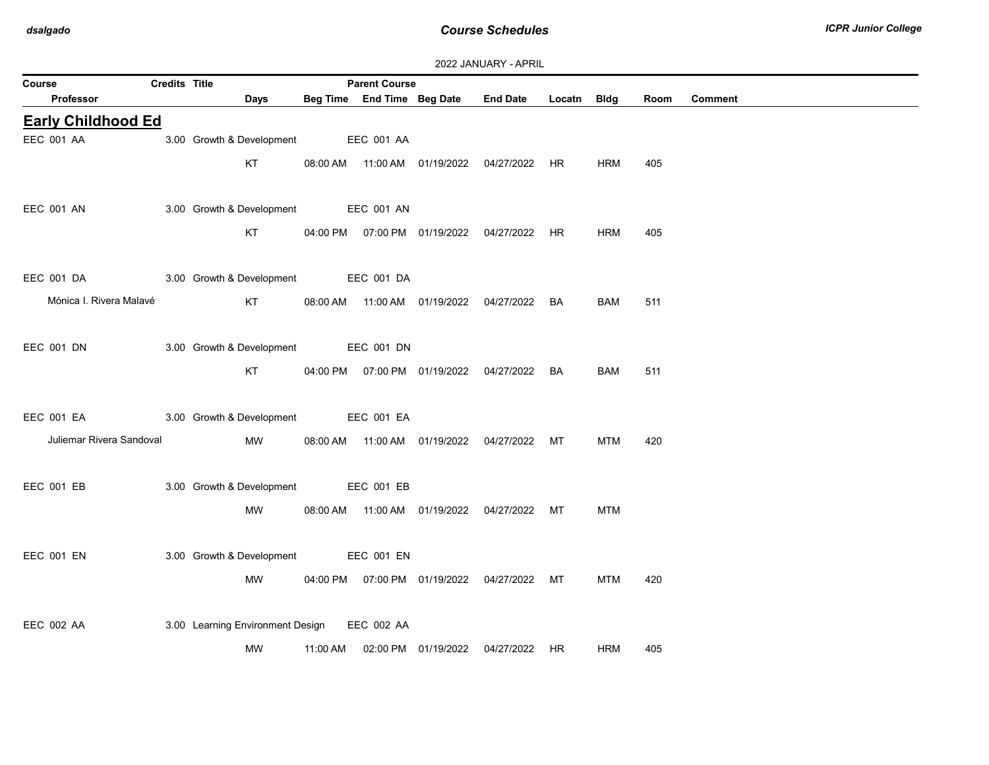| Course                    | Credits Title |                                  |          | <b>Parent Course</b>       |                                            |                                                |             |            |      |         |
|---------------------------|---------------|----------------------------------|----------|----------------------------|--------------------------------------------|------------------------------------------------|-------------|------------|------|---------|
| Professor                 |               | Days                             |          | Beg Time End Time Beg Date |                                            | <b>End Date</b>                                | Locatn Bldg |            | Room | Comment |
| <b>Early Childhood Ed</b> |               |                                  |          |                            |                                            |                                                |             |            |      |         |
| EEC 001 AA                |               | 3.00 Growth & Development        |          | <b>EEC 001 AA</b>          |                                            |                                                |             |            |      |         |
|                           |               | KT                               |          |                            |                                            | 08:00 AM  11:00 AM  01/19/2022  04/27/2022  HR |             | <b>HRM</b> | 405  |         |
|                           |               |                                  |          |                            |                                            |                                                |             |            |      |         |
| <b>EEC 001 AN</b>         |               | 3.00 Growth & Development        |          | EEC 001 AN                 |                                            |                                                |             |            |      |         |
|                           |               | KT                               |          |                            | 04:00 PM  07:00 PM  01/19/2022  04/27/2022 |                                                | HR.         | <b>HRM</b> | 405  |         |
| EEC 001 DA                |               | 3.00 Growth & Development        |          | EEC 001 DA                 |                                            |                                                |             |            |      |         |
| Mónica I. Rivera Malavé   |               | KT                               |          |                            |                                            | 08:00 AM  11:00 AM  01/19/2022  04/27/2022     | BA          | BAM        | 511  |         |
|                           |               |                                  |          |                            |                                            |                                                |             |            |      |         |
| EEC 001 DN                |               | 3.00 Growth & Development        |          | EEC 001 DN                 |                                            |                                                |             |            |      |         |
|                           |               | KT                               |          |                            |                                            | 04:00 PM  07:00 PM  01/19/2022  04/27/2022     | BA          | <b>BAM</b> | 511  |         |
|                           |               |                                  |          |                            |                                            |                                                |             |            |      |         |
| <b>EEC 001 EA</b>         |               | 3.00 Growth & Development        |          | EEC 001 EA                 |                                            |                                                |             |            |      |         |
| Juliemar Rivera Sandoval  |               | MW                               |          |                            | 08:00 AM  11:00 AM  01/19/2022  04/27/2022 |                                                | МT          | <b>MTM</b> | 420  |         |
| EEC 001 EB                |               | 3.00 Growth & Development        |          |                            |                                            |                                                |             |            |      |         |
|                           |               |                                  |          | <b>EEC 001 EB</b>          |                                            |                                                |             |            |      |         |
|                           |               | MW                               |          |                            |                                            | 08:00 AM  11:00 AM  01/19/2022  04/27/2022  MT |             | <b>MTM</b> |      |         |
| <b>EEC 001 EN</b>         |               | 3.00 Growth & Development        |          | EEC 001 EN                 |                                            |                                                |             |            |      |         |
|                           |               | MW                               |          |                            | 04:00 PM  07:00 PM  01/19/2022  04/27/2022 |                                                | МT          | <b>MTM</b> | 420  |         |
|                           |               |                                  |          |                            |                                            |                                                |             |            |      |         |
| EEC 002 AA                |               | 3.00 Learning Environment Design |          | EEC 002 AA                 |                                            |                                                |             |            |      |         |
|                           |               | MW                               | 11:00 AM |                            | 02:00 PM 01/19/2022                        | 04/27/2022                                     | HR.         | <b>HRM</b> | 405  |         |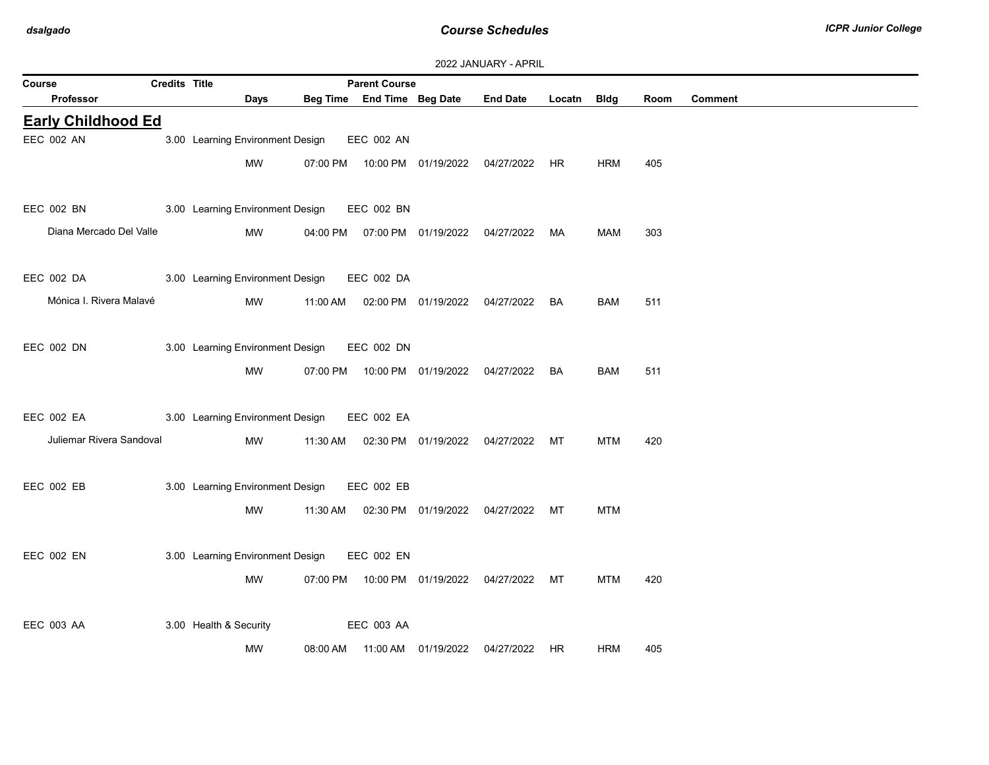| Course                    | Credits Title |                                  |          | <b>Parent Course</b>       |                                            |                                                |             |            |      |                |
|---------------------------|---------------|----------------------------------|----------|----------------------------|--------------------------------------------|------------------------------------------------|-------------|------------|------|----------------|
| Professor                 |               | Days                             |          | Beg Time End Time Beg Date |                                            | <b>End Date</b>                                | Locatn Bldg |            | Room | <b>Comment</b> |
| <b>Early Childhood Ed</b> |               |                                  |          |                            |                                            |                                                |             |            |      |                |
| EEC 002 AN                |               | 3.00 Learning Environment Design |          | <b>EEC 002 AN</b>          |                                            |                                                |             |            |      |                |
|                           |               | MW                               |          |                            | 07:00 PM  10:00 PM  01/19/2022  04/27/2022 |                                                | HR.         | <b>HRM</b> | 405  |                |
|                           |               |                                  |          |                            |                                            |                                                |             |            |      |                |
| EEC 002 BN                |               | 3.00 Learning Environment Design |          | EEC 002 BN                 |                                            |                                                |             |            |      |                |
| Diana Mercado Del Valle   |               | <b>MW</b>                        | 04:00 PM |                            | 07:00 PM  01/19/2022  04/27/2022           |                                                | MA          | <b>MAM</b> | 303  |                |
|                           |               |                                  |          |                            |                                            |                                                |             |            |      |                |
| EEC 002 DA                |               | 3.00 Learning Environment Design |          | EEC 002 DA                 |                                            |                                                |             |            |      |                |
| Mónica I. Rivera Malavé   |               | MW                               | 11:00 AM |                            |                                            | 02:00 PM  01/19/2022  04/27/2022               | BA          | <b>BAM</b> | 511  |                |
|                           |               |                                  |          |                            |                                            |                                                |             |            |      |                |
| EEC 002 DN                |               | 3.00 Learning Environment Design |          | EEC 002 DN                 |                                            |                                                |             |            |      |                |
|                           |               | <b>MW</b>                        | 07:00 PM |                            | 10:00 PM 01/19/2022 04/27/2022             |                                                | BA          | <b>BAM</b> | 511  |                |
|                           |               |                                  |          |                            |                                            |                                                |             |            |      |                |
| EEC 002 EA                |               | 3.00 Learning Environment Design |          | EEC 002 EA                 |                                            |                                                |             |            |      |                |
| Juliemar Rivera Sandoval  |               | MW                               | 11:30 AM |                            |                                            | 02:30 PM 01/19/2022 04/27/2022 MT              |             | <b>MTM</b> | 420  |                |
|                           |               |                                  |          |                            |                                            |                                                |             |            |      |                |
| <b>EEC 002 EB</b>         |               | 3.00 Learning Environment Design |          | EEC 002 EB                 |                                            |                                                |             |            |      |                |
|                           |               | MW                               | 11:30 AM |                            |                                            | 02:30 PM 01/19/2022 04/27/2022                 | МT          | <b>MTM</b> |      |                |
|                           |               |                                  |          |                            |                                            |                                                |             |            |      |                |
| EEC 002 EN                |               | 3.00 Learning Environment Design |          | EEC 002 EN                 |                                            |                                                |             |            |      |                |
|                           |               | <b>MW</b>                        |          |                            |                                            | 07:00 PM  10:00 PM  01/19/2022  04/27/2022  MT |             | <b>MTM</b> | 420  |                |
|                           |               |                                  |          |                            |                                            |                                                |             |            |      |                |
| <b>EEC 003 AA</b>         |               | 3.00 Health & Security           |          | <b>EEC 003 AA</b>          |                                            |                                                |             |            |      |                |
|                           |               | <b>MW</b>                        | 08:00 AM |                            | 11:00 AM 01/19/2022                        | 04/27/2022                                     | HR          | <b>HRM</b> | 405  |                |
|                           |               |                                  |          |                            |                                            |                                                |             |            |      |                |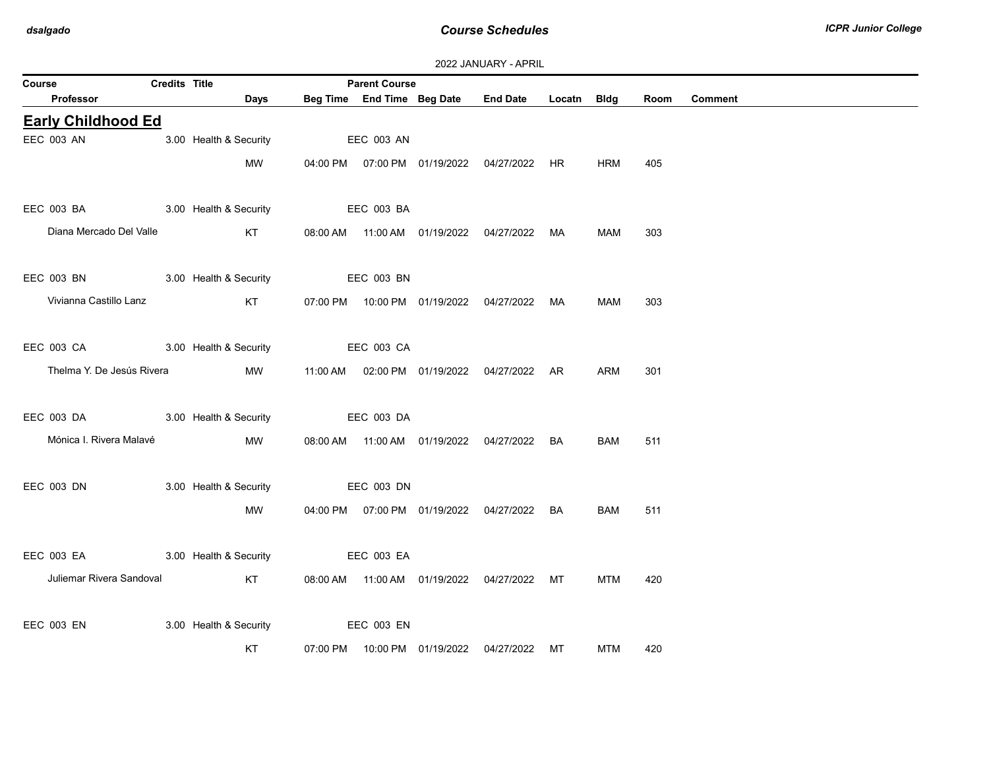| Course                            | Credits Title |                        | <b>Parent Course</b> |                                                |             |            |      |                |
|-----------------------------------|---------------|------------------------|----------------------|------------------------------------------------|-------------|------------|------|----------------|
| Professor                         |               | <b>Days</b>            |                      | Beg Time End Time Beg Date End Date            | Locatn Bldg |            | Room | <b>Comment</b> |
| <b>Early Childhood Ed</b>         |               |                        |                      |                                                |             |            |      |                |
| <b>EEC 003 AN</b>                 |               | 3.00 Health & Security | <b>EEC 003 AN</b>    |                                                |             |            |      |                |
|                                   |               | MW                     |                      | 04:00 PM  07:00 PM  01/19/2022  04/27/2022  HR |             | <b>HRM</b> | 405  |                |
| EEC 003 BA                        |               | 3.00 Health & Security | EEC 003 BA           |                                                |             |            |      |                |
| Diana Mercado Del Valle           |               | KT                     |                      | 08:00 AM  11:00 AM  01/19/2022  04/27/2022  MA |             | MAM        | 303  |                |
| EEC 003 BN 3.00 Health & Security |               |                        | EEC 003 BN           |                                                |             |            |      |                |
| Vivianna Castillo Lanz            |               | KT                     |                      | 07:00 PM  10:00 PM  01/19/2022  04/27/2022  MA |             | MAM        | 303  |                |
| EEC 003 CA 3.00 Health & Security |               |                        | <b>EEC 003 CA</b>    |                                                |             |            |      |                |
| Thelma Y. De Jesús Rivera         |               | <b>MW</b>              |                      | 11:00 AM  02:00 PM  01/19/2022  04/27/2022  AR |             | <b>ARM</b> | 301  |                |
| EEC 003 DA 3.00 Health & Security |               |                        | EEC 003 DA           |                                                |             |            |      |                |
| Mónica I. Rivera Malavé           |               | MW                     |                      | 08:00 AM  11:00 AM  01/19/2022  04/27/2022  BA |             | BAM        | 511  |                |
| EEC 003 DN                        |               | 3.00 Health & Security | <b>EEC 003 DN</b>    |                                                |             |            |      |                |
|                                   |               | <b>MW</b>              |                      | 04:00 PM  07:00 PM  01/19/2022  04/27/2022  BA |             | <b>BAM</b> | 511  |                |
| EEC 003 EA 3.00 Health & Security |               |                        | <b>EEC 003 EA</b>    |                                                |             |            |      |                |
| Juliemar Rivera Sandoval          |               | KT                     |                      | 08:00 AM  11:00 AM  01/19/2022  04/27/2022  MT |             | MTM        | 420  |                |
| EEC 003 EN                        |               | 3.00 Health & Security | <b>EEC 003 EN</b>    |                                                |             |            |      |                |
|                                   |               | KT                     |                      | 07:00 PM  10:00 PM  01/19/2022  04/27/2022  MT |             | MTM        | 420  |                |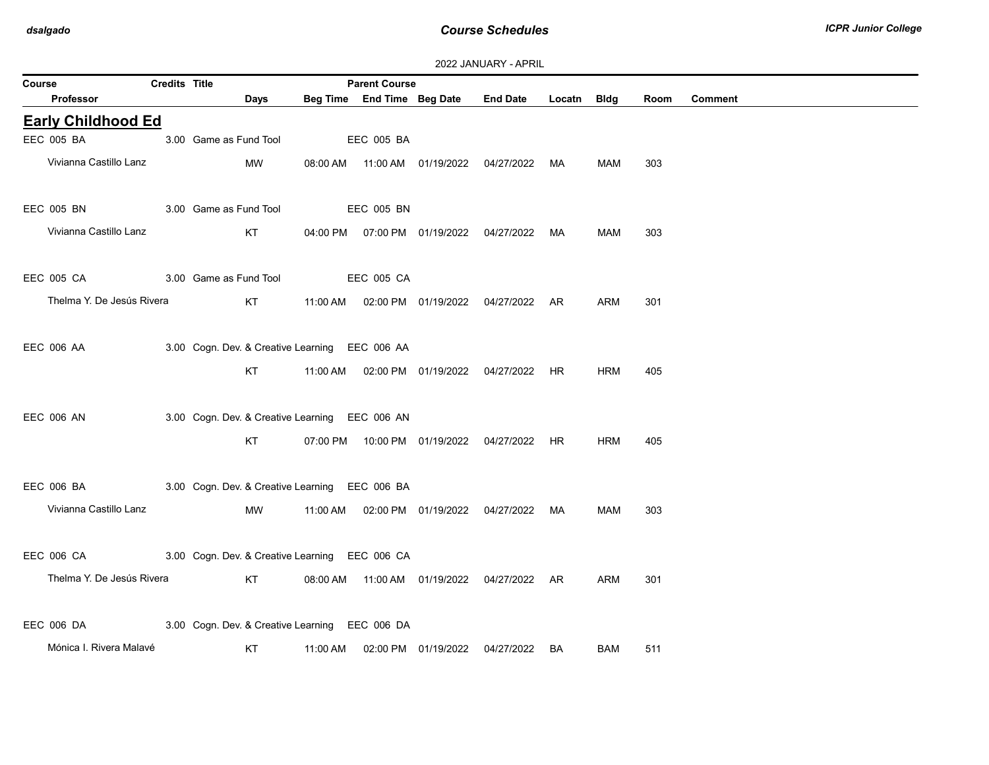|  |  | 2022 JANUARY - APRIL |  |
|--|--|----------------------|--|
|--|--|----------------------|--|

| Course                                                    | Credits Title |                        |                                                | <b>Parent Course</b> |                                            |                                                |             |            |      |                |
|-----------------------------------------------------------|---------------|------------------------|------------------------------------------------|----------------------|--------------------------------------------|------------------------------------------------|-------------|------------|------|----------------|
| Professor                                                 |               | Days                   |                                                |                      | Beg Time End Time Beg Date                 | <b>End Date</b>                                | Locatn Bldg |            | Room | <b>Comment</b> |
| <b>Early Childhood Ed</b>                                 |               |                        |                                                |                      |                                            |                                                |             |            |      |                |
| EEC 005 BA                                                |               | 3.00 Game as Fund Tool |                                                | EEC 005 BA           |                                            |                                                |             |            |      |                |
| Vivianna Castillo Lanz                                    |               | MW                     |                                                |                      | 08:00 AM  11:00 AM  01/19/2022  04/27/2022 |                                                | MA          | MAM        | 303  |                |
| EEC 005 BN                                                |               | 3.00 Game as Fund Tool |                                                | EEC 005 BN           |                                            |                                                |             |            |      |                |
| Vivianna Castillo Lanz                                    |               | KT                     |                                                |                      |                                            | 04:00 PM  07:00 PM  01/19/2022  04/27/2022     | MA          | MAM        | 303  |                |
| EEC 005 CA                                                |               | 3.00 Game as Fund Tool |                                                | <b>EEC 005 CA</b>    |                                            |                                                |             |            |      |                |
| Thelma Y. De Jesús Rivera                                 |               | KT                     |                                                |                      |                                            | 11:00 AM  02:00 PM  01/19/2022  04/27/2022  AR |             | <b>ARM</b> | 301  |                |
| EEC 006 AA                                                |               |                        | 3.00 Cogn. Dev. & Creative Learning EEC 006 AA |                      |                                            |                                                |             |            |      |                |
|                                                           |               | KT                     |                                                |                      | 11:00 AM  02:00 PM  01/19/2022  04/27/2022 |                                                | <b>HR</b>   | <b>HRM</b> | 405  |                |
| <b>EEC 006 AN</b>                                         |               |                        | 3.00 Cogn. Dev. & Creative Learning EEC 006 AN |                      |                                            |                                                |             |            |      |                |
|                                                           |               | KT                     |                                                |                      |                                            | 07:00 PM  10:00 PM  01/19/2022  04/27/2022  HR |             | <b>HRM</b> | 405  |                |
| EEC 006 BA                                                |               |                        | 3.00 Cogn. Dev. & Creative Learning EEC 006 BA |                      |                                            |                                                |             |            |      |                |
| Vivianna Castillo Lanz                                    |               | MW                     |                                                |                      |                                            | 11:00 AM  02:00 PM  01/19/2022  04/27/2022     | MA          | MAM        | 303  |                |
| EEC 006 CA 3.00 Cogn. Dev. & Creative Learning EEC 006 CA |               |                        |                                                |                      |                                            |                                                |             |            |      |                |
| Thelma Y. De Jesús Rivera                                 |               | KT                     |                                                |                      |                                            | 08:00 AM  11:00 AM  01/19/2022  04/27/2022  AR |             | ARM        | 301  |                |
| EEC 006 DA                                                |               |                        | 3.00 Cogn. Dev. & Creative Learning EEC 006 DA |                      |                                            |                                                |             |            |      |                |
| Mónica I. Rivera Malavé                                   |               | KT                     | 11:00 AM                                       |                      | 02:00 PM 01/19/2022                        | 04/27/2022                                     | <b>BA</b>   | <b>BAM</b> | 511  |                |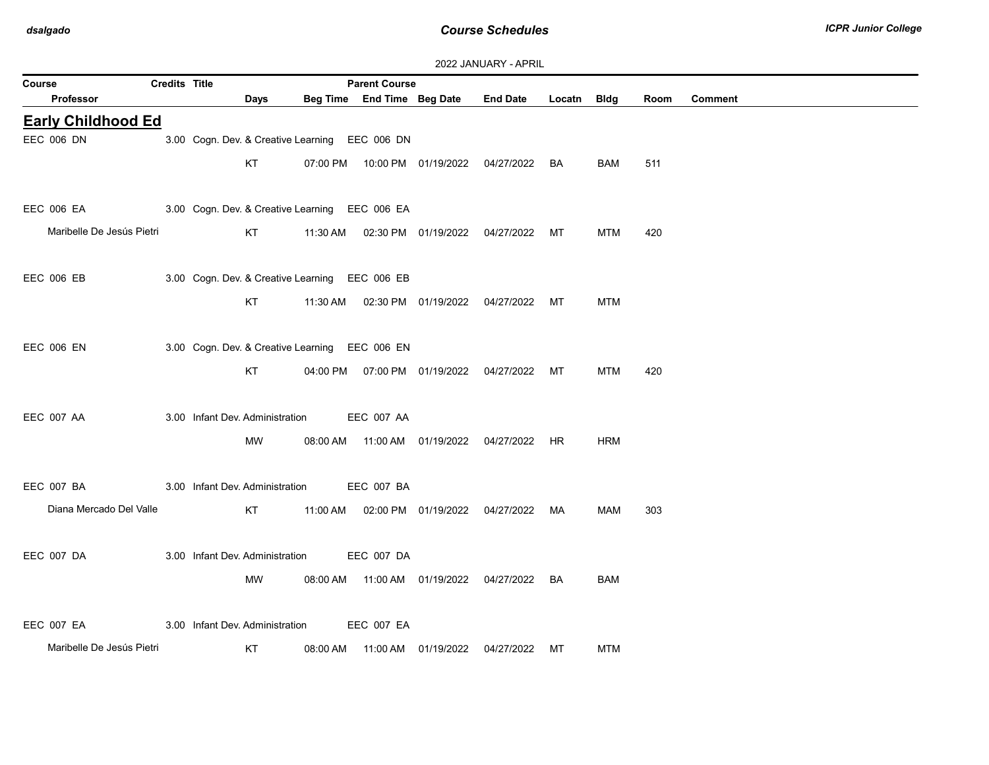| 2022 JANUARY - APRIL |  |  |  |  |
|----------------------|--|--|--|--|
|----------------------|--|--|--|--|

| Course                    | <b>Credits Title</b> |                                 |                                                | <b>Parent Course</b>       |                                  |                                                |             |            |      |                |
|---------------------------|----------------------|---------------------------------|------------------------------------------------|----------------------------|----------------------------------|------------------------------------------------|-------------|------------|------|----------------|
| <b>Professor</b>          |                      | Days                            |                                                | Beg Time End Time Beg Date |                                  | <b>End Date</b>                                | Locatn Bldg |            | Room | <b>Comment</b> |
| <b>Early Childhood Ed</b> |                      |                                 |                                                |                            |                                  |                                                |             |            |      |                |
| EEC 006 DN                |                      |                                 | 3.00 Cogn. Dev. & Creative Learning EEC 006 DN |                            |                                  |                                                |             |            |      |                |
|                           |                      | KT                              |                                                |                            |                                  | 07:00 PM  10:00 PM  01/19/2022  04/27/2022  BA |             | <b>BAM</b> | 511  |                |
| EEC 006 EA                |                      |                                 | 3.00 Cogn. Dev. & Creative Learning EEC 006 EA |                            |                                  |                                                |             |            |      |                |
| Maribelle De Jesús Pietri |                      | KT                              |                                                |                            |                                  | 11:30 AM  02:30 PM  01/19/2022  04/27/2022  MT |             | <b>MTM</b> | 420  |                |
| EEC 006 EB                |                      |                                 | 3.00 Cogn. Dev. & Creative Learning EEC 006 EB |                            |                                  |                                                |             |            |      |                |
|                           |                      | KT                              |                                                |                            |                                  | 11:30 AM  02:30 PM  01/19/2022  04/27/2022  MT |             | <b>MTM</b> |      |                |
| <b>EEC 006 EN</b>         |                      |                                 | 3.00 Cogn. Dev. & Creative Learning EEC 006 EN |                            |                                  |                                                |             |            |      |                |
|                           |                      | KT                              |                                                |                            |                                  | 04:00 PM  07:00 PM  01/19/2022  04/27/2022  MT |             | <b>MTM</b> | 420  |                |
| EEC 007 AA                |                      | 3.00 Infant Dev. Administration |                                                | EEC 007 AA                 |                                  |                                                |             |            |      |                |
|                           |                      | MW                              |                                                |                            |                                  | 08:00 AM  11:00 AM  01/19/2022  04/27/2022  HR |             | <b>HRM</b> |      |                |
| EEC 007 BA                |                      | 3.00 Infant Dev. Administration |                                                | <b>EEC 007 BA</b>          |                                  |                                                |             |            |      |                |
| Diana Mercado Del Valle   |                      | KT                              |                                                |                            |                                  | 11:00 AM  02:00 PM  01/19/2022  04/27/2022  MA |             | MAM        | 303  |                |
| EEC 007 DA                |                      | 3.00 Infant Dev. Administration |                                                | EEC 007 DA                 |                                  |                                                |             |            |      |                |
|                           |                      | MW                              | 08:00 AM                                       |                            |                                  | 11:00 AM  01/19/2022  04/27/2022  BA           |             | <b>BAM</b> |      |                |
| EEC 007 EA                |                      | 3.00 Infant Dev. Administration |                                                | EEC 007 EA                 |                                  |                                                |             |            |      |                |
| Maribelle De Jesús Pietri |                      | <b>KT</b>                       | 08:00 AM                                       |                            | 11:00 AM  01/19/2022  04/27/2022 |                                                | MT          | <b>MTM</b> |      |                |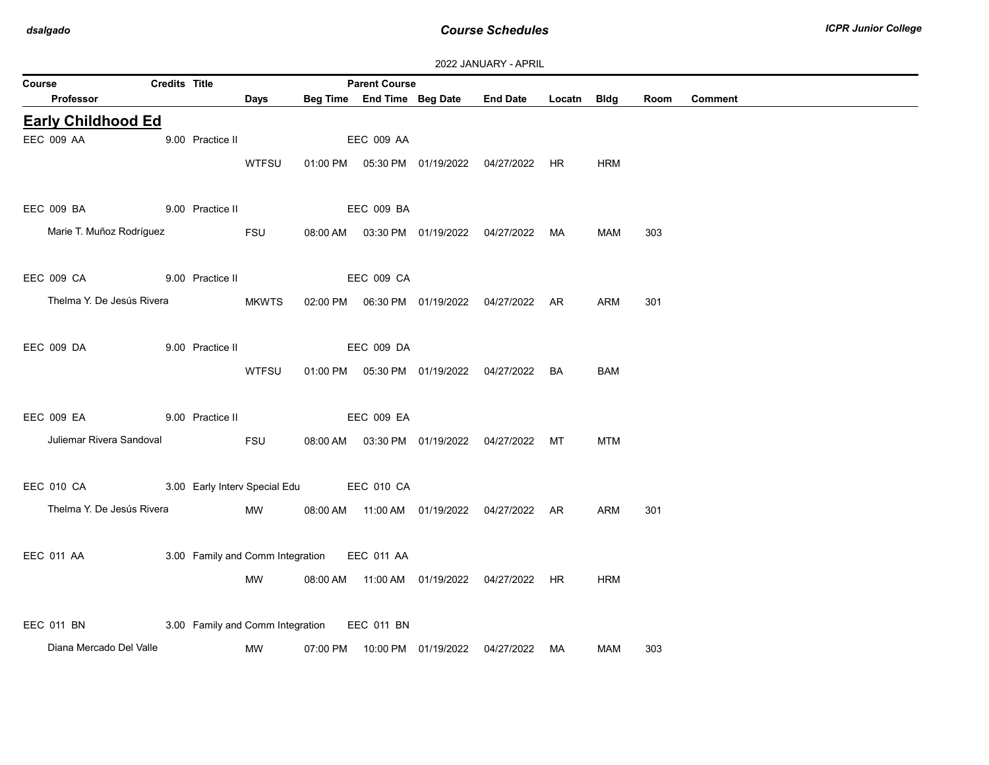|                           |                      |                  |                                  |          |                      |                            | 2022 JANUARY - APRIL                           |             |            |      |                |
|---------------------------|----------------------|------------------|----------------------------------|----------|----------------------|----------------------------|------------------------------------------------|-------------|------------|------|----------------|
| Course                    | <b>Credits Title</b> |                  |                                  |          | <b>Parent Course</b> |                            |                                                |             |            |      |                |
| Professor                 |                      |                  | Days                             |          |                      | Beg Time End Time Beg Date | <b>End Date</b>                                | Locatn Bldg |            | Room | <b>Comment</b> |
| <b>Early Childhood Ed</b> |                      |                  |                                  |          |                      |                            |                                                |             |            |      |                |
| <b>EEC 009 AA</b>         |                      | 9.00 Practice II |                                  |          | <b>EEC 009 AA</b>    |                            |                                                |             |            |      |                |
|                           |                      |                  | <b>WTFSU</b>                     |          |                      |                            | 01:00 PM  05:30 PM  01/19/2022  04/27/2022  HR |             | <b>HRM</b> |      |                |
| EEC 009 BA                |                      | 9.00 Practice II |                                  |          | EEC 009 BA           |                            |                                                |             |            |      |                |
| Marie T. Muñoz Rodríguez  |                      |                  | FSU                              |          |                      |                            | 08:00 AM  03:30 PM  01/19/2022  04/27/2022  MA |             | <b>MAM</b> | 303  |                |
| <b>EEC 009 CA</b>         |                      | 9.00 Practice II |                                  |          | <b>EEC 009 CA</b>    |                            |                                                |             |            |      |                |
| Thelma Y. De Jesús Rivera |                      |                  | <b>MKWTS</b>                     |          |                      |                            | 02:00 PM  06:30 PM  01/19/2022  04/27/2022  AR |             | ARM        | 301  |                |
|                           |                      |                  |                                  |          |                      |                            |                                                |             |            |      |                |
| <b>EEC 009 DA</b>         |                      | 9.00 Practice II |                                  |          | EEC 009 DA           |                            |                                                |             |            |      |                |
|                           |                      |                  | <b>WTFSU</b>                     |          |                      |                            | 01:00 PM  05:30 PM  01/19/2022  04/27/2022     | BA          | BAM        |      |                |
| EEC 009 EA                |                      | 9.00 Practice II |                                  |          | <b>EEC 009 EA</b>    |                            |                                                |             |            |      |                |
| Juliemar Rivera Sandoval  |                      |                  | FSU                              |          |                      |                            | 08:00 AM  03:30 PM  01/19/2022  04/27/2022  MT |             | <b>MTM</b> |      |                |
| EEC 010 CA                |                      |                  | 3.00 Early Interv Special Edu    |          | <b>EEC 010 CA</b>    |                            |                                                |             |            |      |                |
|                           |                      |                  |                                  |          |                      |                            |                                                |             |            |      |                |
| Thelma Y. De Jesús Rivera |                      |                  | MW                               |          |                      |                            | 08:00 AM  11:00 AM  01/19/2022  04/27/2022  AR |             | ARM        | 301  |                |
| EEC 011 AA                |                      |                  | 3.00 Family and Comm Integration |          | EEC 011 AA           |                            |                                                |             |            |      |                |
|                           |                      |                  | MW                               |          |                      |                            | 08:00 AM  11:00 AM  01/19/2022  04/27/2022  HR |             | <b>HRM</b> |      |                |
| EEC 011 BN                |                      |                  | 3.00 Family and Comm Integration |          | <b>EEC 011 BN</b>    |                            |                                                |             |            |      |                |
| Diana Mercado Del Valle   |                      |                  | MW                               | 07:00 PM |                      | 10:00 PM 01/19/2022        | 04/27/2022                                     | MA          | <b>MAM</b> | 303  |                |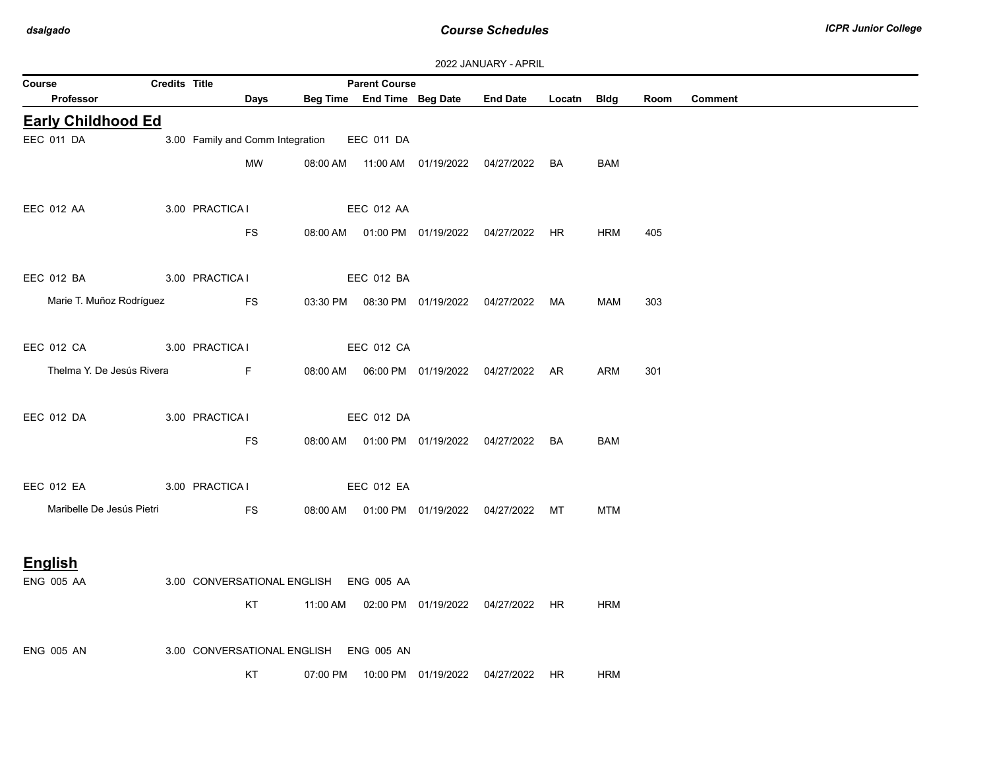| 2022 JANUARY - APRIL |  |
|----------------------|--|
|----------------------|--|

|                            |                      |                 |                                  |          |                                                    |                                            | <b><i>LULL JAINUART - AFRIL</i></b>            |             |            |      |                |
|----------------------------|----------------------|-----------------|----------------------------------|----------|----------------------------------------------------|--------------------------------------------|------------------------------------------------|-------------|------------|------|----------------|
| Course<br><b>Professor</b> | <b>Credits Title</b> |                 | Days                             |          | <b>Parent Course</b><br>Beg Time End Time Beg Date |                                            | <b>End Date</b>                                | Locatn Bldg |            | Room | <b>Comment</b> |
| <b>Early Childhood Ed</b>  |                      |                 |                                  |          |                                                    |                                            |                                                |             |            |      |                |
| EEC 011 DA                 |                      |                 | 3.00 Family and Comm Integration |          | EEC 011 DA                                         |                                            |                                                |             |            |      |                |
|                            |                      |                 | <b>MW</b>                        |          |                                                    |                                            | 08:00 AM  11:00 AM  01/19/2022  04/27/2022     | BA          | <b>BAM</b> |      |                |
|                            |                      |                 |                                  |          |                                                    |                                            |                                                |             |            |      |                |
| <b>EEC 012 AA</b>          |                      | 3.00 PRACTICA I |                                  |          | <b>EEC 012 AA</b>                                  |                                            |                                                |             |            |      |                |
|                            |                      |                 | FS                               |          |                                                    |                                            | 08:00 AM  01:00 PM  01/19/2022  04/27/2022  HR |             | <b>HRM</b> | 405  |                |
|                            |                      |                 |                                  |          |                                                    |                                            |                                                |             |            |      |                |
| EEC 012 BA                 |                      | 3.00 PRACTICA I |                                  |          | EEC 012 BA                                         |                                            |                                                |             |            |      |                |
| Marie T. Muñoz Rodríguez   |                      |                 | <b>FS</b>                        |          |                                                    | 03:30 PM  08:30 PM  01/19/2022  04/27/2022 |                                                | MA          | MAM        | 303  |                |
|                            |                      |                 |                                  |          |                                                    |                                            |                                                |             |            |      |                |
| EEC 012 CA                 |                      | 3.00 PRACTICA I |                                  |          | <b>EEC 012 CA</b>                                  |                                            |                                                |             |            |      |                |
| Thelma Y. De Jesús Rivera  |                      |                 | F.                               |          |                                                    |                                            | 08:00 AM  06:00 PM  01/19/2022  04/27/2022  AR |             | <b>ARM</b> | 301  |                |
|                            |                      |                 |                                  |          |                                                    |                                            |                                                |             |            |      |                |
| EEC 012 DA                 |                      | 3.00 PRACTICA I |                                  |          | EEC 012 DA                                         |                                            |                                                |             |            |      |                |
|                            |                      |                 | <b>FS</b>                        |          |                                                    |                                            | 08:00 AM  01:00 PM  01/19/2022  04/27/2022  BA |             | <b>BAM</b> |      |                |
|                            |                      |                 |                                  |          |                                                    |                                            |                                                |             |            |      |                |
| EEC 012 EA                 |                      | 3.00 PRACTICA I |                                  |          | <b>EEC 012 EA</b>                                  |                                            |                                                |             |            |      |                |
| Maribelle De Jesús Pietri  |                      |                 | <b>FS</b>                        |          |                                                    |                                            | 08:00 AM  01:00 PM  01/19/2022  04/27/2022  MT |             | <b>MTM</b> |      |                |
|                            |                      |                 |                                  |          |                                                    |                                            |                                                |             |            |      |                |
| <b>English</b>             |                      |                 |                                  |          |                                                    |                                            |                                                |             |            |      |                |
| <b>ENG 005 AA</b>          |                      |                 | 3.00 CONVERSATIONAL ENGLISH      |          | <b>ENG 005 AA</b>                                  |                                            |                                                |             |            |      |                |
|                            |                      |                 | KT                               |          |                                                    |                                            | 11:00 AM  02:00 PM  01/19/2022  04/27/2022  HR |             | <b>HRM</b> |      |                |
|                            |                      |                 |                                  |          |                                                    |                                            |                                                |             |            |      |                |
| <b>ENG 005 AN</b>          |                      |                 | 3.00 CONVERSATIONAL ENGLISH      |          | <b>ENG 005 AN</b>                                  |                                            |                                                |             |            |      |                |
|                            |                      |                 | KT                               | 07:00 PM |                                                    |                                            | 10:00 PM  01/19/2022  04/27/2022  HR           |             | <b>HRM</b> |      |                |
|                            |                      |                 |                                  |          |                                                    |                                            |                                                |             |            |      |                |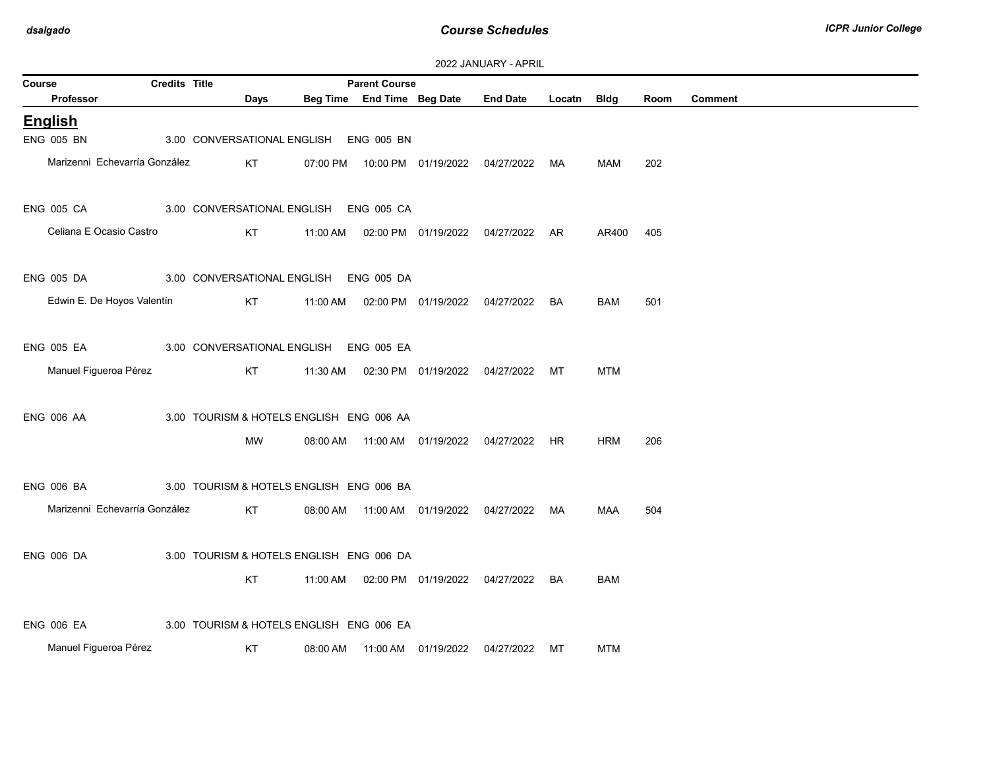| 2022 JANUARY - APRIL |
|----------------------|
|----------------------|

| Course |                               | <b>Credits Title</b> |      |          | <b>Parent Course</b>                     |                                            |                                      |             |            |      |                |
|--------|-------------------------------|----------------------|------|----------|------------------------------------------|--------------------------------------------|--------------------------------------|-------------|------------|------|----------------|
|        | <b>Professor</b>              |                      | Days |          | Beg Time End Time Beg Date               |                                            | <b>End Date</b>                      | Locatn Bldg |            | Room | <b>Comment</b> |
|        | <b>English</b>                |                      |      |          |                                          |                                            |                                      |             |            |      |                |
|        | <b>ENG 005 BN</b>             |                      |      |          | 3.00 CONVERSATIONAL ENGLISH ENG 005 BN   |                                            |                                      |             |            |      |                |
|        | Marizenni Echevarría González |                      | KT   | 07:00 PM |                                          |                                            | 10:00 PM  01/19/2022  04/27/2022  MA |             | MAM        | 202  |                |
|        | <b>ENG 005 CA</b>             |                      |      |          | 3.00 CONVERSATIONAL ENGLISH ENG 005 CA   |                                            |                                      |             |            |      |                |
|        | Celiana E Ocasio Castro       |                      | KT   | 11:00 AM |                                          |                                            | 02:00 PM 01/19/2022 04/27/2022 AR    |             | AR400      | 405  |                |
|        | <b>ENG 005 DA</b>             |                      |      |          | 3.00 CONVERSATIONAL ENGLISH ENG 005 DA   |                                            |                                      |             |            |      |                |
|        | Edwin E. De Hoyos Valentín    |                      | KT   |          |                                          | 11:00 AM  02:00 PM  01/19/2022  04/27/2022 |                                      | BA          | BAM        | 501  |                |
|        | <b>ENG 005 EA</b>             |                      |      |          | 3.00 CONVERSATIONAL ENGLISH ENG 005 EA   |                                            |                                      |             |            |      |                |
|        | Manuel Figueroa Pérez         |                      | KT   | 11:30 AM |                                          | 02:30 PM 01/19/2022 04/27/2022             |                                      | MT          | <b>MTM</b> |      |                |
|        | <b>ENG 006 AA</b>             |                      |      |          | 3.00 TOURISM & HOTELS ENGLISH ENG 006 AA |                                            |                                      |             |            |      |                |
|        |                               |                      | MW   | 08:00 AM |                                          |                                            |                                      |             | <b>HRM</b> | 206  |                |
|        | <b>ENG 006 BA</b>             |                      |      |          | 3.00 TOURISM & HOTELS ENGLISH ENG 006 BA |                                            |                                      |             |            |      |                |
|        | Marizenni Echevarría González |                      | KT   | 08:00 AM |                                          | 11:00 AM  01/19/2022  04/27/2022           |                                      | MA          | <b>MAA</b> | 504  |                |
|        | <b>ENG 006 DA</b>             |                      |      |          | 3.00 TOURISM & HOTELS ENGLISH ENG 006 DA |                                            |                                      |             |            |      |                |
|        |                               |                      | KT.  | 11:00 AM |                                          |                                            | 02:00 PM  01/19/2022  04/27/2022  BA |             | <b>BAM</b> |      |                |
|        | <b>ENG 006 EA</b>             |                      |      |          | 3.00 TOURISM & HOTELS ENGLISH ENG 006 EA |                                            |                                      |             |            |      |                |
|        | Manuel Figueroa Pérez         |                      | KT   | 08:00 AM |                                          | 11:00 AM  01/19/2022                       | 04/27/2022                           | МT          | MTM        |      |                |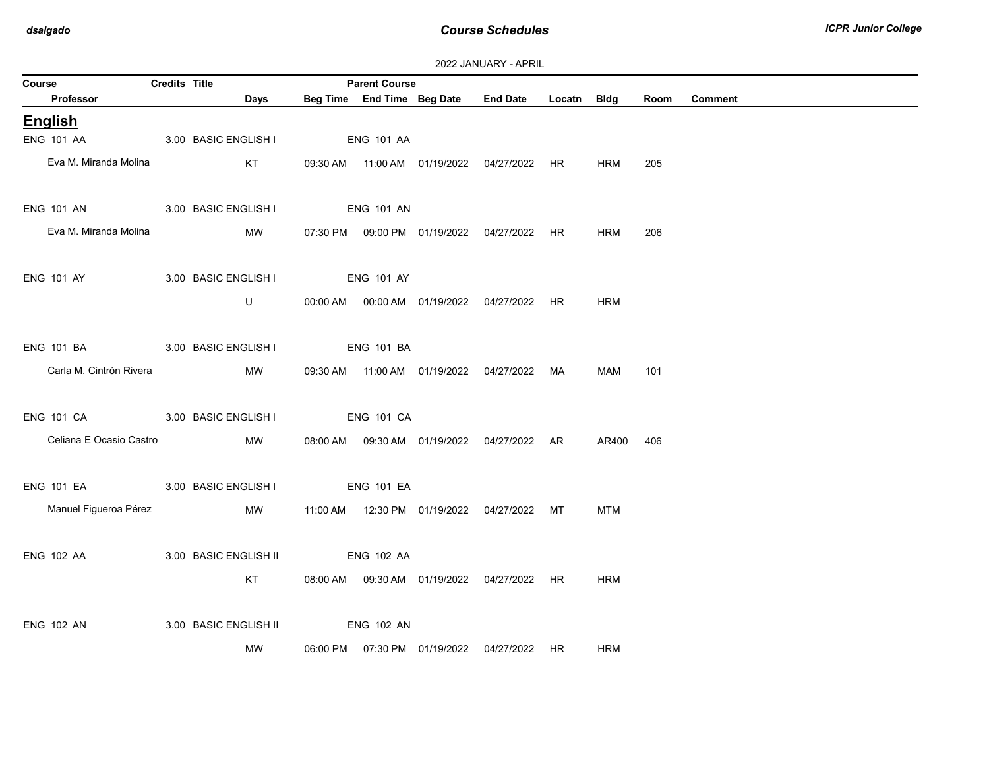| 2022 JANUARY - APRIL |  |  |  |  |
|----------------------|--|--|--|--|
|----------------------|--|--|--|--|

| Course                          | Credits Title |                       | <b>Parent Course</b> |                                            |                                                 |           |            |      |                |
|---------------------------------|---------------|-----------------------|----------------------|--------------------------------------------|-------------------------------------------------|-----------|------------|------|----------------|
| Professor                       |               | Days                  |                      |                                            | Beg Time End Time Beg Date End Date Locatn Bldg |           |            | Room | <b>Comment</b> |
| English                         |               |                       |                      |                                            |                                                 |           |            |      |                |
| <b>ENG 101 AA</b>               |               | 3.00 BASIC ENGLISH I  | <b>ENG 101 AA</b>    |                                            |                                                 |           |            |      |                |
| Eva M. Miranda Molina           |               | KT                    |                      |                                            | 09:30 AM  11:00 AM  01/19/2022  04/27/2022  HR  |           | HRM        | 205  |                |
| ENG 101 AN 3.00 BASIC ENGLISH I |               |                       | <b>ENG 101 AN</b>    |                                            |                                                 |           |            |      |                |
| Eva M. Miranda Molina           |               | MW                    |                      |                                            |                                                 |           | HRM        | 206  |                |
| <b>ENG 101 AY</b>               |               | 3.00 BASIC ENGLISH I  | <b>ENG 101 AY</b>    |                                            |                                                 |           |            |      |                |
|                                 |               | U                     |                      |                                            | 00:00 AM  00:00 AM  01/19/2022  04/27/2022  HR  |           | <b>HRM</b> |      |                |
| <b>ENG 101 BA</b>               |               | 3.00 BASIC ENGLISH I  | <b>ENG 101 BA</b>    |                                            |                                                 |           |            |      |                |
| Carla M. Cintrón Rivera         |               | MW                    |                      | 09:30 AM  11:00 AM  01/19/2022  04/27/2022 |                                                 | MA        | <b>MAM</b> | 101  |                |
| ENG 101 CA 3.00 BASIC ENGLISH I |               |                       | <b>ENG 101 CA</b>    |                                            |                                                 |           |            |      |                |
| Celiana E Ocasio Castro         |               | MW                    |                      |                                            | 08:00 AM  09:30 AM  01/19/2022  04/27/2022  AR  |           | AR400      | 406  |                |
| ENG 101 EA 3.00 BASIC ENGLISH I |               |                       | <b>ENG 101 EA</b>    |                                            |                                                 |           |            |      |                |
| Manuel Figueroa Pérez           |               | MW                    |                      |                                            | 11:00 AM  12:30 PM  01/19/2022  04/27/2022  MT  |           | <b>MTM</b> |      |                |
| ENG 102 AA                      |               | 3.00 BASIC ENGLISH II | <b>ENG 102 AA</b>    |                                            |                                                 |           |            |      |                |
|                                 |               | KT                    |                      |                                            | 08:00 AM  09:30 AM  01/19/2022  04/27/2022  HR  |           | <b>HRM</b> |      |                |
| <b>ENG 102 AN</b>               |               | 3.00 BASIC ENGLISH II | <b>ENG 102 AN</b>    |                                            |                                                 |           |            |      |                |
|                                 |               | MW                    |                      | 06:00 PM  07:30 PM  01/19/2022  04/27/2022 |                                                 | <b>HR</b> | <b>HRM</b> |      |                |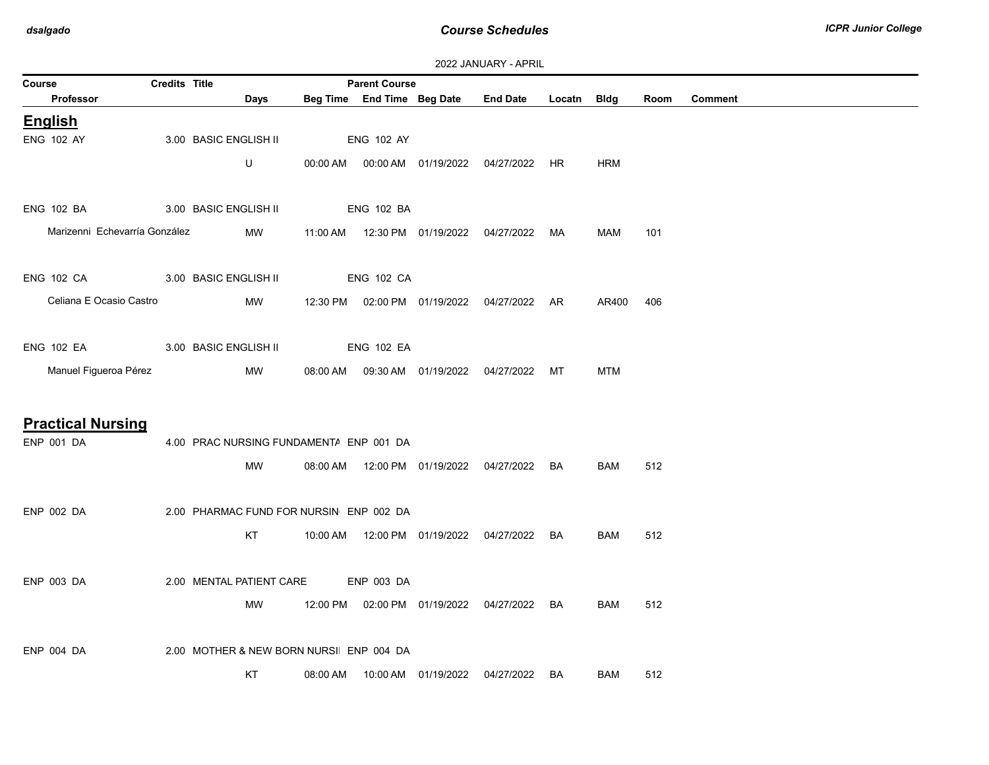| 2022 JANUARY - APRIL |  |
|----------------------|--|
|----------------------|--|

|                               |                      |                                         |          |                                                    |                                | <b><i>LULL JAINUAINI - AFINIL</i></b>          |           |             |      |                |
|-------------------------------|----------------------|-----------------------------------------|----------|----------------------------------------------------|--------------------------------|------------------------------------------------|-----------|-------------|------|----------------|
| Course<br>Professor           | <b>Credits Title</b> | Days                                    |          | <b>Parent Course</b><br>Beg Time End Time Beg Date |                                | <b>End Date</b>                                | Locatn    | <b>Bldg</b> | Room | <b>Comment</b> |
| <b>English</b>                |                      |                                         |          |                                                    |                                |                                                |           |             |      |                |
| <b>ENG 102 AY</b>             |                      | 3.00 BASIC ENGLISH II                   |          | <b>ENG 102 AY</b>                                  |                                |                                                |           |             |      |                |
|                               |                      | $\sf U$                                 |          |                                                    |                                |                                                |           | HRM         |      |                |
| <b>ENG 102 BA</b>             |                      | 3.00 BASIC ENGLISH II                   |          | <b>ENG 102 BA</b>                                  |                                |                                                |           |             |      |                |
| Marizenni Echevarría González |                      | MW                                      |          |                                                    |                                | 11:00 AM  12:30 PM  01/19/2022  04/27/2022  MA |           | MAM         | 101  |                |
| <b>ENG 102 CA</b>             |                      | 3.00 BASIC ENGLISH II                   |          | <b>ENG 102 CA</b>                                  |                                |                                                |           |             |      |                |
| Celiana E Ocasio Castro       |                      | MW                                      |          |                                                    | 12:30 PM  02:00 PM  01/19/2022 | 04/27/2022                                     | AR        | AR400       | 406  |                |
| <b>ENG 102 EA</b>             |                      | 3.00 BASIC ENGLISH II                   |          | <b>ENG 102 EA</b>                                  |                                |                                                |           |             |      |                |
| Manuel Figueroa Pérez         |                      | MW                                      |          |                                                    |                                | 08:00 AM  09:30 AM  01/19/2022  04/27/2022  MT |           | <b>MTM</b>  |      |                |
|                               |                      |                                         |          |                                                    |                                |                                                |           |             |      |                |
| <b>Practical Nursing</b>      |                      |                                         |          |                                                    |                                |                                                |           |             |      |                |
| ENP 001 DA                    |                      | 4.00 PRAC NURSING FUNDAMENTA ENP 001 DA |          |                                                    |                                |                                                |           |             |      |                |
|                               |                      | MW                                      |          |                                                    |                                | 08:00 AM  12:00 PM  01/19/2022  04/27/2022     | BA        | BAM         | 512  |                |
| ENP 002 DA                    |                      | 2.00 PHARMAC FUND FOR NURSIN ENP 002 DA |          |                                                    |                                |                                                |           |             |      |                |
|                               |                      | KT                                      |          |                                                    | 10:00 AM  12:00 PM  01/19/2022 | 04/27/2022                                     | <b>BA</b> | <b>BAM</b>  | 512  |                |
| <b>ENP 003 DA</b>             |                      | 2.00 MENTAL PATIENT CARE                |          | ENP 003 DA                                         |                                |                                                |           |             |      |                |
|                               |                      | MW                                      |          |                                                    |                                | 12:00 PM  02:00 PM  01/19/2022  04/27/2022     | BA        | BAM         | 512  |                |
| <b>ENP 004 DA</b>             |                      | 2.00 MOTHER & NEW BORN NURSI ENP 004 DA |          |                                                    |                                |                                                |           |             |      |                |
|                               |                      | KT                                      | 08:00 AM |                                                    | 10:00 AM  01/19/2022           | 04/27/2022                                     | BA        | BAM         | 512  |                |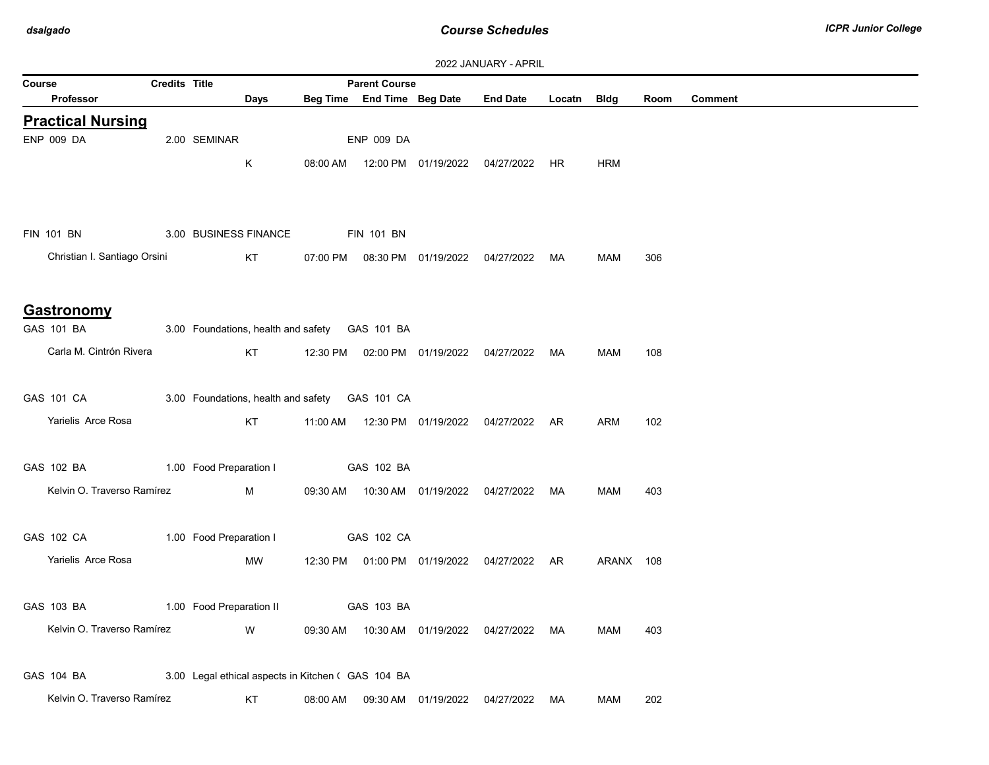|                              |                      |                          |                       |          |                                                    |                                  | 2022 JANUARY - APRIL                           |        |             |      |                |
|------------------------------|----------------------|--------------------------|-----------------------|----------|----------------------------------------------------|----------------------------------|------------------------------------------------|--------|-------------|------|----------------|
| Course                       | <b>Credits Title</b> |                          |                       |          | <b>Parent Course</b>                               |                                  |                                                |        |             |      |                |
| <b>Professor</b>             |                      |                          | Days                  |          |                                                    | Beg Time End Time Beg Date       | <b>End Date</b>                                | Locatn | <b>Bldg</b> | Room | <b>Comment</b> |
| <b>Practical Nursing</b>     |                      |                          |                       |          |                                                    |                                  |                                                |        |             |      |                |
| ENP 009 DA                   |                      | 2.00 SEMINAR             |                       |          | <b>ENP 009 DA</b>                                  |                                  |                                                |        |             |      |                |
|                              |                      |                          | K                     |          |                                                    |                                  | 08:00 AM  12:00 PM  01/19/2022  04/27/2022  HR |        | <b>HRM</b>  |      |                |
|                              |                      |                          |                       |          |                                                    |                                  |                                                |        |             |      |                |
| <b>FIN 101 BN</b>            |                      |                          | 3.00 BUSINESS FINANCE |          | <b>FIN 101 BN</b>                                  |                                  |                                                |        |             |      |                |
| Christian I. Santiago Orsini |                      |                          | KT.                   | 07:00 PM |                                                    |                                  | 08:30 PM 01/19/2022 04/27/2022 MA              |        | MAM         | 306  |                |
|                              |                      |                          |                       |          |                                                    |                                  |                                                |        |             |      |                |
| <b>Gastronomy</b>            |                      |                          |                       |          |                                                    |                                  |                                                |        |             |      |                |
| GAS 101 BA                   |                      |                          |                       |          | 3.00 Foundations, health and safety  GAS 101 BA    |                                  |                                                |        |             |      |                |
| Carla M. Cintrón Rivera      |                      |                          | KT                    |          |                                                    |                                  | 12:30 PM  02:00 PM  01/19/2022  04/27/2022  MA |        | <b>MAM</b>  | 108  |                |
|                              |                      |                          |                       |          |                                                    |                                  |                                                |        |             |      |                |
| GAS 101 CA                   |                      |                          |                       |          | 3.00 Foundations, health and safety GAS 101 CA     |                                  |                                                |        |             |      |                |
| Yarielis Arce Rosa           |                      |                          | KT                    | 11:00 AM |                                                    |                                  | 12:30 PM  01/19/2022  04/27/2022  AR           |        | ARM         | 102  |                |
|                              |                      |                          |                       |          |                                                    |                                  |                                                |        |             |      |                |
| GAS 102 BA                   |                      | 1.00 Food Preparation I  |                       |          | GAS 102 BA                                         |                                  |                                                |        |             |      |                |
| Kelvin O. Traverso Ramírez   |                      |                          | M                     |          |                                                    |                                  |                                                |        | MAM         | 403  |                |
|                              |                      |                          |                       |          |                                                    |                                  |                                                |        |             |      |                |
| GAS 102 CA                   |                      | 1.00 Food Preparation I  |                       |          | GAS 102 CA                                         |                                  |                                                |        |             |      |                |
| Yarielis Arce Rosa           |                      |                          | MW                    |          |                                                    |                                  | 12:30 PM  01:00 PM  01/19/2022  04/27/2022  AR |        | ARANX 108   |      |                |
|                              |                      |                          |                       |          |                                                    |                                  |                                                |        |             |      |                |
| GAS 103 BA                   |                      | 1.00 Food Preparation II |                       |          | GAS 103 BA                                         |                                  |                                                |        |             |      |                |
| Kelvin O. Traverso Ramírez   |                      |                          | W                     |          |                                                    |                                  | 09:30 AM  10:30 AM  01/19/2022  04/27/2022  MA |        | MAM         | 403  |                |
|                              |                      |                          |                       |          |                                                    |                                  |                                                |        |             |      |                |
| GAS 104 BA                   |                      |                          |                       |          | 3.00 Legal ethical aspects in Kitchen ( GAS 104 BA |                                  |                                                |        |             |      |                |
| Kelvin O. Traverso Ramírez   |                      |                          | KT                    | 08:00 AM |                                                    | 09:30 AM  01/19/2022  04/27/2022 |                                                | MA     | <b>MAM</b>  | 202  |                |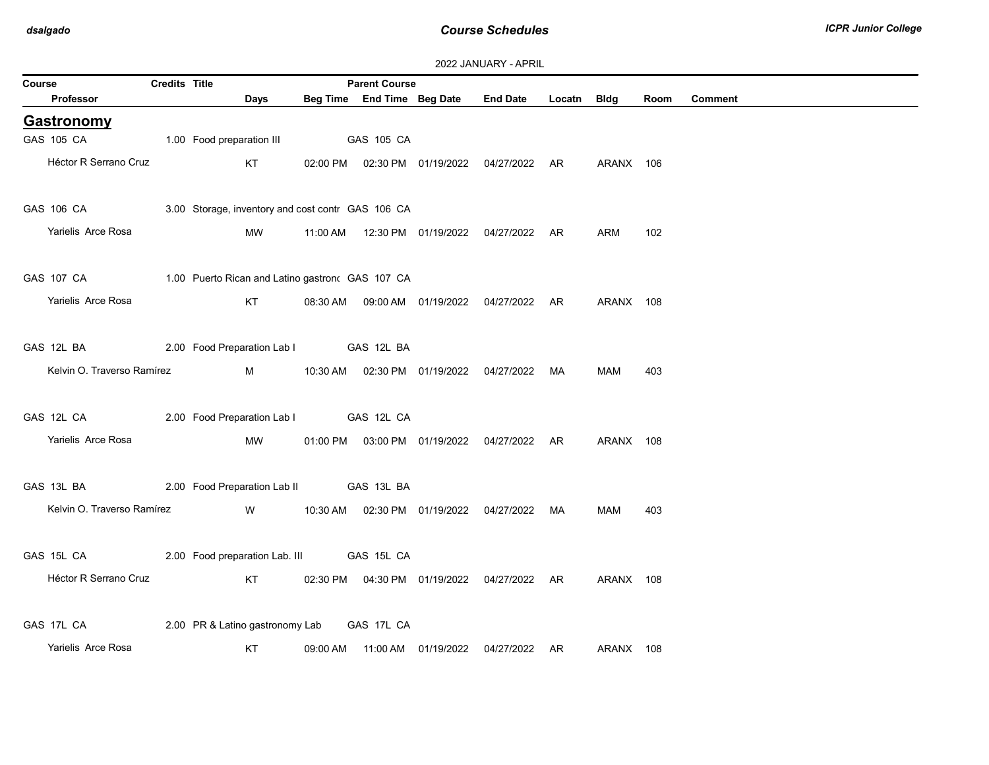| 2022 JANUARY - APRIL |
|----------------------|
|----------------------|

| Course |                                | Credits Title |                                                            |          | <b>Parent Course</b> |                            |                                                |             |            |      |                |
|--------|--------------------------------|---------------|------------------------------------------------------------|----------|----------------------|----------------------------|------------------------------------------------|-------------|------------|------|----------------|
|        | Professor                      |               | <b>Days</b>                                                |          |                      | Beg Time End Time Beg Date | <b>End Date</b>                                | Locatn Bldg |            | Room | <b>Comment</b> |
|        | <b>Gastronomy</b>              |               |                                                            |          |                      |                            |                                                |             |            |      |                |
|        | GAS 105 CA                     |               | 1.00 Food preparation III                                  |          | GAS 105 CA           |                            |                                                |             |            |      |                |
|        | Héctor R Serrano Cruz          |               | KT                                                         |          |                      |                            | 02:00 PM  02:30 PM  01/19/2022  04/27/2022  AR |             | ARANX 106  |      |                |
|        | GAS 106 CA <b>SALE ASSAULT</b> |               | 3.00 Storage, inventory and cost contr GAS 106 CA          |          |                      |                            |                                                |             |            |      |                |
|        | Yarielis Arce Rosa             |               | MW                                                         | 11:00 AM |                      |                            | 12:30 PM  01/19/2022  04/27/2022  AR           |             | <b>ARM</b> | 102  |                |
|        |                                |               | GAS 107 CA 1.00 Puerto Rican and Latino gastron GAS 107 CA |          |                      |                            |                                                |             |            |      |                |
|        | Yarielis Arce Rosa             |               | KT                                                         |          |                      |                            | 08:30 AM  09:00 AM  01/19/2022  04/27/2022  AR |             | ARANX 108  |      |                |
|        | GAS 12L BA                     |               | 2.00 Food Preparation Lab I GAS 12L BA                     |          |                      |                            |                                                |             |            |      |                |
|        | Kelvin O. Traverso Ramírez     |               | M                                                          |          |                      |                            | 10:30 AM  02:30 PM  01/19/2022  04/27/2022  MA |             | MAM        | 403  |                |
|        | GAS 12L CA                     |               | 2.00 Food Preparation Lab I GAS 12L CA                     |          |                      |                            |                                                |             |            |      |                |
|        | Yarielis Arce Rosa             |               | MW                                                         |          |                      |                            | 01:00 PM  03:00 PM  01/19/2022  04/27/2022  AR |             | ARANX 108  |      |                |
|        | GAS 13L BA                     |               | 2.00 Food Preparation Lab II GAS 13L BA                    |          |                      |                            |                                                |             |            |      |                |
|        | Kelvin O. Traverso Ramírez     |               | <b>W</b>                                                   |          |                      |                            | 10:30 AM  02:30 PM  01/19/2022  04/27/2022  MA |             | MAM        | 403  |                |
|        | GAS 15L CA                     |               | 2.00 Food preparation Lab. III GAS 15L CA                  |          |                      |                            |                                                |             |            |      |                |
|        | Héctor R Serrano Cruz          |               | KT                                                         |          |                      |                            | 02:30 PM  04:30 PM  01/19/2022  04/27/2022  AR |             | ARANX 108  |      |                |
|        | GAS 17L CA                     |               | 2.00 PR & Latino gastronomy Lab                            |          | GAS 17L CA           |                            |                                                |             |            |      |                |
|        | Yarielis Arce Rosa             |               | KT                                                         | 09:00 AM |                      |                            |                                                |             | ARANX 108  |      |                |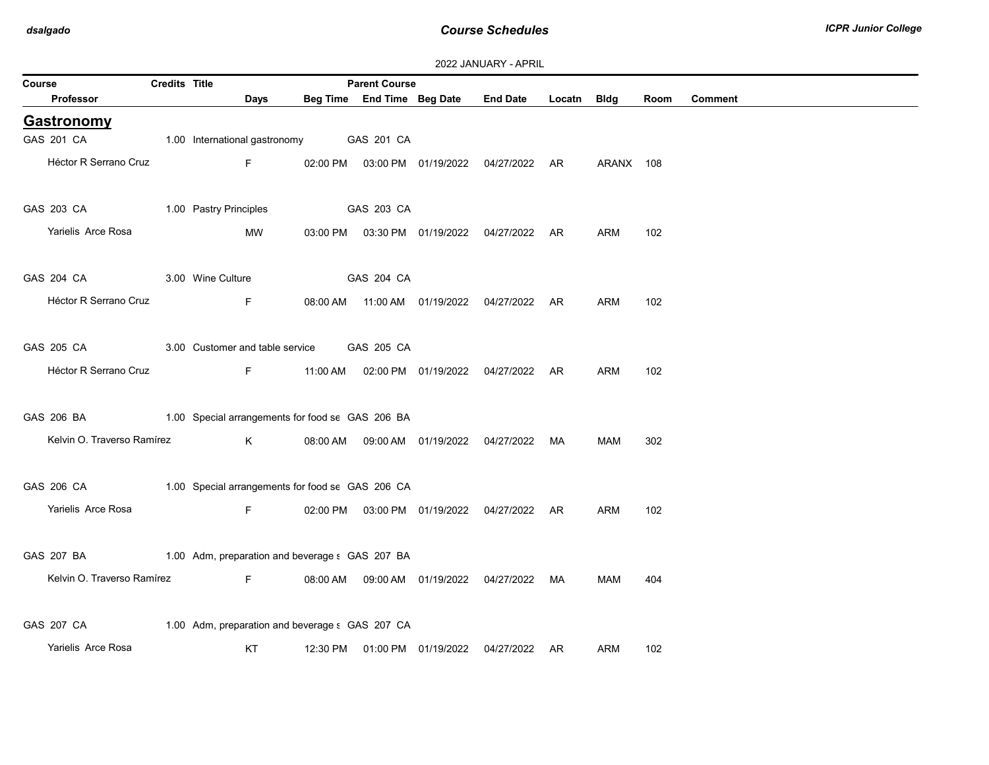| Course                                                      | Credits Title |                                                  |          | <b>Parent Course</b> |                            |                                                |             |            |      |                |
|-------------------------------------------------------------|---------------|--------------------------------------------------|----------|----------------------|----------------------------|------------------------------------------------|-------------|------------|------|----------------|
| Professor                                                   |               | <b>Days</b>                                      |          |                      | Beg Time End Time Beg Date | <b>End Date</b>                                | Locatn Bldg |            | Room | <b>Comment</b> |
| <b>Gastronomy</b>                                           |               |                                                  |          |                      |                            |                                                |             |            |      |                |
| GAS 201 CA                                                  |               | 1.00 International gastronomy GAS 201 CA         |          |                      |                            |                                                |             |            |      |                |
| Héctor R Serrano Cruz                                       |               | Fig. 10                                          |          |                      |                            | 02:00 PM  03:00 PM  01/19/2022  04/27/2022  AR |             | ARANX 108  |      |                |
| GAS 203 CA 1.00 Pastry Principles                           |               |                                                  |          | GAS 203 CA           |                            |                                                |             |            |      |                |
| Yarielis Arce Rosa                                          |               | MW                                               |          |                      |                            | 03:00 PM  03:30 PM  01/19/2022  04/27/2022  AR |             | ARM        | 102  |                |
| GAS 204 CA                                                  |               | 3.00 Wine Culture                                |          | GAS 204 CA           |                            |                                                |             |            |      |                |
| Héctor R Serrano Cruz                                       |               | F                                                |          |                      |                            | 08:00 AM  11:00 AM  01/19/2022  04/27/2022  AR |             | ARM        | 102  |                |
| GAS 205 CA                                                  |               | 3.00 Customer and table service GAS 205 CA       |          |                      |                            |                                                |             |            |      |                |
| Héctor R Serrano Cruz                                       |               | F                                                |          |                      |                            | 11:00 AM  02:00 PM  01/19/2022  04/27/2022  AR |             | <b>ARM</b> | 102  |                |
| GAS 206 BA 1.00 Special arrangements for food se GAS 206 BA |               |                                                  |          |                      |                            |                                                |             |            |      |                |
| Kelvin O. Traverso Ramírez                                  |               | K                                                |          |                      |                            | 08:00 AM  09:00 AM  01/19/2022  04/27/2022  MA |             | MAM        | 302  |                |
| GAS 206 CA                                                  |               | 1.00 Special arrangements for food se GAS 206 CA |          |                      |                            |                                                |             |            |      |                |
| Yarielis Arce Rosa                                          |               | F.                                               |          |                      |                            | 02:00 PM  03:00 PM  01/19/2022  04/27/2022  AR |             | <b>ARM</b> | 102  |                |
| GAS 207 BA 1.00 Adm, preparation and beverage : GAS 207 BA  |               |                                                  |          |                      |                            |                                                |             |            |      |                |
| Kelvin O. Traverso Ramírez                                  |               | <b>Example 19</b>                                |          |                      |                            | 08:00 AM  09:00 AM  01/19/2022  04/27/2022  MA |             | <b>MAM</b> | 404  |                |
| GAS 207 CA                                                  |               | 1.00 Adm, preparation and beverage s GAS 207 CA  |          |                      |                            |                                                |             |            |      |                |
| Yarielis Arce Rosa                                          |               | KT                                               | 12:30 PM |                      | 01:00 PM 01/19/2022        | 04/27/2022                                     | AR          | ARM        | 102  |                |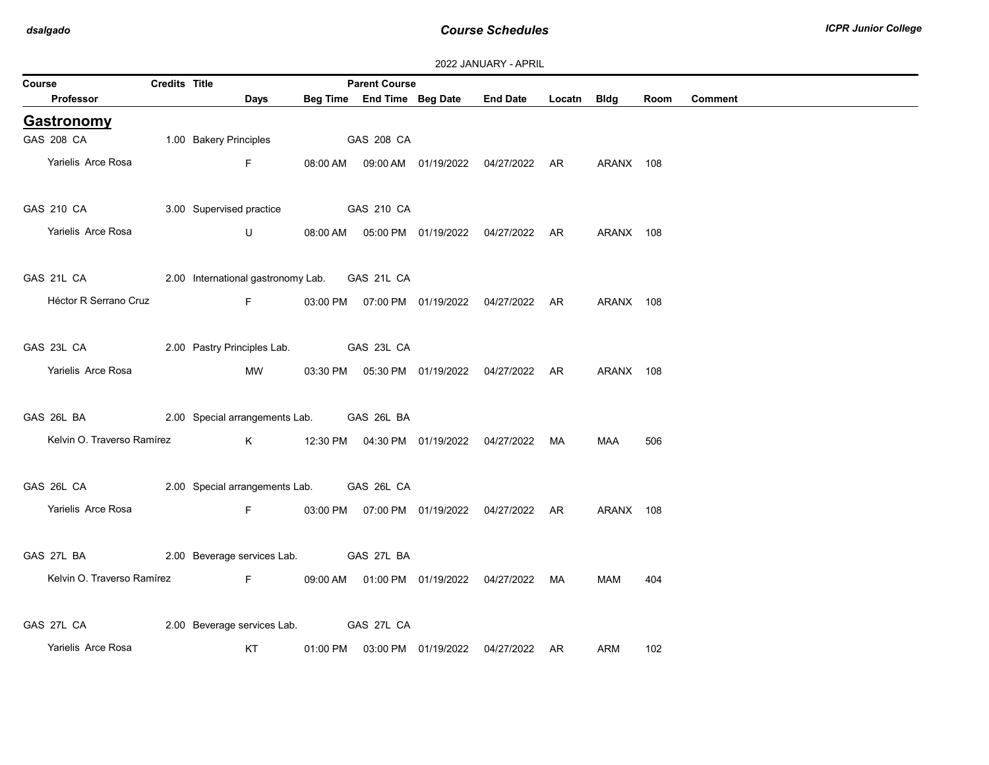| 2022 JANUARY - APRIL |  |
|----------------------|--|
|----------------------|--|

| Course                                                   | <b>Credits Title</b> |                                                | <b>Parent Course</b> |                                                |             |           |      |                |
|----------------------------------------------------------|----------------------|------------------------------------------------|----------------------|------------------------------------------------|-------------|-----------|------|----------------|
| Professor                                                |                      | Days                                           |                      | Beg Time End Time Beg Date End Date            | Locatn Bldg |           | Room | <b>Comment</b> |
| <b>Gastronomy</b>                                        |                      |                                                |                      |                                                |             |           |      |                |
| GAS 208 CA                                               |                      | 1.00 Bakery Principles                         | <b>GAS 208 CA</b>    |                                                |             |           |      |                |
| Yarielis Arce Rosa                                       |                      | F <sub>11</sub>                                |                      | 08:00 AM  09:00 AM  01/19/2022  04/27/2022  AR |             | ARANX 108 |      |                |
| GAS 210 CA 3.00 Supervised practice GAS 210 CA           |                      |                                                |                      |                                                |             |           |      |                |
| Yarielis Arce Rosa                                       |                      | $\mathsf{U}$ and $\mathsf{U}$ and $\mathsf{U}$ |                      | 08:00 AM  05:00 PM  01/19/2022  04/27/2022  AR |             | ARANX 108 |      |                |
| GAS 21L CA 2.00 International gastronomy Lab. GAS 21L CA |                      |                                                |                      |                                                |             |           |      |                |
| Héctor R Serrano Cruz                                    |                      | <b>Example 2005</b> For the State State 19     |                      | 03:00 PM  07:00 PM  01/19/2022  04/27/2022  AR |             | ARANX 108 |      |                |
| GAS 23L CA 2.00 Pastry Principles Lab. GAS 23L CA        |                      |                                                |                      |                                                |             |           |      |                |
| Yarielis Arce Rosa                                       |                      | MW                                             |                      | 03:30 PM  05:30 PM  01/19/2022  04/27/2022  AR |             | ARANX 108 |      |                |
| GAS 26L BA 2.00 Special arrangements Lab. GAS 26L BA     |                      |                                                |                      |                                                |             |           |      |                |
| Kelvin O. Traverso Ramírez                               |                      |                                                |                      |                                                |             | MAA       | 506  |                |
| GAS 26L CA 2.00 Special arrangements Lab. GAS 26L CA     |                      |                                                |                      |                                                |             |           |      |                |
| Yarielis Arce Rosa                                       |                      | Fig. 10                                        |                      | 03:00 PM  07:00 PM  01/19/2022  04/27/2022  AR |             | ARANX 108 |      |                |
| GAS 27L BA 2.00 Beverage services Lab. GAS 27L BA        |                      |                                                |                      |                                                |             |           |      |                |
|                                                          |                      | Kelvin O. Traverso Ramírez F                   |                      | 09:00 AM  01:00 PM  01/19/2022  04/27/2022  MA |             | MAM       | 404  |                |
| GAS 27L CA                                               |                      | 2.00 Beverage services Lab.  GAS 27L CA        |                      |                                                |             |           |      |                |
| Yarielis Arce Rosa                                       |                      | <b>Example 18 KT</b>                           |                      | 01:00 PM  03:00 PM  01/19/2022  04/27/2022  AR |             | ARM       | 102  |                |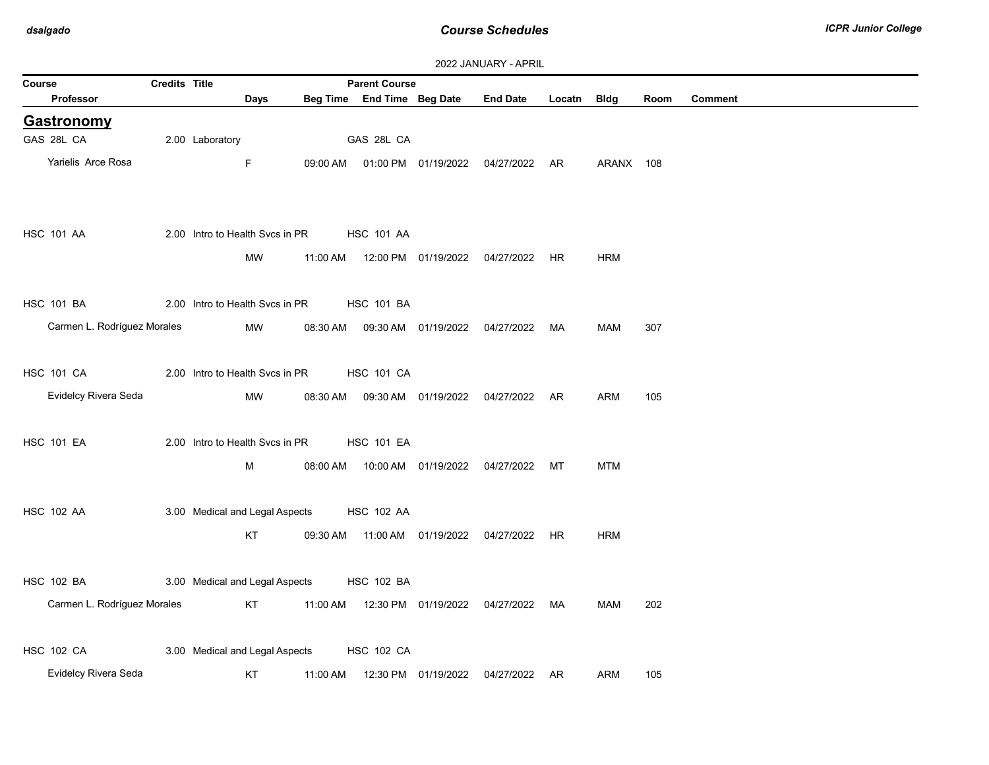|                             |                      |                 |                                 |          |                            |                                  | <b>2022 JANUARY - APRIL</b>          |        |             |      |                |
|-----------------------------|----------------------|-----------------|---------------------------------|----------|----------------------------|----------------------------------|--------------------------------------|--------|-------------|------|----------------|
| Course                      | <b>Credits Title</b> |                 |                                 |          | <b>Parent Course</b>       |                                  | <b>End Date</b>                      |        |             |      |                |
| <b>Professor</b>            |                      |                 | Days                            |          | Beg Time End Time Beg Date |                                  |                                      | Locatn | <b>Bldg</b> | Room | <b>Comment</b> |
| <b>Gastronomy</b>           |                      |                 |                                 |          |                            |                                  |                                      |        |             |      |                |
| GAS 28L CA                  |                      | 2.00 Laboratory |                                 |          | GAS 28L CA                 |                                  |                                      |        |             |      |                |
| Yarielis Arce Rosa          |                      |                 | $\mathsf F$                     | 09:00 AM |                            |                                  | 01:00 PM 01/19/2022 04/27/2022 AR    |        | ARANX 108   |      |                |
|                             |                      |                 |                                 |          |                            |                                  |                                      |        |             |      |                |
|                             |                      |                 |                                 |          |                            |                                  |                                      |        |             |      |                |
| <b>HSC 101 AA</b>           |                      |                 | 2.00 Intro to Health Svcs in PR |          | <b>HSC 101 AA</b>          |                                  |                                      |        |             |      |                |
|                             |                      |                 | <b>MW</b>                       | 11:00 AM |                            |                                  | 12:00 PM  01/19/2022  04/27/2022     | HR     | <b>HRM</b>  |      |                |
|                             |                      |                 |                                 |          |                            |                                  |                                      |        |             |      |                |
| <b>HSC 101 BA</b>           |                      |                 | 2.00 Intro to Health Svcs in PR |          | <b>HSC 101 BA</b>          |                                  |                                      |        |             |      |                |
| Carmen L. Rodríguez Morales |                      |                 | MW                              | 08:30 AM |                            | 09:30 AM  01/19/2022             | 04/27/2022                           | MA     | <b>MAM</b>  | 307  |                |
|                             |                      |                 |                                 |          |                            |                                  |                                      |        |             |      |                |
| <b>HSC 101 CA</b>           |                      |                 | 2.00 Intro to Health Svcs in PR |          | <b>HSC 101 CA</b>          |                                  |                                      |        |             |      |                |
| Evidelcy Rivera Seda        |                      |                 | MW                              | 08:30 AM |                            |                                  | 09:30 AM  01/19/2022  04/27/2022  AR |        | ARM         | 105  |                |
|                             |                      |                 |                                 |          |                            |                                  |                                      |        |             |      |                |
| <b>HSC 101 EA</b>           |                      |                 | 2.00 Intro to Health Svcs in PR |          | <b>HSC 101 EA</b>          |                                  |                                      |        |             |      |                |
|                             |                      |                 |                                 |          |                            |                                  |                                      |        |             |      |                |
|                             |                      |                 | М                               | 08:00 AM |                            |                                  | 10:00 AM  01/19/2022  04/27/2022     | МT     | <b>MTM</b>  |      |                |
|                             |                      |                 |                                 |          |                            |                                  |                                      |        |             |      |                |
| <b>HSC 102 AA</b>           |                      |                 | 3.00 Medical and Legal Aspects  |          | <b>HSC 102 AA</b>          |                                  |                                      |        |             |      |                |
|                             |                      |                 | KT                              | 09:30 AM |                            | 11:00 AM  01/19/2022  04/27/2022 |                                      | HR.    | <b>HRM</b>  |      |                |
|                             |                      |                 |                                 |          |                            |                                  |                                      |        |             |      |                |
| <b>HSC 102 BA</b>           |                      |                 | 3.00 Medical and Legal Aspects  |          | <b>HSC 102 BA</b>          |                                  |                                      |        |             |      |                |
| Carmen L. Rodríguez Morales |                      |                 | KT                              | 11:00 AM |                            | 12:30 PM 01/19/2022              | 04/27/2022                           | MA     | <b>MAM</b>  | 202  |                |
|                             |                      |                 |                                 |          |                            |                                  |                                      |        |             |      |                |
| <b>HSC 102 CA</b>           |                      |                 | 3.00 Medical and Legal Aspects  |          | <b>HSC 102 CA</b>          |                                  |                                      |        |             |      |                |
| Evidelcy Rivera Seda        |                      |                 | KT                              | 11:00 AM |                            |                                  | 12:30 PM  01/19/2022  04/27/2022  AR |        | ARM         | 105  |                |
|                             |                      |                 |                                 |          |                            |                                  |                                      |        |             |      |                |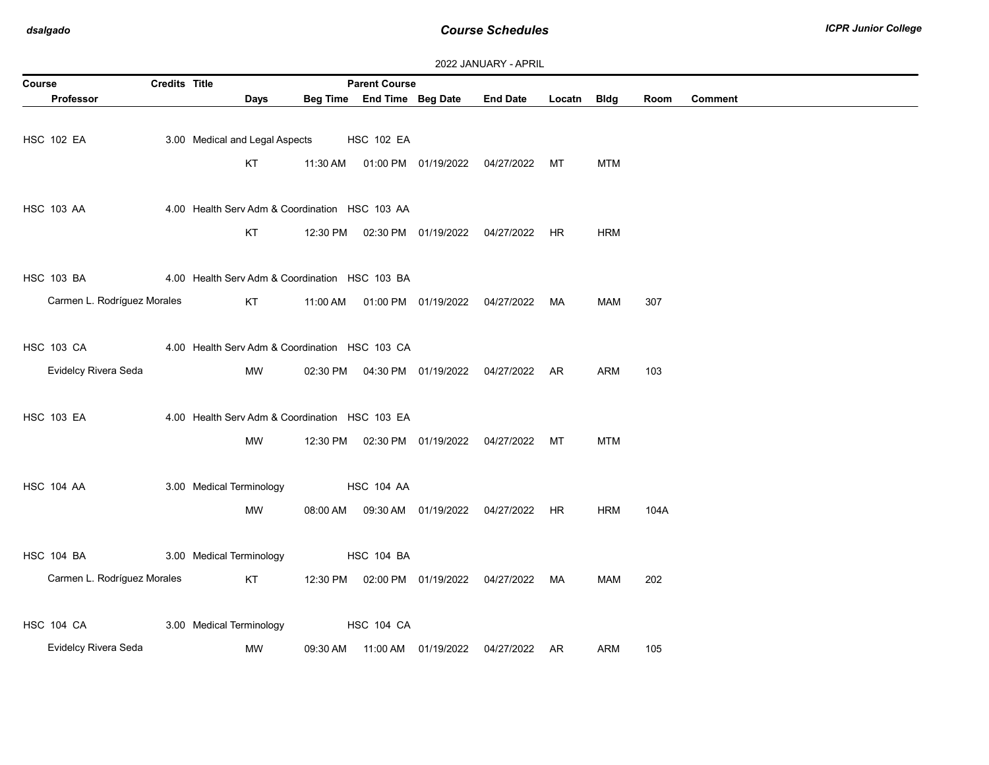| Course                      | <b>Credits Title</b> |                                                |          | <b>Parent Course</b>       |                                |                                   |        |            |      |         |
|-----------------------------|----------------------|------------------------------------------------|----------|----------------------------|--------------------------------|-----------------------------------|--------|------------|------|---------|
| <b>Professor</b>            |                      | Days                                           |          | Beg Time End Time Beg Date |                                | <b>End Date</b>                   | Locatn | Bldg       | Room | Comment |
|                             |                      |                                                |          |                            |                                |                                   |        |            |      |         |
| <b>HSC 102 EA</b>           |                      | 3.00 Medical and Legal Aspects                 |          | <b>HSC 102 EA</b>          |                                |                                   |        |            |      |         |
|                             |                      | KT                                             | 11:30 AM |                            | 01:00 PM 01/19/2022            | 04/27/2022                        | МT     | <b>MTM</b> |      |         |
|                             |                      |                                                |          |                            |                                |                                   |        |            |      |         |
|                             |                      |                                                |          |                            |                                |                                   |        |            |      |         |
| <b>HSC 103 AA</b>           |                      | 4.00 Health Serv Adm & Coordination HSC 103 AA |          |                            |                                |                                   |        |            |      |         |
|                             |                      | KT                                             | 12:30 PM |                            | 02:30 PM  01/19/2022           | 04/27/2022                        | HR     | <b>HRM</b> |      |         |
|                             |                      |                                                |          |                            |                                |                                   |        |            |      |         |
| <b>HSC 103 BA</b>           |                      | 4.00 Health Serv Adm & Coordination HSC 103 BA |          |                            |                                |                                   |        |            |      |         |
| Carmen L. Rodríguez Morales |                      | KT                                             | 11:00 AM |                            | 01:00 PM 01/19/2022 04/27/2022 |                                   | MA     | MAM        | 307  |         |
|                             |                      |                                                |          |                            |                                |                                   |        |            |      |         |
|                             |                      |                                                |          |                            |                                |                                   |        |            |      |         |
| <b>HSC 103 CA</b>           |                      | 4.00 Health Serv Adm & Coordination HSC 103 CA |          |                            |                                |                                   |        |            |      |         |
| Evidelcy Rivera Seda        |                      | MW                                             | 02:30 PM |                            | 04:30 PM 01/19/2022            | 04/27/2022 AR                     |        | <b>ARM</b> | 103  |         |
|                             |                      |                                                |          |                            |                                |                                   |        |            |      |         |
| <b>HSC 103 EA</b>           |                      | 4.00 Health Serv Adm & Coordination HSC 103 EA |          |                            |                                |                                   |        |            |      |         |
|                             |                      | MW                                             | 12:30 PM |                            |                                | 02:30 PM 01/19/2022 04/27/2022 MT |        | <b>MTM</b> |      |         |
|                             |                      |                                                |          |                            |                                |                                   |        |            |      |         |
|                             |                      |                                                |          |                            |                                |                                   |        |            |      |         |
| <b>HSC 104 AA</b>           |                      | 3.00 Medical Terminology                       |          | <b>HSC 104 AA</b>          |                                |                                   |        |            |      |         |
|                             |                      | <b>MW</b>                                      | 08:00 AM |                            | 09:30 AM  01/19/2022           | 04/27/2022 HR                     |        | <b>HRM</b> | 104A |         |
|                             |                      |                                                |          |                            |                                |                                   |        |            |      |         |
| <b>HSC 104 BA</b>           |                      | 3.00 Medical Terminology                       |          | <b>HSC 104 BA</b>          |                                |                                   |        |            |      |         |
| Carmen L. Rodríguez Morales |                      | KT                                             | 12:30 PM |                            | 02:00 PM 01/19/2022            | 04/27/2022                        | MA     | <b>MAM</b> | 202  |         |
|                             |                      |                                                |          |                            |                                |                                   |        |            |      |         |
|                             |                      |                                                |          |                            |                                |                                   |        |            |      |         |
| <b>HSC 104 CA</b>           |                      | 3.00 Medical Terminology                       |          | <b>HSC 104 CA</b>          |                                |                                   |        |            |      |         |
| Evidelcy Rivera Seda        |                      | MW                                             | 09:30 AM |                            | 11:00 AM  01/19/2022           | 04/27/2022 AR                     |        | ARM        | 105  |         |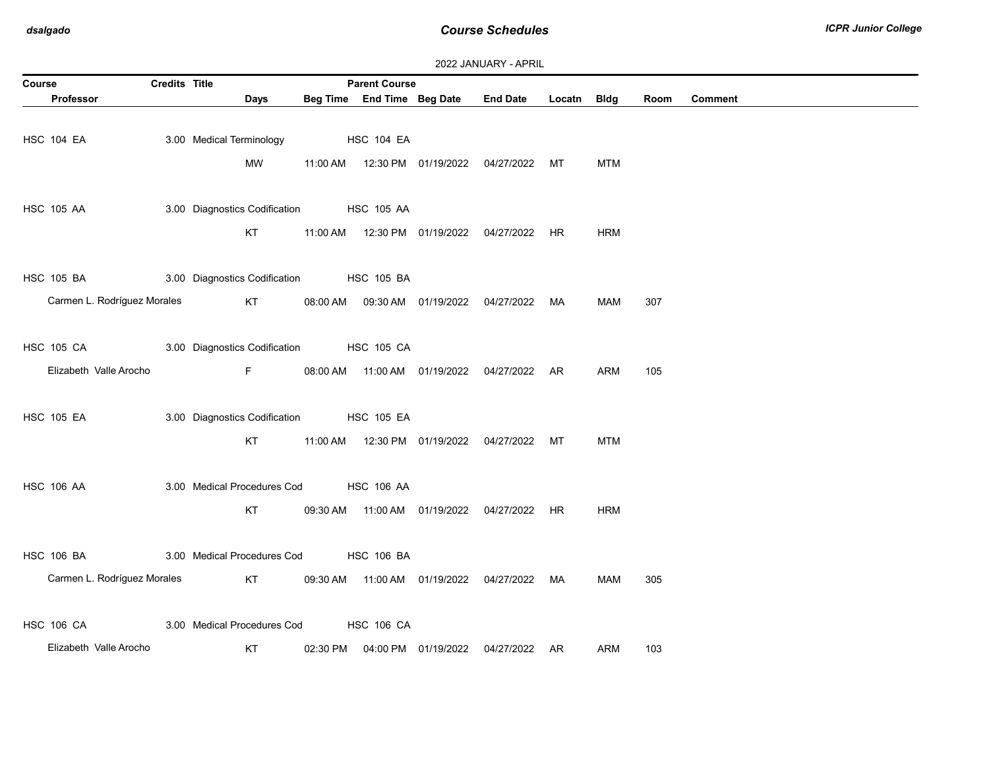| 2022 JANUARY - APRIL |  |  |  |  |
|----------------------|--|--|--|--|
|----------------------|--|--|--|--|

|                             | <b>Parent Course</b><br>Course<br><b>Credits Title</b> |                                          |          |                            |                     |                                                |             |            |      |                |  |  |
|-----------------------------|--------------------------------------------------------|------------------------------------------|----------|----------------------------|---------------------|------------------------------------------------|-------------|------------|------|----------------|--|--|
| <b>Professor</b>            |                                                        | Days                                     |          | Beg Time End Time Beg Date |                     | <b>End Date</b>                                | Locatn Bldg |            | Room | <b>Comment</b> |  |  |
|                             |                                                        |                                          |          |                            |                     |                                                |             |            |      |                |  |  |
| HSC 104 EA                  |                                                        | 3.00 Medical Terminology                 |          | <b>HSC 104 EA</b>          |                     |                                                |             |            |      |                |  |  |
|                             |                                                        | MW                                       |          |                            |                     |                                                |             | <b>MTM</b> |      |                |  |  |
|                             |                                                        |                                          |          |                            |                     |                                                |             |            |      |                |  |  |
|                             |                                                        |                                          |          |                            |                     |                                                |             |            |      |                |  |  |
| <b>HSC 105 AA</b>           |                                                        | 3.00 Diagnostics Codification HSC 105 AA |          |                            |                     |                                                |             |            |      |                |  |  |
|                             |                                                        | KT                                       |          |                            |                     |                                                |             | <b>HRM</b> |      |                |  |  |
|                             |                                                        |                                          |          |                            |                     |                                                |             |            |      |                |  |  |
| <b>HSC 105 BA</b>           |                                                        | 3.00 Diagnostics Codification HSC 105 BA |          |                            |                     |                                                |             |            |      |                |  |  |
| Carmen L. Rodríguez Morales |                                                        | <b>KT</b>                                |          |                            |                     | 08:00 AM  09:30 AM  01/19/2022  04/27/2022  MA |             | MAM        | 307  |                |  |  |
|                             |                                                        |                                          |          |                            |                     |                                                |             |            |      |                |  |  |
|                             |                                                        |                                          |          |                            |                     |                                                |             |            |      |                |  |  |
| <b>HSC 105 CA</b>           |                                                        | 3.00 Diagnostics Codification            |          | <b>HSC 105 CA</b>          |                     |                                                |             |            |      |                |  |  |
| Elizabeth Valle Arocho      |                                                        | F                                        |          |                            |                     | 08:00 AM  11:00 AM  01/19/2022  04/27/2022  AR |             | <b>ARM</b> | 105  |                |  |  |
|                             |                                                        |                                          |          |                            |                     |                                                |             |            |      |                |  |  |
| <b>HSC 105 EA</b>           |                                                        | 3.00 Diagnostics Codification HSC 105 EA |          |                            |                     |                                                |             |            |      |                |  |  |
|                             |                                                        | <b>KT</b>                                |          |                            |                     |                                                |             | <b>MTM</b> |      |                |  |  |
|                             |                                                        |                                          |          |                            |                     |                                                |             |            |      |                |  |  |
|                             |                                                        |                                          |          |                            |                     |                                                |             |            |      |                |  |  |
| <b>HSC 106 AA</b>           |                                                        | 3.00 Medical Procedures Cod              |          | <b>HSC 106 AA</b>          |                     |                                                |             |            |      |                |  |  |
|                             |                                                        | KT                                       |          |                            |                     | 09:30 AM  11:00 AM  01/19/2022  04/27/2022  HR |             | <b>HRM</b> |      |                |  |  |
|                             |                                                        |                                          |          |                            |                     |                                                |             |            |      |                |  |  |
| <b>HSC 106 BA</b>           |                                                        | 3.00 Medical Procedures Cod              |          | <b>HSC 106 BA</b>          |                     |                                                |             |            |      |                |  |  |
| Carmen L. Rodríguez Morales |                                                        | KT                                       |          |                            |                     | 09:30 AM  11:00 AM  01/19/2022  04/27/2022  MA |             | MAM        | 305  |                |  |  |
|                             |                                                        |                                          |          |                            |                     |                                                |             |            |      |                |  |  |
| <b>HSC 106 CA</b>           |                                                        | 3.00 Medical Procedures Cod              |          | <b>HSC 106 CA</b>          |                     |                                                |             |            |      |                |  |  |
|                             |                                                        |                                          |          |                            |                     |                                                |             |            |      |                |  |  |
| Elizabeth Valle Arocho      |                                                        | KT                                       | 02:30 PM |                            | 04:00 PM 01/19/2022 | 04/27/2022 AR                                  |             | ARM        | 103  |                |  |  |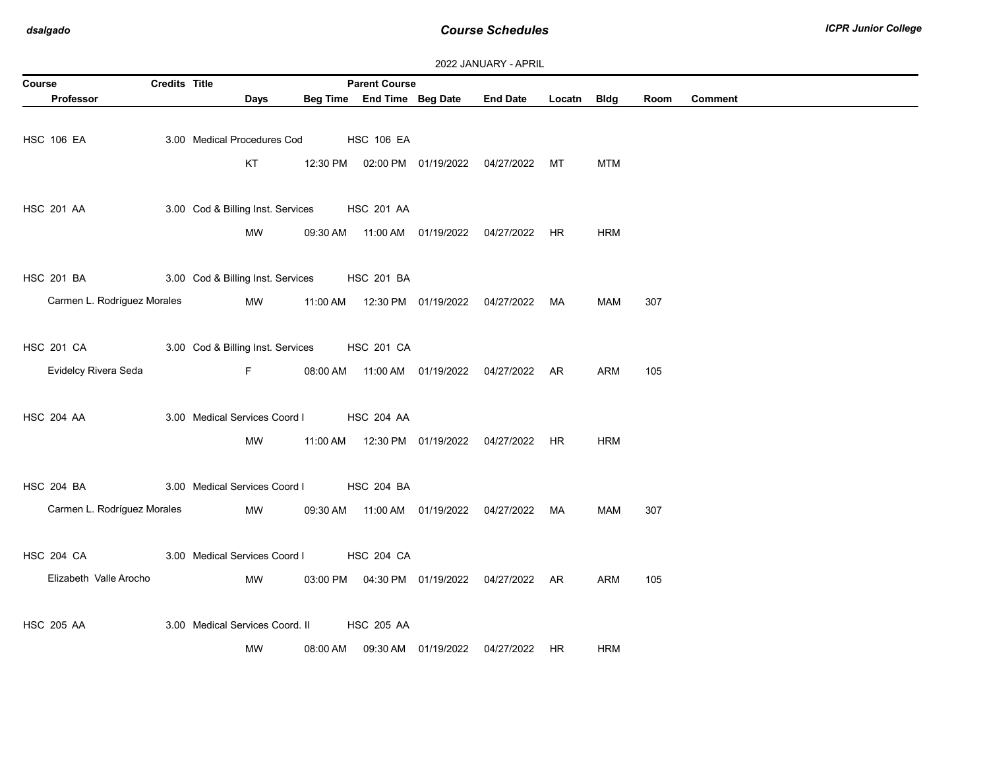| 2022 JANUARY - APRIL |  |
|----------------------|--|
|----------------------|--|

| Course                      | <b>Credits Title</b> |                                   |          | <b>Parent Course</b>       |                                  |                                                |        |             |      |                |
|-----------------------------|----------------------|-----------------------------------|----------|----------------------------|----------------------------------|------------------------------------------------|--------|-------------|------|----------------|
| <b>Professor</b>            |                      | Days                              |          | Beg Time End Time Beg Date |                                  | <b>End Date</b>                                | Locatn | <b>Bldg</b> | Room | <b>Comment</b> |
|                             |                      |                                   |          |                            |                                  |                                                |        |             |      |                |
| <b>HSC 106 EA</b>           |                      | 3.00 Medical Procedures Cod       |          | <b>HSC 106 EA</b>          |                                  |                                                |        |             |      |                |
|                             |                      | KT                                |          |                            |                                  | 12:30 PM  02:00 PM  01/19/2022  04/27/2022  MT |        | <b>MTM</b>  |      |                |
|                             |                      |                                   |          |                            |                                  |                                                |        |             |      |                |
|                             |                      |                                   |          |                            |                                  |                                                |        |             |      |                |
| <b>HSC 201 AA</b>           |                      | 3.00 Cod & Billing Inst. Services |          | <b>HSC 201 AA</b>          |                                  |                                                |        |             |      |                |
|                             |                      | MW                                | 09:30 AM |                            |                                  |                                                |        | <b>HRM</b>  |      |                |
|                             |                      |                                   |          |                            |                                  |                                                |        |             |      |                |
| <b>HSC 201 BA</b>           |                      | 3.00 Cod & Billing Inst. Services |          | <b>HSC 201 BA</b>          |                                  |                                                |        |             |      |                |
| Carmen L. Rodríguez Morales |                      | <b>MW</b>                         |          |                            |                                  | 11:00 AM  12:30 PM  01/19/2022  04/27/2022  MA |        | MAM         | 307  |                |
|                             |                      |                                   |          |                            |                                  |                                                |        |             |      |                |
|                             |                      |                                   |          |                            |                                  |                                                |        |             |      |                |
| <b>HSC 201 CA</b>           |                      | 3.00 Cod & Billing Inst. Services |          | <b>HSC 201 CA</b>          |                                  |                                                |        |             |      |                |
| Evidelcy Rivera Seda        |                      | $\mathsf F$                       | 08:00 AM |                            |                                  | 11:00 AM  01/19/2022  04/27/2022  AR           |        | ARM         | 105  |                |
|                             |                      |                                   |          |                            |                                  |                                                |        |             |      |                |
| <b>HSC 204 AA</b>           |                      | 3.00 Medical Services Coord I     |          | <b>HSC 204 AA</b>          |                                  |                                                |        |             |      |                |
|                             |                      | MW                                |          |                            |                                  | 11:00 AM  12:30 PM  01/19/2022  04/27/2022  HR |        | <b>HRM</b>  |      |                |
|                             |                      |                                   |          |                            |                                  |                                                |        |             |      |                |
|                             |                      | 3.00 Medical Services Coord I     |          |                            |                                  |                                                |        |             |      |                |
| <b>HSC 204 BA</b>           |                      |                                   |          | <b>HSC 204 BA</b>          |                                  |                                                |        |             |      |                |
| Carmen L. Rodríguez Morales |                      | MW                                |          |                            |                                  | 09:30 AM  11:00 AM  01/19/2022  04/27/2022  MA |        | <b>MAM</b>  | 307  |                |
|                             |                      |                                   |          |                            |                                  |                                                |        |             |      |                |
| <b>HSC 204 CA</b>           |                      | 3.00 Medical Services Coord I     |          | <b>HSC 204 CA</b>          |                                  |                                                |        |             |      |                |
| Elizabeth Valle Arocho      |                      | MW                                |          |                            | 03:00 PM   04:30 PM   01/19/2022 | 04/27/2022 AR                                  |        | ARM         | 105  |                |
|                             |                      |                                   |          |                            |                                  |                                                |        |             |      |                |
|                             |                      |                                   |          |                            |                                  |                                                |        |             |      |                |
| <b>HSC 205 AA</b>           |                      | 3.00 Medical Services Coord. II   |          | <b>HSC 205 AA</b>          |                                  |                                                |        |             |      |                |
|                             |                      | <b>MW</b>                         | 08:00 AM |                            | 09:30 AM  01/19/2022             | 04/27/2022 HR                                  |        | <b>HRM</b>  |      |                |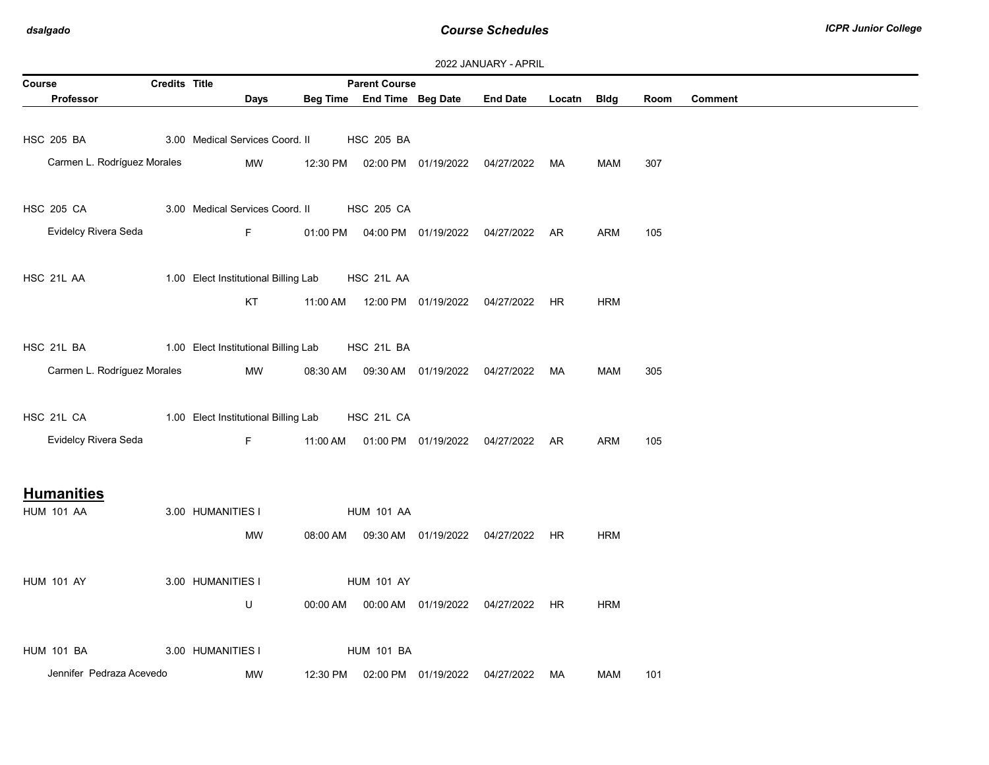| <b>LULL UNIVUNIVI - NI IVIL</b><br><b>Parent Course</b><br>Course<br><b>Credits Title</b> |  |                                      |          |                            |                                            |                                                |        |             |      |                |
|-------------------------------------------------------------------------------------------|--|--------------------------------------|----------|----------------------------|--------------------------------------------|------------------------------------------------|--------|-------------|------|----------------|
| Professor                                                                                 |  | Days                                 |          | Beg Time End Time Beg Date |                                            | <b>End Date</b>                                | Locatn | <b>Bldg</b> | Room | <b>Comment</b> |
|                                                                                           |  |                                      |          |                            |                                            |                                                |        |             |      |                |
| <b>HSC 205 BA</b>                                                                         |  | 3.00 Medical Services Coord. II      |          | <b>HSC 205 BA</b>          |                                            |                                                |        |             |      |                |
| Carmen L. Rodríguez Morales                                                               |  | MW                                   |          |                            |                                            | 12:30 PM  02:00 PM  01/19/2022  04/27/2022  MA |        | MAM         | 307  |                |
|                                                                                           |  |                                      |          |                            |                                            |                                                |        |             |      |                |
| <b>HSC 205 CA</b>                                                                         |  | 3.00 Medical Services Coord. II      |          | <b>HSC 205 CA</b>          |                                            |                                                |        |             |      |                |
| Evidelcy Rivera Seda                                                                      |  | F.                                   |          |                            |                                            | 01:00 PM  04:00 PM  01/19/2022  04/27/2022  AR |        | ARM         | 105  |                |
|                                                                                           |  |                                      |          |                            |                                            |                                                |        |             |      |                |
| HSC 21L AA                                                                                |  | 1.00 Elect Institutional Billing Lab |          | HSC 21L AA                 |                                            |                                                |        |             |      |                |
|                                                                                           |  | KT                                   | 11:00 AM |                            | 12:00 PM  01/19/2022  04/27/2022           |                                                | HR.    | <b>HRM</b>  |      |                |
|                                                                                           |  |                                      |          |                            |                                            |                                                |        |             |      |                |
| HSC 21L BA                                                                                |  | 1.00 Elect Institutional Billing Lab |          | HSC 21L BA                 |                                            |                                                |        |             |      |                |
| Carmen L. Rodríguez Morales                                                               |  | MW                                   | 08:30 AM |                            | 09:30 AM  01/19/2022  04/27/2022           |                                                | MA     | <b>MAM</b>  | 305  |                |
|                                                                                           |  |                                      |          |                            |                                            |                                                |        |             |      |                |
| HSC 21L CA                                                                                |  | 1.00 Elect Institutional Billing Lab |          | HSC 21L CA                 |                                            |                                                |        |             |      |                |
| Evidelcy Rivera Seda                                                                      |  | F.                                   | 11:00 AM |                            |                                            | 01:00 PM 01/19/2022 04/27/2022 AR              |        | <b>ARM</b>  | 105  |                |
|                                                                                           |  |                                      |          |                            |                                            |                                                |        |             |      |                |
| <b>Humanities</b>                                                                         |  |                                      |          |                            |                                            |                                                |        |             |      |                |
| <b>HUM 101 AA</b>                                                                         |  | 3.00 HUMANITIES I                    |          | <b>HUM 101 AA</b>          |                                            |                                                |        |             |      |                |
|                                                                                           |  | MW                                   |          |                            | 08:00 AM  09:30 AM  01/19/2022  04/27/2022 |                                                | HR.    | <b>HRM</b>  |      |                |
|                                                                                           |  |                                      |          |                            |                                            |                                                |        |             |      |                |
| <b>HUM 101 AY</b>                                                                         |  | 3.00 HUMANITIES I                    |          | <b>HUM 101 AY</b>          |                                            |                                                |        |             |      |                |
|                                                                                           |  | U                                    | 00:00 AM |                            |                                            | 00:00 AM  01/19/2022  04/27/2022  HR           |        | <b>HRM</b>  |      |                |
|                                                                                           |  |                                      |          |                            |                                            |                                                |        |             |      |                |
| <b>HUM 101 BA</b>                                                                         |  | 3.00 HUMANITIES I                    |          | <b>HUM 101 BA</b>          |                                            |                                                |        |             |      |                |
| Jennifer Pedraza Acevedo                                                                  |  | MW                                   | 12:30 PM |                            | 02:00 PM 01/19/2022                        | 04/27/2022                                     | MA     | MAM         | 101  |                |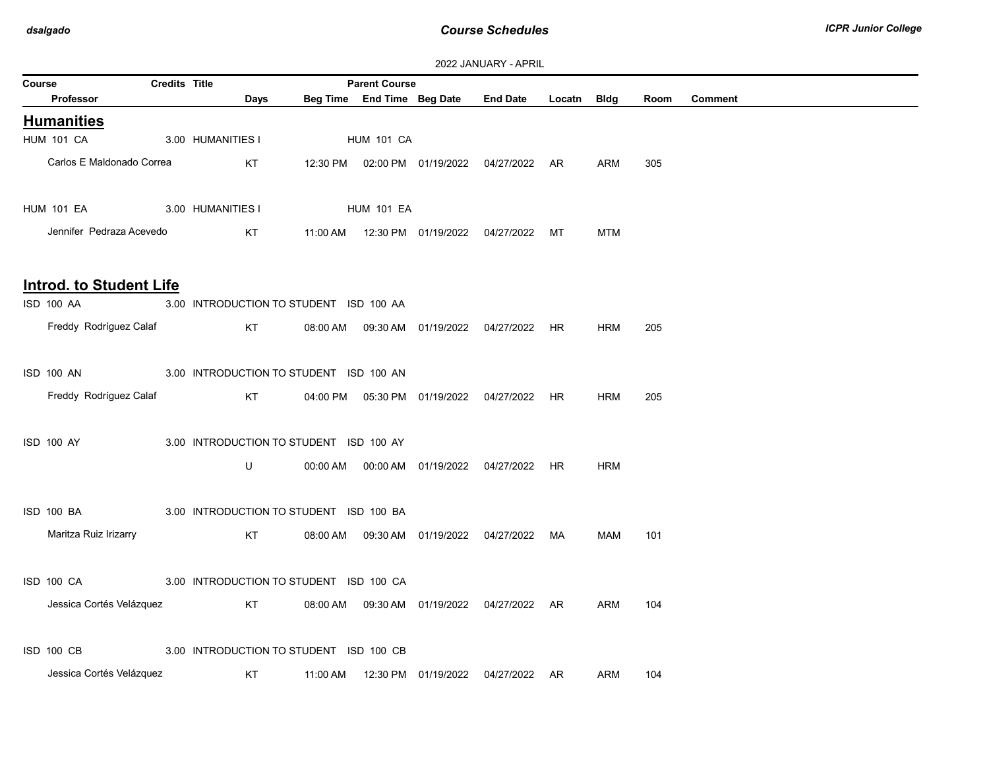| 2022 <del>UNIVON</del> NI FAIRNE<br><b>Credits Title</b><br><b>Parent Course</b><br>Course |  |                                         |          |                   |                                     |                                                |             |            |      |                |  |  |
|--------------------------------------------------------------------------------------------|--|-----------------------------------------|----------|-------------------|-------------------------------------|------------------------------------------------|-------------|------------|------|----------------|--|--|
| Professor                                                                                  |  | Days                                    |          |                   | Beg Time End Time Beg Date End Date |                                                | Locatn Bldg |            | Room | <b>Comment</b> |  |  |
| <b>Humanities</b>                                                                          |  |                                         |          |                   |                                     |                                                |             |            |      |                |  |  |
| <b>HUM 101 CA</b>                                                                          |  | 3.00 HUMANITIES I                       |          | <b>HUM 101 CA</b> |                                     |                                                |             |            |      |                |  |  |
| Carlos E Maldonado Correa                                                                  |  | KT                                      |          |                   |                                     | 12:30 PM  02:00 PM  01/19/2022  04/27/2022  AR |             | ARM        | 305  |                |  |  |
| <b>HUM 101 EA</b>                                                                          |  | 3.00 HUMANITIES I                       |          | <b>HUM 101 EA</b> |                                     |                                                |             |            |      |                |  |  |
| Jennifer Pedraza Acevedo                                                                   |  | KT                                      |          |                   |                                     |                                                |             | <b>MTM</b> |      |                |  |  |
| <b>Introd. to Student Life</b>                                                             |  |                                         |          |                   |                                     |                                                |             |            |      |                |  |  |
| <b>ISD 100 AA</b>                                                                          |  | 3.00 INTRODUCTION TO STUDENT ISD 100 AA |          |                   |                                     |                                                |             |            |      |                |  |  |
| Freddy Rodríguez Calaf                                                                     |  | KT                                      | 08:00 AM |                   |                                     | 09:30 AM  01/19/2022  04/27/2022  HR           |             | <b>HRM</b> | 205  |                |  |  |
| ISD 100 AN                                                                                 |  | 3.00 INTRODUCTION TO STUDENT ISD 100 AN |          |                   |                                     |                                                |             |            |      |                |  |  |
| Freddy Rodríguez Calaf                                                                     |  | KT                                      |          |                   |                                     | 04:00 PM  05:30 PM  01/19/2022  04/27/2022  HR |             | <b>HRM</b> | 205  |                |  |  |
| <b>ISD 100 AY</b>                                                                          |  | 3.00 INTRODUCTION TO STUDENT ISD 100 AY |          |                   |                                     |                                                |             |            |      |                |  |  |
|                                                                                            |  | U                                       |          |                   |                                     | 00:00 AM  00:00 AM  01/19/2022  04/27/2022  HR |             | <b>HRM</b> |      |                |  |  |
| ISD 100 BA                                                                                 |  | 3.00 INTRODUCTION TO STUDENT ISD 100 BA |          |                   |                                     |                                                |             |            |      |                |  |  |
| Maritza Ruiz Irizarry                                                                      |  | KT                                      | 08:00 AM |                   | 09:30 AM  01/19/2022  04/27/2022    |                                                | MA          | <b>MAM</b> | 101  |                |  |  |
| <b>ISD 100 CA</b>                                                                          |  | 3.00 INTRODUCTION TO STUDENT ISD 100 CA |          |                   |                                     |                                                |             |            |      |                |  |  |
| Jessica Cortés Velázquez                                                                   |  | KT                                      |          |                   |                                     | 08:00 AM  09:30 AM  01/19/2022  04/27/2022  AR |             | ARM        | 104  |                |  |  |
| <b>ISD 100 CB</b>                                                                          |  | 3.00 INTRODUCTION TO STUDENT ISD 100 CB |          |                   |                                     |                                                |             |            |      |                |  |  |
| Jessica Cortés Velázquez                                                                   |  | KT                                      | 11:00 AM |                   | 12:30 PM 01/19/2022                 | 04/27/2022 AR                                  |             | ARM        | 104  |                |  |  |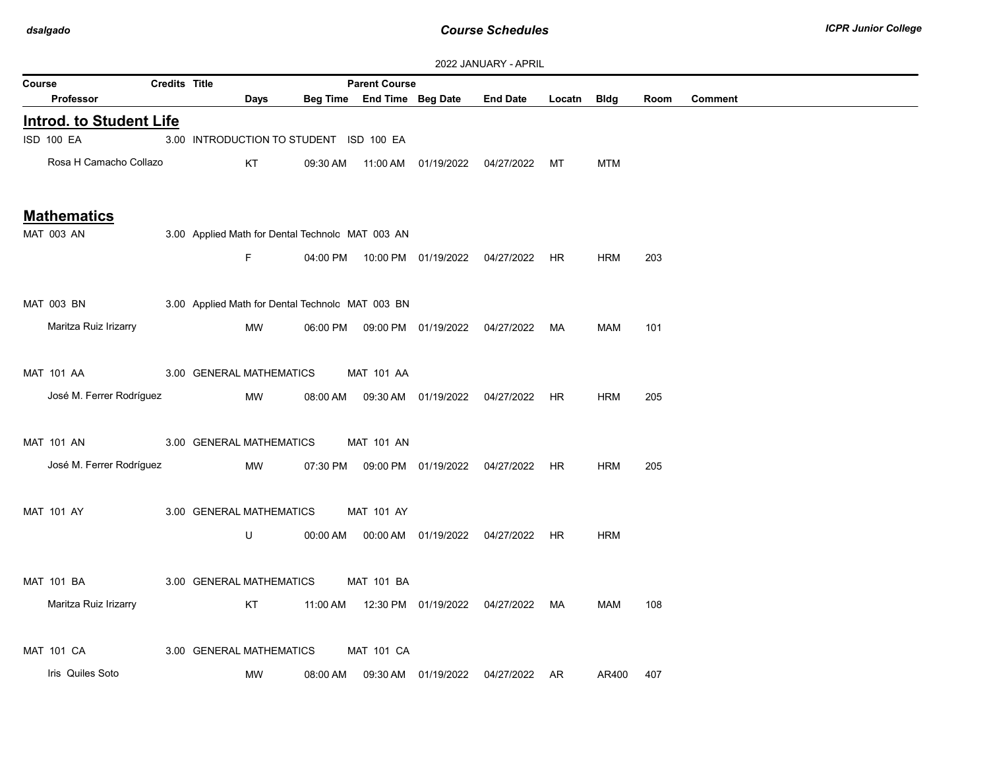|                    | 2022 JANUARY - APRIL           |                      |                          |                                                  |                                |                      |                                            |        |             |      |                |
|--------------------|--------------------------------|----------------------|--------------------------|--------------------------------------------------|--------------------------------|----------------------|--------------------------------------------|--------|-------------|------|----------------|
| Course             |                                | <b>Credits Title</b> |                          |                                                  | <b>Parent Course</b>           |                      |                                            |        |             |      |                |
|                    | Professor                      |                      | Days                     |                                                  | Beg Time End Time Beg Date     |                      | <b>End Date</b>                            | Locatn | <b>Bldg</b> | Room | <b>Comment</b> |
|                    | <b>Introd. to Student Life</b> |                      |                          |                                                  |                                |                      |                                            |        |             |      |                |
|                    | ISD 100 EA                     |                      |                          | 3.00 INTRODUCTION TO STUDENT ISD 100 EA          |                                |                      |                                            |        |             |      |                |
|                    | Rosa H Camacho Collazo         |                      | KT                       | 09:30 AM                                         |                                |                      | 04/27/2022                                 | МT     | <b>MTM</b>  |      |                |
|                    |                                |                      |                          |                                                  |                                |                      |                                            |        |             |      |                |
| <b>Mathematics</b> |                                |                      |                          |                                                  |                                |                      |                                            |        |             |      |                |
|                    | MAT 003 AN                     |                      |                          | 3.00 Applied Math for Dental Technolc MAT 003 AN |                                |                      |                                            |        |             |      |                |
|                    |                                |                      | F.                       |                                                  |                                |                      | 04:00 PM  10:00 PM  01/19/2022  04/27/2022 | HR.    | <b>HRM</b>  | 203  |                |
|                    |                                |                      |                          |                                                  |                                |                      |                                            |        |             |      |                |
|                    | <b>MAT 003 BN</b>              |                      |                          | 3.00 Applied Math for Dental Technolc MAT 003 BN |                                |                      |                                            |        |             |      |                |
|                    | Maritza Ruiz Irizarry          |                      | MW                       |                                                  | 06:00 PM  09:00 PM  01/19/2022 |                      | 04/27/2022                                 | МA     | MAM         | 101  |                |
|                    |                                |                      |                          |                                                  |                                |                      |                                            |        |             |      |                |
|                    | <b>MAT 101 AA</b>              |                      | 3.00 GENERAL MATHEMATICS |                                                  | <b>MAT 101 AA</b>              |                      |                                            |        |             |      |                |
|                    | José M. Ferrer Rodríguez       |                      | MW                       | 08:00 AM                                         |                                |                      | 04/27/2022                                 | HR     | HRM         | 205  |                |
|                    |                                |                      |                          |                                                  |                                |                      |                                            |        |             |      |                |
|                    | <b>MAT 101 AN</b>              |                      | 3.00 GENERAL MATHEMATICS |                                                  | <b>MAT 101 AN</b>              |                      |                                            |        |             |      |                |
|                    | José M. Ferrer Rodríguez       |                      | MW                       | 07:30 PM                                         |                                | 09:00 PM 01/19/2022  | 04/27/2022                                 | HR     | HRM         | 205  |                |
|                    |                                |                      |                          |                                                  |                                |                      |                                            |        |             |      |                |
|                    | MAT 101 AY                     |                      | 3.00 GENERAL MATHEMATICS |                                                  | <b>MAT 101 AY</b>              |                      |                                            |        |             |      |                |
|                    |                                |                      | U                        | 00:00 AM                                         |                                | 00:00 AM  01/19/2022 | 04/27/2022                                 | HR     | <b>HRM</b>  |      |                |
|                    |                                |                      |                          |                                                  |                                |                      |                                            |        |             |      |                |
|                    | MAT 101 BA                     |                      | 3.00 GENERAL MATHEMATICS |                                                  | MAT 101 BA                     |                      |                                            |        |             |      |                |
|                    | Maritza Ruiz Irizarry          |                      | KT                       | 11:00 AM                                         |                                | 12:30 PM 01/19/2022  | 04/27/2022                                 | MA     | <b>MAM</b>  | 108  |                |
|                    |                                |                      |                          |                                                  |                                |                      |                                            |        |             |      |                |
|                    | <b>MAT 101 CA</b>              |                      | 3.00 GENERAL MATHEMATICS |                                                  | <b>MAT 101 CA</b>              |                      |                                            |        |             |      |                |
|                    | Iris Quiles Soto               |                      | <b>MW</b>                | 08:00 AM                                         |                                | 09:30 AM 01/19/2022  | 04/27/2022                                 | AR     |             |      |                |
|                    |                                |                      |                          |                                                  |                                |                      |                                            |        | AR400       | 407  |                |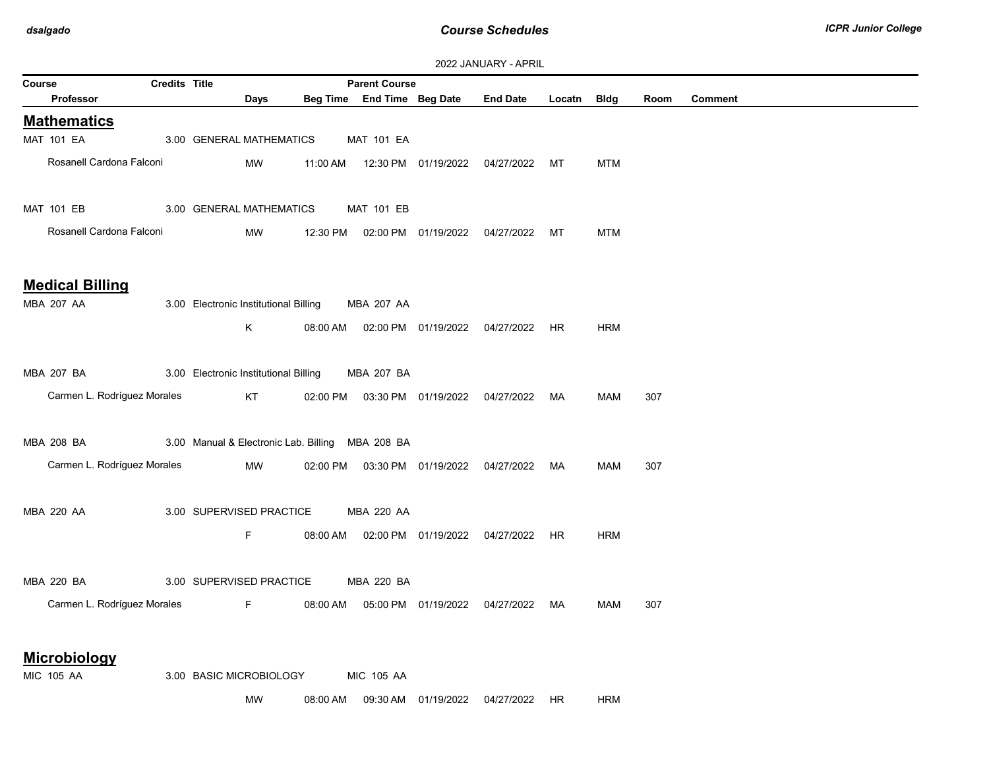| 2022 JANUARY - APRIL |  |  |  |  |
|----------------------|--|--|--|--|
|----------------------|--|--|--|--|

|        | <b><i>LULL JAINUAINI - AFINIL</i></b> |                      |                                       |                                                  |                                            |                     |                                            |             |            |      |         |  |
|--------|---------------------------------------|----------------------|---------------------------------------|--------------------------------------------------|--------------------------------------------|---------------------|--------------------------------------------|-------------|------------|------|---------|--|
| Course |                                       | <b>Credits Title</b> |                                       |                                                  | <b>Parent Course</b>                       |                     |                                            |             |            |      |         |  |
|        | <b>Professor</b>                      |                      | Days                                  |                                                  | Beg Time End Time Beg Date                 |                     | <b>End Date</b>                            | Locatn Bldg |            | Room | Comment |  |
|        | <b>Mathematics</b>                    |                      |                                       |                                                  |                                            |                     |                                            |             |            |      |         |  |
|        | <b>MAT 101 EA</b>                     |                      | 3.00 GENERAL MATHEMATICS              |                                                  | <b>MAT 101 EA</b>                          |                     |                                            |             |            |      |         |  |
|        | Rosanell Cardona Falconi              |                      | MW                                    | 11:00 AM                                         |                                            |                     | 12:30 PM  01/19/2022  04/27/2022           | МT          | <b>MTM</b> |      |         |  |
|        |                                       |                      |                                       |                                                  |                                            |                     |                                            |             |            |      |         |  |
|        | <b>MAT 101 EB</b>                     |                      | 3.00 GENERAL MATHEMATICS              |                                                  | <b>MAT 101 EB</b>                          |                     |                                            |             |            |      |         |  |
|        |                                       |                      |                                       |                                                  |                                            |                     |                                            |             |            |      |         |  |
|        | Rosanell Cardona Falconi              |                      | MW                                    | 12:30 PM                                         |                                            |                     | 02:00 PM  01/19/2022  04/27/2022           | МT          | <b>MTM</b> |      |         |  |
|        |                                       |                      |                                       |                                                  |                                            |                     |                                            |             |            |      |         |  |
|        | <b>Medical Billing</b>                |                      |                                       |                                                  |                                            |                     |                                            |             |            |      |         |  |
|        | MBA 207 AA                            |                      | 3.00 Electronic Institutional Billing |                                                  | MBA 207 AA                                 |                     |                                            |             |            |      |         |  |
|        |                                       |                      | K                                     |                                                  | 08:00 AM  02:00 PM  01/19/2022  04/27/2022 |                     |                                            | HR.         | <b>HRM</b> |      |         |  |
|        |                                       |                      |                                       |                                                  |                                            |                     |                                            |             |            |      |         |  |
|        |                                       |                      |                                       |                                                  |                                            |                     |                                            |             |            |      |         |  |
|        | <b>MBA 207 BA</b>                     |                      | 3.00 Electronic Institutional Billing |                                                  | <b>MBA 207 BA</b>                          |                     |                                            |             |            |      |         |  |
|        | Carmen L. Rodríguez Morales           |                      | KT                                    |                                                  |                                            |                     | 02:00 PM  03:30 PM  01/19/2022  04/27/2022 | MA          | <b>MAM</b> | 307  |         |  |
|        |                                       |                      |                                       |                                                  |                                            |                     |                                            |             |            |      |         |  |
|        | MBA 208 BA                            |                      |                                       | 3.00 Manual & Electronic Lab. Billing MBA 208 BA |                                            |                     |                                            |             |            |      |         |  |
|        | Carmen L. Rodríguez Morales           |                      | MW                                    |                                                  | 02:00 PM  03:30 PM  01/19/2022  04/27/2022 |                     |                                            | MA          | MAM        | 307  |         |  |
|        |                                       |                      |                                       |                                                  |                                            |                     |                                            |             |            |      |         |  |
|        | MBA 220 AA                            |                      | 3.00 SUPERVISED PRACTICE              |                                                  | <b>MBA 220 AA</b>                          |                     |                                            |             |            |      |         |  |
|        |                                       |                      |                                       |                                                  |                                            |                     |                                            |             |            |      |         |  |
|        |                                       |                      | F.                                    | 08:00 AM                                         |                                            |                     | 02:00 PM  01/19/2022  04/27/2022  HR       |             | <b>HRM</b> |      |         |  |
|        |                                       |                      |                                       |                                                  |                                            |                     |                                            |             |            |      |         |  |
|        | MBA 220 BA                            |                      | 3.00 SUPERVISED PRACTICE              |                                                  | MBA 220 BA                                 |                     |                                            |             |            |      |         |  |
|        | Carmen L. Rodríguez Morales           |                      | F.                                    | 08:00 AM                                         |                                            |                     | 05:00 PM  01/19/2022  04/27/2022  MA       |             | MAM        | 307  |         |  |
|        |                                       |                      |                                       |                                                  |                                            |                     |                                            |             |            |      |         |  |
|        |                                       |                      |                                       |                                                  |                                            |                     |                                            |             |            |      |         |  |
|        | <b>Microbiology</b>                   |                      |                                       |                                                  |                                            |                     |                                            |             |            |      |         |  |
|        | <b>MIC 105 AA</b>                     |                      | 3.00 BASIC MICROBIOLOGY               |                                                  | <b>MIC 105 AA</b>                          |                     |                                            |             |            |      |         |  |
|        |                                       |                      | <b>MW</b>                             | 08:00 AM                                         |                                            | 09:30 AM 01/19/2022 | 04/27/2022                                 | HR.         | <b>HRM</b> |      |         |  |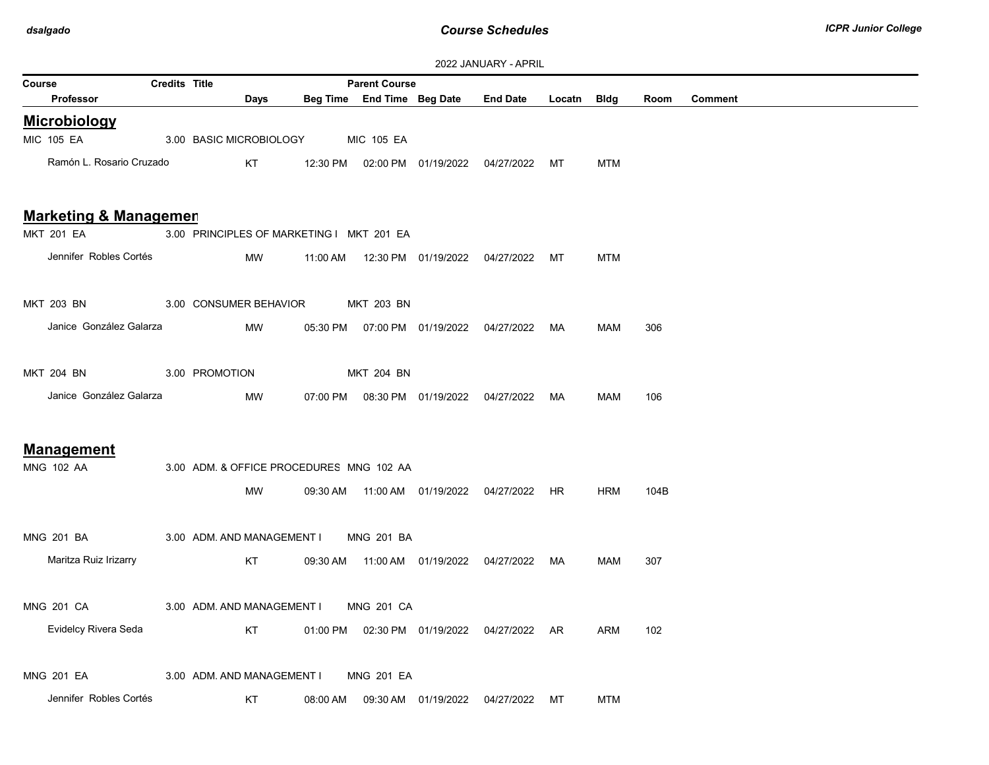| <b>LULL UNIVORISE FRIESIL</b><br><b>Credits Title</b><br><b>Parent Course</b><br>Course |  |                                           |                                                                                                                |          |                   |  |                                                 |    |            |      |                |  |
|-----------------------------------------------------------------------------------------|--|-------------------------------------------|----------------------------------------------------------------------------------------------------------------|----------|-------------------|--|-------------------------------------------------|----|------------|------|----------------|--|
| Professor                                                                               |  | Days                                      |                                                                                                                |          |                   |  | Beg Time End Time Beg Date End Date Locatn Bldg |    |            | Room | <b>Comment</b> |  |
| <b>Microbiology</b>                                                                     |  |                                           |                                                                                                                |          |                   |  |                                                 |    |            |      |                |  |
| <b>MIC 105 EA</b>                                                                       |  | 3.00 BASIC MICROBIOLOGY                   |                                                                                                                |          | <b>MIC 105 EA</b> |  |                                                 |    |            |      |                |  |
| Ramón L. Rosario Cruzado                                                                |  | KT.                                       |                                                                                                                |          |                   |  | 12:30 PM  02:00 PM  01/19/2022  04/27/2022  MT  |    | <b>MTM</b> |      |                |  |
|                                                                                         |  |                                           |                                                                                                                |          |                   |  |                                                 |    |            |      |                |  |
| <b>Marketing &amp; Managemen</b>                                                        |  |                                           |                                                                                                                |          |                   |  |                                                 |    |            |      |                |  |
| <b>MKT 201 EA</b>                                                                       |  | 3.00 PRINCIPLES OF MARKETING I MKT 201 EA |                                                                                                                |          |                   |  |                                                 |    |            |      |                |  |
| Jennifer Robles Cortés                                                                  |  | MW                                        |                                                                                                                |          |                   |  | 11:00 AM  12:30 PM  01/19/2022  04/27/2022  MT  |    | <b>MTM</b> |      |                |  |
|                                                                                         |  |                                           |                                                                                                                |          |                   |  |                                                 |    |            |      |                |  |
| MKT 203 BN                                                                              |  | 3.00 CONSUMER BEHAVIOR                    |                                                                                                                |          | <b>MKT 203 BN</b> |  |                                                 |    |            |      |                |  |
| Janice González Galarza                                                                 |  | MW                                        |                                                                                                                |          |                   |  | 05:30 PM  07:00 PM  01/19/2022  04/27/2022  MA  |    | <b>MAM</b> | 306  |                |  |
|                                                                                         |  |                                           |                                                                                                                |          |                   |  |                                                 |    |            |      |                |  |
| MKT 204 BN                                                                              |  | 3.00 PROMOTION                            |                                                                                                                |          | MKT 204 BN        |  |                                                 |    |            |      |                |  |
| Janice González Galarza                                                                 |  | MW                                        |                                                                                                                |          |                   |  | 07:00 PM  08:30 PM  01/19/2022  04/27/2022  MA  |    | MAM        | 106  |                |  |
|                                                                                         |  |                                           |                                                                                                                |          |                   |  |                                                 |    |            |      |                |  |
| <b>Management</b>                                                                       |  |                                           |                                                                                                                |          |                   |  |                                                 |    |            |      |                |  |
| MNG 102 AA                                                                              |  | 3.00 ADM. & OFFICE PROCEDURES MNG 102 AA  |                                                                                                                |          |                   |  |                                                 |    |            |      |                |  |
|                                                                                         |  | MW                                        |                                                                                                                |          |                   |  | 09:30 AM  11:00 AM  01/19/2022  04/27/2022  HR  |    | HRM        | 104B |                |  |
|                                                                                         |  |                                           |                                                                                                                |          |                   |  |                                                 |    |            |      |                |  |
| <b>MNG 201 BA</b>                                                                       |  | 3.00 ADM. AND MANAGEMENT I                |                                                                                                                |          | <b>MNG 201 BA</b> |  |                                                 |    |            |      |                |  |
| Maritza Ruiz Irizarry                                                                   |  |                                           | KT to the set of the set of the set of the set of the set of the set of the set of the set of the set of the s |          |                   |  | 09:30 AM  11:00 AM  01/19/2022  04/27/2022  MA  |    | MAM        | 307  |                |  |
|                                                                                         |  |                                           |                                                                                                                |          |                   |  |                                                 |    |            |      |                |  |
| <b>MNG 201 CA</b>                                                                       |  | 3.00 ADM. AND MANAGEMENT I                |                                                                                                                |          | <b>MNG 201 CA</b> |  |                                                 |    |            |      |                |  |
| Evidelcy Rivera Seda                                                                    |  | KT                                        |                                                                                                                |          |                   |  | 01:00 PM  02:30 PM  01/19/2022  04/27/2022  AR  |    | ARM        | 102  |                |  |
|                                                                                         |  |                                           |                                                                                                                |          |                   |  |                                                 |    |            |      |                |  |
| <b>MNG 201 EA</b>                                                                       |  | 3.00 ADM. AND MANAGEMENT I                |                                                                                                                |          | <b>MNG 201 EA</b> |  |                                                 |    |            |      |                |  |
| Jennifer Robles Cortés                                                                  |  | KT                                        |                                                                                                                | 08:00 AM |                   |  | 04/27/2022                                      | МT | <b>MTM</b> |      |                |  |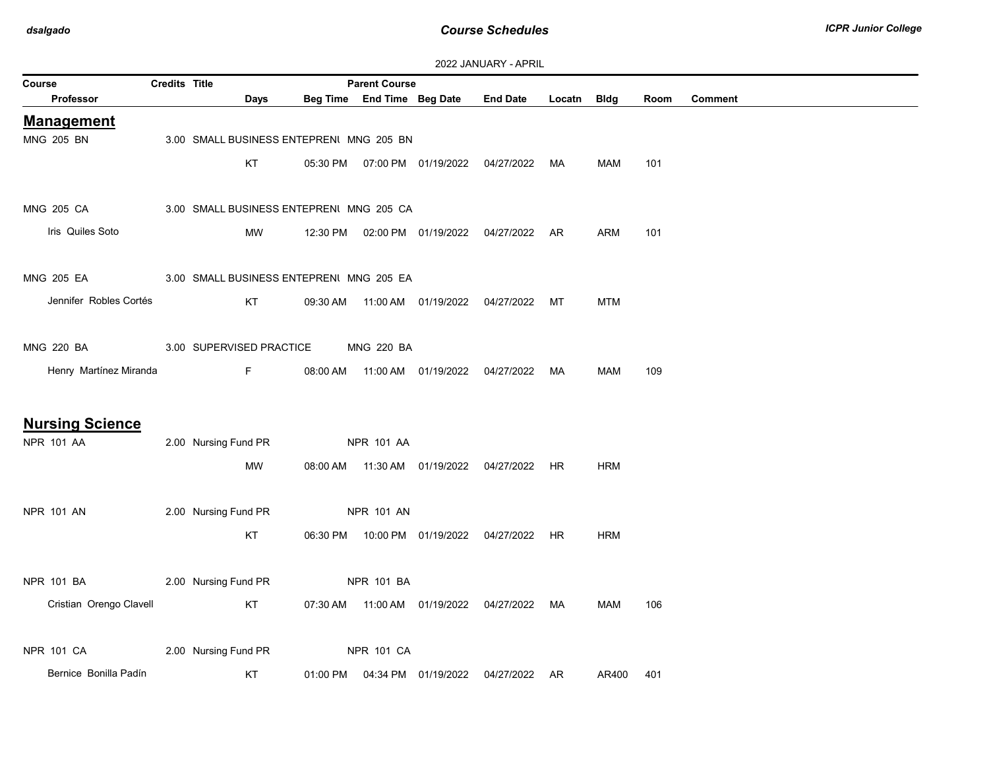| Credits Title<br><b>Parent Course</b><br>Course |  |                                          |          |                            |                     |                                                |             |            |      |                |
|-------------------------------------------------|--|------------------------------------------|----------|----------------------------|---------------------|------------------------------------------------|-------------|------------|------|----------------|
| Professor                                       |  | Days                                     |          | Beg Time End Time Beg Date |                     | <b>End Date</b>                                | Locatn Bldg |            | Room | <b>Comment</b> |
| <b>Management</b>                               |  |                                          |          |                            |                     |                                                |             |            |      |                |
| MNG 205 BN                                      |  | 3.00 SMALL BUSINESS ENTEPRENI MNG 205 BN |          |                            |                     |                                                |             |            |      |                |
|                                                 |  | KT                                       | 05:30 PM |                            |                     | 07:00 PM  01/19/2022  04/27/2022               | MA          | MAM        | 101  |                |
|                                                 |  |                                          |          |                            |                     |                                                |             |            |      |                |
| MNG 205 CA                                      |  | 3.00 SMALL BUSINESS ENTEPRENI MNG 205 CA |          |                            |                     |                                                |             |            |      |                |
| Iris Quiles Soto                                |  | MW                                       |          |                            |                     | 12:30 PM  02:00 PM  01/19/2022  04/27/2022  AR |             | ARM        | 101  |                |
|                                                 |  |                                          |          |                            |                     |                                                |             |            |      |                |
| MNG 205 EA                                      |  | 3.00 SMALL BUSINESS ENTEPRENI MNG 205 EA |          |                            |                     |                                                |             |            |      |                |
| Jennifer Robles Cortés                          |  | KT                                       | 09:30 AM |                            |                     | 11:00 AM  01/19/2022  04/27/2022               | MT          | <b>MTM</b> |      |                |
|                                                 |  |                                          |          |                            |                     |                                                |             |            |      |                |
| <b>MNG 220 BA</b>                               |  | 3.00 SUPERVISED PRACTICE                 |          | <b>MNG 220 BA</b>          |                     |                                                |             |            |      |                |
| Henry Martínez Miranda                          |  | F                                        |          |                            |                     | 08:00 AM  11:00 AM  01/19/2022  04/27/2022  MA |             | MAM        | 109  |                |
|                                                 |  |                                          |          |                            |                     |                                                |             |            |      |                |
| <b>Nursing Science</b>                          |  |                                          |          |                            |                     |                                                |             |            |      |                |
| NPR 101 AA                                      |  | 2.00 Nursing Fund PR                     |          | NPR 101 AA                 |                     |                                                |             |            |      |                |
|                                                 |  | MW                                       |          |                            |                     | 08:00 AM  11:30 AM  01/19/2022  04/27/2022  HR |             | <b>HRM</b> |      |                |
|                                                 |  |                                          |          |                            |                     |                                                |             |            |      |                |
| NPR 101 AN                                      |  | 2.00 Nursing Fund PR                     |          | NPR 101 AN                 |                     |                                                |             |            |      |                |
|                                                 |  | KT                                       |          |                            |                     | 06:30 PM  10:00 PM  01/19/2022  04/27/2022     | HR          | <b>HRM</b> |      |                |
|                                                 |  |                                          |          |                            |                     |                                                |             |            |      |                |
| NPR 101 BA                                      |  | 2.00 Nursing Fund PR                     |          | <b>NPR 101 BA</b>          |                     |                                                |             |            |      |                |
| Cristian Orengo Clavell                         |  | KT                                       | 07:30 AM |                            |                     |                                                |             | MAM        | 106  |                |
|                                                 |  |                                          |          |                            |                     |                                                |             |            |      |                |
| <b>NPR 101 CA</b>                               |  | 2.00 Nursing Fund PR                     |          | <b>NPR 101 CA</b>          |                     |                                                |             |            |      |                |
| Bernice Bonilla Padín                           |  | KT                                       | 01:00 PM |                            | 04:34 PM 01/19/2022 | 04/27/2022 AR                                  |             | AR400      | 401  |                |
|                                                 |  |                                          |          |                            |                     |                                                |             |            |      |                |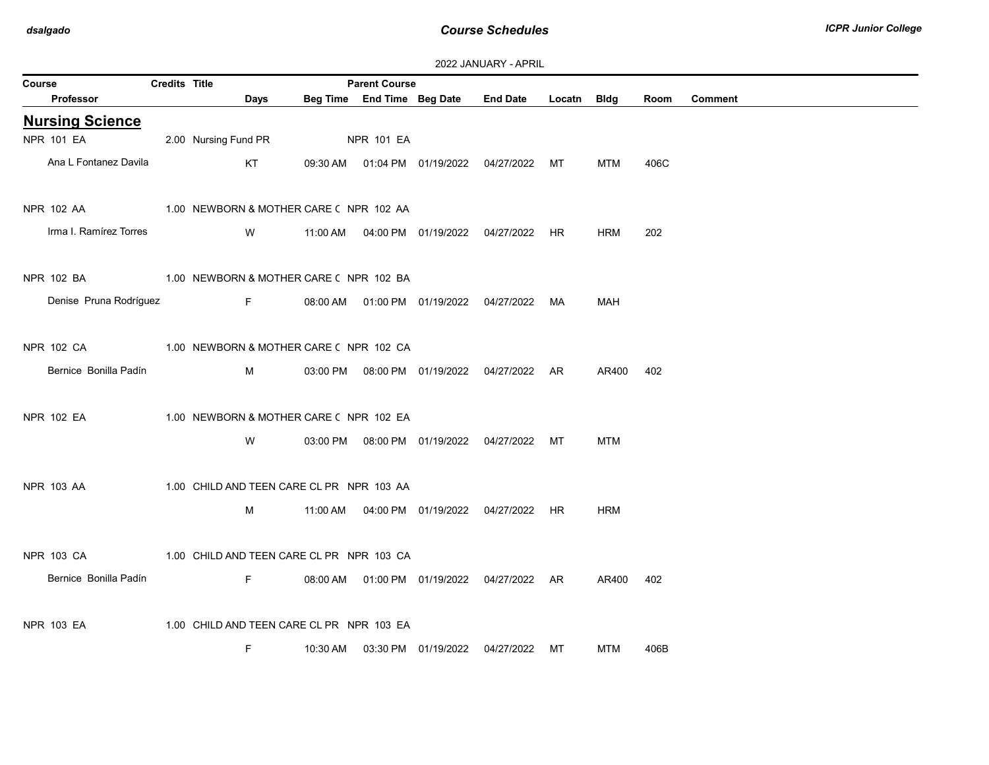| 2022 JANUARY - APRIL |  |
|----------------------|--|
|----------------------|--|

| <b>Credits Title</b><br><b>Parent Course</b><br>Course |  |                                           |          |          |                   |                            |                                                |             |            |      |         |
|--------------------------------------------------------|--|-------------------------------------------|----------|----------|-------------------|----------------------------|------------------------------------------------|-------------|------------|------|---------|
| Professor                                              |  |                                           | Days     |          |                   | Beg Time End Time Beg Date | <b>End Date</b>                                | Locatn Bldg |            | Room | Comment |
| <b>Nursing Science</b>                                 |  |                                           |          |          |                   |                            |                                                |             |            |      |         |
| <b>NPR 101 EA</b>                                      |  | 2.00 Nursing Fund PR                      |          |          | <b>NPR 101 EA</b> |                            |                                                |             |            |      |         |
| Ana L Fontanez Davila                                  |  |                                           | KT       |          |                   |                            | 09:30 AM  01:04 PM  01/19/2022  04/27/2022  MT |             | MTM        | 406C |         |
| NPR 102 AA                                             |  | 1.00 NEWBORN & MOTHER CARE (NPR 102 AA    |          |          |                   |                            |                                                |             |            |      |         |
| Irma I. Ramírez Torres                                 |  |                                           | <b>W</b> |          |                   |                            |                                                |             | <b>HRM</b> | 202  |         |
| NPR 102 BA 1.00 NEWBORN & MOTHER CARE ( NPR 102 BA     |  |                                           |          |          |                   |                            |                                                |             |            |      |         |
| Denise Pruna Rodríguez                                 |  |                                           | $F = 1$  |          |                   |                            | 08:00 AM  01:00 PM  01/19/2022  04/27/2022  MA |             | <b>MAH</b> |      |         |
| NPR 102 CA                                             |  | 1.00 NEWBORN & MOTHER CARE ( NPR 102 CA   |          |          |                   |                            |                                                |             |            |      |         |
| Bernice Bonilla Padín                                  |  |                                           | M        |          |                   |                            | 03:00 PM  08:00 PM  01/19/2022  04/27/2022  AR |             | AR400      | 402  |         |
| NPR 102 EA                                             |  | 1.00 NEWBORN & MOTHER CARE ( NPR 102 EA   |          |          |                   |                            |                                                |             |            |      |         |
|                                                        |  |                                           | W        |          |                   |                            | 03:00 PM  08:00 PM  01/19/2022  04/27/2022  MT |             | MTM        |      |         |
| NPR 103 AA                                             |  | 1.00 CHILD AND TEEN CARE CL PR NPR 103 AA |          |          |                   |                            |                                                |             |            |      |         |
|                                                        |  | M                                         |          |          |                   |                            |                                                |             | <b>HRM</b> |      |         |
| NPR 103 CA                                             |  | 1.00 CHILD AND TEEN CARE CL PR NPR 103 CA |          |          |                   |                            |                                                |             |            |      |         |
| Bernice Bonilla Padín                                  |  |                                           | F        |          |                   |                            | 08:00 AM  01:00 PM  01/19/2022  04/27/2022  AR |             | AR400      | 402  |         |
| NPR 103 EA                                             |  | 1.00 CHILD AND TEEN CARE CL PR NPR 103 EA |          |          |                   |                            |                                                |             |            |      |         |
|                                                        |  | F                                         |          | 10:30 AM |                   |                            | 03:30 PM  01/19/2022  04/27/2022  MT           |             | MTM        | 406B |         |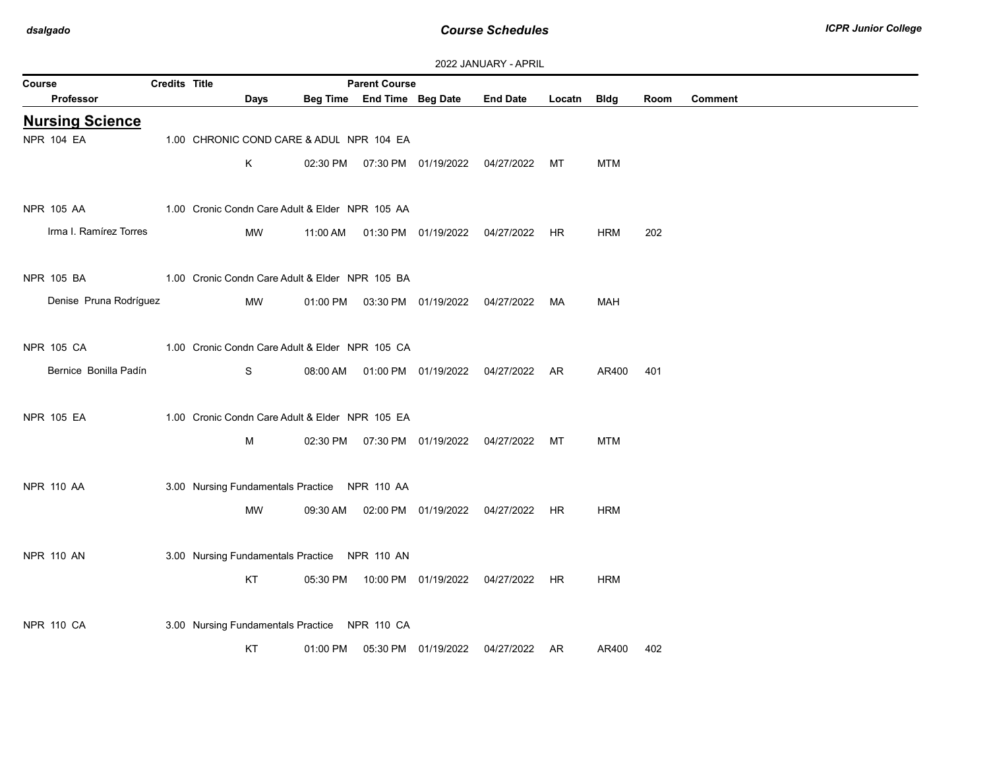| 2022 JANUARY - APRIL |  |  |  |  |
|----------------------|--|--|--|--|
|----------------------|--|--|--|--|

| Credits Title<br><b>Parent Course</b><br>Course |  |      |                                                 |                            |  |                                                |        |            |      |                |
|-------------------------------------------------|--|------|-------------------------------------------------|----------------------------|--|------------------------------------------------|--------|------------|------|----------------|
| Professor                                       |  | Days |                                                 | Beg Time End Time Beg Date |  | <b>End Date</b>                                | Locatn | Bldg       | Room | <b>Comment</b> |
| <b>Nursing Science</b>                          |  |      |                                                 |                            |  |                                                |        |            |      |                |
| <b>NPR 104 EA</b>                               |  |      | 1.00 CHRONIC COND CARE & ADUL NPR 104 EA        |                            |  |                                                |        |            |      |                |
|                                                 |  | Κ    |                                                 |                            |  | 02:30 PM  07:30 PM  01/19/2022  04/27/2022     | MT     | <b>MTM</b> |      |                |
|                                                 |  |      |                                                 |                            |  |                                                |        |            |      |                |
| NPR 105 AA                                      |  |      | 1.00 Cronic Condn Care Adult & Elder NPR 105 AA |                            |  |                                                |        |            |      |                |
| Irma I. Ramírez Torres                          |  | MW   |                                                 |                            |  | 11:00 AM  01:30 PM  01/19/2022  04/27/2022  HR |        | <b>HRM</b> | 202  |                |
|                                                 |  |      |                                                 |                            |  |                                                |        |            |      |                |
| NPR 105 BA                                      |  |      | 1.00 Cronic Condn Care Adult & Elder NPR 105 BA |                            |  |                                                |        |            |      |                |
| Denise Pruna Rodríguez                          |  | MW   |                                                 |                            |  | 01:00 PM  03:30 PM  01/19/2022  04/27/2022  MA |        | <b>MAH</b> |      |                |
|                                                 |  |      |                                                 |                            |  |                                                |        |            |      |                |
| <b>NPR 105 CA</b>                               |  |      | 1.00 Cronic Condn Care Adult & Elder NPR 105 CA |                            |  |                                                |        |            |      |                |
| Bernice Bonilla Padín                           |  | S    |                                                 |                            |  | 08:00 AM  01:00 PM  01/19/2022  04/27/2022  AR |        | AR400      | 401  |                |
|                                                 |  |      |                                                 |                            |  |                                                |        |            |      |                |
| <b>NPR 105 EA</b>                               |  |      | 1.00 Cronic Condn Care Adult & Elder NPR 105 EA |                            |  |                                                |        |            |      |                |
|                                                 |  | м    |                                                 |                            |  | 02:30 PM  07:30 PM  01/19/2022  04/27/2022  MT |        | <b>MTM</b> |      |                |
|                                                 |  |      |                                                 |                            |  |                                                |        |            |      |                |
| <b>NPR 110 AA</b>                               |  |      | 3.00 Nursing Fundamentals Practice NPR 110 AA   |                            |  |                                                |        |            |      |                |
|                                                 |  | MW   | 09:30 AM                                        |                            |  | 02:00 PM  01/19/2022  04/27/2022  HR           |        | <b>HRM</b> |      |                |
|                                                 |  |      |                                                 |                            |  |                                                |        |            |      |                |
| <b>NPR 110 AN</b>                               |  |      | 3.00 Nursing Fundamentals Practice NPR 110 AN   |                            |  |                                                |        |            |      |                |
|                                                 |  | KT   |                                                 |                            |  | 05:30 PM  10:00 PM  01/19/2022  04/27/2022     | HR     | <b>HRM</b> |      |                |
|                                                 |  |      |                                                 |                            |  |                                                |        |            |      |                |
| <b>NPR 110 CA</b>                               |  |      | 3.00 Nursing Fundamentals Practice NPR 110 CA   |                            |  |                                                |        |            |      |                |
|                                                 |  | KT   |                                                 |                            |  | 04/27/2022 AR                                  |        | AR400      | 402  |                |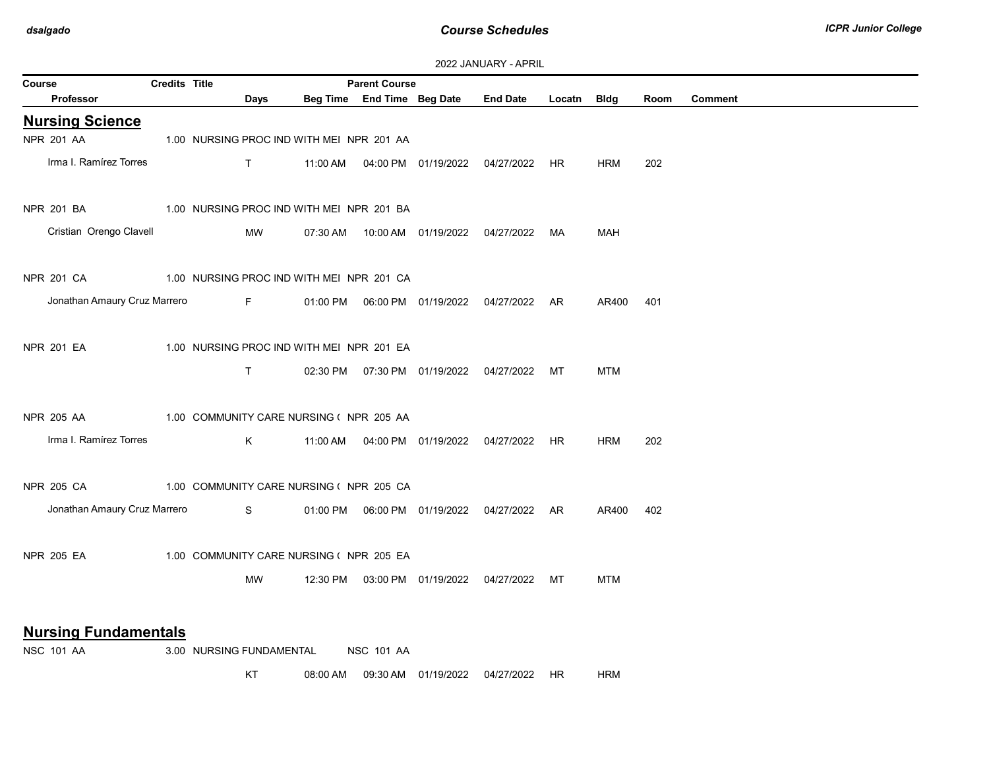| Credits Title<br><b>Parent Course</b><br>Course  |  |                                           |          |                            |  |                                                |             |            |      |                |
|--------------------------------------------------|--|-------------------------------------------|----------|----------------------------|--|------------------------------------------------|-------------|------------|------|----------------|
| <b>Professor</b>                                 |  | Days                                      |          | Beg Time End Time Beg Date |  | <b>End Date</b>                                | Locatn Bldg |            | Room | <b>Comment</b> |
| <b>Nursing Science</b>                           |  |                                           |          |                            |  |                                                |             |            |      |                |
| <b>NPR 201 AA</b>                                |  | 1.00 NURSING PROC IND WITH MEI NPR 201 AA |          |                            |  |                                                |             |            |      |                |
| Irma I. Ramírez Torres                           |  | $\mathsf{T}$                              |          |                            |  | 11:00 AM  04:00 PM  01/19/2022  04/27/2022  HR |             | HRM        | 202  |                |
| NPR 201 BA                                       |  | 1.00 NURSING PROC IND WITH MEI NPR 201 BA |          |                            |  |                                                |             |            |      |                |
| Cristian Orengo Clavell                          |  | MW                                        | 07:30 AM |                            |  |                                                | МA          | <b>MAH</b> |      |                |
| <b>NPR 201 CA</b>                                |  | 1.00 NURSING PROC IND WITH MEI NPR 201 CA |          |                            |  |                                                |             |            |      |                |
| Jonathan Amaury Cruz Marrero                     |  | F <sub>a</sub>                            |          |                            |  |                                                |             | AR400      | 401  |                |
| NPR 201 EA                                       |  | 1.00 NURSING PROC IND WITH MEI NPR 201 EA |          |                            |  |                                                |             |            |      |                |
|                                                  |  | $\mathsf{T}$                              |          |                            |  | 02:30 PM  07:30 PM  01/19/2022  04/27/2022  MT |             | MTM        |      |                |
| <b>NPR 205 AA</b>                                |  | 1.00 COMMUNITY CARE NURSING (NPR 205 AA   |          |                            |  |                                                |             |            |      |                |
| Irma I. Ramírez Torres                           |  | K.                                        |          |                            |  | 11:00 AM  04:00 PM  01/19/2022  04/27/2022  HR |             | <b>HRM</b> | 202  |                |
| NPR 205 CA                                       |  | 1.00 COMMUNITY CARE NURSING (NPR 205 CA   |          |                            |  |                                                |             |            |      |                |
| Jonathan Amaury Cruz Marrero                     |  | S.                                        |          |                            |  |                                                |             | AR400      | 402  |                |
| <b>NPR 205 EA</b>                                |  | 1.00 COMMUNITY CARE NURSING ( NPR 205 EA  |          |                            |  |                                                |             |            |      |                |
|                                                  |  | <b>MW</b>                                 |          |                            |  | 12:30 PM  03:00 PM  01/19/2022  04/27/2022  MT |             | MTM        |      |                |
| <b>Nursing Fundamentals</b><br><b>NSC 101 AA</b> |  | 3.00 NURSING FUNDAMENTAL                  |          | <b>NSC 101 AA</b>          |  |                                                |             |            |      |                |

KT 08:00 AM 09:30 AM 01/19/2022 04/27/2022 HR HRM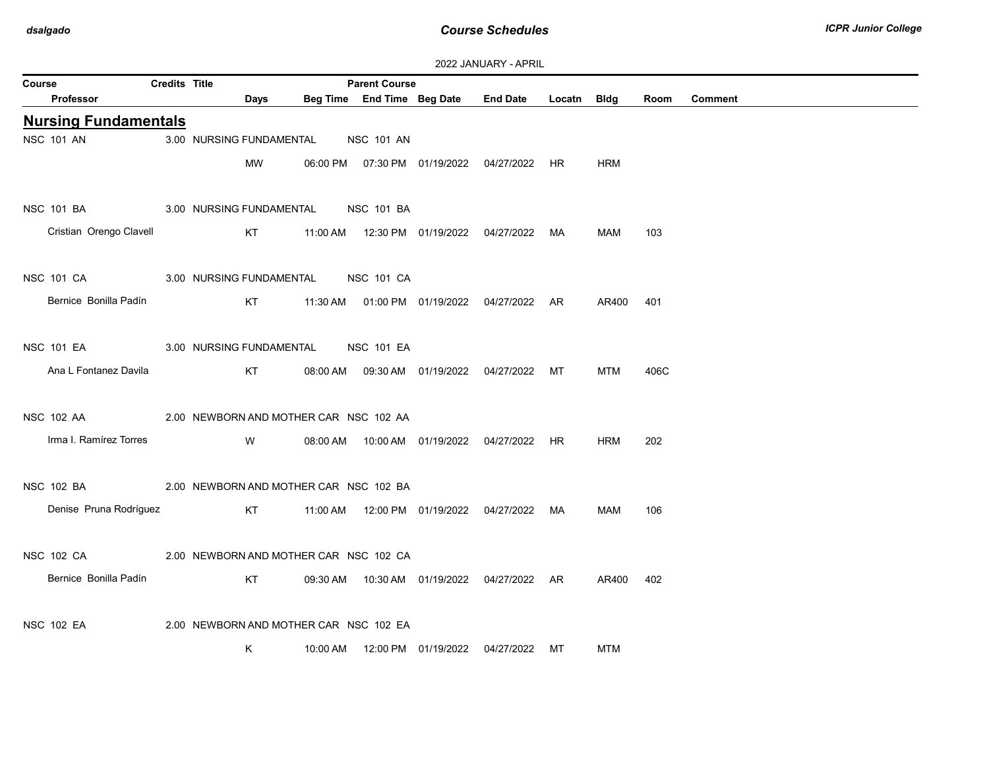| 2022 JANUARY - APRIL |  |
|----------------------|--|
|----------------------|--|

|                             |                      |                                        |          |                                                    |                                  | ZUZZ UARUART EARTLE                            |             |       |      |                |
|-----------------------------|----------------------|----------------------------------------|----------|----------------------------------------------------|----------------------------------|------------------------------------------------|-------------|-------|------|----------------|
| Course<br>Professor         | <b>Credits Title</b> | Days                                   |          | <b>Parent Course</b><br>Beg Time End Time Beg Date |                                  | <b>End Date</b>                                | Locatn Bldg |       | Room | <b>Comment</b> |
| <b>Nursing Fundamentals</b> |                      |                                        |          |                                                    |                                  |                                                |             |       |      |                |
| <b>NSC 101 AN</b>           |                      | 3.00 NURSING FUNDAMENTAL               |          | <b>NSC 101 AN</b>                                  |                                  |                                                |             |       |      |                |
|                             |                      | МW                                     |          |                                                    |                                  | 06:00 PM  07:30 PM  01/19/2022  04/27/2022  HR |             | HRM   |      |                |
| <b>NSC 101 BA</b>           |                      | 3.00 NURSING FUNDAMENTAL               |          | <b>NSC 101 BA</b>                                  |                                  |                                                |             |       |      |                |
| Cristian Orengo Clavell     |                      | KT                                     |          |                                                    |                                  | 11:00 AM  12:30 PM  01/19/2022  04/27/2022     | MA          | MAM   | 103  |                |
| <b>NSC 101 CA</b>           |                      | 3.00 NURSING FUNDAMENTAL               |          | <b>NSC 101 CA</b>                                  |                                  |                                                |             |       |      |                |
| Bernice Bonilla Padín       |                      | KT                                     |          |                                                    |                                  | 11:30 AM  01:00 PM  01/19/2022  04/27/2022  AR |             | AR400 | 401  |                |
| NSC 101 EA                  |                      | 3.00 NURSING FUNDAMENTAL               |          | <b>NSC 101 EA</b>                                  |                                  |                                                |             |       |      |                |
| Ana L Fontanez Davila       |                      | KT                                     | 08:00 AM |                                                    | 09:30 AM  01/19/2022  04/27/2022 |                                                | MT          | MTM   | 406C |                |
| <b>NSC 102 AA</b>           |                      | 2.00 NEWBORN AND MOTHER CAR NSC 102 AA |          |                                                    |                                  |                                                |             |       |      |                |
| Irma I. Ramírez Torres      |                      | W                                      | 08:00 AM |                                                    |                                  |                                                |             | HRM   | 202  |                |
| <b>NSC 102 BA</b>           |                      | 2.00 NEWBORN AND MOTHER CAR NSC 102 BA |          |                                                    |                                  |                                                |             |       |      |                |
| Denise Pruna Rodríguez      |                      | KT                                     |          |                                                    |                                  |                                                |             | MAM   | 106  |                |
| <b>NSC 102 CA</b>           |                      | 2.00 NEWBORN AND MOTHER CAR NSC 102 CA |          |                                                    |                                  |                                                |             |       |      |                |
| Bernice Bonilla Padín       |                      | KT                                     |          |                                                    |                                  | 09:30 AM  10:30 AM  01/19/2022  04/27/2022  AR |             | AR400 | 402  |                |
| <b>NSC 102 EA</b>           |                      | 2.00 NEWBORN AND MOTHER CAR NSC 102 EA |          |                                                    |                                  |                                                |             |       |      |                |
|                             |                      | Κ                                      | 10:00 AM |                                                    |                                  | 12:00 PM  01/19/2022  04/27/2022  MT           |             | MTM   |      |                |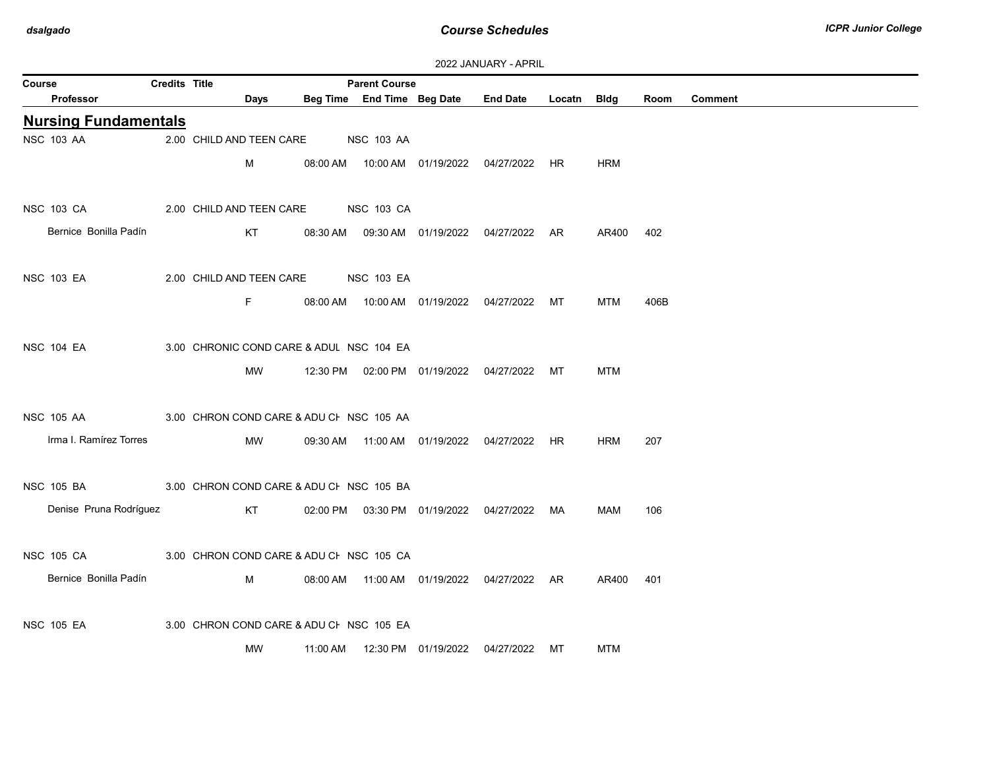| 2022 JANUARY - APRIL |  |  |  |  |
|----------------------|--|--|--|--|
|----------------------|--|--|--|--|

|                   | <b>LULL UNIVORISE FRIESIL</b> |                      |           |                                          |                      |                                            |                                                |             |            |      |         |  |
|-------------------|-------------------------------|----------------------|-----------|------------------------------------------|----------------------|--------------------------------------------|------------------------------------------------|-------------|------------|------|---------|--|
| Course            | <b>Professor</b>              | <b>Credits Title</b> | Days      |                                          | <b>Parent Course</b> | Beg Time End Time Beg Date                 | <b>End Date</b>                                | Locatn Bidg |            | Room | Comment |  |
|                   |                               |                      |           |                                          |                      |                                            |                                                |             |            |      |         |  |
|                   | <b>Nursing Fundamentals</b>   |                      |           |                                          |                      |                                            |                                                |             |            |      |         |  |
| <b>NSC 103 AA</b> |                               |                      |           | 2.00 CHILD AND TEEN CARE NSC 103 AA      |                      |                                            |                                                |             |            |      |         |  |
|                   |                               |                      | М         |                                          |                      |                                            | 08:00 AM  10:00 AM  01/19/2022  04/27/2022  HR |             | <b>HRM</b> |      |         |  |
|                   |                               |                      |           |                                          |                      |                                            |                                                |             |            |      |         |  |
| <b>NSC 103 CA</b> |                               |                      |           | 2.00 CHILD AND TEEN CARE NSC 103 CA      |                      |                                            |                                                |             |            |      |         |  |
|                   | Bernice Bonilla Padín         |                      | KT        |                                          |                      |                                            | 08:30 AM  09:30 AM  01/19/2022  04/27/2022  AR |             | AR400      | 402  |         |  |
|                   |                               |                      |           |                                          |                      |                                            |                                                |             |            |      |         |  |
| <b>NSC 103 EA</b> |                               |                      |           | 2.00 CHILD AND TEEN CARE NSC 103 EA      |                      |                                            |                                                |             |            |      |         |  |
|                   |                               |                      | F.        |                                          |                      |                                            | 08:00 AM  10:00 AM  01/19/2022  04/27/2022  MT |             | <b>MTM</b> | 406B |         |  |
|                   |                               |                      |           |                                          |                      |                                            |                                                |             |            |      |         |  |
|                   |                               |                      |           |                                          |                      |                                            |                                                |             |            |      |         |  |
| <b>NSC 104 EA</b> |                               |                      |           | 3.00 CHRONIC COND CARE & ADUL NSC 104 EA |                      |                                            |                                                |             |            |      |         |  |
|                   |                               |                      | MW        |                                          |                      |                                            | 12:30 PM  02:00 PM  01/19/2022  04/27/2022  MT |             | <b>MTM</b> |      |         |  |
|                   |                               |                      |           |                                          |                      |                                            |                                                |             |            |      |         |  |
| <b>NSC 105 AA</b> |                               |                      |           | 3.00 CHRON COND CARE & ADU CI NSC 105 AA |                      |                                            |                                                |             |            |      |         |  |
|                   | Irma I. Ramírez Torres        |                      | MW        |                                          |                      |                                            | 09:30 AM  11:00 AM  01/19/2022  04/27/2022  HR |             | <b>HRM</b> | 207  |         |  |
|                   |                               |                      |           |                                          |                      |                                            |                                                |             |            |      |         |  |
| <b>NSC 105 BA</b> |                               |                      |           | 3.00 CHRON COND CARE & ADU CI NSC 105 BA |                      |                                            |                                                |             |            |      |         |  |
|                   | Denise Pruna Rodríguez        |                      | KT        |                                          |                      | 02:00 PM  03:30 PM  01/19/2022  04/27/2022 |                                                | MA          | MAM        | 106  |         |  |
|                   |                               |                      |           |                                          |                      |                                            |                                                |             |            |      |         |  |
|                   |                               |                      |           |                                          |                      |                                            |                                                |             |            |      |         |  |
| <b>NSC 105 CA</b> |                               |                      |           | 3.00 CHRON COND CARE & ADU CI NSC 105 CA |                      |                                            |                                                |             |            |      |         |  |
|                   | Bernice Bonilla Padín         |                      | M         |                                          |                      |                                            | 08:00 AM  11:00 AM  01/19/2022  04/27/2022  AR |             | AR400 401  |      |         |  |
|                   |                               |                      |           |                                          |                      |                                            |                                                |             |            |      |         |  |
| <b>NSC 105 EA</b> |                               |                      |           | 3.00 CHRON COND CARE & ADU CI NSC 105 EA |                      |                                            |                                                |             |            |      |         |  |
|                   |                               |                      | <b>MW</b> | 11:00 AM                                 |                      | 12:30 PM 01/19/2022                        | 04/27/2022                                     | МT          | <b>MTM</b> |      |         |  |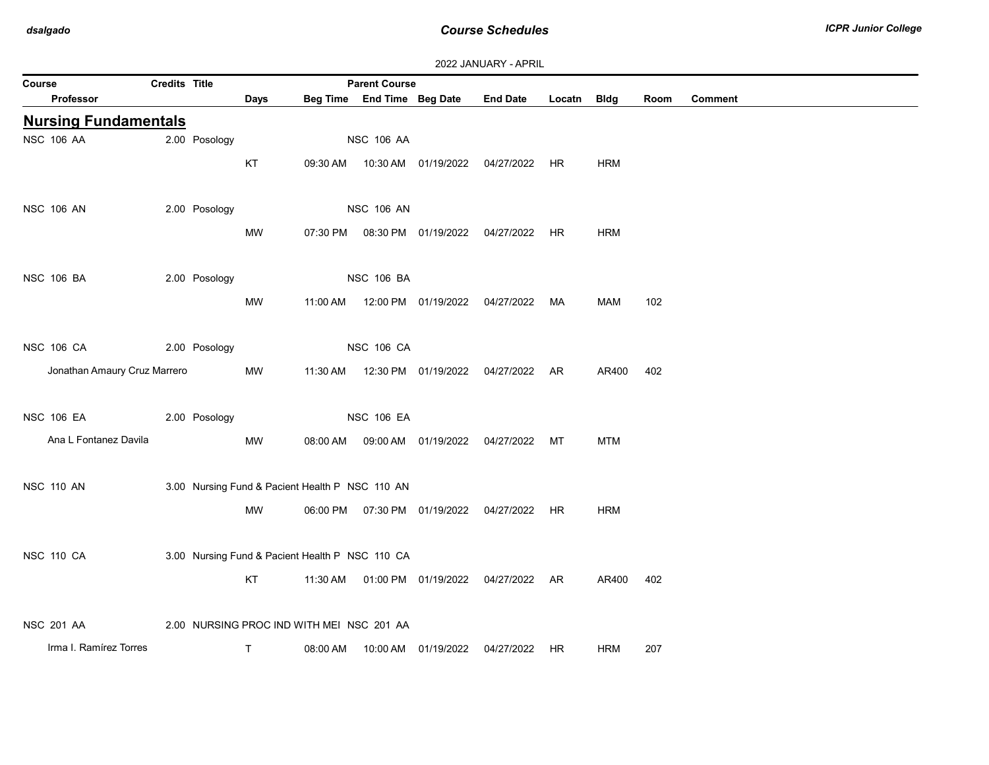|        |                              |                      |               |             |                                                 |                            |                                            | 2022 JANUARY - APRIL |        |             |      |         |
|--------|------------------------------|----------------------|---------------|-------------|-------------------------------------------------|----------------------------|--------------------------------------------|----------------------|--------|-------------|------|---------|
| Course |                              | <b>Credits Title</b> |               |             |                                                 | <b>Parent Course</b>       |                                            |                      |        |             |      |         |
|        | Professor                    |                      |               | <b>Days</b> |                                                 | Beg Time End Time Beg Date |                                            | <b>End Date</b>      | Locatn | <b>Bldg</b> | Room | Comment |
|        | <b>Nursing Fundamentals</b>  |                      |               |             |                                                 |                            |                                            |                      |        |             |      |         |
|        | <b>NSC 106 AA</b>            |                      | 2.00 Posology |             |                                                 | <b>NSC 106 AA</b>          |                                            |                      |        |             |      |         |
|        |                              |                      |               | KT          | 09:30 AM                                        |                            |                                            | 04/27/2022           | HR     | <b>HRM</b>  |      |         |
|        |                              |                      |               |             |                                                 |                            |                                            |                      |        |             |      |         |
|        | <b>NSC 106 AN</b>            |                      | 2.00 Posology |             |                                                 | <b>NSC 106 AN</b>          |                                            |                      |        |             |      |         |
|        |                              |                      |               | MW          | 07:30 PM                                        |                            | 08:30 PM 01/19/2022                        | 04/27/2022           | HR     | <b>HRM</b>  |      |         |
|        |                              |                      |               |             |                                                 |                            |                                            |                      |        |             |      |         |
|        | <b>NSC 106 BA</b>            |                      | 2.00 Posology |             |                                                 | <b>NSC 106 BA</b>          |                                            |                      |        |             |      |         |
|        |                              |                      |               | <b>MW</b>   | 11:00 AM                                        |                            | 12:00 PM 01/19/2022                        | 04/27/2022           | MA     | MAM         | 102  |         |
|        |                              |                      |               |             |                                                 |                            |                                            |                      |        |             |      |         |
|        | <b>NSC 106 CA</b>            |                      | 2.00 Posology |             |                                                 | <b>NSC 106 CA</b>          |                                            |                      |        |             |      |         |
|        | Jonathan Amaury Cruz Marrero |                      |               |             |                                                 |                            |                                            |                      |        |             |      |         |
|        |                              |                      |               | MW          | 11:30 AM                                        |                            | 12:30 PM 01/19/2022                        | 04/27/2022 AR        |        | AR400       | 402  |         |
|        |                              |                      |               |             |                                                 |                            |                                            |                      |        |             |      |         |
|        | <b>NSC 106 EA</b>            |                      | 2.00 Posology |             |                                                 | <b>NSC 106 EA</b>          |                                            |                      |        |             |      |         |
|        | Ana L Fontanez Davila        |                      |               | MW          | 08:00 AM                                        |                            | 09:00 AM  01/19/2022                       | 04/27/2022           | MT     | <b>MTM</b>  |      |         |
|        |                              |                      |               |             |                                                 |                            |                                            |                      |        |             |      |         |
|        | <b>NSC 110 AN</b>            |                      |               |             | 3.00 Nursing Fund & Pacient Health P NSC 110 AN |                            |                                            |                      |        |             |      |         |
|        |                              |                      |               | MW          |                                                 |                            | 06:00 PM  07:30 PM  01/19/2022  04/27/2022 |                      | HR     | <b>HRM</b>  |      |         |
|        |                              |                      |               |             |                                                 |                            |                                            |                      |        |             |      |         |
|        | <b>NSC 110 CA</b>            |                      |               |             | 3.00 Nursing Fund & Pacient Health P NSC 110 CA |                            |                                            |                      |        |             |      |         |
|        |                              |                      |               | KT          | 11:30 AM                                        |                            | 01:00 PM 01/19/2022                        | 04/27/2022 AR        |        | AR400       | 402  |         |
|        |                              |                      |               |             |                                                 |                            |                                            |                      |        |             |      |         |
|        | <b>NSC 201 AA</b>            |                      |               |             | 2.00 NURSING PROC IND WITH MEI NSC 201 AA       |                            |                                            |                      |        |             |      |         |
|        | Irma I. Ramírez Torres       |                      |               | T.          | 08:00 AM                                        | 10:00 AM                   | 01/19/2022                                 | 04/27/2022           | HR     | <b>HRM</b>  | 207  |         |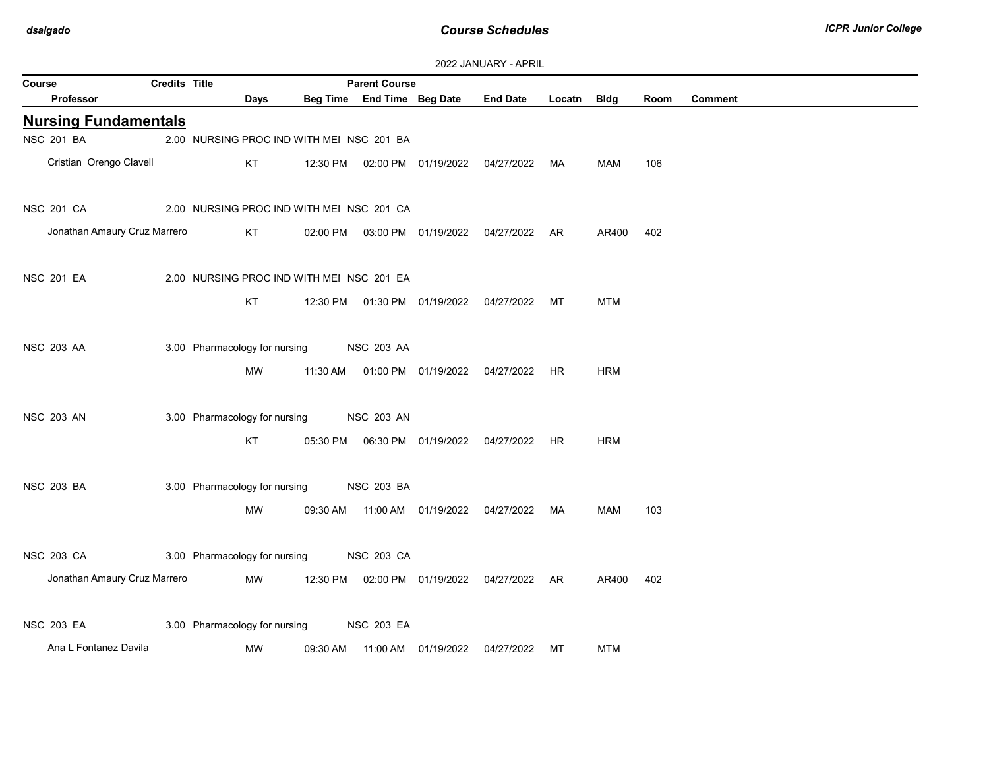| 2022 JANUARY - APRIL |  |
|----------------------|--|
|----------------------|--|

| Course            |                              | Credits Title |                                           |          | <b>Parent Course</b>       |                                                |             |            |      |         |
|-------------------|------------------------------|---------------|-------------------------------------------|----------|----------------------------|------------------------------------------------|-------------|------------|------|---------|
|                   | Professor                    |               | Days                                      |          | Beg Time End Time Beg Date | <b>End Date</b>                                | Locatn Bldg |            | Room | Comment |
|                   | <b>Nursing Fundamentals</b>  |               |                                           |          |                            |                                                |             |            |      |         |
| <b>NSC 201 BA</b> |                              |               | 2.00 NURSING PROC IND WITH MEI NSC 201 BA |          |                            |                                                |             |            |      |         |
|                   | Cristian Orengo Clavell      |               | KT                                        | 12:30 PM |                            | 02:00 PM 01/19/2022 04/27/2022 MA              |             | MAM        | 106  |         |
| <b>NSC 201 CA</b> |                              |               | 2.00 NURSING PROC IND WITH MEI NSC 201 CA |          |                            |                                                |             |            |      |         |
|                   | Jonathan Amaury Cruz Marrero |               | KT                                        |          |                            | 02:00 PM  03:00 PM  01/19/2022  04/27/2022  AR |             | AR400      | 402  |         |
| <b>NSC 201 EA</b> |                              |               | 2.00 NURSING PROC IND WITH MEI NSC 201 EA |          |                            |                                                |             |            |      |         |
|                   |                              |               | KT                                        |          |                            | 12:30 PM  01:30 PM  01/19/2022  04/27/2022  MT |             | <b>MTM</b> |      |         |
| <b>NSC 203 AA</b> |                              |               | 3.00 Pharmacology for nursing             |          | <b>NSC 203 AA</b>          |                                                |             |            |      |         |
|                   |                              |               | MW                                        | 11:30 AM |                            | 01:00 PM 01/19/2022 04/27/2022 HR              |             | <b>HRM</b> |      |         |
| <b>NSC 203 AN</b> |                              |               | 3.00 Pharmacology for nursing             |          | <b>NSC 203 AN</b>          |                                                |             |            |      |         |
|                   |                              |               | <b>KT</b>                                 |          |                            | 05:30 PM  06:30 PM  01/19/2022  04/27/2022     | <b>HR</b>   | <b>HRM</b> |      |         |
| <b>NSC 203 BA</b> |                              |               | 3.00 Pharmacology for nursing             |          | <b>NSC 203 BA</b>          |                                                |             |            |      |         |
|                   |                              |               | MW                                        |          |                            | 09:30 AM  11:00 AM  01/19/2022  04/27/2022     | MA          | MAM        | 103  |         |
| <b>NSC 203 CA</b> |                              |               | 3.00 Pharmacology for nursing             |          | <b>NSC 203 CA</b>          |                                                |             |            |      |         |
|                   | Jonathan Amaury Cruz Marrero |               | <b>MW</b>                                 | 12:30 PM |                            | 02:00 PM  01/19/2022  04/27/2022  AR           |             | AR400      | 402  |         |
| <b>NSC 203 EA</b> |                              |               | 3.00 Pharmacology for nursing             |          | <b>NSC 203 EA</b>          |                                                |             |            |      |         |
|                   | Ana L Fontanez Davila        |               | MW                                        | 09:30 AM |                            | 04/27/2022                                     | МT          | <b>MTM</b> |      |         |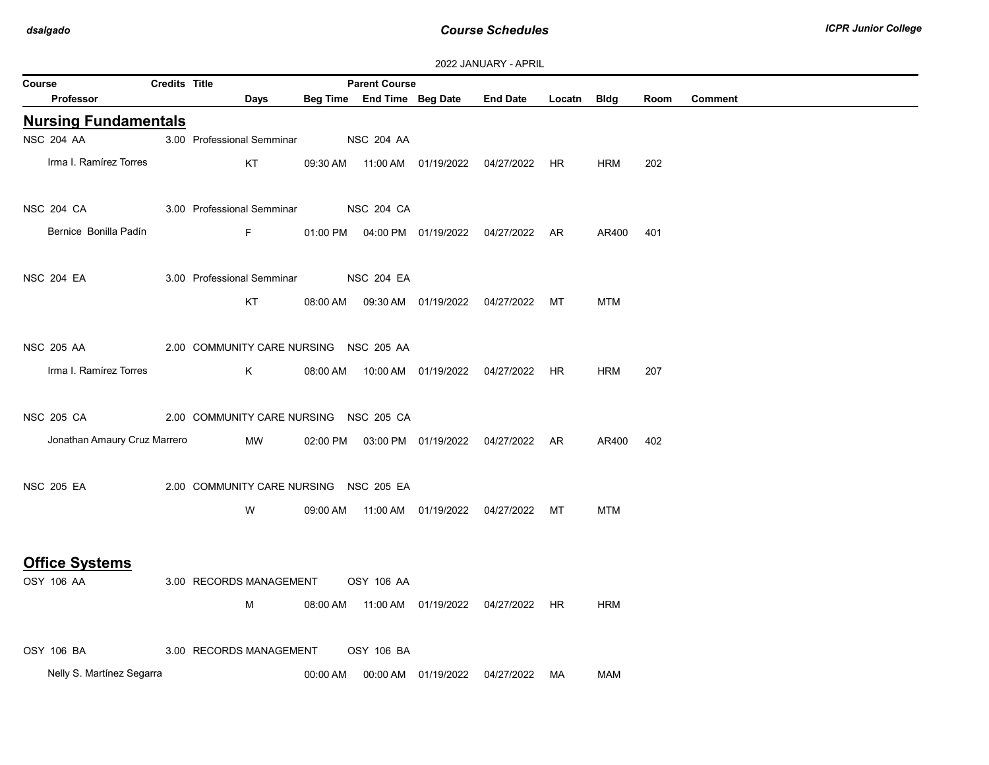| 2022 JANUARY - APRIL |  |  |  |  |
|----------------------|--|--|--|--|
|----------------------|--|--|--|--|

| <b>ZUZZ JAINUART - AFRIL</b> |                      |                                        |          |                            |  |                                                |             |            |      |                |  |
|------------------------------|----------------------|----------------------------------------|----------|----------------------------|--|------------------------------------------------|-------------|------------|------|----------------|--|
| Course                       | <b>Credits Title</b> |                                        |          | <b>Parent Course</b>       |  |                                                |             |            |      |                |  |
| <b>Professor</b>             |                      | Days                                   |          | Beg Time End Time Beg Date |  | <b>End Date</b>                                | Locatn Bldg |            | Room | <b>Comment</b> |  |
| <b>Nursing Fundamentals</b>  |                      |                                        |          |                            |  |                                                |             |            |      |                |  |
| <b>NSC 204 AA</b>            |                      | 3.00 Professional Semminar             |          | <b>NSC 204 AA</b>          |  |                                                |             |            |      |                |  |
| Irma I. Ramírez Torres       |                      | KT                                     |          |                            |  | 09:30 AM  11:00 AM  01/19/2022  04/27/2022  HR |             | <b>HRM</b> | 202  |                |  |
|                              |                      |                                        |          |                            |  |                                                |             |            |      |                |  |
| <b>NSC 204 CA</b>            |                      | 3.00 Professional Semminar             |          | <b>NSC 204 CA</b>          |  |                                                |             |            |      |                |  |
| Bernice Bonilla Padín        |                      | $\mathsf F$                            |          |                            |  | 01:00 PM  04:00 PM  01/19/2022  04/27/2022  AR |             | AR400      | 401  |                |  |
|                              |                      |                                        |          |                            |  |                                                |             |            |      |                |  |
| <b>NSC 204 EA</b>            |                      | 3.00 Professional Semminar             |          | <b>NSC 204 EA</b>          |  |                                                |             |            |      |                |  |
|                              |                      | KT                                     |          |                            |  | 08:00 AM  09:30 AM  01/19/2022  04/27/2022  MT |             | <b>MTM</b> |      |                |  |
|                              |                      |                                        |          |                            |  |                                                |             |            |      |                |  |
|                              |                      |                                        |          |                            |  |                                                |             |            |      |                |  |
| <b>NSC 205 AA</b>            |                      | 2.00 COMMUNITY CARE NURSING NSC 205 AA |          |                            |  |                                                |             |            |      |                |  |
| Irma I. Ramírez Torres       |                      | K                                      | 08:00 AM |                            |  | 10:00 AM  01/19/2022  04/27/2022  HR           |             | <b>HRM</b> | 207  |                |  |
|                              |                      |                                        |          |                            |  |                                                |             |            |      |                |  |
| <b>NSC 205 CA</b>            |                      | 2.00 COMMUNITY CARE NURSING NSC 205 CA |          |                            |  |                                                |             |            |      |                |  |
| Jonathan Amaury Cruz Marrero |                      | MW                                     |          |                            |  | 02:00 PM  03:00 PM  01/19/2022  04/27/2022  AR |             | AR400      | 402  |                |  |
|                              |                      |                                        |          |                            |  |                                                |             |            |      |                |  |
| <b>NSC 205 EA</b>            |                      | 2.00 COMMUNITY CARE NURSING NSC 205 EA |          |                            |  |                                                |             |            |      |                |  |
|                              |                      | W                                      |          |                            |  | 09:00 AM  11:00 AM  01/19/2022  04/27/2022  MT |             | MTM        |      |                |  |
|                              |                      |                                        |          |                            |  |                                                |             |            |      |                |  |
|                              |                      |                                        |          |                            |  |                                                |             |            |      |                |  |
| <b>Office Systems</b>        |                      |                                        |          |                            |  |                                                |             |            |      |                |  |
| OSY 106 AA                   |                      | 3.00 RECORDS MANAGEMENT                |          | <b>OSY 106 AA</b>          |  |                                                |             |            |      |                |  |
|                              |                      | M                                      |          |                            |  | 08:00 AM  11:00 AM  01/19/2022  04/27/2022  HR |             | HRM        |      |                |  |
|                              |                      |                                        |          |                            |  |                                                |             |            |      |                |  |
| OSY 106 BA                   |                      | 3.00 RECORDS MANAGEMENT                |          | OSY 106 BA                 |  |                                                |             |            |      |                |  |
| Nelly S. Martínez Segarra    |                      |                                        |          |                            |  |                                                | MA          | MAM        |      |                |  |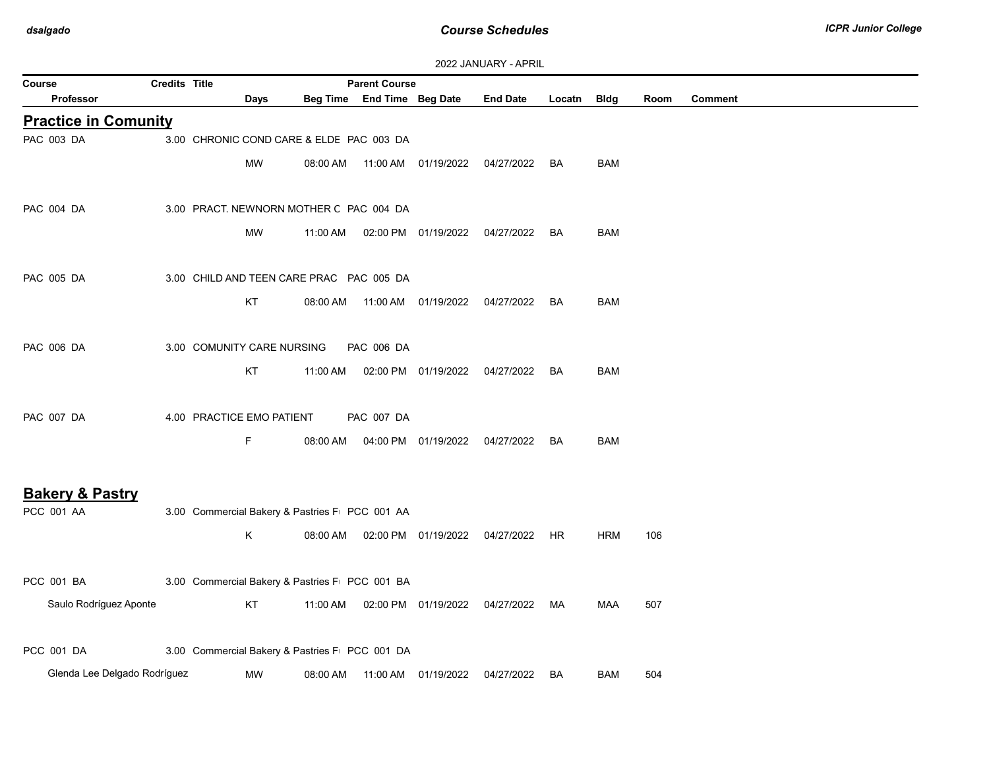| Course                                   | <b>Credits Title</b> |                                                |          | <b>Parent Course</b>       |                                  |                 |           |            |      |                |
|------------------------------------------|----------------------|------------------------------------------------|----------|----------------------------|----------------------------------|-----------------|-----------|------------|------|----------------|
| <b>Professor</b>                         |                      | Days                                           |          | Beg Time End Time Beg Date |                                  | <b>End Date</b> | Locatn    | Bldg       | Room | <b>Comment</b> |
| <b>Practice in Comunity</b>              |                      |                                                |          |                            |                                  |                 |           |            |      |                |
| PAC 003 DA                               |                      | 3.00 CHRONIC COND CARE & ELDE PAC 003 DA       |          |                            |                                  |                 |           |            |      |                |
|                                          |                      | <b>MW</b>                                      | 08:00 AM |                            | 11:00 AM  01/19/2022  04/27/2022 |                 | BA.       | <b>BAM</b> |      |                |
|                                          |                      |                                                |          |                            |                                  |                 |           |            |      |                |
| PAC 004 DA                               |                      | 3.00 PRACT. NEWNORN MOTHER C PAC 004 DA        |          |                            |                                  |                 |           |            |      |                |
|                                          |                      | <b>MW</b>                                      | 11:00 AM |                            | 02:00 PM 01/19/2022 04/27/2022   |                 | BA        | <b>BAM</b> |      |                |
|                                          |                      |                                                |          |                            |                                  |                 |           |            |      |                |
| PAC 005 DA                               |                      | 3.00 CHILD AND TEEN CARE PRAC PAC 005 DA       |          |                            |                                  |                 |           |            |      |                |
|                                          |                      | KT                                             | 08:00 AM |                            | 11:00 AM  01/19/2022  04/27/2022 |                 | <b>BA</b> | <b>BAM</b> |      |                |
|                                          |                      |                                                |          |                            |                                  |                 |           |            |      |                |
| <b>PAC 006 DA</b>                        |                      | 3.00 COMUNITY CARE NURSING                     |          | <b>PAC 006 DA</b>          |                                  |                 |           |            |      |                |
|                                          |                      | KT                                             | 11:00 AM |                            | 02:00 PM  01/19/2022  04/27/2022 |                 | BA        | <b>BAM</b> |      |                |
|                                          |                      |                                                |          |                            |                                  |                 |           |            |      |                |
| <b>PAC 007 DA</b>                        |                      | 4.00 PRACTICE EMO PATIENT                      |          | PAC 007 DA                 |                                  |                 |           |            |      |                |
|                                          |                      | F.                                             | 08:00 AM |                            | 04:00 PM 01/19/2022 04/27/2022   |                 | BA        | <b>BAM</b> |      |                |
|                                          |                      |                                                |          |                            |                                  |                 |           |            |      |                |
|                                          |                      |                                                |          |                            |                                  |                 |           |            |      |                |
| <b>Bakery &amp; Pastry</b><br>PCC 001 AA |                      | 3.00 Commercial Bakery & Pastries F PCC 001 AA |          |                            |                                  |                 |           |            |      |                |
|                                          |                      | Κ                                              | 08:00 AM |                            | 02:00 PM  01/19/2022  04/27/2022 |                 | HR.       | <b>HRM</b> | 106  |                |
|                                          |                      |                                                |          |                            |                                  |                 |           |            |      |                |
| PCC 001 BA                               |                      | 3.00 Commercial Bakery & Pastries F PCC 001 BA |          |                            |                                  |                 |           |            |      |                |
|                                          |                      |                                                |          |                            |                                  |                 |           |            |      |                |
| Saulo Rodríguez Aponte                   |                      | KT                                             | 11:00 AM |                            | 02:00 PM  01/19/2022  04/27/2022 |                 | MA        | <b>MAA</b> | 507  |                |
|                                          |                      |                                                |          |                            |                                  |                 |           |            |      |                |
| PCC 001 DA                               |                      | 3.00 Commercial Bakery & Pastries F PCC 001 DA |          |                            |                                  |                 |           |            |      |                |
| Glenda Lee Delgado Rodríguez             |                      | <b>MW</b>                                      | 08:00 AM |                            | 11:00 AM  01/19/2022             | 04/27/2022      | <b>BA</b> | BAM        | 504  |                |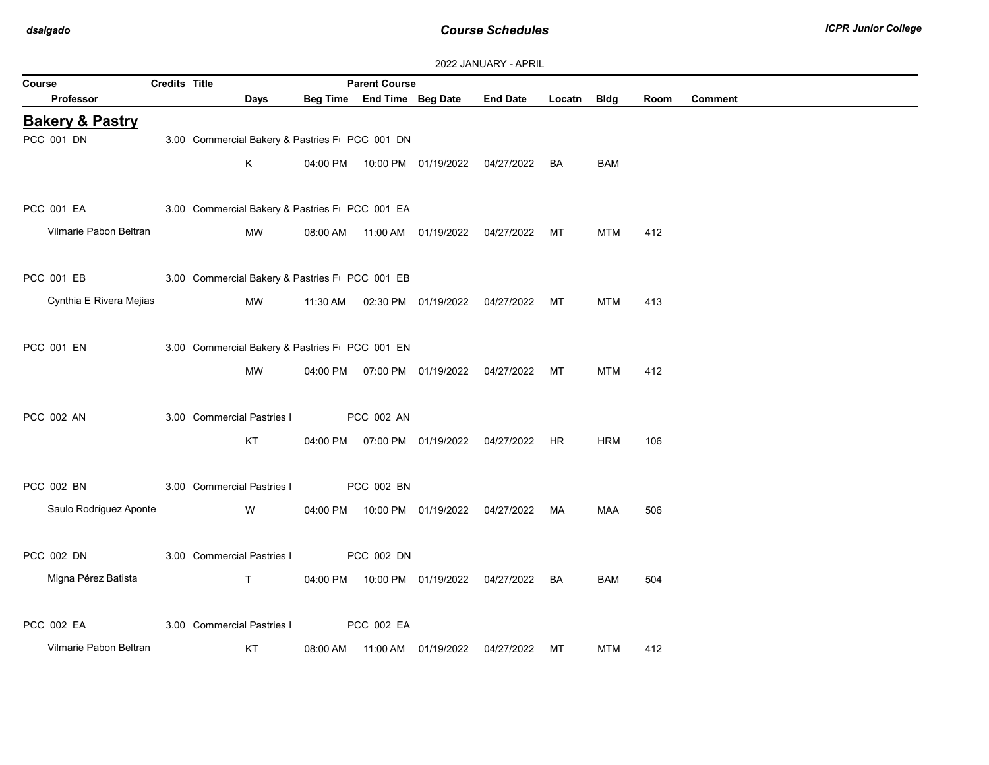$\sim$ 

| 2022 JANUARY - APRIL       |                      |                                                |          |                            |                                |                 |           |             |      |                |  |
|----------------------------|----------------------|------------------------------------------------|----------|----------------------------|--------------------------------|-----------------|-----------|-------------|------|----------------|--|
| Course                     | <b>Credits Title</b> |                                                |          | <b>Parent Course</b>       |                                |                 |           |             |      |                |  |
| Professor                  |                      | Days                                           |          | Beg Time End Time Beg Date |                                | <b>End Date</b> | Locatn    | <b>Bldg</b> | Room | <b>Comment</b> |  |
| <b>Bakery &amp; Pastry</b> |                      |                                                |          |                            |                                |                 |           |             |      |                |  |
| PCC 001 DN                 |                      | 3.00 Commercial Bakery & Pastries F PCC 001 DN |          |                            |                                |                 |           |             |      |                |  |
|                            |                      | K                                              |          |                            | 04:00 PM  10:00 PM  01/19/2022 | 04/27/2022      | BA        | <b>BAM</b>  |      |                |  |
|                            |                      |                                                |          |                            |                                |                 |           |             |      |                |  |
| PCC 001 EA                 |                      | 3.00 Commercial Bakery & Pastries F PCC 001 EA |          |                            |                                |                 |           |             |      |                |  |
| Vilmarie Pabon Beltran     |                      | MW                                             | 08:00 AM |                            | 11:00 AM  01/19/2022           | 04/27/2022      | МT        | <b>MTM</b>  | 412  |                |  |
| PCC 001 EB                 |                      | 3.00 Commercial Bakery & Pastries F PCC 001 EB |          |                            |                                |                 |           |             |      |                |  |
|                            |                      |                                                |          |                            |                                |                 |           |             |      |                |  |
| Cynthia E Rivera Mejias    |                      | MW                                             | 11:30 AM |                            | 02:30 PM 01/19/2022            | 04/27/2022      | МT        | <b>MTM</b>  | 413  |                |  |
| PCC 001 EN                 |                      | 3.00 Commercial Bakery & Pastries F PCC 001 EN |          |                            |                                |                 |           |             |      |                |  |
|                            |                      | <b>MW</b>                                      | 04:00 PM |                            | 07:00 PM 01/19/2022            | 04/27/2022      | МT        | <b>MTM</b>  | 412  |                |  |
|                            |                      |                                                |          |                            |                                |                 |           |             |      |                |  |
| PCC 002 AN                 |                      | 3.00 Commercial Pastries I                     |          | PCC 002 AN                 |                                |                 |           |             |      |                |  |
|                            |                      | KT                                             | 04:00 PM |                            | 07:00 PM 01/19/2022            | 04/27/2022      | <b>HR</b> | <b>HRM</b>  | 106  |                |  |
|                            |                      |                                                |          |                            |                                |                 |           |             |      |                |  |
| PCC 002 BN                 |                      | 3.00 Commercial Pastries I                     |          | PCC 002 BN                 |                                |                 |           |             |      |                |  |
| Saulo Rodríguez Aponte     |                      | W                                              | 04:00 PM |                            | 10:00 PM 01/19/2022            | 04/27/2022      | MA        | <b>MAA</b>  | 506  |                |  |
|                            |                      |                                                |          |                            |                                |                 |           |             |      |                |  |
| PCC 002 DN                 |                      | 3.00 Commercial Pastries I                     |          | PCC 002 DN                 |                                |                 |           |             |      |                |  |
| Migna Pérez Batista        |                      | T.                                             | 04:00 PM |                            | 10:00 PM 01/19/2022            | 04/27/2022      | BA        | BAM         | 504  |                |  |
|                            |                      |                                                |          |                            |                                |                 |           |             |      |                |  |
| <b>PCC 002 EA</b>          |                      | 3.00 Commercial Pastries I                     |          | PCC 002 EA                 |                                |                 |           |             |      |                |  |
| Vilmarie Pabon Beltran     |                      | KT                                             | 08:00 AM |                            | 11:00 AM 01/19/2022            | 04/27/2022      | МT        | <b>MTM</b>  | 412  |                |  |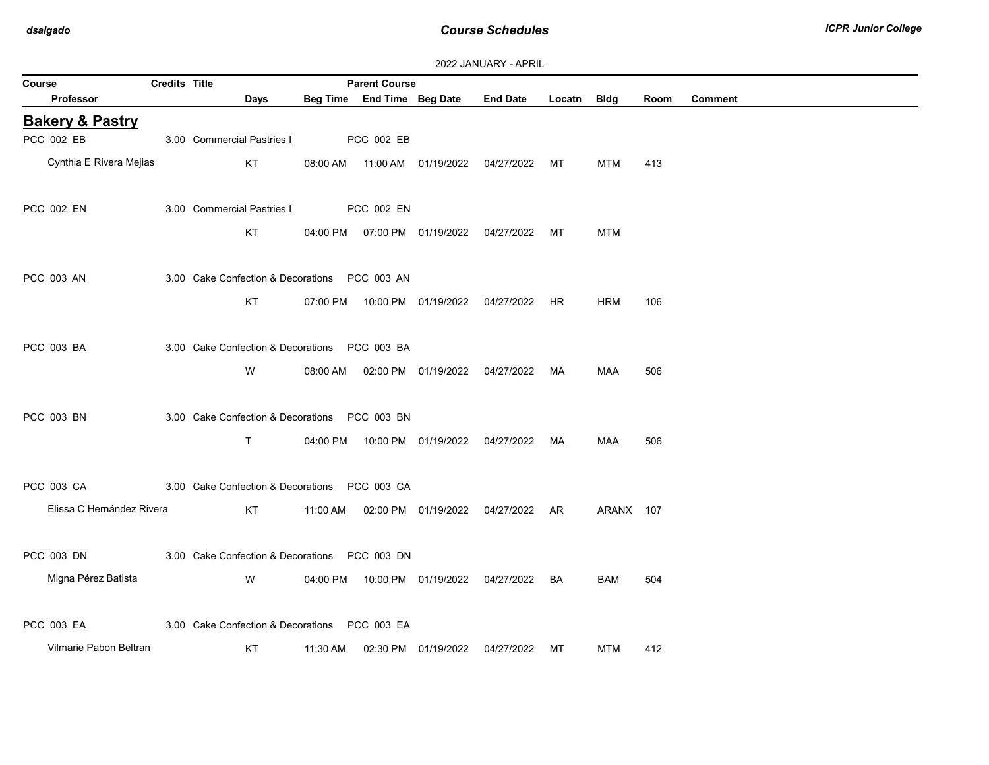| 2022 JANUARY - APRIL |  |
|----------------------|--|
|----------------------|--|

| Course                     | Credits Title |                                                |          | <b>Parent Course</b>       |                                            |                                                |             |            |      |                |
|----------------------------|---------------|------------------------------------------------|----------|----------------------------|--------------------------------------------|------------------------------------------------|-------------|------------|------|----------------|
| <b>Professor</b>           |               | Days                                           |          | Beg Time End Time Beg Date |                                            | <b>End Date</b>                                | Locatn Bldg |            | Room | <b>Comment</b> |
| <b>Bakery &amp; Pastry</b> |               |                                                |          |                            |                                            |                                                |             |            |      |                |
| PCC 002 EB                 |               | 3.00 Commercial Pastries I                     |          | PCC 002 EB                 |                                            |                                                |             |            |      |                |
| Cynthia E Rivera Mejias    |               | KT                                             |          |                            |                                            | 08:00 AM  11:00 AM  01/19/2022  04/27/2022  MT |             | <b>MTM</b> | 413  |                |
| PCC 002 EN                 |               | 3.00 Commercial Pastries I                     |          | PCC 002 EN                 |                                            |                                                |             |            |      |                |
|                            |               | KT                                             |          |                            | 04:00 PM  07:00 PM  01/19/2022  04/27/2022 |                                                | МT          | <b>MTM</b> |      |                |
| PCC 003 AN                 |               | 3.00 Cake Confection & Decorations PCC 003 AN  |          |                            |                                            |                                                |             |            |      |                |
|                            |               | KT                                             |          |                            |                                            | 07:00 PM  10:00 PM  01/19/2022  04/27/2022  HR |             | <b>HRM</b> | 106  |                |
| PCC 003 BA                 |               | 3.00 Cake Confection & Decorations PCC 003 BA  |          |                            |                                            |                                                |             |            |      |                |
|                            |               | W                                              | 08:00 AM |                            | 02:00 PM 01/19/2022 04/27/2022             |                                                | MA          | <b>MAA</b> | 506  |                |
| PCC 003 BN                 |               | 3.00 Cake Confection & Decorations  PCC 003 BN |          |                            |                                            |                                                |             |            |      |                |
|                            |               | $\mathsf{T}$                                   |          |                            |                                            | 04:00 PM  10:00 PM  01/19/2022  04/27/2022  MA |             | MAA        | 506  |                |
| PCC 003 CA                 |               | 3.00 Cake Confection & Decorations PCC 003 CA  |          |                            |                                            |                                                |             |            |      |                |
| Elissa C Hernández Rivera  |               | KT                                             |          |                            |                                            | 11:00 AM  02:00 PM  01/19/2022  04/27/2022  AR |             | ARANX 107  |      |                |
| PCC 003 DN                 |               | 3.00 Cake Confection & Decorations PCC 003 DN  |          |                            |                                            |                                                |             |            |      |                |
| Migna Pérez Batista        |               | W                                              |          |                            |                                            | 04:00 PM  10:00 PM  01/19/2022  04/27/2022  BA |             | BAM        | 504  |                |
| PCC 003 EA                 |               | 3.00 Cake Confection & Decorations PCC 003 EA  |          |                            |                                            |                                                |             |            |      |                |
| Vilmarie Pabon Beltran     |               | KT                                             | 11:30 AM |                            | 02:30 PM 01/19/2022 04/27/2022             |                                                | MT          | MTM        | 412  |                |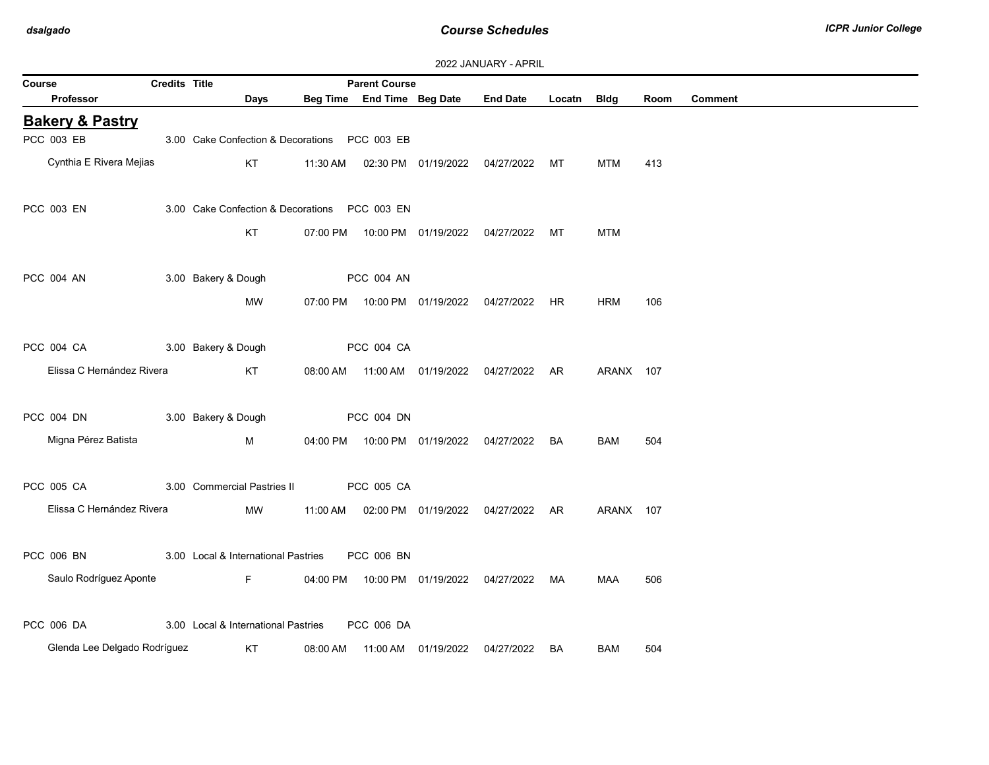| 2022 JANUARY - APRIL |  |  |  |  |
|----------------------|--|--|--|--|
|----------------------|--|--|--|--|

| Course                       | Credits Title |                                                |                   | <b>Parent Course</b> |                                            |                                                |             |            |      |                |
|------------------------------|---------------|------------------------------------------------|-------------------|----------------------|--------------------------------------------|------------------------------------------------|-------------|------------|------|----------------|
| Professor                    |               | Days                                           |                   |                      | Beg Time End Time Beg Date                 | <b>End Date</b>                                | Locatn Bldg |            | Room | <b>Comment</b> |
| <b>Bakery &amp; Pastry</b>   |               |                                                |                   |                      |                                            |                                                |             |            |      |                |
| PCC 003 EB                   |               | 3.00 Cake Confection & Decorations  PCC 003 EB |                   |                      |                                            |                                                |             |            |      |                |
| Cynthia E Rivera Mejias      |               | KT                                             |                   |                      |                                            | 11:30 AM  02:30 PM  01/19/2022  04/27/2022  MT |             | <b>MTM</b> | 413  |                |
| PCC 003 EN                   |               | 3.00 Cake Confection & Decorations PCC 003 EN  |                   |                      |                                            |                                                |             |            |      |                |
|                              |               | KT                                             |                   |                      |                                            | 07:00 PM  10:00 PM  01/19/2022  04/27/2022     | MT.         | <b>MTM</b> |      |                |
| PCC 004 AN                   |               | 3.00 Bakery & Dough                            |                   | PCC 004 AN           |                                            |                                                |             |            |      |                |
|                              |               | MW                                             |                   |                      |                                            | 07:00 PM  10:00 PM  01/19/2022  04/27/2022  HR |             | <b>HRM</b> | 106  |                |
| PCC 004 CA                   |               | 3.00 Bakery & Dough                            |                   | PCC 004 CA           |                                            |                                                |             |            |      |                |
| Elissa C Hernández Rivera    |               | KT                                             |                   |                      |                                            | 08:00 AM  11:00 AM  01/19/2022  04/27/2022  AR |             | ARANX 107  |      |                |
| PCC 004 DN                   |               | 3.00 Bakery & Dough                            | <b>PCC 004 DN</b> |                      |                                            |                                                |             |            |      |                |
| Migna Pérez Batista          |               | M                                              |                   |                      |                                            | 04:00 PM  10:00 PM  01/19/2022  04/27/2022  BA |             | BAM        | 504  |                |
| PCC 005 CA                   |               | 3.00 Commercial Pastries II                    |                   | PCC 005 CA           |                                            |                                                |             |            |      |                |
| Elissa C Hernández Rivera    |               | MW                                             |                   |                      |                                            | 11:00 AM  02:00 PM  01/19/2022  04/27/2022  AR |             | ARANX 107  |      |                |
| PCC 006 BN                   |               | 3.00 Local & International Pastries            |                   | PCC 006 BN           |                                            |                                                |             |            |      |                |
| Saulo Rodríguez Aponte       |               | F.                                             |                   |                      | 04:00 PM  10:00 PM  01/19/2022  04/27/2022 |                                                | MA          | <b>MAA</b> | 506  |                |
| PCC 006 DA                   |               | 3.00 Local & International Pastries            |                   | PCC 006 DA           |                                            |                                                |             |            |      |                |
| Glenda Lee Delgado Rodríguez |               | KT                                             | 08:00 AM          |                      | 11:00 AM   01/19/2022                      | 04/27/2022                                     | BA          | BAM        | 504  |                |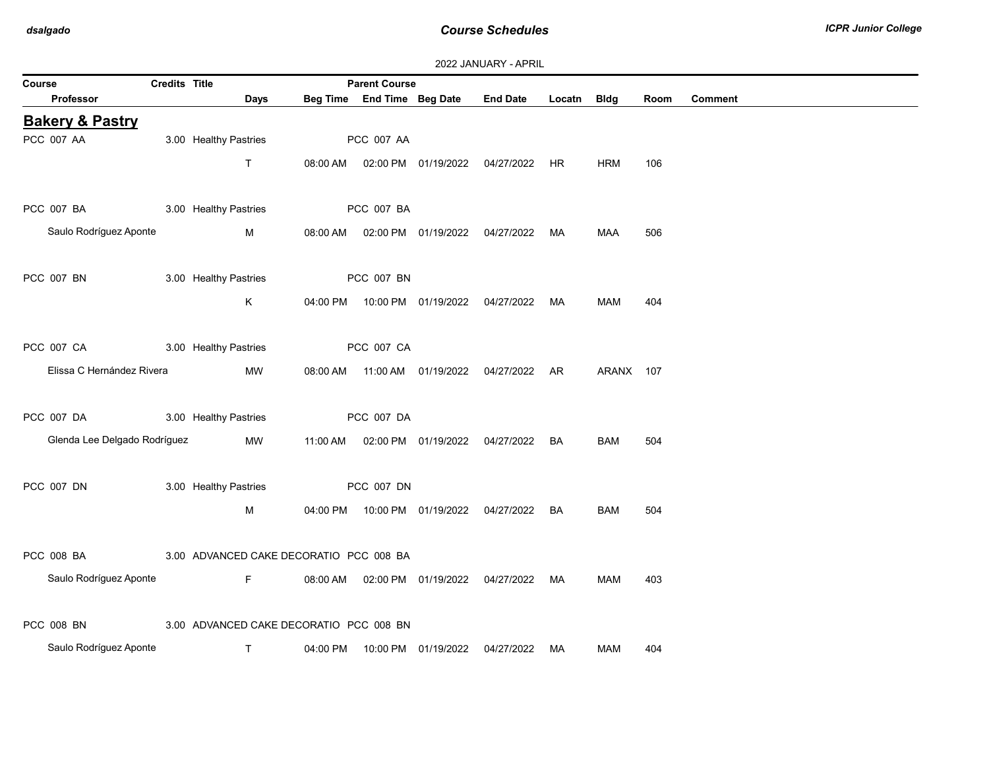|                              |                       |                                         |                            |                                                | 2022 JANUARY - APRIL |        |             |      |                |  |
|------------------------------|-----------------------|-----------------------------------------|----------------------------|------------------------------------------------|----------------------|--------|-------------|------|----------------|--|
| Course                       | Credits Title         |                                         | <b>Parent Course</b>       |                                                |                      |        |             |      |                |  |
| Professor                    |                       | Days                                    | Beg Time End Time Beg Date |                                                | <b>End Date</b>      | Locatn | <b>Bldg</b> | Room | <b>Comment</b> |  |
| <b>Bakery &amp; Pastry</b>   |                       |                                         |                            |                                                |                      |        |             |      |                |  |
| PCC 007 AA                   | 3.00 Healthy Pastries |                                         | PCC 007 AA                 |                                                |                      |        |             |      |                |  |
|                              | T.                    | 08:00 AM                                |                            | 02:00 PM  01/19/2022  04/27/2022  HR           |                      |        | <b>HRM</b>  | 106  |                |  |
|                              |                       |                                         |                            |                                                |                      |        |             |      |                |  |
| PCC 007 BA                   | 3.00 Healthy Pastries |                                         | <b>PCC 007 BA</b>          |                                                |                      |        |             |      |                |  |
| Saulo Rodríguez Aponte       | M                     |                                         |                            | 08:00 AM  02:00 PM  01/19/2022  04/27/2022  MA |                      |        | MAA         | 506  |                |  |
|                              |                       |                                         |                            |                                                |                      |        |             |      |                |  |
| PCC 007 BN                   | 3.00 Healthy Pastries |                                         | PCC 007 BN                 |                                                |                      |        |             |      |                |  |
|                              | K                     |                                         |                            | 04:00 PM  10:00 PM  01/19/2022  04/27/2022  MA |                      |        | MAM         | 404  |                |  |
|                              |                       |                                         |                            |                                                |                      |        |             |      |                |  |
| PCC 007 CA                   | 3.00 Healthy Pastries |                                         | PCC 007 CA                 |                                                |                      |        |             |      |                |  |
|                              |                       |                                         |                            |                                                |                      |        |             |      |                |  |
| Elissa C Hernández Rivera    |                       | MW                                      |                            | 08:00 AM  11:00 AM  01/19/2022  04/27/2022  AR |                      |        | ARANX 107   |      |                |  |
|                              |                       |                                         |                            |                                                |                      |        |             |      |                |  |
| PCC 007 DA                   | 3.00 Healthy Pastries |                                         | PCC 007 DA                 |                                                |                      |        |             |      |                |  |
| Glenda Lee Delgado Rodríguez |                       | MW<br>11:00 AM                          |                            | 02:00 PM  01/19/2022  04/27/2022               |                      | BA     | <b>BAM</b>  | 504  |                |  |
|                              |                       |                                         |                            |                                                |                      |        |             |      |                |  |
| PCC 007 DN                   | 3.00 Healthy Pastries |                                         | PCC 007 DN                 |                                                |                      |        |             |      |                |  |
|                              | M                     |                                         |                            | 04:00 PM  10:00 PM  01/19/2022  04/27/2022     |                      | BA     | <b>BAM</b>  | 504  |                |  |
|                              |                       |                                         |                            |                                                |                      |        |             |      |                |  |
| PCC 008 BA                   |                       | 3.00 ADVANCED CAKE DECORATIO PCC 008 BA |                            |                                                |                      |        |             |      |                |  |
| Saulo Rodríguez Aponte       | F                     | 08:00 AM                                |                            | 02:00 PM 01/19/2022 04/27/2022                 |                      | MA     | MAM         | 403  |                |  |
|                              |                       |                                         |                            |                                                |                      |        |             |      |                |  |
| PCC 008 BN                   |                       | 3.00 ADVANCED CAKE DECORATIO PCC 008 BN |                            |                                                |                      |        |             |      |                |  |
| Saulo Rodríguez Aponte       | T.                    | 04:00 PM                                |                            | 10:00 PM 01/19/2022                            | 04/27/2022           | MA     | MAM         | 404  |                |  |
|                              |                       |                                         |                            |                                                |                      |        |             |      |                |  |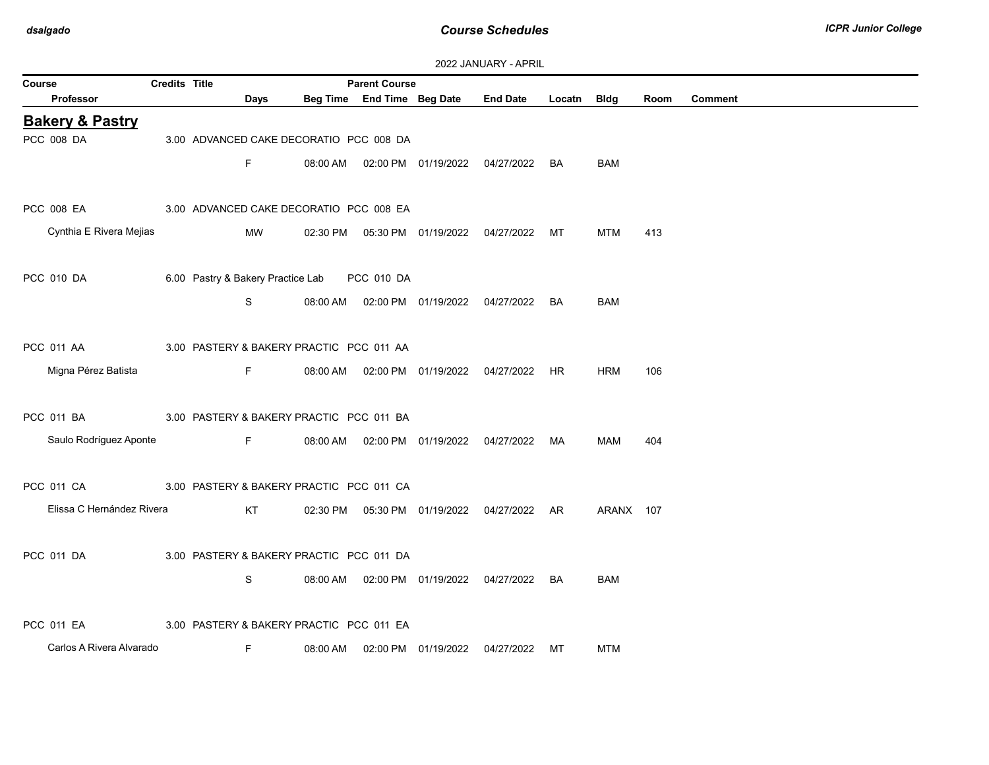| 2022 JANUARY - APRIL |  |
|----------------------|--|
|                      |  |

| Course                     | Credits Title |                                              |      |          | <b>Parent Course</b>       |                                            |                                      |           |            |      |                |
|----------------------------|---------------|----------------------------------------------|------|----------|----------------------------|--------------------------------------------|--------------------------------------|-----------|------------|------|----------------|
| <b>Professor</b>           |               |                                              | Days |          | Beg Time End Time Beg Date |                                            | <b>End Date</b>                      | Locatn    | Bldg       | Room | <b>Comment</b> |
| <b>Bakery &amp; Pastry</b> |               |                                              |      |          |                            |                                            |                                      |           |            |      |                |
| PCC 008 DA                 |               | 3.00 ADVANCED CAKE DECORATIO PCC 008 DA      |      |          |                            |                                            |                                      |           |            |      |                |
|                            |               |                                              | F.   | 08:00 AM |                            | 02:00 PM 01/19/2022 04/27/2022             |                                      | BA        | <b>BAM</b> |      |                |
|                            |               |                                              |      |          |                            |                                            |                                      |           |            |      |                |
| <b>PCC 008 EA</b>          |               | 3.00 ADVANCED CAKE DECORATIO PCC 008 EA      |      |          |                            |                                            |                                      |           |            |      |                |
| Cynthia E Rivera Mejias    |               |                                              | MW   | 02:30 PM |                            | 05:30 PM 01/19/2022 04/27/2022             |                                      | МT        | <b>MTM</b> | 413  |                |
|                            |               |                                              |      |          |                            |                                            |                                      |           |            |      |                |
| PCC 010 DA                 |               | 6.00 Pastry & Bakery Practice Lab PCC 010 DA |      |          |                            |                                            |                                      |           |            |      |                |
|                            |               |                                              | S    | 08:00 AM |                            | 02:00 PM  01/19/2022  04/27/2022           |                                      | <b>BA</b> | <b>BAM</b> |      |                |
|                            |               |                                              |      |          |                            |                                            |                                      |           |            |      |                |
| PCC 011 AA                 |               | 3.00 PASTERY & BAKERY PRACTIC PCC 011 AA     |      |          |                            |                                            |                                      |           |            |      |                |
| Migna Pérez Batista        |               |                                              | F.   | 08:00 AM |                            | 02:00 PM 01/19/2022 04/27/2022             |                                      | HR.       | <b>HRM</b> | 106  |                |
|                            |               |                                              |      |          |                            |                                            |                                      |           |            |      |                |
| PCC 011 BA                 |               | 3.00 PASTERY & BAKERY PRACTIC PCC 011 BA     |      |          |                            |                                            |                                      |           |            |      |                |
| Saulo Rodríguez Aponte     |               |                                              | F.   | 08:00 AM |                            | 02:00 PM  01/19/2022  04/27/2022           |                                      | MA        | MAM        | 404  |                |
|                            |               |                                              |      |          |                            |                                            |                                      |           |            |      |                |
| <b>PCC 011 CA</b>          |               | 3.00 PASTERY & BAKERY PRACTIC PCC 011 CA     |      |          |                            |                                            |                                      |           |            |      |                |
| Elissa C Hernández Rivera  |               |                                              | KT   | 02:30 PM |                            |                                            | 05:30 PM  01/19/2022  04/27/2022  AR |           | ARANX 107  |      |                |
|                            |               |                                              |      |          |                            |                                            |                                      |           |            |      |                |
| <b>PCC 011 DA</b>          |               | 3.00 PASTERY & BAKERY PRACTIC PCC 011 DA     |      |          |                            |                                            |                                      |           |            |      |                |
|                            |               |                                              | S    |          |                            | 08:00 AM  02:00 PM  01/19/2022  04/27/2022 |                                      | BA        | <b>BAM</b> |      |                |
|                            |               |                                              |      |          |                            |                                            |                                      |           |            |      |                |
| <b>PCC 011 EA</b>          |               | 3.00 PASTERY & BAKERY PRACTIC PCC 011 EA     |      |          |                            |                                            |                                      |           |            |      |                |
| Carlos A Rivera Alvarado   |               |                                              | F.   | 08:00 AM |                            | 02:00 PM 01/19/2022                        | 04/27/2022                           | МT        | <b>MTM</b> |      |                |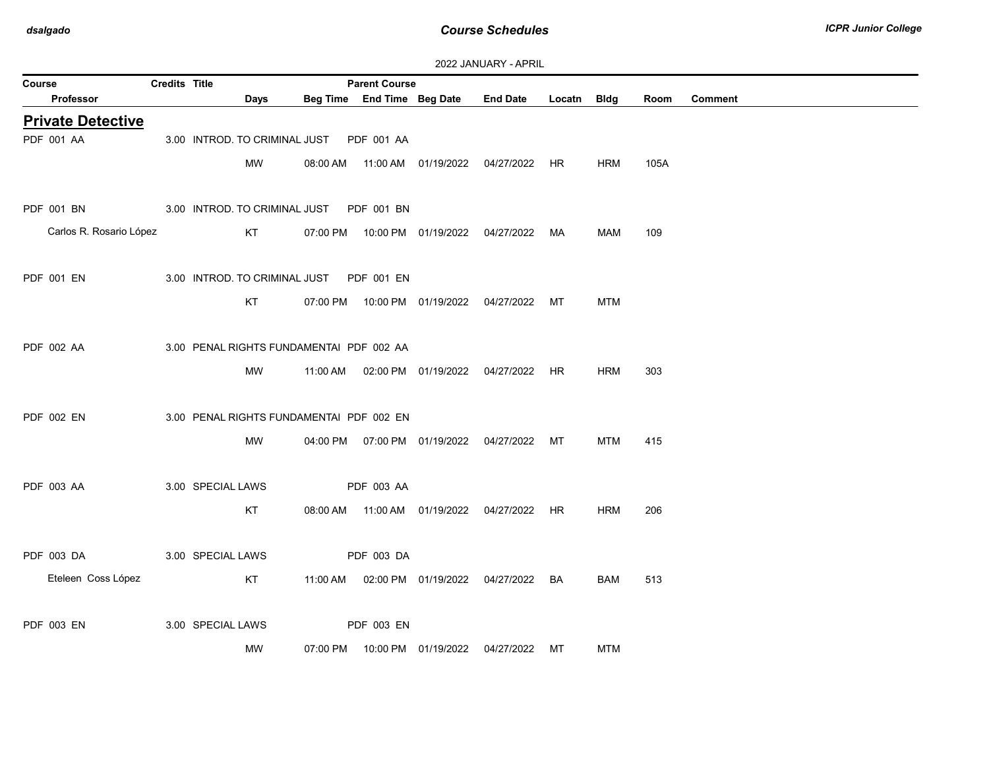| Course                   | Credits Title |                   |                                          |          | <b>Parent Course</b>       |                                                |             |            |      |                |
|--------------------------|---------------|-------------------|------------------------------------------|----------|----------------------------|------------------------------------------------|-------------|------------|------|----------------|
| Professor                |               |                   | Days                                     |          | Beg Time End Time Beg Date | <b>End Date</b>                                | Locatn Bldg |            | Room | <b>Comment</b> |
| <b>Private Detective</b> |               |                   |                                          |          |                            |                                                |             |            |      |                |
| PDF 001 AA               |               |                   | 3.00 INTROD. TO CRIMINAL JUST            |          | PDF 001 AA                 |                                                |             |            |      |                |
|                          |               |                   | MW                                       | 08:00 AM |                            | 11:00 AM  01/19/2022  04/27/2022  HR           |             | <b>HRM</b> | 105A |                |
| PDF 001 BN               |               |                   | 3.00 INTROD. TO CRIMINAL JUST PDF 001 BN |          |                            |                                                |             |            |      |                |
|                          |               |                   |                                          |          |                            |                                                |             |            |      |                |
| Carlos R. Rosario López  |               |                   | KT                                       |          |                            | 07:00 PM  10:00 PM  01/19/2022  04/27/2022  MA |             | MAM        | 109  |                |
|                          |               |                   |                                          |          |                            |                                                |             |            |      |                |
| PDF 001 EN               |               |                   | 3.00 INTROD. TO CRIMINAL JUST PDF 001 EN |          |                            |                                                |             |            |      |                |
|                          |               |                   | KT                                       |          |                            | 07:00 PM  10:00 PM  01/19/2022  04/27/2022  MT |             | MTM        |      |                |
|                          |               |                   |                                          |          |                            |                                                |             |            |      |                |
| PDF 002 AA               |               |                   | 3.00 PENAL RIGHTS FUNDAMENTAI PDF 002 AA |          |                            |                                                |             |            |      |                |
|                          |               |                   | MW                                       | 11:00 AM |                            | 02:00 PM 01/19/2022 04/27/2022 HR              |             | <b>HRM</b> | 303  |                |
|                          |               |                   |                                          |          |                            |                                                |             |            |      |                |
| PDF 002 EN               |               |                   | 3.00 PENAL RIGHTS FUNDAMENTAI PDF 002 EN |          |                            |                                                |             |            |      |                |
|                          |               |                   | <b>MW</b>                                |          |                            | 04:00 PM  07:00 PM  01/19/2022  04/27/2022  MT |             | MTM        | 415  |                |
|                          |               |                   |                                          |          |                            |                                                |             |            |      |                |
| PDF 003 AA               |               | 3.00 SPECIAL LAWS |                                          |          | PDF 003 AA                 |                                                |             |            |      |                |
|                          |               |                   |                                          |          |                            |                                                |             |            |      |                |
|                          |               |                   | KT                                       |          |                            | 08:00 AM  11:00 AM  01/19/2022  04/27/2022  HR |             | <b>HRM</b> | 206  |                |
|                          |               |                   |                                          |          |                            |                                                |             |            |      |                |
| PDF 003 DA               |               | 3.00 SPECIAL LAWS |                                          |          | PDF 003 DA                 |                                                |             |            |      |                |
| Eteleen Coss López       |               |                   | KT                                       |          |                            | 11:00 AM  02:00 PM  01/19/2022  04/27/2022  BA |             | <b>BAM</b> | 513  |                |
|                          |               |                   |                                          |          |                            |                                                |             |            |      |                |
| <b>PDF 003 EN</b>        |               | 3.00 SPECIAL LAWS |                                          |          | PDF 003 EN                 |                                                |             |            |      |                |
|                          |               |                   | MW                                       | 07:00 PM |                            | 10:00 PM 01/19/2022 04/27/2022 MT              |             | <b>MTM</b> |      |                |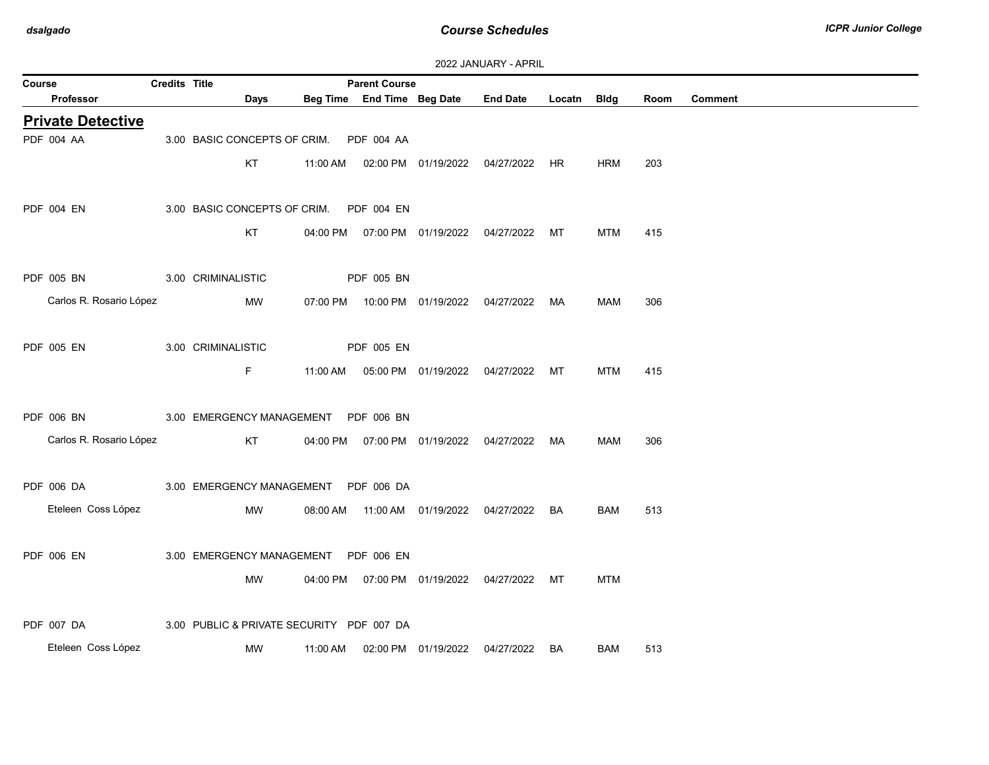| 2022 JANUARY - APRIL |  |
|----------------------|--|
|----------------------|--|

| Course                   | <b>Credits Title</b> |                                           |          | <b>Parent Course</b> |                                |                                                |             |            |      |                |
|--------------------------|----------------------|-------------------------------------------|----------|----------------------|--------------------------------|------------------------------------------------|-------------|------------|------|----------------|
| <b>Professor</b>         |                      | Days                                      |          |                      | Beg Time End Time Beg Date     | <b>End Date</b>                                | Locatn Bldg |            | Room | <b>Comment</b> |
| <b>Private Detective</b> |                      |                                           |          |                      |                                |                                                |             |            |      |                |
| PDF 004 AA               |                      | 3.00 BASIC CONCEPTS OF CRIM.              |          | PDF 004 AA           |                                |                                                |             |            |      |                |
|                          |                      | KT                                        |          |                      |                                | 11:00 AM  02:00 PM  01/19/2022  04/27/2022  HR |             | <b>HRM</b> | 203  |                |
| <b>PDF 004 EN</b>        |                      | 3.00 BASIC CONCEPTS OF CRIM. PDF 004 EN   |          |                      |                                |                                                |             |            |      |                |
|                          |                      | KT                                        |          |                      |                                | 04:00 PM  07:00 PM  01/19/2022  04/27/2022  MT |             | <b>MTM</b> | 415  |                |
| PDF 005 BN               |                      | 3.00 CRIMINALISTIC                        |          | PDF 005 BN           |                                |                                                |             |            |      |                |
| Carlos R. Rosario López  |                      | MW                                        |          |                      |                                | 07:00 PM  10:00 PM  01/19/2022  04/27/2022  MA |             | MAM        | 306  |                |
| PDF 005 EN               |                      | 3.00 CRIMINALISTIC                        |          | PDF 005 EN           |                                |                                                |             |            |      |                |
|                          |                      | F.                                        | 11:00 AM |                      | 05:00 PM 01/19/2022 04/27/2022 |                                                | МT          | <b>MTM</b> | 415  |                |
| PDF 006 BN               |                      | 3.00 EMERGENCY MANAGEMENT PDF 006 BN      |          |                      |                                |                                                |             |            |      |                |
| Carlos R. Rosario López  |                      | KT                                        |          |                      |                                | 04:00 PM  07:00 PM  01/19/2022  04/27/2022  MA |             | MAM        | 306  |                |
| PDF 006 DA               |                      | 3.00 EMERGENCY MANAGEMENT PDF 006 DA      |          |                      |                                |                                                |             |            |      |                |
| Eteleen Coss López       |                      | MW                                        |          |                      |                                | 08:00 AM  11:00 AM  01/19/2022  04/27/2022  BA |             | BAM        | 513  |                |
| PDF 006 EN               |                      | 3.00 EMERGENCY MANAGEMENT                 |          | PDF 006 EN           |                                |                                                |             |            |      |                |
|                          |                      | MW                                        |          |                      |                                | 04:00 PM  07:00 PM  01/19/2022  04/27/2022  MT |             | <b>MTM</b> |      |                |
| <b>PDF 007 DA</b>        |                      | 3.00 PUBLIC & PRIVATE SECURITY PDF 007 DA |          |                      |                                |                                                |             |            |      |                |
| Eteleen Coss López       |                      | MW                                        | 11:00 AM |                      | 02:00 PM 01/19/2022            | 04/27/2022                                     | BA          | BAM        | 513  |                |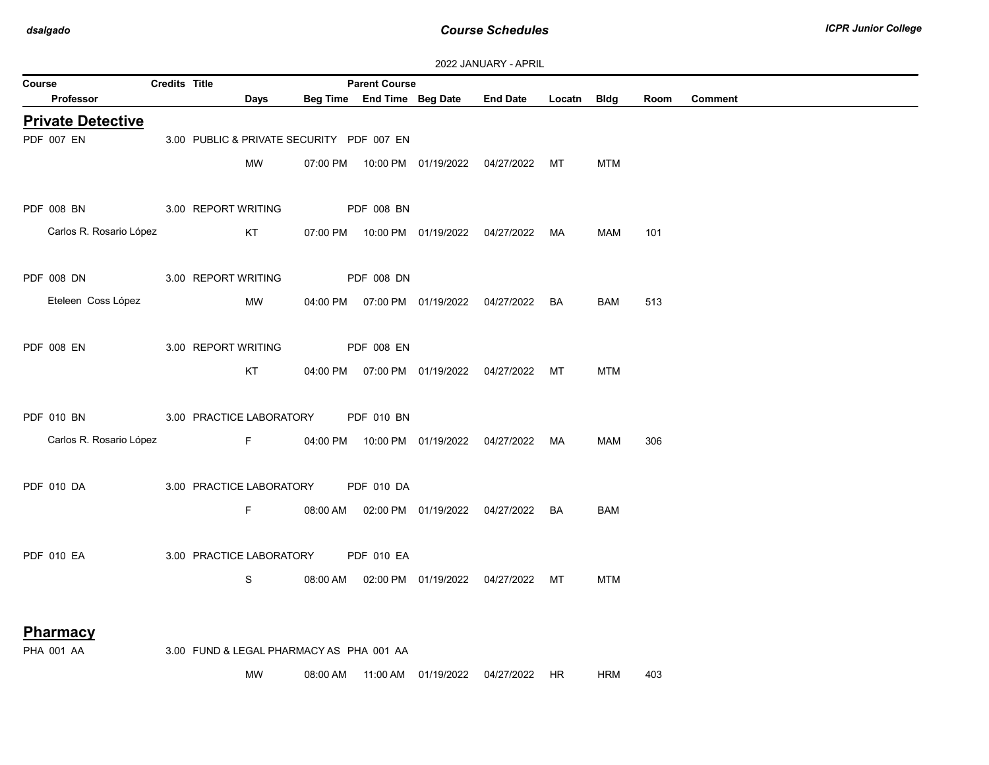| <b>2022 JANUARY - APRIL</b> |                      |                                           |          |                            |  |                                                |             |            |      |                |
|-----------------------------|----------------------|-------------------------------------------|----------|----------------------------|--|------------------------------------------------|-------------|------------|------|----------------|
| Course                      | <b>Credits Title</b> |                                           |          | <b>Parent Course</b>       |  |                                                |             |            |      |                |
| <b>Professor</b>            |                      | Days                                      |          | Beg Time End Time Beg Date |  | <b>End Date</b>                                | Locatn Bldg |            | Room | <b>Comment</b> |
| <b>Private Detective</b>    |                      |                                           |          |                            |  |                                                |             |            |      |                |
| PDF 007 EN                  |                      | 3.00 PUBLIC & PRIVATE SECURITY PDF 007 EN |          |                            |  |                                                |             |            |      |                |
|                             |                      |                                           |          |                            |  |                                                |             |            |      |                |
|                             |                      | <b>MW</b>                                 |          |                            |  | 07:00 PM  10:00 PM  01/19/2022  04/27/2022  MT |             | <b>MTM</b> |      |                |
|                             |                      |                                           |          |                            |  |                                                |             |            |      |                |
| PDF 008 BN                  |                      | 3.00 REPORT WRITING                       |          | <b>PDF 008 BN</b>          |  |                                                |             |            |      |                |
| Carlos R. Rosario López     |                      | KT                                        |          |                            |  | 07:00 PM  10:00 PM  01/19/2022  04/27/2022  MA |             | <b>MAM</b> | 101  |                |
|                             |                      |                                           |          |                            |  |                                                |             |            |      |                |
|                             |                      |                                           |          |                            |  |                                                |             |            |      |                |
| PDF 008 DN                  |                      | 3.00 REPORT WRITING                       |          | <b>PDF 008 DN</b>          |  |                                                |             |            |      |                |
| Eteleen Coss López          |                      | <b>MW</b>                                 |          |                            |  | 04:00 PM  07:00 PM  01/19/2022  04/27/2022  BA |             | BAM        | 513  |                |
|                             |                      |                                           |          |                            |  |                                                |             |            |      |                |
|                             |                      |                                           |          |                            |  |                                                |             |            |      |                |
| <b>PDF 008 EN</b>           |                      | 3.00 REPORT WRITING                       |          | PDF 008 EN                 |  |                                                |             |            |      |                |
|                             |                      | KT                                        |          |                            |  | 04:00 PM  07:00 PM  01/19/2022  04/27/2022  MT |             | <b>MTM</b> |      |                |
|                             |                      |                                           |          |                            |  |                                                |             |            |      |                |
| <b>PDF 010 BN</b>           |                      | 3.00 PRACTICE LABORATORY                  |          | <b>PDF 010 BN</b>          |  |                                                |             |            |      |                |
|                             |                      |                                           |          |                            |  |                                                |             |            |      |                |
| Carlos R. Rosario López     |                      | $F = 1$                                   |          |                            |  | 04:00 PM  10:00 PM  01/19/2022  04/27/2022  MA |             | MAM        | 306  |                |
|                             |                      |                                           |          |                            |  |                                                |             |            |      |                |
| <b>PDF 010 DA</b>           |                      | 3.00 PRACTICE LABORATORY                  |          | <b>PDF 010 DA</b>          |  |                                                |             |            |      |                |
|                             |                      | F.                                        |          |                            |  | 08:00 AM  02:00 PM  01/19/2022  04/27/2022  BA |             | BAM        |      |                |
|                             |                      |                                           |          |                            |  |                                                |             |            |      |                |
|                             |                      |                                           |          |                            |  |                                                |             |            |      |                |
| <b>PDF 010 EA</b>           |                      | 3.00 PRACTICE LABORATORY                  |          | <b>PDF 010 EA</b>          |  |                                                |             |            |      |                |
|                             |                      | S                                         | 08:00 AM |                            |  | 02:00 PM  01/19/2022  04/27/2022  MT           |             | <b>MTM</b> |      |                |
|                             |                      |                                           |          |                            |  |                                                |             |            |      |                |
|                             |                      |                                           |          |                            |  |                                                |             |            |      |                |
| <b>Pharmacy</b>             |                      |                                           |          |                            |  |                                                |             |            |      |                |
| <b>PHA 001 AA</b>           |                      | 3.00 FUND & LEGAL PHARMACY AS PHA 001 AA  |          |                            |  |                                                |             |            |      |                |

MW 08:00 AM 11:00 AM 01/19/2022 04/27/2022 HR HRM 403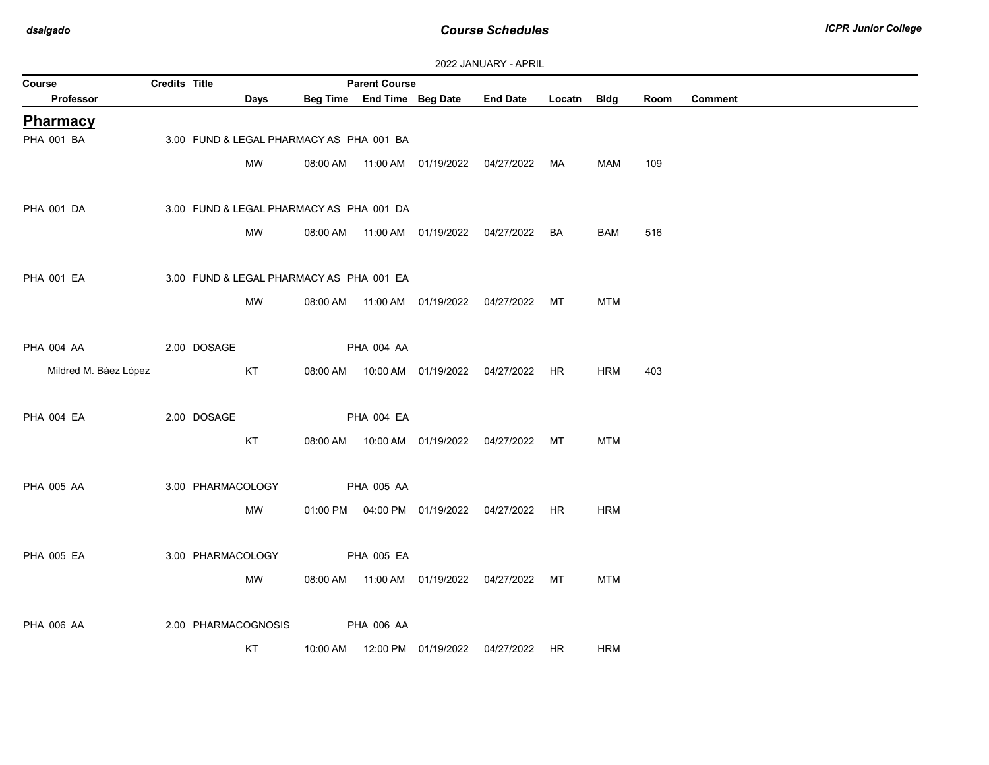| Course                | Credits Title |                                          |          | <b>Parent Course</b>       |                                |                                                |             |            |      |                |
|-----------------------|---------------|------------------------------------------|----------|----------------------------|--------------------------------|------------------------------------------------|-------------|------------|------|----------------|
| Professor             |               | Days                                     |          | Beg Time End Time Beg Date |                                | <b>End Date</b>                                | Locatn Bldg |            | Room | <b>Comment</b> |
| <b>Pharmacy</b>       |               |                                          |          |                            |                                |                                                |             |            |      |                |
| PHA 001 BA            |               | 3.00 FUND & LEGAL PHARMACY AS PHA 001 BA |          |                            |                                |                                                |             |            |      |                |
|                       |               | MW                                       |          |                            |                                | 04/27/2022                                     | МA          | MAM        | 109  |                |
|                       |               |                                          |          |                            |                                |                                                |             |            |      |                |
| <b>PHA 001 DA</b>     |               | 3.00 FUND & LEGAL PHARMACY AS PHA 001 DA |          |                            |                                |                                                |             |            |      |                |
|                       |               | MW                                       |          |                            | 08:00 AM  11:00 AM  01/19/2022 | 04/27/2022 BA                                  |             | BAM        | 516  |                |
|                       |               |                                          |          |                            |                                |                                                |             |            |      |                |
|                       |               |                                          |          |                            |                                |                                                |             |            |      |                |
| <b>PHA 001 EA</b>     |               | 3.00 FUND & LEGAL PHARMACY AS PHA 001 EA |          |                            |                                |                                                |             |            |      |                |
|                       |               | <b>MW</b>                                |          |                            | 08:00 AM  11:00 AM  01/19/2022 | 04/27/2022 MT                                  |             | <b>MTM</b> |      |                |
|                       |               |                                          |          |                            |                                |                                                |             |            |      |                |
| PHA 004 AA            |               | 2.00 DOSAGE                              |          | <b>PHA 004 AA</b>          |                                |                                                |             |            |      |                |
| Mildred M. Báez López |               | KT                                       | 08:00 AM |                            | 10:00 AM  01/19/2022           | 04/27/2022                                     | HR          | <b>HRM</b> | 403  |                |
|                       |               |                                          |          |                            |                                |                                                |             |            |      |                |
| <b>PHA 004 EA</b>     |               | 2.00 DOSAGE                              |          | <b>PHA 004 EA</b>          |                                |                                                |             |            |      |                |
|                       |               | KT                                       |          |                            | 08:00 AM  10:00 AM  01/19/2022 | 04/27/2022                                     | MT          | <b>MTM</b> |      |                |
|                       |               |                                          |          |                            |                                |                                                |             |            |      |                |
|                       |               |                                          |          |                            |                                |                                                |             |            |      |                |
| <b>PHA 005 AA</b>     |               | 3.00 PHARMACOLOGY                        |          | PHA 005 AA                 |                                |                                                |             |            |      |                |
|                       |               | MW                                       |          |                            |                                | 01:00 PM  04:00 PM  01/19/2022  04/27/2022  HR |             | <b>HRM</b> |      |                |
|                       |               |                                          |          |                            |                                |                                                |             |            |      |                |
| <b>PHA 005 EA</b>     |               | 3.00 PHARMACOLOGY                        |          | <b>PHA 005 EA</b>          |                                |                                                |             |            |      |                |
|                       |               | MW                                       |          |                            | 08:00 AM  11:00 AM  01/19/2022 | 04/27/2022 MT                                  |             | <b>MTM</b> |      |                |
|                       |               |                                          |          |                            |                                |                                                |             |            |      |                |
| <b>PHA 006 AA</b>     |               | 2.00 PHARMACOGNOSIS                      |          | <b>PHA 006 AA</b>          |                                |                                                |             |            |      |                |
|                       |               | KT                                       | 10:00 AM |                            | 12:00 PM 01/19/2022            | 04/27/2022 HR                                  |             | <b>HRM</b> |      |                |
|                       |               |                                          |          |                            |                                |                                                |             |            |      |                |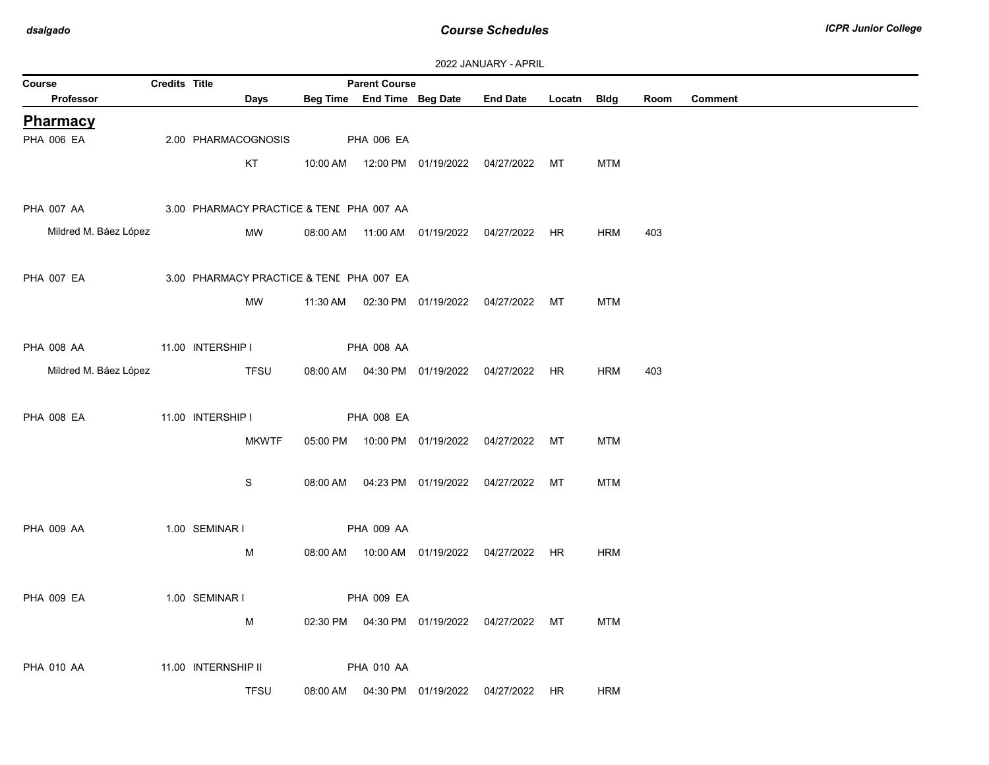| Course                                              | <b>LULL UNIVORISE - ALISTE</b><br><b>Credits Title</b><br><b>Parent Course</b> |                                          |  |                   |  |                                                 |  |            |      |                |
|-----------------------------------------------------|--------------------------------------------------------------------------------|------------------------------------------|--|-------------------|--|-------------------------------------------------|--|------------|------|----------------|
| Professor                                           |                                                                                | Days                                     |  |                   |  | Beg Time End Time Beg Date End Date Locatn Bldg |  |            | Room | <b>Comment</b> |
| Pharmacy                                            |                                                                                |                                          |  |                   |  |                                                 |  |            |      |                |
| <b>PHA 006 EA</b>                                   |                                                                                | 2.00 PHARMACOGNOSIS                      |  | <b>PHA 006 EA</b> |  |                                                 |  |            |      |                |
|                                                     |                                                                                | KT                                       |  |                   |  | 10:00 AM  12:00 PM  01/19/2022  04/27/2022  MT  |  | <b>MTM</b> |      |                |
|                                                     |                                                                                |                                          |  |                   |  |                                                 |  |            |      |                |
| PHA 007 AA 3.00 PHARMACY PRACTICE & TENI PHA 007 AA |                                                                                |                                          |  |                   |  |                                                 |  |            |      |                |
| Mildred M. Báez López                               |                                                                                | MW                                       |  |                   |  |                                                 |  | <b>HRM</b> | 403  |                |
|                                                     |                                                                                |                                          |  |                   |  | 08:00 AM  11:00 AM  01/19/2022  04/27/2022  HR  |  |            |      |                |
|                                                     |                                                                                |                                          |  |                   |  |                                                 |  |            |      |                |
| <b>PHA 007 EA</b>                                   |                                                                                | 3.00 PHARMACY PRACTICE & TENI PHA 007 EA |  |                   |  |                                                 |  |            |      |                |
|                                                     |                                                                                | MW                                       |  |                   |  | 11:30 AM  02:30 PM  01/19/2022  04/27/2022  MT  |  | <b>MTM</b> |      |                |
|                                                     |                                                                                |                                          |  |                   |  |                                                 |  |            |      |                |
| PHA 008 AA                                          |                                                                                | 11.00 INTERSHIP I                        |  | <b>PHA 008 AA</b> |  |                                                 |  |            |      |                |
| Mildred M. Báez López                               |                                                                                | <b>TFSU</b>                              |  |                   |  | 08:00 AM  04:30 PM  01/19/2022  04/27/2022  HR  |  | HRM        | 403  |                |
|                                                     |                                                                                |                                          |  |                   |  |                                                 |  |            |      |                |
| <b>PHA 008 EA</b>                                   |                                                                                | 11.00 INTERSHIP I                        |  | <b>PHA 008 EA</b> |  |                                                 |  |            |      |                |
|                                                     |                                                                                | <b>MKWTF</b>                             |  |                   |  | 05:00 PM  10:00 PM  01/19/2022  04/27/2022  MT  |  | <b>MTM</b> |      |                |
|                                                     |                                                                                |                                          |  |                   |  |                                                 |  |            |      |                |
|                                                     |                                                                                | S                                        |  |                   |  | 08:00 AM  04:23 PM  01/19/2022  04/27/2022  MT  |  | <b>MTM</b> |      |                |
|                                                     |                                                                                |                                          |  |                   |  |                                                 |  |            |      |                |
|                                                     |                                                                                |                                          |  |                   |  |                                                 |  |            |      |                |
| <b>PHA 009 AA</b>                                   |                                                                                | 1.00 SEMINAR I                           |  | <b>PHA 009 AA</b> |  |                                                 |  |            |      |                |
|                                                     |                                                                                | M                                        |  |                   |  | 08:00 AM  10:00 AM  01/19/2022  04/27/2022  HR  |  | <b>HRM</b> |      |                |
|                                                     |                                                                                |                                          |  |                   |  |                                                 |  |            |      |                |
| <b>PHA 009 EA</b>                                   |                                                                                | 1.00 SEMINAR I                           |  | PHA 009 EA        |  |                                                 |  |            |      |                |
|                                                     |                                                                                | M                                        |  |                   |  | 02:30 PM  04:30 PM  01/19/2022  04/27/2022  MT  |  | <b>MTM</b> |      |                |
|                                                     |                                                                                |                                          |  |                   |  |                                                 |  |            |      |                |
| <b>PHA 010 AA</b>                                   |                                                                                | 11.00 INTERNSHIP II                      |  | <b>PHA 010 AA</b> |  |                                                 |  |            |      |                |
|                                                     |                                                                                | <b>TFSU</b>                              |  |                   |  | 08:00 AM  04:30 PM  01/19/2022  04/27/2022  HR  |  | <b>HRM</b> |      |                |
|                                                     |                                                                                |                                          |  |                   |  |                                                 |  |            |      |                |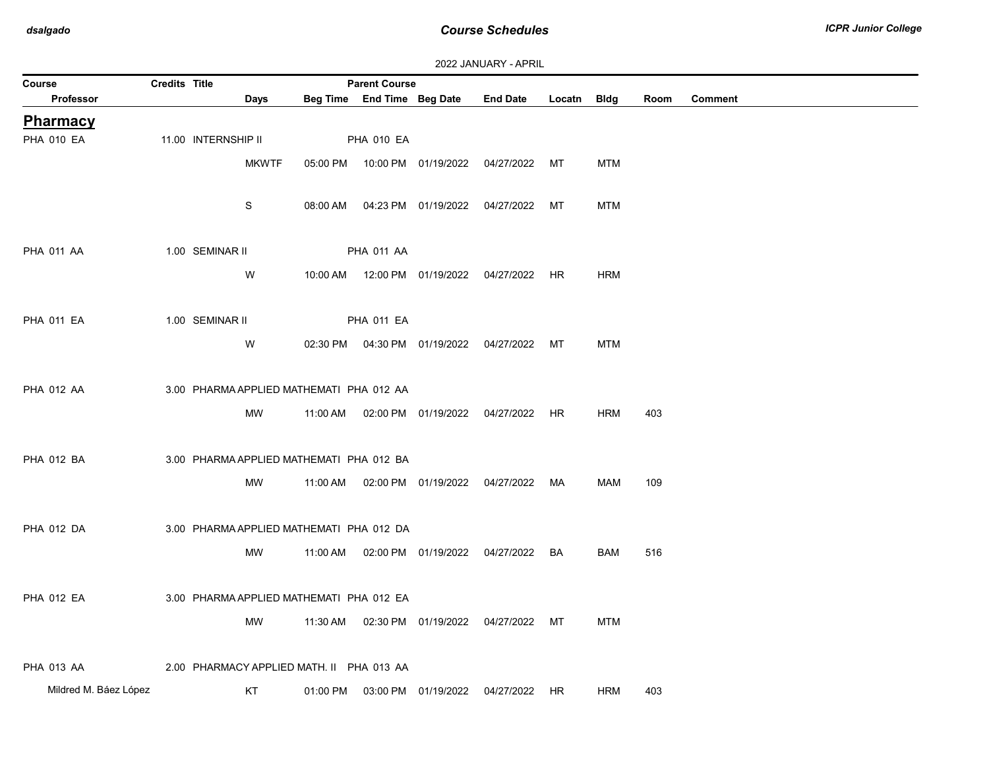| 2022 JANUARY - APRIL |
|----------------------|
|----------------------|

| Course                | Credits Title |                                           |          | <b>Parent Course</b> |                                |                                                |    |            |      |                |
|-----------------------|---------------|-------------------------------------------|----------|----------------------|--------------------------------|------------------------------------------------|----|------------|------|----------------|
| Professor             |               | Days                                      |          |                      | Beg Time End Time Beg Date     | End Date Locatn Bldg                           |    |            | Room | <b>Comment</b> |
| <b>Pharmacy</b>       |               |                                           |          |                      |                                |                                                |    |            |      |                |
| <b>PHA 010 EA</b>     |               | 11.00 INTERNSHIP II                       |          | <b>PHA 010 EA</b>    |                                |                                                |    |            |      |                |
|                       |               | <b>MKWTF</b>                              |          |                      | 05:00 PM  10:00 PM  01/19/2022 | 04/27/2022 MT                                  |    | <b>MTM</b> |      |                |
|                       |               |                                           |          |                      |                                |                                                |    |            |      |                |
|                       |               | ${\mathsf S}$                             |          |                      | 08:00 AM  04:23 PM  01/19/2022 | 04/27/2022                                     | MT | <b>MTM</b> |      |                |
|                       |               |                                           |          |                      |                                |                                                |    |            |      |                |
| <b>PHA 011 AA</b>     |               | 1.00 SEMINAR II                           |          | <b>PHA 011 AA</b>    |                                |                                                |    |            |      |                |
|                       |               | W                                         |          |                      |                                | 10:00 AM  12:00 PM  01/19/2022  04/27/2022  HR |    | <b>HRM</b> |      |                |
|                       |               |                                           |          |                      |                                |                                                |    |            |      |                |
|                       |               |                                           |          |                      |                                |                                                |    |            |      |                |
| <b>PHA 011 EA</b>     |               | 1.00 SEMINAR II                           |          | <b>PHA 011 EA</b>    |                                |                                                |    |            |      |                |
|                       |               | W                                         |          |                      |                                | 02:30 PM  04:30 PM  01/19/2022  04/27/2022  MT |    | <b>MTM</b> |      |                |
|                       |               |                                           |          |                      |                                |                                                |    |            |      |                |
| <b>PHA 012 AA</b>     |               | 3.00 PHARMA APPLIED MATHEMATI PHA 012 AA  |          |                      |                                |                                                |    |            |      |                |
|                       |               | MW                                        | 11:00 AM |                      |                                | 02:00 PM  01/19/2022  04/27/2022  HR           |    | <b>HRM</b> | 403  |                |
|                       |               |                                           |          |                      |                                |                                                |    |            |      |                |
| <b>PHA 012 BA</b>     |               | 3.00 PHARMA APPLIED MATHEMATI PHA 012 BA  |          |                      |                                |                                                |    |            |      |                |
|                       |               | MW                                        | 11:00 AM |                      |                                | 02:00 PM  01/19/2022  04/27/2022  MA           |    | <b>MAM</b> | 109  |                |
|                       |               |                                           |          |                      |                                |                                                |    |            |      |                |
| <b>PHA 012 DA</b>     |               | 3.00 PHARMA APPLIED MATHEMATI PHA 012 DA  |          |                      |                                |                                                |    |            |      |                |
|                       |               | MW                                        | 11:00 AM |                      | 02:00 PM  01/19/2022           | 04/27/2022                                     | BA | BAM        | 516  |                |
|                       |               |                                           |          |                      |                                |                                                |    |            |      |                |
|                       |               |                                           |          |                      |                                |                                                |    |            |      |                |
| <b>PHA 012 EA</b>     |               | 3.00 PHARMA APPLIED MATHEMATI PHA 012 EA  |          |                      |                                |                                                |    |            |      |                |
|                       |               | MW                                        |          |                      |                                | 11:30 AM  02:30 PM  01/19/2022  04/27/2022  MT |    | <b>MTM</b> |      |                |
|                       |               |                                           |          |                      |                                |                                                |    |            |      |                |
| <b>PHA 013 AA</b>     |               | 2.00 PHARMACY APPLIED MATH. II PHA 013 AA |          |                      |                                |                                                |    |            |      |                |
| Mildred M. Báez López |               | KT                                        | 01:00 PM |                      | 03:00 PM  01/19/2022           | 04/27/2022 HR                                  |    | HRM        | 403  |                |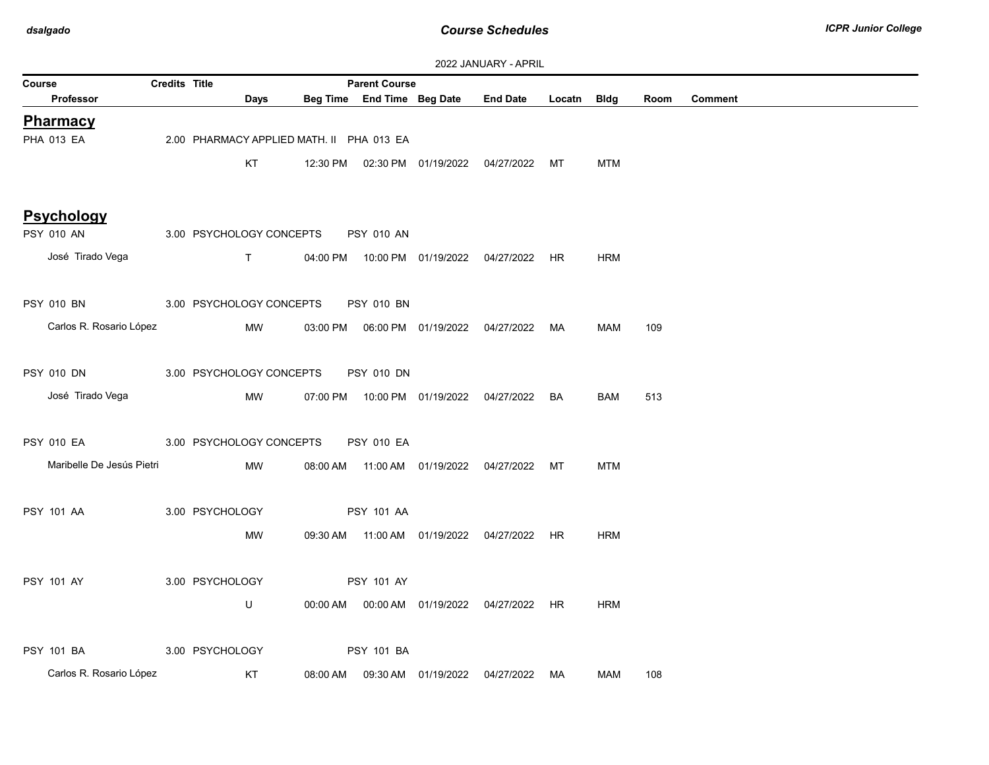| 2022 JANUARY - APRIL            |                      |                                           |          |                            |                     |                                            |           |             |      |                |
|---------------------------------|----------------------|-------------------------------------------|----------|----------------------------|---------------------|--------------------------------------------|-----------|-------------|------|----------------|
| Course                          | <b>Credits Title</b> |                                           |          | <b>Parent Course</b>       |                     |                                            |           |             |      |                |
| <b>Professor</b>                |                      | Days                                      |          | Beg Time End Time Beg Date |                     | <b>End Date</b>                            | Locatn    | <b>Bldg</b> | Room | <b>Comment</b> |
| <b>Pharmacy</b>                 |                      |                                           |          |                            |                     |                                            |           |             |      |                |
| <b>PHA 013 EA</b>               |                      | 2.00 PHARMACY APPLIED MATH. II PHA 013 EA |          |                            |                     |                                            |           |             |      |                |
|                                 |                      | KT                                        |          |                            |                     | 12:30 PM  02:30 PM  01/19/2022  04/27/2022 | МT        | <b>MTM</b>  |      |                |
|                                 |                      |                                           |          |                            |                     |                                            |           |             |      |                |
|                                 |                      |                                           |          |                            |                     |                                            |           |             |      |                |
| <b>Psychology</b><br>PSY 010 AN |                      |                                           |          |                            |                     |                                            |           |             |      |                |
|                                 |                      | 3.00 PSYCHOLOGY CONCEPTS                  |          | <b>PSY 010 AN</b>          |                     |                                            |           |             |      |                |
| José Tirado Vega                |                      | $\mathsf T$                               | 04:00 PM |                            |                     | 10:00 PM  01/19/2022  04/27/2022           | HR        | <b>HRM</b>  |      |                |
|                                 |                      |                                           |          |                            |                     |                                            |           |             |      |                |
| <b>PSY 010 BN</b>               |                      | 3.00 PSYCHOLOGY CONCEPTS                  |          | <b>PSY 010 BN</b>          |                     |                                            |           |             |      |                |
| Carlos R. Rosario López         |                      | MW                                        | 03:00 PM |                            |                     | 06:00 PM 01/19/2022 04/27/2022             | MA        | <b>MAM</b>  | 109  |                |
|                                 |                      |                                           |          |                            |                     |                                            |           |             |      |                |
| <b>PSY 010 DN</b>               |                      | 3.00 PSYCHOLOGY CONCEPTS                  |          | <b>PSY 010 DN</b>          |                     |                                            |           |             |      |                |
| José Tirado Vega                |                      | MW                                        | 07:00 PM |                            |                     | 10:00 PM 01/19/2022 04/27/2022             | BA        | <b>BAM</b>  | 513  |                |
|                                 |                      |                                           |          |                            |                     |                                            |           |             |      |                |
| <b>PSY 010 EA</b>               |                      | 3.00 PSYCHOLOGY CONCEPTS                  |          | <b>PSY 010 EA</b>          |                     |                                            |           |             |      |                |
|                                 |                      |                                           |          |                            |                     |                                            |           |             |      |                |
| Maribelle De Jesús Pietri       |                      | MW                                        |          |                            |                     | 08:00 AM  11:00 AM  01/19/2022  04/27/2022 | МT        | <b>MTM</b>  |      |                |
|                                 |                      |                                           |          |                            |                     |                                            |           |             |      |                |
| <b>PSY 101 AA</b>               |                      | 3.00 PSYCHOLOGY                           |          | <b>PSY 101 AA</b>          |                     |                                            |           |             |      |                |
|                                 |                      | MW                                        | 09:30 AM |                            |                     | 04/27/2022                                 | <b>HR</b> | <b>HRM</b>  |      |                |
|                                 |                      |                                           |          |                            |                     |                                            |           |             |      |                |
| PSY 101 AY                      |                      | 3.00 PSYCHOLOGY                           |          | PSY 101 AY                 |                     |                                            |           |             |      |                |
|                                 |                      | U                                         | 00:00 AM |                            | 00:00 AM 01/19/2022 | 04/27/2022 HR                              |           | <b>HRM</b>  |      |                |
|                                 |                      |                                           |          |                            |                     |                                            |           |             |      |                |
| <b>PSY 101 BA</b>               |                      | 3.00 PSYCHOLOGY                           |          | <b>PSY 101 BA</b>          |                     |                                            |           |             |      |                |
|                                 |                      |                                           |          |                            |                     |                                            |           |             |      |                |
| Carlos R. Rosario López         |                      | KT                                        | 08:00 AM |                            | 09:30 AM 01/19/2022 | 04/27/2022                                 | MA        | <b>MAM</b>  | 108  |                |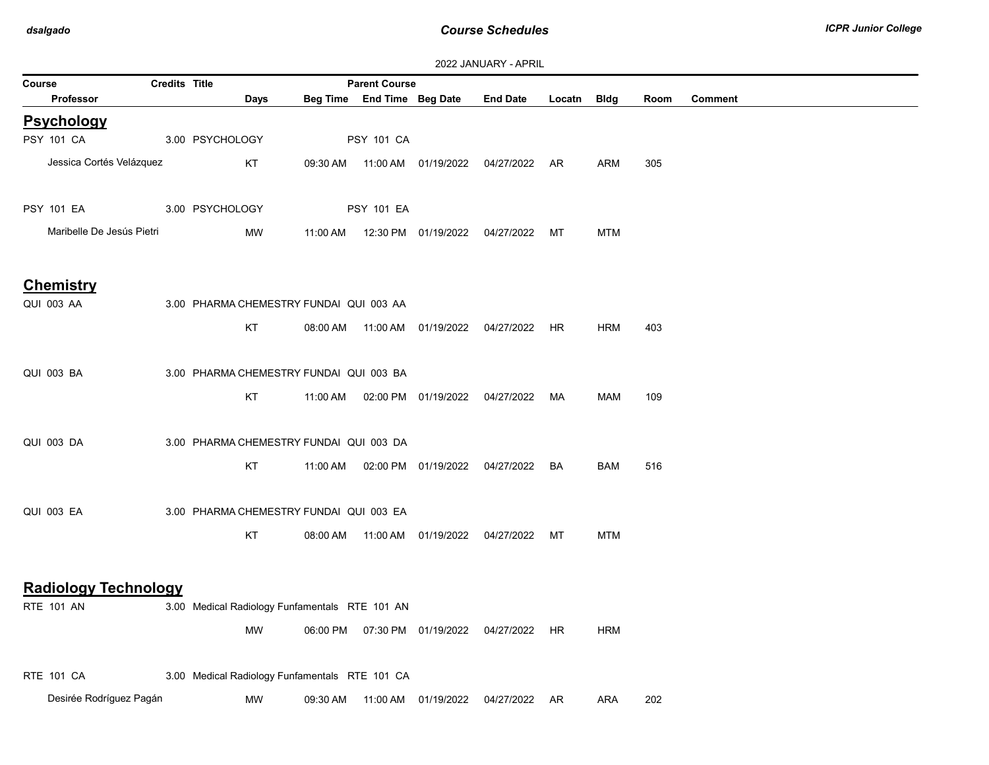| 2022 JANUARY - APRIL                             |                      |                                                |          |                            |                                |                 |           |            |      |                |
|--------------------------------------------------|----------------------|------------------------------------------------|----------|----------------------------|--------------------------------|-----------------|-----------|------------|------|----------------|
| Course                                           | <b>Credits Title</b> |                                                |          | <b>Parent Course</b>       |                                |                 |           |            |      |                |
| <b>Professor</b>                                 |                      | Days                                           |          | Beg Time End Time Beg Date |                                | <b>End Date</b> | Locatn    | Bldg       | Room | <b>Comment</b> |
| <b>Psychology</b>                                |                      |                                                |          |                            |                                |                 |           |            |      |                |
| PSY 101 CA                                       |                      | 3.00 PSYCHOLOGY                                |          | <b>PSY 101 CA</b>          |                                |                 |           |            |      |                |
| Jessica Cortés Velázquez                         |                      | KT                                             | 09:30 AM |                            | 11:00 AM  01/19/2022           | 04/27/2022      | AR.       | <b>ARM</b> | 305  |                |
| <b>PSY 101 EA</b>                                |                      | 3.00 PSYCHOLOGY                                |          | <b>PSY 101 EA</b>          |                                |                 |           |            |      |                |
| Maribelle De Jesús Pietri                        |                      | MW                                             | 11:00 AM |                            | 12:30 PM 01/19/2022            | 04/27/2022      | МT        | <b>MTM</b> |      |                |
| <b>Chemistry</b>                                 |                      |                                                |          |                            |                                |                 |           |            |      |                |
| <b>QUI 003 AA</b>                                |                      | 3.00 PHARMA CHEMESTRY FUNDAI QUI 003 AA        |          |                            |                                |                 |           |            |      |                |
|                                                  |                      | KT                                             |          |                            | 08:00 AM  11:00 AM  01/19/2022 | 04/27/2022      | HR        | <b>HRM</b> | 403  |                |
|                                                  |                      |                                                |          |                            |                                |                 |           |            |      |                |
| <b>QUI 003 BA</b>                                |                      | 3.00 PHARMA CHEMESTRY FUNDAI QUI 003 BA        |          |                            |                                |                 |           |            |      |                |
|                                                  |                      | KT                                             | 11:00 AM |                            | 02:00 PM 01/19/2022            | 04/27/2022      | MA        | MAM        | 109  |                |
| QUI 003 DA                                       |                      | 3.00 PHARMA CHEMESTRY FUNDAI QUI 003 DA        |          |                            |                                |                 |           |            |      |                |
|                                                  |                      | KT                                             | 11:00 AM |                            | 02:00 PM 01/19/2022            | 04/27/2022      | BA        | BAM        | 516  |                |
| <b>QUI 003 EA</b>                                |                      | 3.00 PHARMA CHEMESTRY FUNDAI QUI 003 EA        |          |                            |                                |                 |           |            |      |                |
|                                                  |                      | KT                                             | 08:00 AM |                            | 11:00 AM  01/19/2022           | 04/27/2022 MT   |           | <b>MTM</b> |      |                |
|                                                  |                      |                                                |          |                            |                                |                 |           |            |      |                |
| <b>Radiology Technology</b><br><b>RTE 101 AN</b> |                      | 3.00 Medical Radiology Funfamentals RTE 101 AN |          |                            |                                |                 |           |            |      |                |
|                                                  |                      |                                                |          |                            |                                |                 |           |            |      |                |
|                                                  |                      | MW                                             |          |                            | 06:00 PM  07:30 PM  01/19/2022 | 04/27/2022      | <b>HR</b> | <b>HRM</b> |      |                |
| <b>RTE 101 CA</b>                                |                      | 3.00 Medical Radiology Funfamentals RTE 101 CA |          |                            |                                |                 |           |            |      |                |

Desirée Rodríguez Pagán MW 09:30 AM 11:00 AM 01/19/2022 04/27/2022 AR ARA 202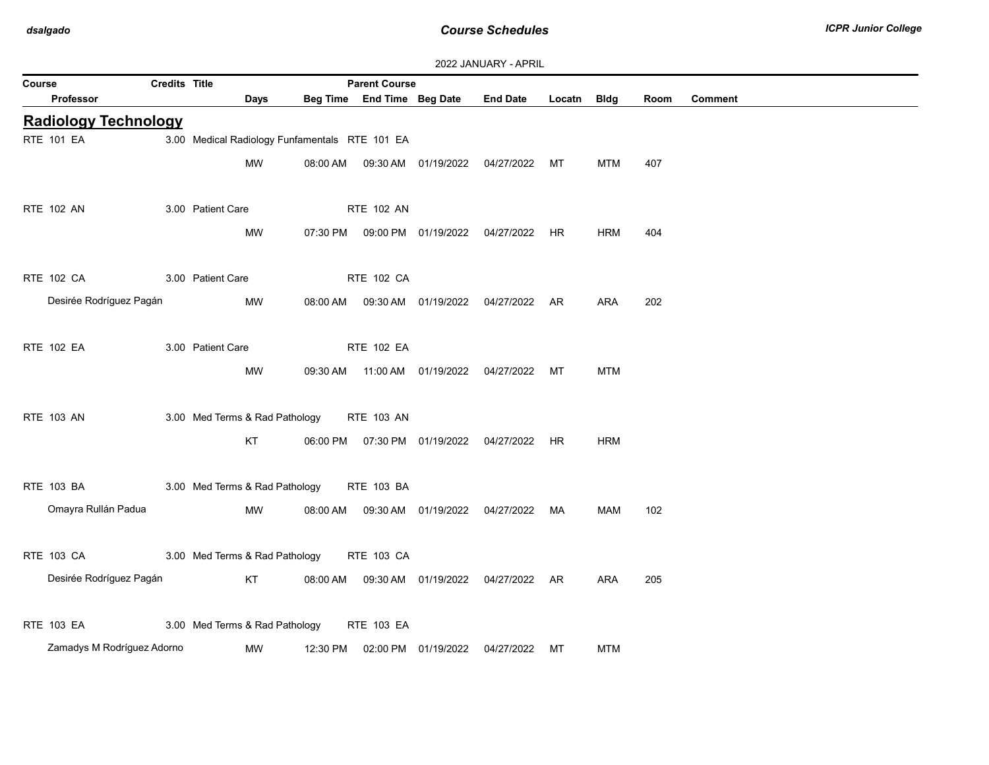| 2022 JANUARY - APRIL |  |  |  |  |
|----------------------|--|--|--|--|
|----------------------|--|--|--|--|

| Course                      | <b>Parent Course</b><br><b>Credits Title</b>          |                   |                                                                        |                                                |                            |                                  |                                                                                        |             |            |      |                |
|-----------------------------|-------------------------------------------------------|-------------------|------------------------------------------------------------------------|------------------------------------------------|----------------------------|----------------------------------|----------------------------------------------------------------------------------------|-------------|------------|------|----------------|
| <b>Professor</b>            |                                                       |                   | <b>Days</b>                                                            |                                                | Beg Time End Time Beg Date |                                  | <b>End Date</b>                                                                        | Locatn Bldg |            | Room | <b>Comment</b> |
| <b>Radiology Technology</b> |                                                       |                   |                                                                        |                                                |                            |                                  |                                                                                        |             |            |      |                |
| <b>RTE 101 EA</b>           |                                                       |                   |                                                                        | 3.00 Medical Radiology Funfamentals RTE 101 EA |                            |                                  |                                                                                        |             |            |      |                |
|                             |                                                       |                   | MW                                                                     | 08:00 AM                                       |                            |                                  | 09:30 AM  01/19/2022  04/27/2022  MT                                                   |             | MTM        | 407  |                |
|                             |                                                       |                   |                                                                        |                                                |                            |                                  |                                                                                        |             |            |      |                |
| <b>RTE 102 AN</b>           |                                                       | 3.00 Patient Care |                                                                        |                                                | <b>RTE 102 AN</b>          |                                  |                                                                                        |             |            |      |                |
|                             |                                                       |                   | MW                                                                     | 07:30 PM                                       |                            |                                  | 09:00 PM 01/19/2022 04/27/2022 HR                                                      |             | <b>HRM</b> | 404  |                |
|                             |                                                       |                   |                                                                        |                                                |                            |                                  |                                                                                        |             |            |      |                |
| <b>RTE 102 CA</b>           |                                                       | 3.00 Patient Care |                                                                        |                                                | <b>RTE 102 CA</b>          |                                  |                                                                                        |             |            |      |                |
|                             | Desirée Rodríguez Pagán                               |                   | MW                                                                     |                                                |                            |                                  | 08:00 AM  09:30 AM  01/19/2022  04/27/2022  AR                                         |             | ARA        | 202  |                |
|                             |                                                       |                   |                                                                        |                                                |                            |                                  |                                                                                        |             |            |      |                |
| RTE 102 EA                  |                                                       | 3.00 Patient Care |                                                                        |                                                | RTE 102 EA                 |                                  |                                                                                        |             |            |      |                |
|                             |                                                       |                   | MW                                                                     | 09:30 AM                                       |                            | 11:00 AM  01/19/2022  04/27/2022 |                                                                                        | MT          | <b>MTM</b> |      |                |
|                             |                                                       |                   |                                                                        |                                                |                            |                                  |                                                                                        |             |            |      |                |
| <b>RTE 103 AN</b>           |                                                       |                   | 3.00 Med Terms & Rad Pathology                                         |                                                | <b>RTE 103 AN</b>          |                                  |                                                                                        |             |            |      |                |
|                             |                                                       |                   | KT                                                                     |                                                |                            |                                  | 06:00 PM  07:30 PM  01/19/2022  04/27/2022  HR                                         |             | <b>HRM</b> |      |                |
|                             |                                                       |                   |                                                                        |                                                |                            |                                  |                                                                                        |             |            |      |                |
| RTE 103 BA                  |                                                       |                   | 3.00 Med Terms & Rad Pathology                                         |                                                | RTE 103 BA                 |                                  |                                                                                        |             |            |      |                |
| Omayra Rullán Padua         |                                                       |                   | MW                                                                     | 08:00 AM                                       |                            |                                  | 09:30 AM  01/19/2022  04/27/2022  MA                                                   |             | MAM        | 102  |                |
|                             |                                                       |                   |                                                                        |                                                |                            |                                  |                                                                                        |             |            |      |                |
| RTE 103 CA                  |                                                       |                   |                                                                        |                                                | RTE 103 CA                 |                                  |                                                                                        |             |            |      |                |
|                             |                                                       |                   |                                                                        |                                                |                            |                                  |                                                                                        |             |            |      |                |
|                             |                                                       |                   |                                                                        |                                                |                            |                                  |                                                                                        |             |            |      |                |
|                             |                                                       |                   |                                                                        |                                                |                            |                                  |                                                                                        |             |            |      |                |
|                             |                                                       |                   | MW                                                                     |                                                |                            |                                  |                                                                                        |             | <b>MTM</b> |      |                |
| RTE 103 EA                  | Desirée Rodríguez Pagán<br>Zamadys M Rodríguez Adorno |                   | 3.00 Med Terms & Rad Pathology<br>KT<br>3.00 Med Terms & Rad Pathology | 12:30 PM                                       | <b>RTE 103 EA</b>          |                                  | 08:00 AM  09:30 AM  01/19/2022  04/27/2022  AR<br>02:00 PM  01/19/2022  04/27/2022  MT |             | ARA        | 205  |                |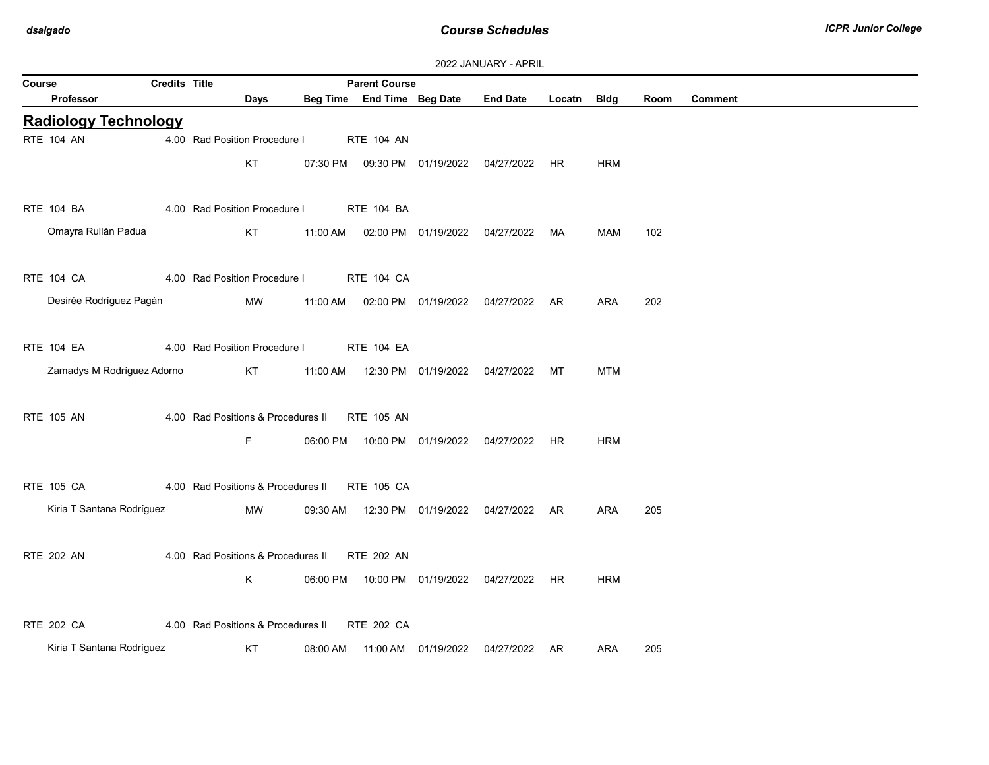| <b>Parent Course</b><br>Course<br><b>Credits Title</b> |  |                                               |          |                            |  |                                                |             |            |      |                |  |
|--------------------------------------------------------|--|-----------------------------------------------|----------|----------------------------|--|------------------------------------------------|-------------|------------|------|----------------|--|
| Professor                                              |  | Days                                          |          | Beg Time End Time Beg Date |  | <b>End Date</b>                                | Locatn Bldg |            | Room | <b>Comment</b> |  |
| <b>Radiology Technology</b>                            |  |                                               |          |                            |  |                                                |             |            |      |                |  |
| <b>RTE 104 AN</b>                                      |  | 4.00 Rad Position Procedure I                 |          | <b>RTE 104 AN</b>          |  |                                                |             |            |      |                |  |
|                                                        |  | KT                                            |          |                            |  | 07:30 PM  09:30 PM  01/19/2022  04/27/2022  HR |             | <b>HRM</b> |      |                |  |
| <b>RTE 104 BA</b>                                      |  | 4.00 Rad Position Procedure I                 |          | <b>RTE 104 BA</b>          |  |                                                |             |            |      |                |  |
| Omayra Rullán Padua                                    |  | KT                                            |          |                            |  | 11:00 AM  02:00 PM  01/19/2022  04/27/2022  MA |             | MAM        | 102  |                |  |
| RTE 104 CA                                             |  | 4.00 Rad Position Procedure I RTE 104 CA      |          |                            |  |                                                |             |            |      |                |  |
| Desirée Rodríguez Pagán                                |  | <b>MW</b>                                     | 11:00 AM |                            |  | 02:00 PM  01/19/2022  04/27/2022  AR           |             | ARA        | 202  |                |  |
| <b>RTE 104 EA</b>                                      |  | 4.00 Rad Position Procedure I                 |          | <b>RTE 104 EA</b>          |  |                                                |             |            |      |                |  |
| Zamadys M Rodríguez Adorno                             |  | KT                                            |          |                            |  | 11:00 AM  12:30 PM  01/19/2022  04/27/2022  MT |             | <b>MTM</b> |      |                |  |
| <b>RTE 105 AN</b>                                      |  | 4.00 Rad Positions & Procedures II RTE 105 AN |          |                            |  |                                                |             |            |      |                |  |
|                                                        |  | F.                                            |          |                            |  | 06:00 PM  10:00 PM  01/19/2022  04/27/2022  HR |             | <b>HRM</b> |      |                |  |
| <b>RTE 105 CA</b>                                      |  | 4.00 Rad Positions & Procedures II RTE 105 CA |          |                            |  |                                                |             |            |      |                |  |
| Kiria T Santana Rodríguez                              |  | MW                                            |          |                            |  | 09:30 AM  12:30 PM  01/19/2022  04/27/2022  AR |             | <b>ARA</b> | 205  |                |  |
| <b>RTE 202 AN</b>                                      |  | 4.00 Rad Positions & Procedures II RTE 202 AN |          |                            |  |                                                |             |            |      |                |  |
|                                                        |  | K                                             |          |                            |  | 06:00 PM  10:00 PM  01/19/2022  04/27/2022  HR |             | <b>HRM</b> |      |                |  |
| <b>RTE 202 CA</b>                                      |  | 4.00 Rad Positions & Procedures II RTE 202 CA |          |                            |  |                                                |             |            |      |                |  |
| Kiria T Santana Rodríguez                              |  | KT                                            |          |                            |  | 08:00 AM  11:00 AM  01/19/2022  04/27/2022  AR |             | ARA        | 205  |                |  |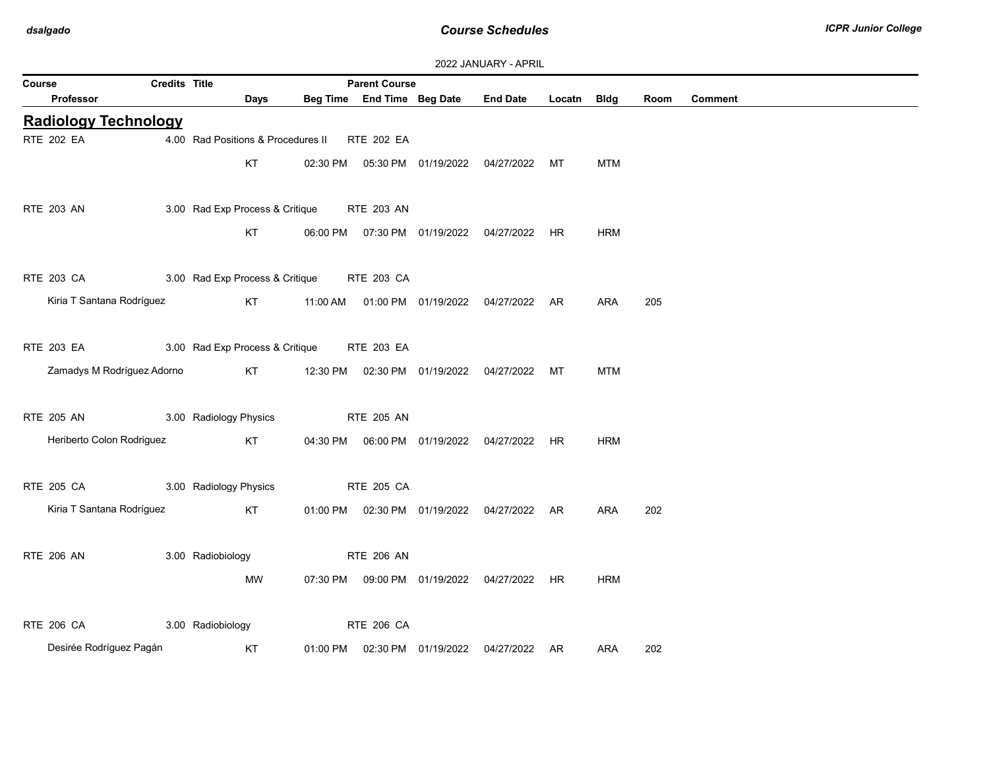| 2022 JANUARY - APRIL |  |
|----------------------|--|
|----------------------|--|

| <b>Credits Title</b><br>Course |                                            |          | <b>Parent Course</b> |                            |                                                |             |            |      |                |
|--------------------------------|--------------------------------------------|----------|----------------------|----------------------------|------------------------------------------------|-------------|------------|------|----------------|
| <b>Professor</b>               | Days                                       |          |                      | Beg Time End Time Beg Date | <b>End Date</b>                                | Locatn Bldg |            | Room | <b>Comment</b> |
| <b>Radiology Technology</b>    |                                            |          |                      |                            |                                                |             |            |      |                |
| <b>RTE 202 EA</b>              | 4.00 Rad Positions & Procedures II         |          | RTE 202 EA           |                            |                                                |             |            |      |                |
|                                | KT                                         |          |                      |                            | 02:30 PM  05:30 PM  01/19/2022  04/27/2022  MT |             | <b>MTM</b> |      |                |
|                                |                                            |          |                      |                            |                                                |             |            |      |                |
| RTE 203 AN                     | 3.00 Rad Exp Process & Critique            |          | RTE 203 AN           |                            |                                                |             |            |      |                |
|                                | KT                                         |          |                      |                            | 06:00 PM  07:30 PM  01/19/2022  04/27/2022  HR |             | <b>HRM</b> |      |                |
|                                |                                            |          |                      |                            |                                                |             |            |      |                |
| RTE 203 CA                     | 3.00 Rad Exp Process & Critique RTE 203 CA |          |                      |                            |                                                |             |            |      |                |
| Kiria T Santana Rodríguez      | KT                                         |          |                      |                            | 11:00 AM  01:00 PM  01/19/2022  04/27/2022  AR |             | ARA        | 205  |                |
|                                |                                            |          |                      |                            |                                                |             |            |      |                |
| RTE 203 EA                     | 3.00 Rad Exp Process & Critique            |          | <b>RTE 203 EA</b>    |                            |                                                |             |            |      |                |
| Zamadys M Rodríguez Adorno     | KT                                         |          |                      |                            | 12:30 PM  02:30 PM  01/19/2022  04/27/2022     | MT          | <b>MTM</b> |      |                |
|                                |                                            |          |                      |                            |                                                |             |            |      |                |
| RTE 205 AN                     | 3.00 Radiology Physics                     |          | <b>RTE 205 AN</b>    |                            |                                                |             |            |      |                |
| Heriberto Colon Rodriguez      | KT                                         |          |                      |                            | 04:30 PM  06:00 PM  01/19/2022  04/27/2022  HR |             | <b>HRM</b> |      |                |
|                                |                                            |          |                      |                            |                                                |             |            |      |                |
| <b>RTE 205 CA</b>              | 3.00 Radiology Physics                     |          | RTE 205 CA           |                            |                                                |             |            |      |                |
| Kiria T Santana Rodríguez      | KT                                         |          |                      |                            | 01:00 PM  02:30 PM  01/19/2022  04/27/2022  AR |             | ARA        | 202  |                |
|                                |                                            |          |                      |                            |                                                |             |            |      |                |
| <b>RTE 206 AN</b>              | 3.00 Radiobiology                          |          | <b>RTE 206 AN</b>    |                            |                                                |             |            |      |                |
|                                | MW                                         |          |                      |                            | 07:30 PM  09:00 PM  01/19/2022  04/27/2022  HR |             | <b>HRM</b> |      |                |
|                                |                                            |          |                      |                            |                                                |             |            |      |                |
| RTE 206 CA                     | 3.00 Radiobiology                          |          | <b>RTE 206 CA</b>    |                            |                                                |             |            |      |                |
| Desirée Rodríguez Pagán        | KT                                         | 01:00 PM |                      | 02:30 PM 01/19/2022        | 04/27/2022 AR                                  |             | <b>ARA</b> | 202  |                |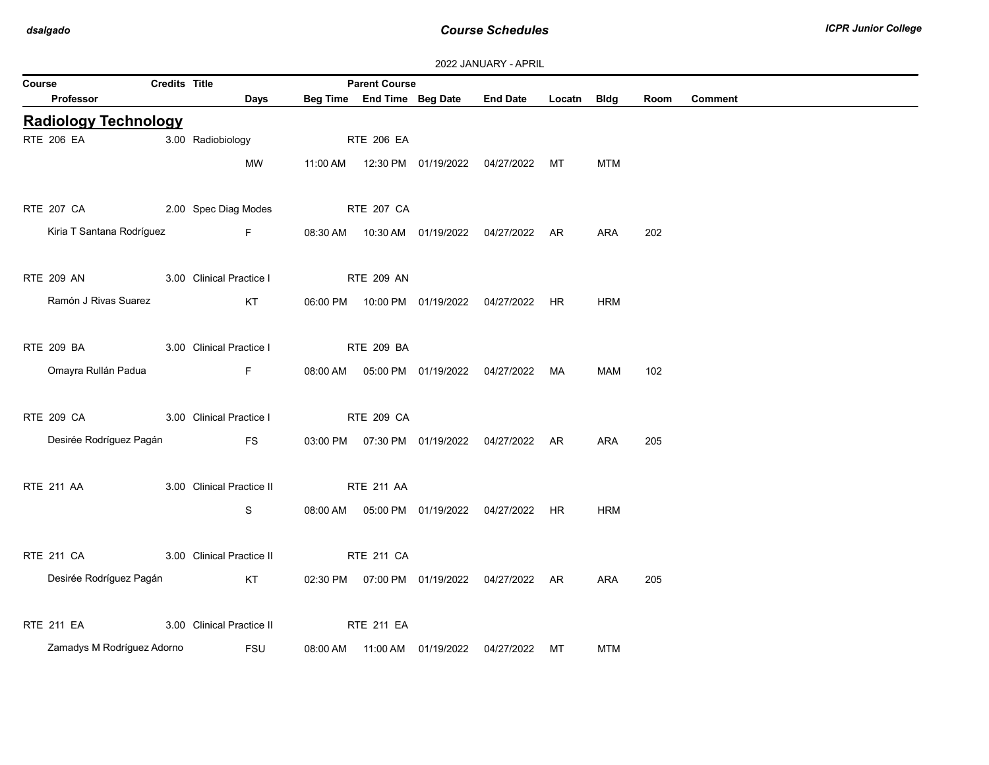|        | 2022 JANUARY - APRIL        |                      |                           |  |                            |                                |                                                |        |            |      |                |  |
|--------|-----------------------------|----------------------|---------------------------|--|----------------------------|--------------------------------|------------------------------------------------|--------|------------|------|----------------|--|
| Course |                             | <b>Credits Title</b> |                           |  | <b>Parent Course</b>       |                                |                                                |        |            |      |                |  |
|        | Professor                   |                      | Days                      |  | Beg Time End Time Beg Date |                                | <b>End Date</b>                                | Locatn | Bldg       | Room | <b>Comment</b> |  |
|        | <b>Radiology Technology</b> |                      |                           |  |                            |                                |                                                |        |            |      |                |  |
|        | <b>RTE 206 EA</b>           |                      | 3.00 Radiobiology         |  | <b>RTE 206 EA</b>          |                                |                                                |        |            |      |                |  |
|        |                             |                      | MW                        |  |                            |                                |                                                | МT     | <b>MTM</b> |      |                |  |
|        |                             |                      |                           |  |                            |                                |                                                |        |            |      |                |  |
|        | RTE 207 CA                  |                      | 2.00 Spec Diag Modes      |  | <b>RTE 207 CA</b>          |                                |                                                |        |            |      |                |  |
|        | Kiria T Santana Rodríguez   |                      | <b>Experience Figure</b>  |  |                            |                                | 08:30 AM  10:30 AM  01/19/2022  04/27/2022  AR |        | ARA        | 202  |                |  |
|        |                             |                      |                           |  |                            |                                |                                                |        |            |      |                |  |
|        | <b>RTE 209 AN</b>           |                      | 3.00 Clinical Practice I  |  | <b>RTE 209 AN</b>          |                                |                                                |        |            |      |                |  |
|        | Ramón J Rivas Suarez        |                      | KT                        |  |                            |                                | 06:00 PM  10:00 PM  01/19/2022  04/27/2022     | HR.    | <b>HRM</b> |      |                |  |
|        |                             |                      |                           |  |                            |                                |                                                |        |            |      |                |  |
|        | <b>RTE 209 BA</b>           |                      | 3.00 Clinical Practice I  |  | <b>RTE 209 BA</b>          |                                |                                                |        |            |      |                |  |
|        | Omayra Rullán Padua         |                      | $F -$                     |  |                            |                                | 08:00 AM  05:00 PM  01/19/2022  04/27/2022  MA |        | MAM        | 102  |                |  |
|        |                             |                      |                           |  |                            |                                |                                                |        |            |      |                |  |
|        | <b>RTE 209 CA</b>           |                      | 3.00 Clinical Practice I  |  | <b>RTE 209 CA</b>          |                                |                                                |        |            |      |                |  |
|        | Desirée Rodríguez Pagán     |                      | FS                        |  |                            |                                | 03:00 PM  07:30 PM  01/19/2022  04/27/2022  AR |        | ARA        | 205  |                |  |
|        |                             |                      |                           |  |                            |                                |                                                |        |            |      |                |  |
|        | <b>RTE 211 AA</b>           |                      | 3.00 Clinical Practice II |  | <b>RTE 211 AA</b>          |                                |                                                |        |            |      |                |  |
|        |                             |                      | S                         |  |                            |                                | 08:00 AM  05:00 PM  01/19/2022  04/27/2022  HR |        | <b>HRM</b> |      |                |  |
|        |                             |                      |                           |  |                            |                                |                                                |        |            |      |                |  |
|        | <b>RTE 211 CA</b>           |                      | 3.00 Clinical Practice II |  | RTE 211 CA                 |                                |                                                |        |            |      |                |  |
|        | Desirée Rodríguez Pagán     |                      | KT                        |  |                            |                                | 02:30 PM  07:00 PM  01/19/2022  04/27/2022  AR |        | ARA        | 205  |                |  |
|        |                             |                      |                           |  |                            |                                |                                                |        |            |      |                |  |
|        | <b>RTE 211 EA</b>           |                      | 3.00 Clinical Practice II |  | <b>RTE 211 EA</b>          |                                |                                                |        |            |      |                |  |
|        | Zamadys M Rodríguez Adorno  |                      | <b>FSU</b>                |  |                            | 08:00 AM  11:00 AM  01/19/2022 | 04/27/2022                                     | МT     | <b>MTM</b> |      |                |  |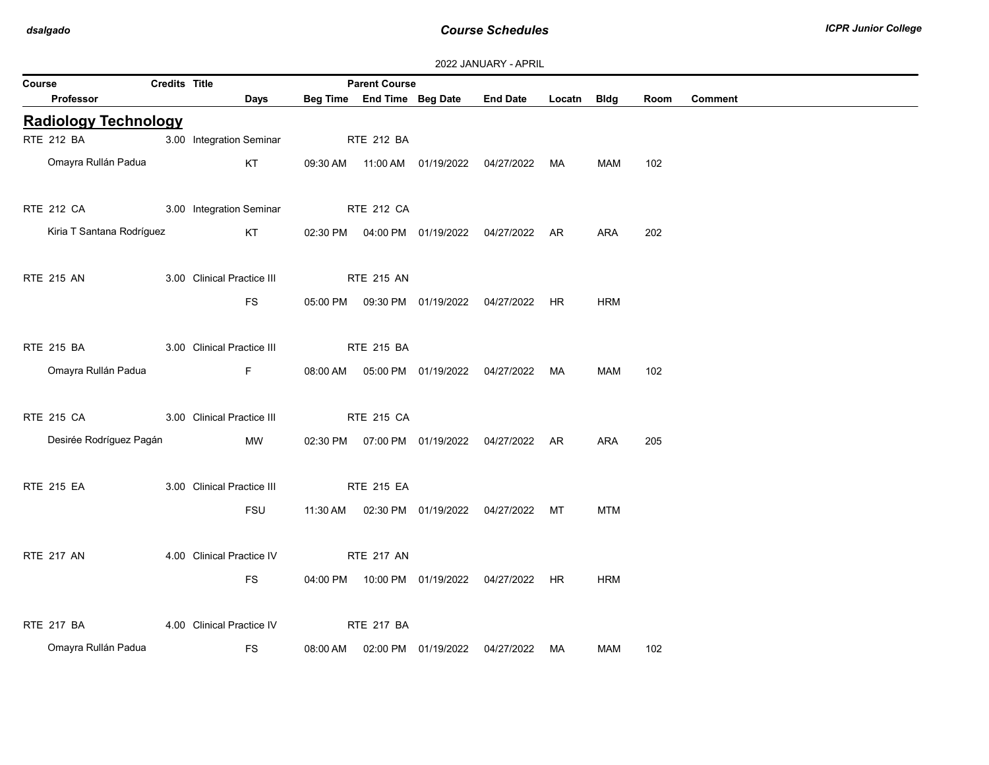| 2022 JANUARY - APRIL |  |
|----------------------|--|
|----------------------|--|

| Course                      | Credits Title |                            |                   |                            |                                                |             |            |      |                |
|-----------------------------|---------------|----------------------------|-------------------|----------------------------|------------------------------------------------|-------------|------------|------|----------------|
| Professor                   |               | <b>Days</b>                |                   | Beg Time End Time Beg Date | <b>End Date</b>                                | Locatn Bldg |            | Room | <b>Comment</b> |
| <b>Radiology Technology</b> |               |                            |                   |                            |                                                |             |            |      |                |
| RTE 212 BA                  |               | 3.00 Integration Seminar   | <b>RTE 212 BA</b> |                            |                                                |             |            |      |                |
| Omayra Rullán Padua         |               | KT                         |                   |                            | 09:30 AM  11:00 AM  01/19/2022  04/27/2022  MA |             | MAM        | 102  |                |
| RTE 212 CA                  |               | 3.00 Integration Seminar   | <b>RTE 212 CA</b> |                            |                                                |             |            |      |                |
| Kiria T Santana Rodríguez   |               | KT                         |                   |                            | 02:30 PM  04:00 PM  01/19/2022  04/27/2022  AR |             | ARA        | 202  |                |
| <b>RTE 215 AN</b>           |               | 3.00 Clinical Practice III | <b>RTE 215 AN</b> |                            |                                                |             |            |      |                |
|                             |               | FS.                        |                   |                            | 05:00 PM  09:30 PM  01/19/2022  04/27/2022  HR |             | <b>HRM</b> |      |                |
| <b>RTE 215 BA</b>           |               | 3.00 Clinical Practice III | <b>RTE 215 BA</b> |                            |                                                |             |            |      |                |
| Omayra Rullán Padua         |               | F                          |                   |                            | 08:00 AM  05:00 PM  01/19/2022  04/27/2022  MA |             | <b>MAM</b> | 102  |                |
| RTE 215 CA                  |               | 3.00 Clinical Practice III | <b>RTE 215 CA</b> |                            |                                                |             |            |      |                |
| Desirée Rodríguez Pagán     |               | MW                         |                   |                            | 02:30 PM  07:00 PM  01/19/2022  04/27/2022  AR |             | ARA        | 205  |                |
| <b>RTE 215 EA</b>           |               | 3.00 Clinical Practice III | <b>RTE 215 EA</b> |                            |                                                |             |            |      |                |
|                             |               | <b>FSU</b>                 |                   |                            | 11:30 AM  02:30 PM  01/19/2022  04/27/2022  MT |             | <b>MTM</b> |      |                |
| <b>RTE 217 AN</b>           |               | 4.00 Clinical Practice IV  | <b>RTE 217 AN</b> |                            |                                                |             |            |      |                |
|                             |               | FS.                        |                   |                            | 04:00 PM  10:00 PM  01/19/2022  04/27/2022  HR |             | <b>HRM</b> |      |                |
| <b>RTE 217 BA</b>           |               | 4.00 Clinical Practice IV  | <b>RTE 217 BA</b> |                            |                                                |             |            |      |                |
| Omayra Rullán Padua         |               | <b>FS</b>                  |                   |                            | 08:00 AM  02:00 PM  01/19/2022  04/27/2022  MA |             | MAM        | 102  |                |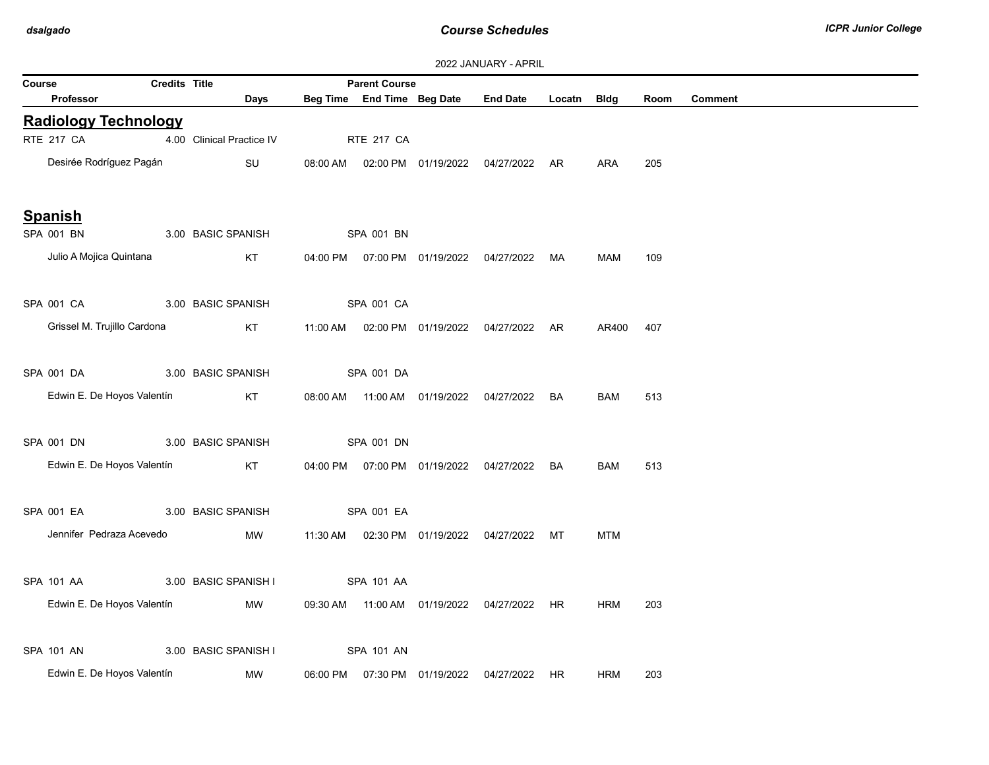| <b>ZUZZ JANUARY - APRIL</b> |               |                           |  |                            |                                            |                                                |        |             |      |                |  |
|-----------------------------|---------------|---------------------------|--|----------------------------|--------------------------------------------|------------------------------------------------|--------|-------------|------|----------------|--|
| Course                      | Credits Title |                           |  | <b>Parent Course</b>       |                                            |                                                |        |             |      |                |  |
| <b>Professor</b>            |               | Days                      |  | Beg Time End Time Beg Date |                                            | <b>End Date</b>                                | Locatn | <b>Bldg</b> | Room | <b>Comment</b> |  |
| <b>Radiology Technology</b> |               |                           |  |                            |                                            |                                                |        |             |      |                |  |
| <b>RTE 217 CA</b>           |               | 4.00 Clinical Practice IV |  | <b>RTE 217 CA</b>          |                                            |                                                |        |             |      |                |  |
| Desirée Rodríguez Pagán     |               | SU                        |  |                            |                                            | 08:00 AM  02:00 PM  01/19/2022  04/27/2022  AR |        | ARA         | 205  |                |  |
| <b>Spanish</b>              |               |                           |  |                            |                                            |                                                |        |             |      |                |  |
| SPA 001 BN                  |               | 3.00 BASIC SPANISH        |  | SPA 001 BN                 |                                            |                                                |        |             |      |                |  |
| Julio A Mojica Quintana     |               | KT                        |  |                            |                                            | 04:00 PM  07:00 PM  01/19/2022  04/27/2022  MA |        | MAM         | 109  |                |  |
| SPA 001 CA                  |               | 3.00 BASIC SPANISH        |  | SPA 001 CA                 |                                            |                                                |        |             |      |                |  |
| Grissel M. Trujillo Cardona |               | KT                        |  |                            |                                            | 11:00 AM  02:00 PM  01/19/2022  04/27/2022  AR |        | AR400       | 407  |                |  |
| SPA 001 DA                  |               | 3.00 BASIC SPANISH        |  | SPA 001 DA                 |                                            |                                                |        |             |      |                |  |
| Edwin E. De Hoyos Valentín  |               | KT                        |  |                            |                                            | 08:00 AM  11:00 AM  01/19/2022  04/27/2022     | BA     | <b>BAM</b>  | 513  |                |  |
| SPA 001 DN                  |               | 3.00 BASIC SPANISH        |  | SPA 001 DN                 |                                            |                                                |        |             |      |                |  |
| Edwin E. De Hoyos Valentín  |               | KT                        |  |                            |                                            | 04:00 PM  07:00 PM  01/19/2022  04/27/2022     | BA     | <b>BAM</b>  | 513  |                |  |
| SPA 001 EA                  |               | 3.00 BASIC SPANISH        |  | SPA 001 EA                 |                                            |                                                |        |             |      |                |  |
| Jennifer Pedraza Acevedo    |               | MW                        |  |                            |                                            | 11:30 AM  02:30 PM  01/19/2022  04/27/2022  MT |        | <b>MTM</b>  |      |                |  |
| SPA 101 AA                  |               | 3.00 BASIC SPANISH I      |  | SPA 101 AA                 |                                            |                                                |        |             |      |                |  |
| Edwin E. De Hoyos Valentín  |               | MW                        |  |                            | 09:30 AM  11:00 AM  01/19/2022  04/27/2022 |                                                | HR.    | <b>HRM</b>  | 203  |                |  |
| SPA 101 AN                  |               | 3.00 BASIC SPANISH I      |  | SPA 101 AN                 |                                            |                                                |        |             |      |                |  |
| Edwin E. De Hoyos Valentín  |               | MW                        |  |                            |                                            | 06:00 PM  07:30 PM  01/19/2022  04/27/2022  HR |        | <b>HRM</b>  | 203  |                |  |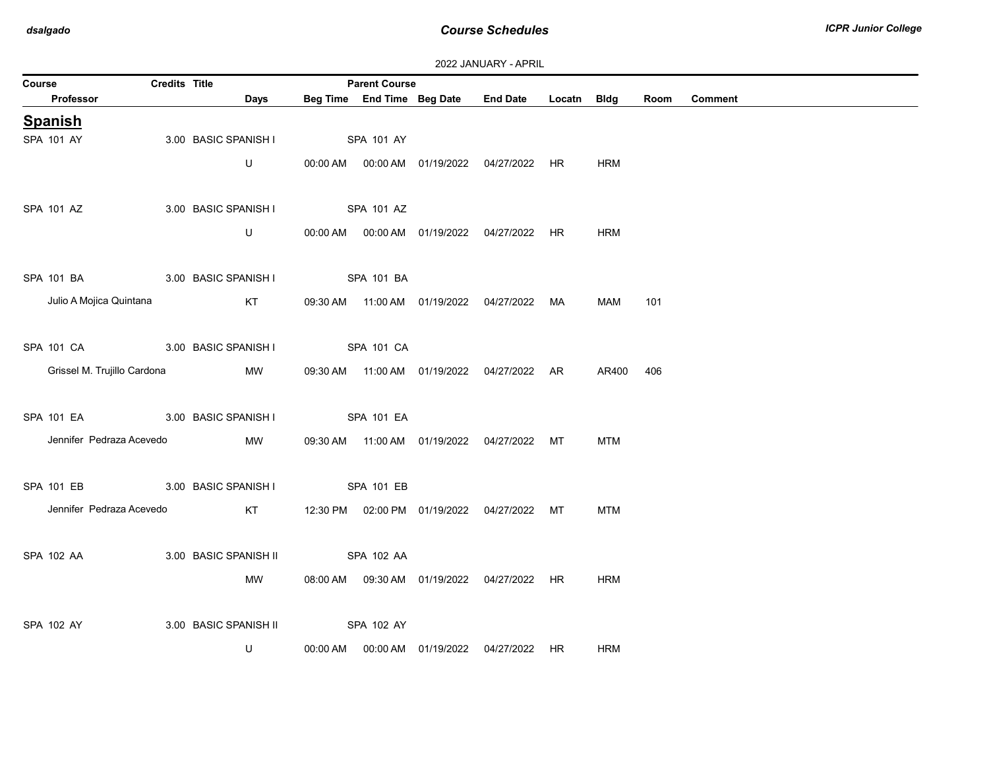| 2022 JANUARY - APRIL |  |
|----------------------|--|
|                      |  |

| Course                      | Credits Title |                       | <b>Parent Course</b> |                            |                                                |             |            |      |                |
|-----------------------------|---------------|-----------------------|----------------------|----------------------------|------------------------------------------------|-------------|------------|------|----------------|
| Professor                   |               | <b>Days</b>           |                      | Beg Time End Time Beg Date | <b>End Date</b>                                | Locatn Bldg |            | Room | <b>Comment</b> |
| <b>Spanish</b>              |               |                       |                      |                            |                                                |             |            |      |                |
| SPA 101 AY                  |               | 3.00 BASIC SPANISH I  | SPA 101 AY           |                            |                                                |             |            |      |                |
|                             |               | U                     |                      |                            | 00:00 AM  00:00 AM  01/19/2022  04/27/2022     | HR          | <b>HRM</b> |      |                |
|                             |               |                       |                      |                            |                                                |             |            |      |                |
| SPA 101 AZ                  |               | 3.00 BASIC SPANISH I  | SPA 101 AZ           |                            |                                                |             |            |      |                |
|                             |               | U                     |                      |                            | 00:00 AM  00:00 AM  01/19/2022  04/27/2022  HR |             | <b>HRM</b> |      |                |
|                             |               |                       |                      |                            |                                                |             |            |      |                |
| SPA 101 BA                  |               | 3.00 BASIC SPANISH I  | SPA 101 BA           |                            |                                                |             |            |      |                |
| Julio A Mojica Quintana     |               | KT                    |                      |                            | 09:30 AM  11:00 AM  01/19/2022  04/27/2022     | MA          | MAM        | 101  |                |
|                             |               |                       |                      |                            |                                                |             |            |      |                |
| SPA 101 CA                  |               | 3.00 BASIC SPANISH I  | SPA 101 CA           |                            |                                                |             |            |      |                |
| Grissel M. Trujillo Cardona |               | <b>MW</b>             |                      |                            | 09:30 AM  11:00 AM  01/19/2022  04/27/2022  AR |             | AR400      | 406  |                |
|                             |               |                       |                      |                            |                                                |             |            |      |                |
| SPA 101 EA                  |               | 3.00 BASIC SPANISH I  | SPA 101 EA           |                            |                                                |             |            |      |                |
| Jennifer Pedraza Acevedo    |               | MW                    |                      |                            | 09:30 AM  11:00 AM  01/19/2022  04/27/2022  MT |             | <b>MTM</b> |      |                |
|                             |               |                       |                      |                            |                                                |             |            |      |                |
| <b>SPA 101 EB</b>           |               | 3.00 BASIC SPANISH I  | SPA 101 EB           |                            |                                                |             |            |      |                |
| Jennifer Pedraza Acevedo    |               | KT                    |                      |                            | 12:30 PM  02:00 PM  01/19/2022  04/27/2022  MT |             | <b>MTM</b> |      |                |
|                             |               |                       |                      |                            |                                                |             |            |      |                |
| SPA 102 AA                  |               | 3.00 BASIC SPANISH II | SPA 102 AA           |                            |                                                |             |            |      |                |
|                             |               | MW                    |                      |                            | 08:00 AM  09:30 AM  01/19/2022  04/27/2022  HR |             | <b>HRM</b> |      |                |
|                             |               |                       |                      |                            |                                                |             |            |      |                |
| SPA 102 AY                  |               | 3.00 BASIC SPANISH II | SPA 102 AY           |                            |                                                |             |            |      |                |
|                             |               | U                     |                      |                            | 04/27/2022                                     | HR.         | <b>HRM</b> |      |                |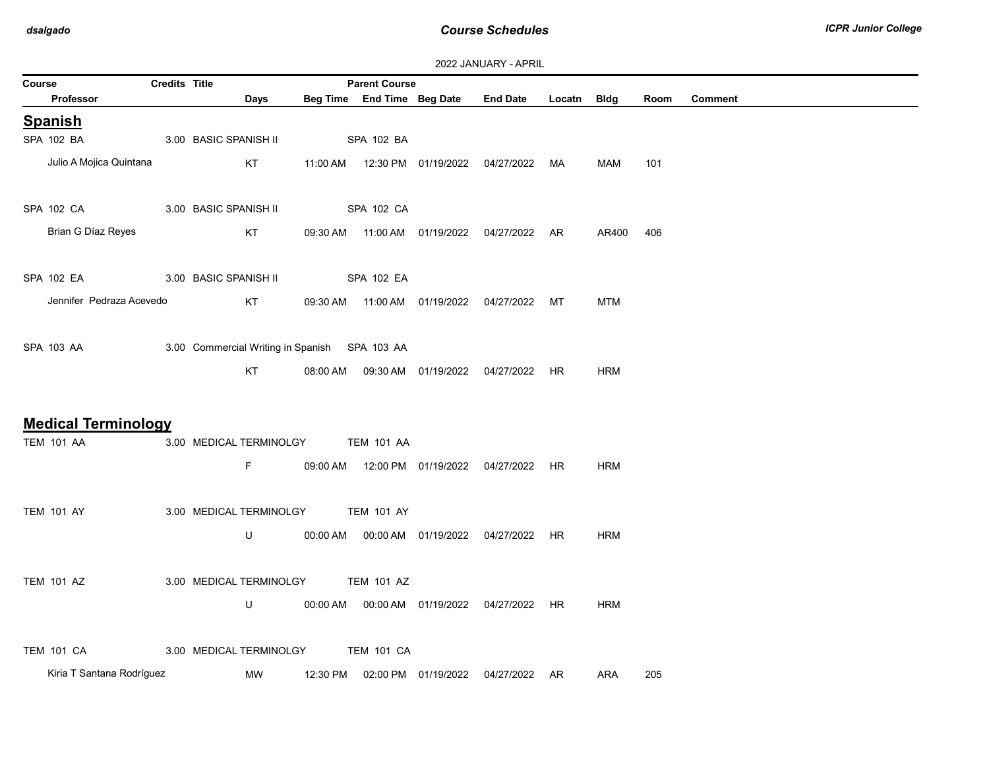| <b>Credits Title</b><br><b>Parent Course</b><br>Course |  |                                               |          |                   |                            |                                                |             |            |      |         |  |
|--------------------------------------------------------|--|-----------------------------------------------|----------|-------------------|----------------------------|------------------------------------------------|-------------|------------|------|---------|--|
| Professor                                              |  | Days                                          |          |                   | Beg Time End Time Beg Date | <b>End Date</b>                                | Locatn Bldg |            | Room | Comment |  |
| <b>Spanish</b>                                         |  |                                               |          |                   |                            |                                                |             |            |      |         |  |
| SPA 102 BA                                             |  | 3.00 BASIC SPANISH II                         |          | SPA 102 BA        |                            |                                                |             |            |      |         |  |
| Julio A Mojica Quintana                                |  | KT                                            |          |                   |                            | 11:00 AM  12:30 PM  01/19/2022  04/27/2022     | MA          | MAM        | 101  |         |  |
| SPA 102 CA                                             |  | 3.00 BASIC SPANISH II                         |          | SPA 102 CA        |                            |                                                |             |            |      |         |  |
| Brian G Díaz Reyes                                     |  | KT                                            |          |                   |                            | 09:30 AM  11:00 AM  01/19/2022  04/27/2022  AR |             | AR400      | 406  |         |  |
| SPA 102 EA                                             |  | 3.00 BASIC SPANISH II                         |          | SPA 102 EA        |                            |                                                |             |            |      |         |  |
| Jennifer Pedraza Acevedo                               |  | KT                                            |          |                   |                            | 09:30 AM  11:00 AM  01/19/2022  04/27/2022     | МT          | <b>MTM</b> |      |         |  |
| SPA 103 AA                                             |  | 3.00 Commercial Writing in Spanish SPA 103 AA |          |                   |                            |                                                |             |            |      |         |  |
|                                                        |  | KT                                            |          |                   |                            | 08:00 AM  09:30 AM  01/19/2022  04/27/2022     | HR          | <b>HRM</b> |      |         |  |
| <b>Medical Terminology</b>                             |  |                                               |          |                   |                            |                                                |             |            |      |         |  |
| <b>TEM 101 AA</b>                                      |  | 3.00 MEDICAL TERMINOLGY                       |          | <b>TEM 101 AA</b> |                            |                                                |             |            |      |         |  |
|                                                        |  | F.                                            |          |                   |                            | 09:00 AM  12:00 PM  01/19/2022  04/27/2022  HR |             | <b>HRM</b> |      |         |  |
| <b>TEM 101 AY</b>                                      |  | 3.00 MEDICAL TERMINOLGY                       |          | <b>TEM 101 AY</b> |                            |                                                |             |            |      |         |  |
|                                                        |  | U                                             | 00:00 AM |                   |                            | 04/27/2022                                     | HR          | <b>HRM</b> |      |         |  |
| <b>TEM 101 AZ</b>                                      |  | 3.00 MEDICAL TERMINOLGY                       |          | <b>TEM 101 AZ</b> |                            |                                                |             |            |      |         |  |
|                                                        |  | U                                             |          |                   |                            |                                                | HR.         | <b>HRM</b> |      |         |  |
| <b>TEM 101 CA</b>                                      |  | 3.00 MEDICAL TERMINOLGY                       |          | <b>TEM 101 CA</b> |                            |                                                |             |            |      |         |  |
| Kiria T Santana Rodríguez                              |  | MW                                            | 12:30 PM |                   | 02:00 PM  01/19/2022       | 04/27/2022 AR                                  |             | ARA        | 205  |         |  |